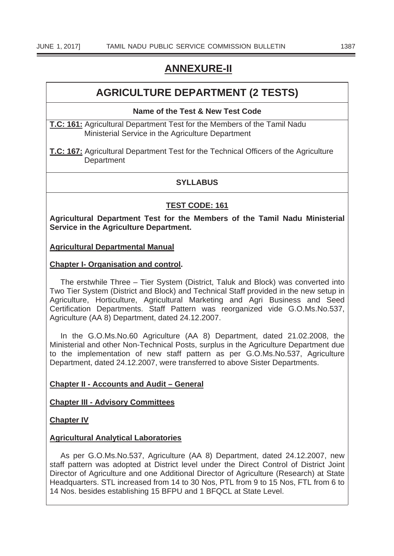# **ANNEXURE-II**

# **AGRICULTURE DEPARTMENT (2 TESTS)**

### **Name of the Test & New Test Code**

**T.C: 161:** Agricultural Department Test for the Members of the Tamil Nadu Ministerial Service in the Agriculture Department

**T.C: 167:** Agricultural Department Test for the Technical Officers of the Agriculture **Department** 

### **SYLLABUS**

### **TEST CODE: 161**

**Agricultural Department Test for the Members of the Tamil Nadu Ministerial Service in the Agriculture Department.** 

**Agricultural Departmental Manual**

**Chapter I- Organisation and control.**

 The erstwhile Three – Tier System (District, Taluk and Block) was converted into Two Tier System (District and Block) and Technical Staff provided in the new setup in Agriculture, Horticulture, Agricultural Marketing and Agri Business and Seed Certification Departments. Staff Pattern was reorganized vide G.O.Ms.No.537, Agriculture (AA 8) Department, dated 24.12.2007.

 In the G.O.Ms.No.60 Agriculture (AA 8) Department, dated 21.02.2008, the Ministerial and other Non-Technical Posts, surplus in the Agriculture Department due to the implementation of new staff pattern as per G.O.Ms.No.537, Agriculture Department, dated 24.12.2007, were transferred to above Sister Departments.

#### **Chapter II - Accounts and Audit – General**

**Chapter III - Advisory Committees**

**Chapter IV**

#### **Agricultural Analytical Laboratories**

 As per G.O.Ms.No.537, Agriculture (AA 8) Department, dated 24.12.2007, new staff pattern was adopted at District level under the Direct Control of District Joint Director of Agriculture and one Additional Director of Agriculture (Research) at State Headquarters. STL increased from 14 to 30 Nos, PTL from 9 to 15 Nos, FTL from 6 to 14 Nos. besides establishing 15 BFPU and 1 BFQCL at State Level.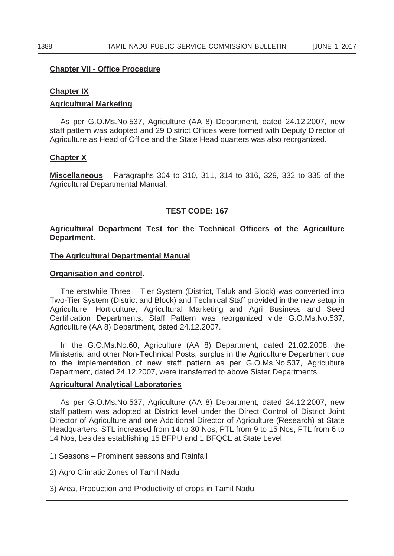### **Chapter VII - Office Procedure**

#### **Chapter IX**

#### **Agricultural Marketing**

 As per G.O.Ms.No.537, Agriculture (AA 8) Department, dated 24.12.2007, new staff pattern was adopted and 29 District Offices were formed with Deputy Director of Agriculture as Head of Office and the State Head quarters was also reorganized.

#### **Chapter X**

**Miscellaneous** – Paragraphs 304 to 310, 311, 314 to 316, 329, 332 to 335 of the Agricultural Departmental Manual.

#### **TEST CODE: 167**

**Agricultural Department Test for the Technical Officers of the Agriculture Department.** 

#### **The Agricultural Departmental Manual**

#### **Organisation and control.**

 The erstwhile Three – Tier System (District, Taluk and Block) was converted into Two-Tier System (District and Block) and Technical Staff provided in the new setup in Agriculture, Horticulture, Agricultural Marketing and Agri Business and Seed Certification Departments. Staff Pattern was reorganized vide G.O.Ms.No.537, Agriculture (AA 8) Department, dated 24.12.2007.

 In the G.O.Ms.No.60, Agriculture (AA 8) Department, dated 21.02.2008, the Ministerial and other Non-Technical Posts, surplus in the Agriculture Department due to the implementation of new staff pattern as per G.O.Ms.No.537, Agriculture Department, dated 24.12.2007, were transferred to above Sister Departments.

#### **Agricultural Analytical Laboratories**

 As per G.O.Ms.No.537, Agriculture (AA 8) Department, dated 24.12.2007, new staff pattern was adopted at District level under the Direct Control of District Joint Director of Agriculture and one Additional Director of Agriculture (Research) at State Headquarters. STL increased from 14 to 30 Nos, PTL from 9 to 15 Nos, FTL from 6 to 14 Nos, besides establishing 15 BFPU and 1 BFQCL at State Level.

1) Seasons – Prominent seasons and Rainfall

2) Agro Climatic Zones of Tamil Nadu

3) Area, Production and Productivity of crops in Tamil Nadu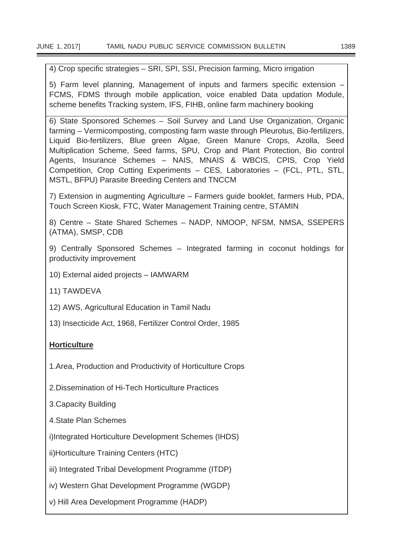4) Crop specific strategies – SRI, SPI, SSI, Precision farming, Micro irrigation

5) Farm level planning, Management of inputs and farmers specific extension – FCMS, FDMS through mobile application, voice enabled Data updation Module, scheme benefits Tracking system, IFS, FIHB, online farm machinery booking

6) State Sponsored Schemes – Soil Survey and Land Use Organization, Organic farming – Vermicomposting, composting farm waste through Pleurotus, Bio-fertilizers, Liquid Bio-fertilizers, Blue green Algae, Green Manure Crops, Azolla, Seed Multiplication Scheme, Seed farms, SPU, Crop and Plant Protection, Bio control Agents, Insurance Schemes – NAIS, MNAIS & WBCIS, CPIS, Crop Yield Competition, Crop Cutting Experiments – CES, Laboratories – (FCL, PTL, STL, MSTL, BFPU) Parasite Breeding Centers and TNCCM

7) Extension in augmenting Agriculture – Farmers guide booklet, farmers Hub, PDA, Touch Screen Kiosk, FTC, Water Management Training centre, STAMIN

8) Centre – State Shared Schemes – NADP, NMOOP, NFSM, NMSA, SSEPERS (ATMA), SMSP, CDB

9) Centrally Sponsored Schemes – Integrated farming in coconut holdings for productivity improvement

10) External aided projects – IAMWARM

11) TAWDEVA

12) AWS, Agricultural Education in Tamil Nadu

13) Insecticide Act, 1968, Fertilizer Control Order, 1985

# **Horticulture**

1.Area, Production and Productivity of Horticulture Crops

2.Dissemination of Hi-Tech Horticulture Practices

3.Capacity Building

4.State Plan Schemes

i)Integrated Horticulture Development Schemes (IHDS)

ii)Horticulture Training Centers (HTC)

iii) Integrated Tribal Development Programme (ITDP)

iv) Western Ghat Development Programme (WGDP)

v) Hill Area Development Programme (HADP)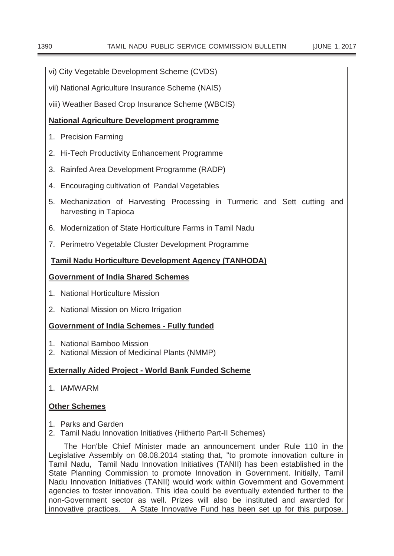- vi) City Vegetable Development Scheme (CVDS)
- vii) National Agriculture Insurance Scheme (NAIS)
- viii) Weather Based Crop Insurance Scheme (WBCIS)

### **National Agriculture Development programme**

- 1. Precision Farming
- 2. Hi-Tech Productivity Enhancement Programme
- 3. Rainfed Area Development Programme (RADP)
- 4. Encouraging cultivation of Pandal Vegetables
- 5. Mechanization of Harvesting Processing in Turmeric and Sett cutting and harvesting in Tapioca
- 6. Modernization of State Horticulture Farms in Tamil Nadu
- 7. Perimetro Vegetable Cluster Development Programme

# **Tamil Nadu Horticulture Development Agency (TANHODA)**

### **Government of India Shared Schemes**

- 1. National Horticulture Mission
- 2. National Mission on Micro Irrigation

# **Government of India Schemes - Fully funded**

- 1. National Bamboo Mission
- 2. National Mission of Medicinal Plants (NMMP)

# **Externally Aided Project - World Bank Funded Scheme**

1. IAMWARM

# **Other Schemes**

- 1. Parks and Garden
- 2. Tamil Nadu Innovation Initiatives (Hitherto Part-II Schemes)

 The Hon'ble Chief Minister made an announcement under Rule 110 in the Legislative Assembly on 08.08.2014 stating that, "to promote innovation culture in Tamil Nadu, Tamil Nadu Innovation Initiatives (TANII) has been established in the State Planning Commission to promote Innovation in Government. Initially, Tamil Nadu Innovation Initiatives (TANII) would work within Government and Government agencies to foster innovation. This idea could be eventually extended further to the non-Government sector as well. Prizes will also be instituted and awarded for innovative practices. A State Innovative Fund has been set up for this purpose.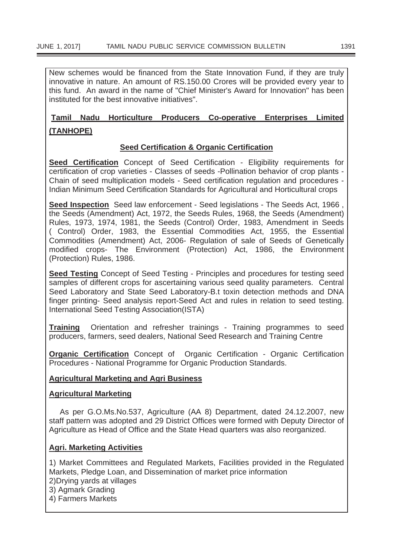New schemes would be financed from the State Innovation Fund, if they are truly innovative in nature. An amount of RS.150.00 Crores will be provided every year to this fund. An award in the name of "Chief Minister's Award for Innovation" has been instituted for the best innovative initiatives".

# **Tamil Nadu Horticulture Producers Co-operative Enterprises Limited (TANHOPE)**

# **Seed Certification & Organic Certification**

**Seed Certification** Concept of Seed Certification - Eligibility requirements for certification of crop varieties - Classes of seeds -Pollination behavior of crop plants - Chain of seed multiplication models - Seed certification regulation and procedures - Indian Minimum Seed Certification Standards for Agricultural and Horticultural crops

**Seed Inspection** Seed law enforcement - Seed legislations - The Seeds Act, 1966 , the Seeds (Amendment) Act, 1972, the Seeds Rules, 1968, the Seeds (Amendment) Rules, 1973, 1974, 1981, the Seeds (Control) Order, 1983, Amendment in Seeds ( Control) Order, 1983, the Essential Commodities Act, 1955, the Essential Commodities (Amendment) Act, 2006- Regulation of sale of Seeds of Genetically modified crops- The Environment (Protection) Act, 1986, the Environment (Protection) Rules, 1986.

**Seed Testing** Concept of Seed Testing - Principles and procedures for testing seed samples of different crops for ascertaining various seed quality parameters. Central Seed Laboratory and State Seed Laboratory-B.t toxin detection methods and DNA finger printing- Seed analysis report-Seed Act and rules in relation to seed testing. International Seed Testing Association(ISTA)

**Training** Orientation and refresher trainings - Training programmes to seed producers, farmers, seed dealers, National Seed Research and Training Centre

**Organic Certification** Concept of Organic Certification - Organic Certification Procedures - National Programme for Organic Production Standards.

# **Agricultural Marketing and Agri Business**

# **Agricultural Marketing**

 As per G.O.Ms.No.537, Agriculture (AA 8) Department, dated 24.12.2007, new staff pattern was adopted and 29 District Offices were formed with Deputy Director of Agriculture as Head of Office and the State Head quarters was also reorganized.

# **Agri. Marketing Activities**

1) Market Committees and Regulated Markets, Facilities provided in the Regulated Markets, Pledge Loan, and Dissemination of market price information 2)Drying yards at villages 3) Agmark Grading

4) Farmers Markets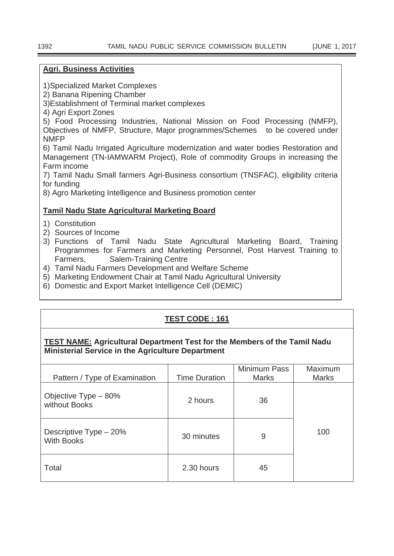# **Agri. Business Activities**

1)Specialized Market Complexes

2) Banana Ripening Chamber

3)Establishment of Terminal market complexes

4) Agri Export Zones

5) Food Processing Industries, National Mission on Food Processing (NMFP), Objectives of NMFP, Structure, Major programmes/Schemes to be covered under NMFP

6) Tamil Nadu Irrigated Agriculture modernization and water bodies Restoration and Management (TN-IAMWARM Project), Role of commodity Groups in increasing the Farm income

7) Tamil Nadu Small farmers Agri-Business consortium (TNSFAC), eligibility criteria for funding

8) Agro Marketing Intelligence and Business promotion center

# **Tamil Nadu State Agricultural Marketing Board**

1) Constitution

- 2) Sources of Income
- 3) Functions of Tamil Nadu State Agricultural Marketing Board, Training Programmes for Farmers and Marketing Personnel, Post Harvest Training to Farmers, Salem-Training Centre
- 4) Tamil Nadu Farmers Development and Welfare Scheme
- 5) Marketing Endowment Chair at Tamil Nadu Agricultural University
- 6) Domestic and Export Market Intelligence Cell (DEMIC)

# **TEST CODE : 161**

### **TEST NAME: Agricultural Department Test for the Members of the Tamil Nadu Ministerial Service in the Agriculture Department**

| Pattern / Type of Examination               | <b>Time Duration</b> | Minimum Pass<br><b>Marks</b> | Maximum<br><b>Marks</b> |
|---------------------------------------------|----------------------|------------------------------|-------------------------|
| Objective Type - 80%<br>without Books       | 2 hours              | 36                           |                         |
| Descriptive Type - 20%<br><b>With Books</b> | 30 minutes           | 9                            | 100                     |
| Total                                       | 2.30 hours           | 45                           |                         |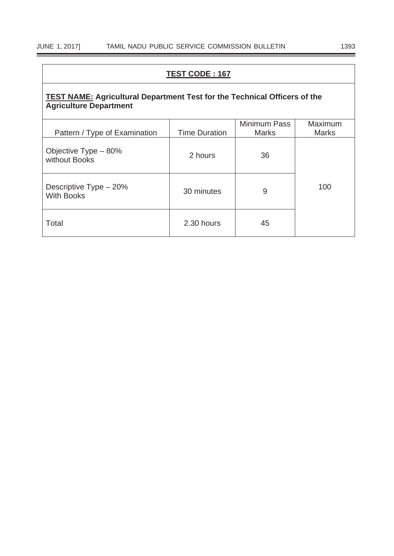# **TEST CODE : 167**

# **TEST NAME: Agricultural Department Test for the Technical Officers of the Agriculture Department**

| Pattern / Type of Examination               | <b>Time Duration</b> | Minimum Pass<br><b>Marks</b> | Maximum<br><b>Marks</b> |
|---------------------------------------------|----------------------|------------------------------|-------------------------|
| Objective Type - 80%<br>without Books       | 2 hours              | 36                           |                         |
| Descriptive Type - 20%<br><b>With Books</b> | 30 minutes           | 9                            | 100                     |
| Total                                       | 2.30 hours           | 45                           |                         |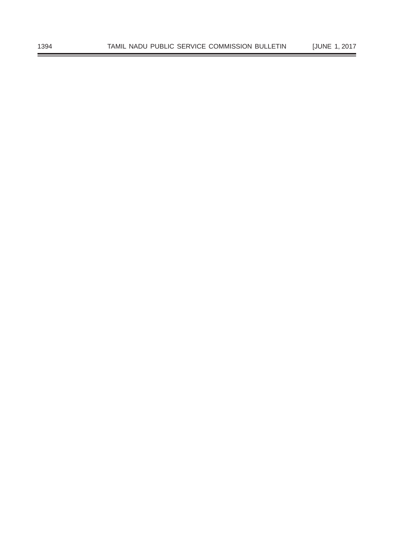.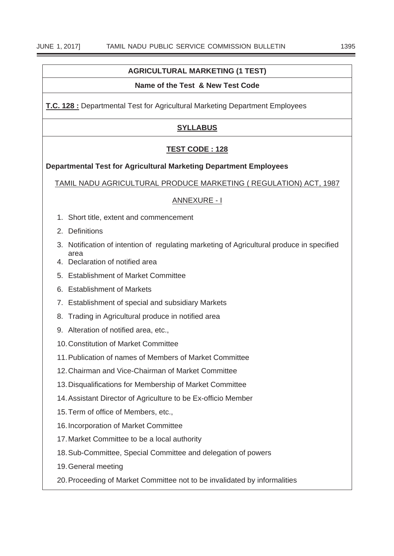#### **AGRICULTURAL MARKETING (1 TEST)**

### **Name of the Test & New Test Code**

**T.C. 128 :** Departmental Test for Agricultural Marketing Department Employees

# **SYLLABUS**

#### **TEST CODE : 128**

#### **Departmental Test for Agricultural Marketing Department Employees**

TAMIL NADU AGRICULTURAL PRODUCE MARKETING ( REGULATION) ACT, 1987

#### ANNEXURE - I

- 1. Short title, extent and commencement
- 2. Definitions
- 3. Notification of intention of regulating marketing of Agricultural produce in specified area
- 4. Declaration of notified area
- 5. Establishment of Market Committee
- 6. Establishment of Markets
- 7. Establishment of special and subsidiary Markets
- 8. Trading in Agricultural produce in notified area
- 9. Alteration of notified area, etc.,
- 10. Constitution of Market Committee
- 11. Publication of names of Members of Market Committee
- 12. Chairman and Vice-Chairman of Market Committee
- 13. Disqualifications for Membership of Market Committee
- 14. Assistant Director of Agriculture to be Ex-officio Member
- 15. Term of office of Members, etc.,
- 16. Incorporation of Market Committee
- 17. Market Committee to be a local authority
- 18. Sub-Committee, Special Committee and delegation of powers
- 19. General meeting
- 20. Proceeding of Market Committee not to be invalidated by informalities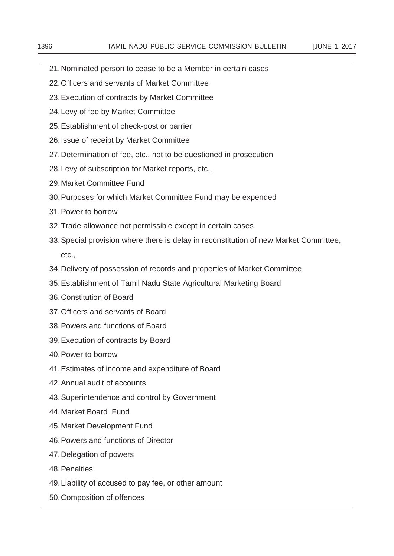- 21. Nominated person to cease to be a Member in certain cases
- 22. Officers and servants of Market Committee
- 23. Execution of contracts by Market Committee
- 24. Levy of fee by Market Committee
- 25. Establishment of check-post or barrier
- 26. Issue of receipt by Market Committee
- 27. Determination of fee, etc., not to be questioned in prosecution
- 28. Levy of subscription for Market reports, etc.,
- 29. Market Committee Fund
- 30. Purposes for which Market Committee Fund may be expended
- 31. Power to borrow
- 32. Trade allowance not permissible except in certain cases
- 33. Special provision where there is delay in reconstitution of new Market Committee, etc.,
- 34. Delivery of possession of records and properties of Market Committee
- 35. Establishment of Tamil Nadu State Agricultural Marketing Board
- 36. Constitution of Board
- 37. Officers and servants of Board
- 38. Powers and functions of Board
- 39. Execution of contracts by Board
- 40. Power to borrow
- 41. Estimates of income and expenditure of Board
- 42. Annual audit of accounts
- 43. Superintendence and control by Government
- 44. Market Board Fund
- 45. Market Development Fund
- 46. Powers and functions of Director
- 47. Delegation of powers
- 48. Penalties
- 49. Liability of accused to pay fee, or other amount
- 50. Composition of offences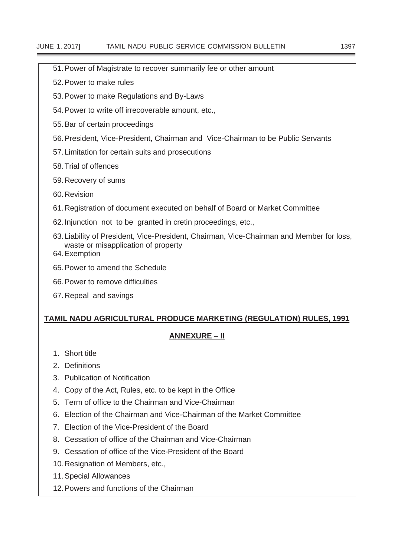### JUNE 1, 2017] TAMIL NADU PUBLIC SERVICE COMMISSION BULLETIN 1397

- 51. Power of Magistrate to recover summarily fee or other amount
- 52. Power to make rules
- 53. Power to make Regulations and By-Laws
- 54. Power to write off irrecoverable amount, etc.,
- 55. Bar of certain proceedings
- 56. President, Vice-President, Chairman and Vice-Chairman to be Public Servants
- 57. Limitation for certain suits and prosecutions
- 58. Trial of offences
- 59. Recovery of sums
- 60. Revision
- 61. Registration of document executed on behalf of Board or Market Committee
- 62. Injunction not to be granted in cretin proceedings, etc.,
- 63. Liability of President, Vice-President, Chairman, Vice-Chairman and Member for loss, waste or misapplication of property
- 64. Exemption
- 65. Power to amend the Schedule
- 66. Power to remove difficulties
- 67. Repeal and savings

# **TAMIL NADU AGRICULTURAL PRODUCE MARKETING (REGULATION) RULES, 1991**

# **ANNEXURE – II**

- 1. Short title
- 2. Definitions
- 3. Publication of Notification
- 4. Copy of the Act, Rules, etc. to be kept in the Office
- 5. Term of office to the Chairman and Vice-Chairman
- 6. Election of the Chairman and Vice-Chairman of the Market Committee
- 7. Election of the Vice-President of the Board
- 8. Cessation of office of the Chairman and Vice-Chairman
- 9. Cessation of office of the Vice-President of the Board
- 10. Resignation of Members, etc.,
- 11. Special Allowances
- 12. Powers and functions of the Chairman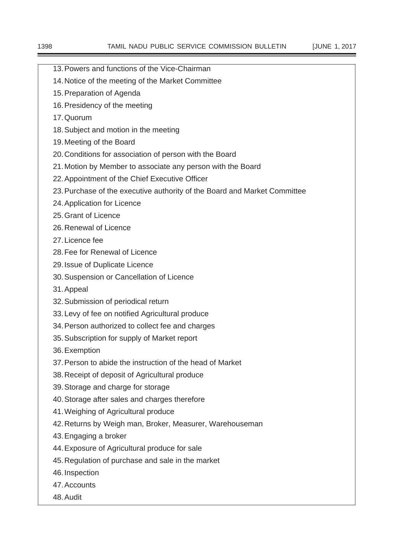- 13. Powers and functions of the Vice-Chairman
- 14. Notice of the meeting of the Market Committee
- 15. Preparation of Agenda
- 16. Presidency of the meeting
- 17. Quorum
- 18. Subject and motion in the meeting
- 19. Meeting of the Board
- 20. Conditions for association of person with the Board
- 21. Motion by Member to associate any person with the Board
- 22. Appointment of the Chief Executive Officer
- 23. Purchase of the executive authority of the Board and Market Committee
- 24. Application for Licence
- 25. Grant of Licence
- 26. Renewal of Licence
- 27. Licence fee
- 28. Fee for Renewal of Licence
- 29. Issue of Duplicate Licence
- 30. Suspension or Cancellation of Licence
- 31. Appeal
- 32. Submission of periodical return
- 33. Levy of fee on notified Agricultural produce
- 34. Person authorized to collect fee and charges
- 35. Subscription for supply of Market report
- 36. Exemption
- 37. Person to abide the instruction of the head of Market
- 38. Receipt of deposit of Agricultural produce
- 39. Storage and charge for storage
- 40. Storage after sales and charges therefore
- 41. Weighing of Agricultural produce
- 42. Returns by Weigh man, Broker, Measurer, Warehouseman
- 43. Engaging a broker
- 44. Exposure of Agricultural produce for sale
- 45. Regulation of purchase and sale in the market
- 46. Inspection
- 47. Accounts
- 48. Audit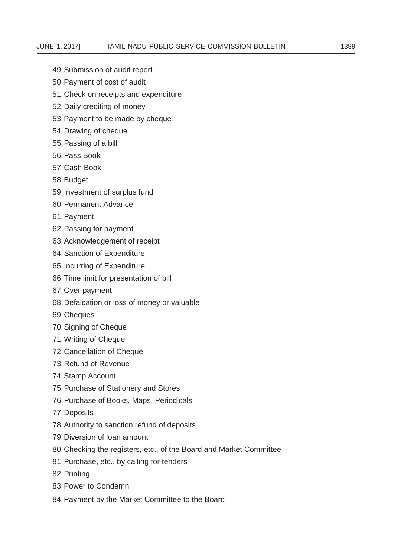### JUNE 1, 2017] TAMIL NADU PUBLIC SERVICE COMMISSION BULLETIN 1399

- 49. Submission of audit report
- 50. Payment of cost of audit
- 51. Check on receipts and expenditure
- 52. Daily crediting of money
- 53. Payment to be made by cheque
- 54. Drawing of cheque
- 55. Passing of a bill
- 56. Pass Book
- 57. Cash Book
- 58. Budget
- 59. Investment of surplus fund
- 60. Permanent Advance
- 61. Payment
- 62. Passing for payment
- 63. Acknowledgement of receipt
- 64. Sanction of Expenditure
- 65. Incurring of Expenditure
- 66. Time limit for presentation of bill
- 67. Over payment
- 68. Defalcation or loss of money or valuable
- 69. Cheques
- 70. Signing of Cheque
- 71. Writing of Cheque
- 72. Cancellation of Cheque
- 73. Refund of Revenue
- 74. Stamp Account
- 75. Purchase of Stationery and Stores
- 76. Purchase of Books, Maps, Periodicals
- 77. Deposits
- 78. Authority to sanction refund of deposits
- 79. Diversion of loan amount
- 80. Checking the registers, etc., of the Board and Market Committee
- 81. Purchase, etc., by calling for tenders
- 82. Printing
- 83. Power to Condemn
- 84. Payment by the Market Committee to the Board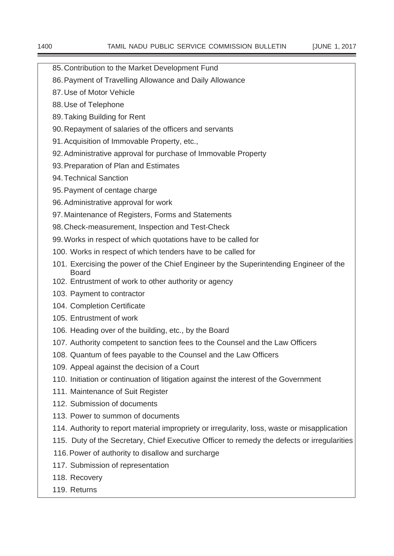- 85. Contribution to the Market Development Fund
- 86. Payment of Travelling Allowance and Daily Allowance
- 87. Use of Motor Vehicle
- 88. Use of Telephone
- 89. Taking Building for Rent
- 90. Repayment of salaries of the officers and servants
- 91. Acquisition of Immovable Property, etc.,
- 92. Administrative approval for purchase of Immovable Property
- 93. Preparation of Plan and Estimates
- 94. Technical Sanction
- 95. Payment of centage charge
- 96. Administrative approval for work
- 97. Maintenance of Registers, Forms and Statements
- 98. Check-measurement, Inspection and Test-Check
- 99. Works in respect of which quotations have to be called for
- 100. Works in respect of which tenders have to be called for
- 101. Exercising the power of the Chief Engineer by the Superintending Engineer of the Board
- 102. Entrustment of work to other authority or agency
- 103. Payment to contractor
- 104. Completion Certificate
- 105. Entrustment of work
- 106. Heading over of the building, etc., by the Board
- 107. Authority competent to sanction fees to the Counsel and the Law Officers
- 108. Quantum of fees payable to the Counsel and the Law Officers
- 109. Appeal against the decision of a Court
- 110. Initiation or continuation of litigation against the interest of the Government
- 111. Maintenance of Suit Register
- 112. Submission of documents
- 113. Power to summon of documents
- 114. Authority to report material impropriety or irregularity, loss, waste or misapplication
- 115. Duty of the Secretary, Chief Executive Officer to remedy the defects or irregularities
- 116. Power of authority to disallow and surcharge
- 117. Submission of representation
- 118. Recovery
- 119. Returns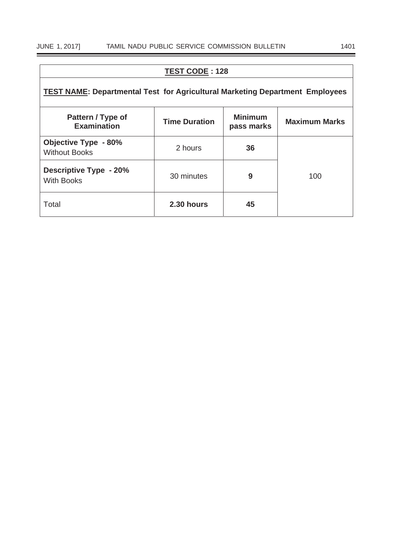# **TEST CODE : 128**

| <b>TEST NAME: Departmental Test for Agricultural Marketing Department Employees</b> |                      |                              |                      |  |  |
|-------------------------------------------------------------------------------------|----------------------|------------------------------|----------------------|--|--|
| Pattern / Type of<br><b>Examination</b>                                             | <b>Time Duration</b> | <b>Minimum</b><br>pass marks | <b>Maximum Marks</b> |  |  |
| <b>Objective Type - 80%</b><br><b>Without Books</b>                                 | 2 hours              | 36                           |                      |  |  |
| <b>Descriptive Type - 20%</b><br><b>With Books</b>                                  | 30 minutes           | 9                            | 100                  |  |  |
| Total                                                                               | 2.30 hours           | 45                           |                      |  |  |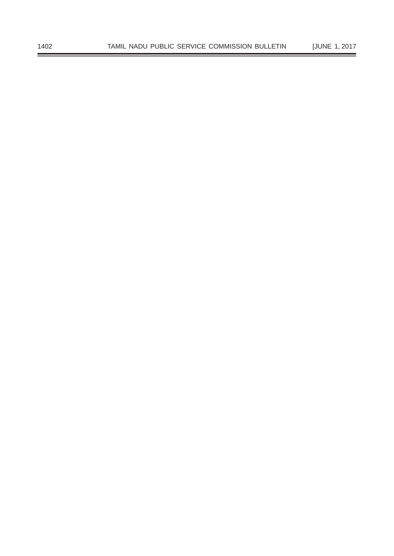L,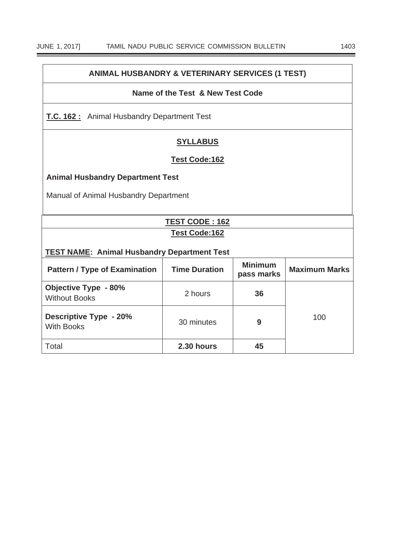# **ANIMAL HUSBANDRY & VETERINARY SERVICES (1 TEST)**

### **Name of the Test & New Test Code**

**T.C. 162 :** Animal Husbandry Department Test

# **SYLLABUS**

### **Test Code:162**

### **Animal Husbandry Department Test**

Manual of Animal Husbandry Department

# **TEST CODE : 162 Test Code:162**

### **TEST NAME: Animal Husbandry Department Test**

| <b>Pattern / Type of Examination</b>                | <b>Time Duration</b> | <b>Minimum</b><br><b>Maximum Marks</b><br>pass marks |     |
|-----------------------------------------------------|----------------------|------------------------------------------------------|-----|
| <b>Objective Type - 80%</b><br><b>Without Books</b> | 2 hours              | 36                                                   |     |
| <b>Descriptive Type - 20%</b><br><b>With Books</b>  | 30 minutes           | 9                                                    | 100 |
| Total                                               | 2.30 hours           | 45                                                   |     |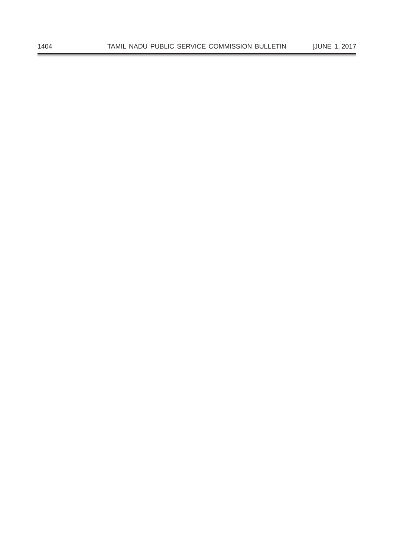j.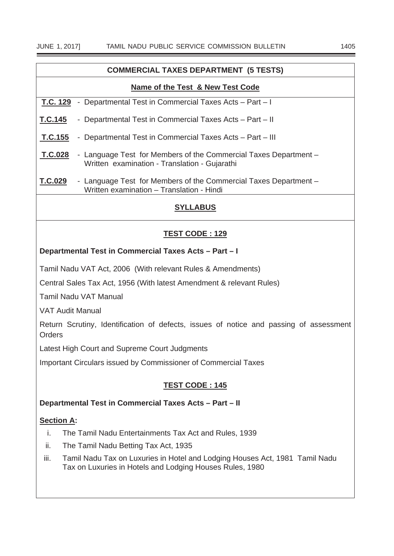### **Name of the Test & New Test Code**

- **T.C. 129** Departmental Test in Commercial Taxes Acts Part I
- **T.C.145** Departmental Test in Commercial Taxes Acts Part II
- **T.C.155** Departmental Test in Commercial Taxes Acts Part III
- **T.C.028** Language Test for Members of the Commercial Taxes Department Written examination - Translation - Gujarathi
- **T.C.029** Language Test for Members of the Commercial Taxes Department Written examination – Translation - Hindi

# **SYLLABUS**

# **TEST CODE : 129**

### **Departmental Test in Commercial Taxes Acts – Part – I**

Tamil Nadu VAT Act, 2006 (With relevant Rules & Amendments)

Central Sales Tax Act, 1956 (With latest Amendment & relevant Rules)

Tamil Nadu VAT Manual

VAT Audit Manual

Return Scrutiny, Identification of defects, issues of notice and passing of assessment **Orders** 

Latest High Court and Supreme Court Judgments

Important Circulars issued by Commissioner of Commercial Taxes

# **TEST CODE : 145**

# **Departmental Test in Commercial Taxes Acts – Part – II**

# **Section A:**

- i. The Tamil Nadu Entertainments Tax Act and Rules, 1939
- ii. The Tamil Nadu Betting Tax Act, 1935
- iii. Tamil Nadu Tax on Luxuries in Hotel and Lodging Houses Act, 1981 Tamil Nadu Tax on Luxuries in Hotels and Lodging Houses Rules, 1980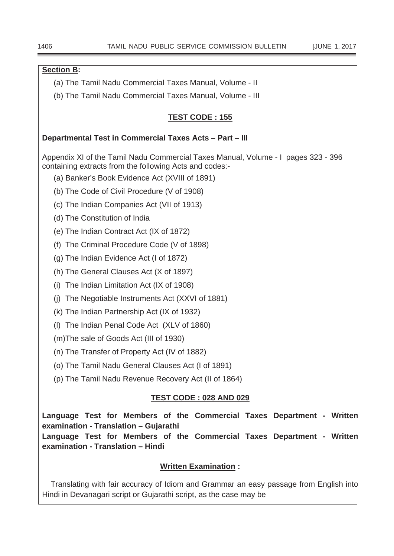### **Section B:**

- (a) The Tamil Nadu Commercial Taxes Manual, Volume II
- (b) The Tamil Nadu Commercial Taxes Manual, Volume III

# **TEST CODE : 155**

### **Departmental Test in Commercial Taxes Acts – Part – III**

Appendix XI of the Tamil Nadu Commercial Taxes Manual, Volume - I pages 323 - 396 containing extracts from the following Acts and codes:-

- (a) Banker's Book Evidence Act (XVIII of 1891)
- (b) The Code of Civil Procedure (V of 1908)
- (c) The Indian Companies Act (VII of 1913)
- (d) The Constitution of India
- (e) The Indian Contract Act (IX of 1872)
- (f) The Criminal Procedure Code (V of 1898)
- (g) The Indian Evidence Act (I of 1872)
- (h) The General Clauses Act (X of 1897)
- (i) The Indian Limitation Act (IX of 1908)
- (j) The Negotiable Instruments Act (XXVI of 1881)
- (k) The Indian Partnership Act (IX of 1932)
- (l) The Indian Penal Code Act (XLV of 1860)
- (m)The sale of Goods Act (III of 1930)
- (n) The Transfer of Property Act (IV of 1882)
- (o) The Tamil Nadu General Clauses Act (I of 1891)
- (p) The Tamil Nadu Revenue Recovery Act (II of 1864)

### **TEST CODE : 028 AND 029**

**Language Test for Members of the Commercial Taxes Department - Written examination - Translation – Gujarathi** 

**Language Test for Members of the Commercial Taxes Department - Written examination - Translation – Hindi** 

# **Written Examination :**

 Translating with fair accuracy of Idiom and Grammar an easy passage from English into Hindi in Devanagari script or Gujarathi script, as the case may be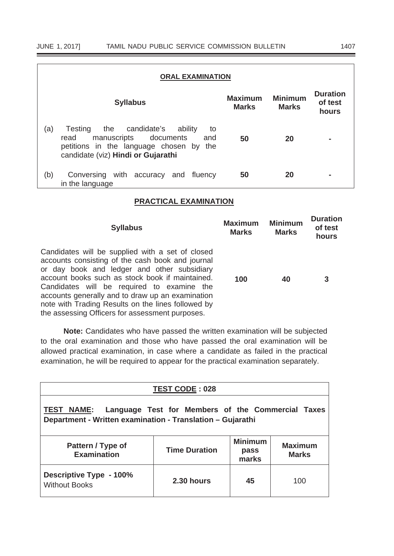|     | <b>ORAL EXAMINATION</b>                                                                                                                                                 |                                |                                |                                     |  |  |  |
|-----|-------------------------------------------------------------------------------------------------------------------------------------------------------------------------|--------------------------------|--------------------------------|-------------------------------------|--|--|--|
|     | <b>Syllabus</b>                                                                                                                                                         | <b>Maximum</b><br><b>Marks</b> | <b>Minimum</b><br><b>Marks</b> | <b>Duration</b><br>of test<br>hours |  |  |  |
| (a) | candidate's<br>the<br>ability<br>Testing<br>to<br>manuscripts documents<br>and<br>read<br>petitions in the language chosen by the<br>candidate (viz) Hindi or Gujarathi | 50                             | 20                             | -                                   |  |  |  |
| (b) | Conversing with accuracy and<br>fluency<br>in the language                                                                                                              | 50                             | 20                             | -                                   |  |  |  |

### **PRACTICAL EXAMINATION**

| <b>Syllabus</b>                                                                                                                                                                                                                                                                                                                                                                                                   | <b>Maximum</b><br><b>Marks</b> | <b>Minimum</b><br><b>Marks</b> | <b>Duration</b><br>of test<br>hours |
|-------------------------------------------------------------------------------------------------------------------------------------------------------------------------------------------------------------------------------------------------------------------------------------------------------------------------------------------------------------------------------------------------------------------|--------------------------------|--------------------------------|-------------------------------------|
| Candidates will be supplied with a set of closed<br>accounts consisting of the cash book and journal<br>or day book and ledger and other subsidiary<br>account books such as stock book if maintained.<br>Candidates will be required to examine the<br>accounts generally and to draw up an examination<br>note with Trading Results on the lines followed by<br>the assessing Officers for assessment purposes. | 100                            | 40                             | 3                                   |

**Note:** Candidates who have passed the written examination will be subjected to the oral examination and those who have passed the oral examination will be allowed practical examination, in case where a candidate as failed in the practical examination, he will be required to appear for the practical examination separately.

| TEST CODE: 028                                                                                                                       |                      |                                 |                                |  |
|--------------------------------------------------------------------------------------------------------------------------------------|----------------------|---------------------------------|--------------------------------|--|
| <b>TEST NAME:</b><br>Language Test for Members of the Commercial Taxes<br>Department - Written examination - Translation - Gujarathi |                      |                                 |                                |  |
| Pattern / Type of<br><b>Examination</b>                                                                                              | <b>Time Duration</b> | <b>Minimum</b><br>pass<br>marks | <b>Maximum</b><br><b>Marks</b> |  |
| <b>Descriptive Type - 100%</b><br><b>Without Books</b>                                                                               | 2.30 hours           | 45                              | 100                            |  |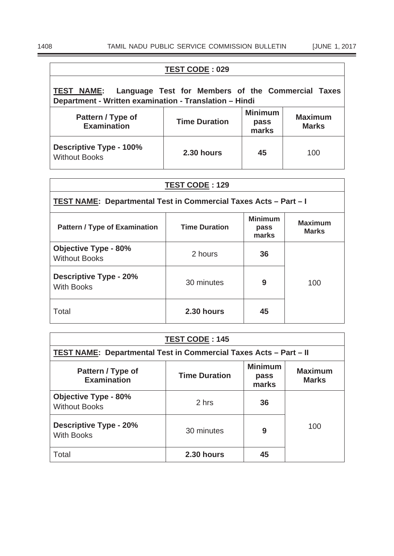# 1408 TAMIL NADU PUBLIC SERVICE COMMISSION BULLETIN [JUNE 1, 2017

# **TEST CODE : 029**

# **TEST NAME: Language Test for Members of the Commercial Taxes Department - Written examination - Translation – Hindi**

| Pattern / Type of<br><b>Examination</b>                | <b>Time Duration</b> | <b>Minimum</b><br>pass<br>marks | <b>Maximum</b><br><b>Marks</b> |
|--------------------------------------------------------|----------------------|---------------------------------|--------------------------------|
| <b>Descriptive Type - 100%</b><br><b>Without Books</b> | 2.30 hours           | 45                              | 100                            |

| <b>TEST CODE: 129</b>                                                                                                             |            |    |     |  |  |  |
|-----------------------------------------------------------------------------------------------------------------------------------|------------|----|-----|--|--|--|
| TEST NAME: Departmental Test in Commercial Taxes Acts - Part - I                                                                  |            |    |     |  |  |  |
| <b>Minimum</b><br><b>Maximum</b><br><b>Time Duration</b><br><b>Pattern / Type of Examination</b><br>pass<br><b>Marks</b><br>marks |            |    |     |  |  |  |
| <b>Objective Type - 80%</b><br><b>Without Books</b>                                                                               | 2 hours    | 36 |     |  |  |  |
| <b>Descriptive Type - 20%</b><br><b>With Books</b>                                                                                | 30 minutes | 9  | 100 |  |  |  |
| Total                                                                                                                             | 2.30 hours | 45 |     |  |  |  |

| <b>TEST CODE: 145</b>                                                                                                                |            |    |     |  |  |
|--------------------------------------------------------------------------------------------------------------------------------------|------------|----|-----|--|--|
| TEST NAME: Departmental Test in Commercial Taxes Acts - Part - II                                                                    |            |    |     |  |  |
| <b>Minimum</b><br><b>Maximum</b><br>Pattern / Type of<br><b>Time Duration</b><br>pass<br><b>Examination</b><br><b>Marks</b><br>marks |            |    |     |  |  |
| <b>Objective Type - 80%</b><br><b>Without Books</b>                                                                                  | 2 hrs      | 36 |     |  |  |
| <b>Descriptive Type - 20%</b><br><b>With Books</b>                                                                                   | 30 minutes | 9  | 100 |  |  |
| Total                                                                                                                                | 2.30 hours | 45 |     |  |  |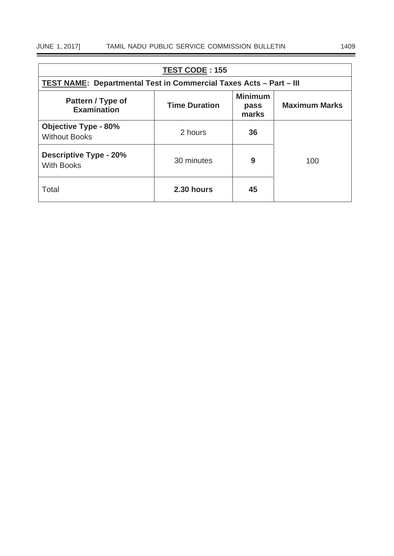| <b>TEST CODE: 155</b>                                                     |                                                                                 |    |     |  |  |  |
|---------------------------------------------------------------------------|---------------------------------------------------------------------------------|----|-----|--|--|--|
| <b>TEST NAME: Departmental Test in Commercial Taxes Acts - Part - III</b> |                                                                                 |    |     |  |  |  |
| Pattern / Type of<br><b>Examination</b>                                   | <b>Minimum</b><br><b>Time Duration</b><br><b>Maximum Marks</b><br>pass<br>marks |    |     |  |  |  |
| <b>Objective Type - 80%</b><br><b>Without Books</b>                       | 2 hours                                                                         | 36 |     |  |  |  |
| <b>Descriptive Type - 20%</b><br><b>With Books</b>                        | 30 minutes                                                                      | 9  | 100 |  |  |  |
| Total                                                                     | 2.30 hours                                                                      | 45 |     |  |  |  |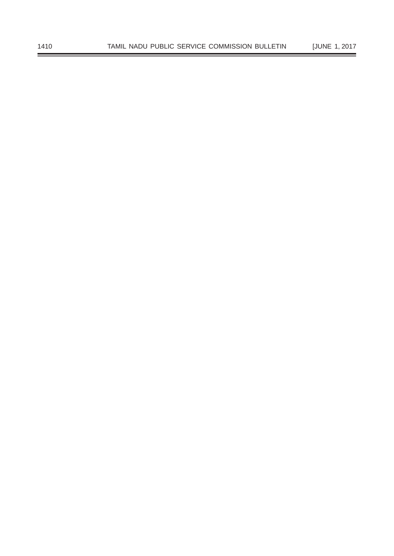L,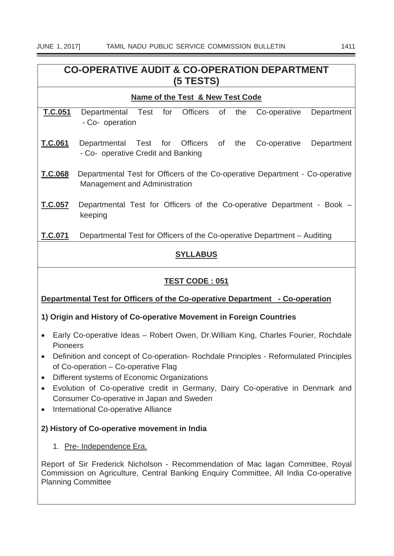# **CO-OPERATIVE AUDIT & CO-OPERATION DEPARTMENT (5 TESTS)**

| Name of the Test & New Test Code |                                                                                                               |  |  |  |    |     |                                                                          |            |
|----------------------------------|---------------------------------------------------------------------------------------------------------------|--|--|--|----|-----|--------------------------------------------------------------------------|------------|
| <b>T.C.051</b>                   | Departmental Test for Officers<br>- Co- operation                                                             |  |  |  | of | the | Co-operative                                                             | Department |
| <b>T.C.061</b>                   | Departmental Test for Officers of<br>- Co- operative Credit and Banking                                       |  |  |  |    | the | Co-operative                                                             | Department |
| <b>T.C.068</b>                   | Departmental Test for Officers of the Co-operative Department - Co-operative<br>Management and Administration |  |  |  |    |     |                                                                          |            |
| <b>T.C.057</b>                   | keeping                                                                                                       |  |  |  |    |     | Departmental Test for Officers of the Co-operative Department - Book -   |            |
| <b>T.C.071</b>                   |                                                                                                               |  |  |  |    |     | Departmental Test for Officers of the Co-operative Department – Auditing |            |

# **SYLLABUS**

# **TEST CODE : 051**

**Departmental Test for Officers of the Co-operative Department - Co-operation**

**1) Origin and History of Co-operative Movement in Foreign Countries** 

- Early Co-operative Ideas Robert Owen, Dr. William King, Charles Fourier, Rochdale Pioneers
- Definition and concept of Co-operation- Rochdale Principles Reformulated Principles of Co-operation – Co-operative Flag
- Different systems of Economic Organizations
- Evolution of Co-operative credit in Germany, Dairy Co-operative in Denmark and Consumer Co-operative in Japan and Sweden
- International Co-operative Alliance

# **2) History of Co-operative movement in India**

1. Pre- Independence Era.

Report of Sir Frederick Nicholson - Recommendation of Mac lagan Committee, Royal Commission on Agriculture, Central Banking Enquiry Committee, All India Co-operative Planning Committee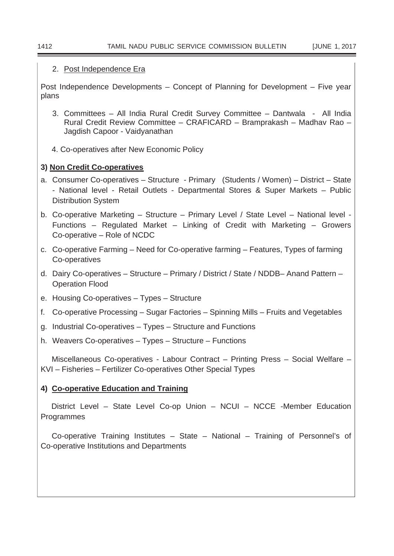# 2. Post Independence Era

Post Independence Developments – Concept of Planning for Development – Five year plans

- 3. Committees All India Rural Credit Survey Committee Dantwala All India Rural Credit Review Committee – CRAFICARD – Bramprakash – Madhav Rao – Jagdish Capoor - Vaidyanathan
- 4. Co-operatives after New Economic Policy

### **3) Non Credit Co-operatives**

- a. Consumer Co-operatives Structure Primary (Students / Women) District State - National level - Retail Outlets - Departmental Stores & Super Markets – Public Distribution System
- b. Co-operative Marketing Structure Primary Level / State Level National level Functions – Regulated Market – Linking of Credit with Marketing – Growers Co-operative – Role of NCDC
- c. Co-operative Farming Need for Co-operative farming Features, Types of farming Co-operatives
- d. Dairy Co-operatives Structure Primary / District / State / NDDB– Anand Pattern Operation Flood
- e. Housing Co-operatives Types Structure
- f. Co-operative Processing Sugar Factories Spinning Mills Fruits and Vegetables
- g. Industrial Co-operatives Types Structure and Functions
- h. Weavers Co-operatives Types Structure Functions

Miscellaneous Co-operatives - Labour Contract – Printing Press – Social Welfare – KVI – Fisheries – Fertilizer Co-operatives Other Special Types

# **4) Co-operative Education and Training**

 District Level – State Level Co-op Union – NCUI – NCCE -Member Education Programmes

Co-operative Training Institutes – State – National – Training of Personnel's of Co-operative Institutions and Departments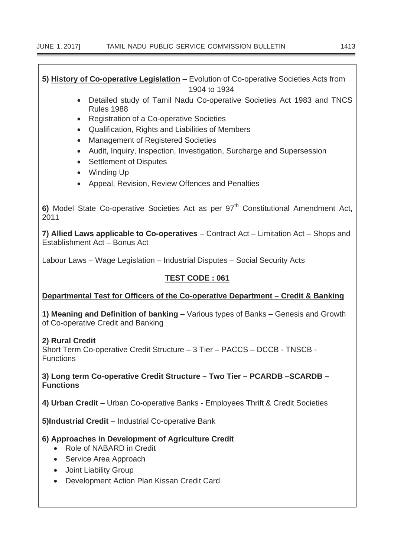**5) History of Co-operative Legislation** – Evolution of Co-operative Societies Acts from 1904 to 1934

- Detailed study of Tamil Nadu Co-operative Societies Act 1983 and TNCS Rules 1988
- Registration of a Co-operative Societies
- Qualification, Rights and Liabilities of Members
- Management of Registered Societies
- Audit, Inquiry, Inspection, Investigation, Surcharge and Supersession
- Settlement of Disputes
- Winding Up
- Appeal, Revision, Review Offences and Penalties

**6)** Model State Co-operative Societies Act as per 97<sup>th</sup> Constitutional Amendment Act, 2011

**7) Allied Laws applicable to Co-operatives** – Contract Act – Limitation Act – Shops and Establishment Act – Bonus Act

Labour Laws – Wage Legislation – Industrial Disputes – Social Security Acts

# **TEST CODE : 061**

# **Departmental Test for Officers of the Co-operative Department – Credit & Banking**

**1) Meaning and Definition of banking** – Various types of Banks – Genesis and Growth of Co-operative Credit and Banking

# **2) Rural Credit**

Short Term Co-operative Credit Structure – 3 Tier – PACCS – DCCB - TNSCB - **Functions** 

**3) Long term Co-operative Credit Structure – Two Tier – PCARDB –SCARDB – Functions** 

**4) Urban Credit** – Urban Co-operative Banks - Employees Thrift & Credit Societies

**5)Industrial Credit** – Industrial Co-operative Bank

# **6) Approaches in Development of Agriculture Credit**

- Role of NABARD in Credit
- Service Area Approach
- Joint Liability Group
- Development Action Plan Kissan Credit Card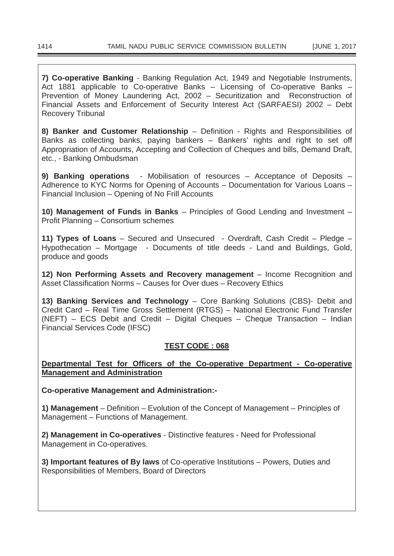**7) Co-operative Banking** - Banking Regulation Act, 1949 and Negotiable Instruments, Act 1881 applicable to Co-operative Banks – Licensing of Co-operative Banks – Prevention of Money Laundering Act, 2002 – Securitization and Reconstruction of Financial Assets and Enforcement of Security Interest Act (SARFAESI) 2002 – Debt Recovery Tribunal

**8) Banker and Customer Relationship** – Definition - Rights and Responsibilities of Banks as collecting banks, paying bankers – Bankers' rights and right to set off Appropriation of Accounts, Accepting and Collection of Cheques and bills, Demand Draft, etc., - Banking Ombudsman

**9) Banking operations** - Mobilisation of resources – Acceptance of Deposits – Adherence to KYC Norms for Opening of Accounts – Documentation for Various Loans – Financial Inclusion – Opening of No Frill Accounts

**10) Management of Funds in Banks** – Principles of Good Lending and Investment – Profit Planning – Consortium schemes

**11) Types of Loans** – Secured and Unsecured - Overdraft, Cash Credit – Pledge – Hypothecation – Mortgage - Documents of title deeds - Land and Buildings, Gold, produce and goods

**12) Non Performing Assets and Recovery management** – Income Recognition and Asset Classification Norms – Causes for Over dues – Recovery Ethics

**13) Banking Services and Technology** – Core Banking Solutions (CBS)- Debit and Credit Card – Real Time Gross Settlement (RTGS) – National Electronic Fund Transfer (NEFT) – ECS Debit and Credit – Digital Cheques – Cheque Transaction – Indian Financial Services Code (IFSC)

# **TEST CODE : 068**

**Departmental Test for Officers of the Co-operative Department - Co-operative Management and Administration**

**Co-operative Management and Administration:-** 

**1) Management** – Definition – Evolution of the Concept of Management – Principles of Management – Functions of Management.

**2) Management in Co-operatives** - Distinctive features - Need for Professional Management in Co-operatives.

**3) Important features of By laws** of Co-operative Institutions – Powers, Duties and Responsibilities of Members, Board of Directors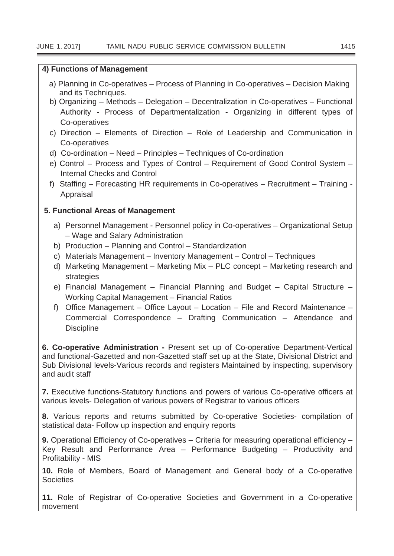### **4) Functions of Management**

- a) Planning in Co-operatives Process of Planning in Co-operatives Decision Making and its Techniques.
- b) Organizing Methods Delegation Decentralization in Co-operatives Functional Authority - Process of Departmentalization - Organizing in different types of Co-operatives
- c) Direction Elements of Direction Role of Leadership and Communication in Co-operatives
- d) Co-ordination Need Principles Techniques of Co-ordination
- e) Control Process and Types of Control Requirement of Good Control System Internal Checks and Control
- f) Staffing Forecasting HR requirements in Co-operatives Recruitment Training Appraisal

### **5. Functional Areas of Management**

- a) Personnel Management Personnel policy in Co-operatives Organizational Setup – Wage and Salary Administration
- b) Production Planning and Control Standardization
- c) Materials Management Inventory Management Control Techniques
- d) Marketing Management Marketing Mix PLC concept Marketing research and strategies
- e) Financial Management Financial Planning and Budget Capital Structure Working Capital Management – Financial Ratios
- f) Office Management Office Layout Location File and Record Maintenance Commercial Correspondence – Drafting Communication – Attendance and **Discipline**

**6. Co-operative Administration -** Present set up of Co-operative Department-Vertical and functional-Gazetted and non-Gazetted staff set up at the State, Divisional District and Sub Divisional levels-Various records and registers Maintained by inspecting, supervisory and audit staff

**7.** Executive functions-Statutory functions and powers of various Co-operative officers at various levels- Delegation of various powers of Registrar to various officers

**8.** Various reports and returns submitted by Co-operative Societies- compilation of statistical data- Follow up inspection and enquiry reports

**9.** Operational Efficiency of Co-operatives – Criteria for measuring operational efficiency – Key Result and Performance Area – Performance Budgeting – Productivity and Profitability - MIS

**10.** Role of Members, Board of Management and General body of a Co-operative **Societies** 

**11.** Role of Registrar of Co-operative Societies and Government in a Co-operative movement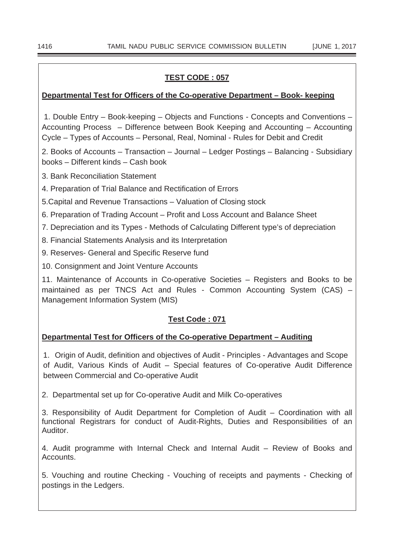# **TEST CODE : 057**

# **Departmental Test for Officers of the Co-operative Department – Book- keeping**

 1. Double Entry – Book-keeping – Objects and Functions - Concepts and Conventions – Accounting Process – Difference between Book Keeping and Accounting – Accounting Cycle – Types of Accounts – Personal, Real, Nominal - Rules for Debit and Credit

2. Books of Accounts – Transaction – Journal – Ledger Postings – Balancing - Subsidiary books – Different kinds – Cash book

- 3. Bank Reconciliation Statement
- 4. Preparation of Trial Balance and Rectification of Errors

5.Capital and Revenue Transactions – Valuation of Closing stock

- 6. Preparation of Trading Account Profit and Loss Account and Balance Sheet
- 7. Depreciation and its Types Methods of Calculating Different type's of depreciation
- 8. Financial Statements Analysis and its Interpretation
- 9. Reserves- General and Specific Reserve fund
- 10. Consignment and Joint Venture Accounts

11. Maintenance of Accounts in Co-operative Societies – Registers and Books to be maintained as per TNCS Act and Rules - Common Accounting System (CAS) – Management Information System (MIS)

# **Test Code : 071**

# **Departmental Test for Officers of the Co-operative Department – Auditing**

1. Origin of Audit, definition and objectives of Audit - Principles - Advantages and Scope of Audit, Various Kinds of Audit – Special features of Co-operative Audit Difference between Commercial and Co-operative Audit

2. Departmental set up for Co-operative Audit and Milk Co-operatives

3. Responsibility of Audit Department for Completion of Audit – Coordination with all functional Registrars for conduct of Audit-Rights, Duties and Responsibilities of an Auditor.

4. Audit programme with Internal Check and Internal Audit – Review of Books and Accounts.

5. Vouching and routine Checking - Vouching of receipts and payments - Checking of postings in the Ledgers.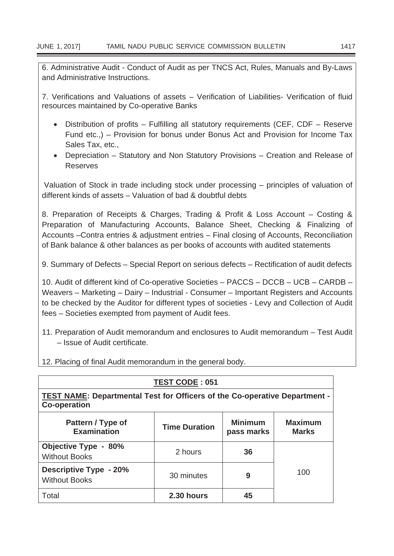### JUNE 1, 2017] TAMIL NADU PUBLIC SERVICE COMMISSION BULLETIN 1417

6. Administrative Audit - Conduct of Audit as per TNCS Act, Rules, Manuals and By-Laws and Administrative Instructions.

7. Verifications and Valuations of assets – Verification of Liabilities- Verification of fluid resources maintained by Co-operative Banks

- Distribution of profits Fulfilling all statutory requirements (CEF, CDF Reserve Fund etc.,) – Provision for bonus under Bonus Act and Provision for Income Tax Sales Tax, etc.,
- Depreciation Statutory and Non Statutory Provisions Creation and Release of Reserves

 Valuation of Stock in trade including stock under processing – principles of valuation of different kinds of assets – Valuation of bad & doubtful debts

8. Preparation of Receipts & Charges, Trading & Profit & Loss Account – Costing & Preparation of Manufacturing Accounts, Balance Sheet, Checking & Finalizing of Accounts –Contra entries & adjustment entries – Final closing of Accounts, Reconciliation of Bank balance & other balances as per books of accounts with audited statements

9. Summary of Defects – Special Report on serious defects – Rectification of audit defects

10. Audit of different kind of Co-operative Societies – PACCS – DCCB – UCB – CARDB – Weavers – Marketing – Dairy – Industrial - Consumer – Important Registers and Accounts to be checked by the Auditor for different types of societies - Levy and Collection of Audit fees – Societies exempted from payment of Audit fees.

- 11. Preparation of Audit memorandum and enclosures to Audit memorandum Test Audit – Issue of Audit certificate.
- 12. Placing of final Audit memorandum in the general body.

| <b>TEST CODE: 051</b>                                                                             |                      |                              |                                |
|---------------------------------------------------------------------------------------------------|----------------------|------------------------------|--------------------------------|
| TEST NAME: Departmental Test for Officers of the Co-operative Department -<br><b>Co-operation</b> |                      |                              |                                |
| Pattern / Type of<br><b>Examination</b>                                                           | <b>Time Duration</b> | <b>Minimum</b><br>pass marks | <b>Maximum</b><br><b>Marks</b> |
| <b>Objective Type - 80%</b><br><b>Without Books</b>                                               | 2 hours              | 36                           |                                |
| <b>Descriptive Type - 20%</b><br><b>Without Books</b>                                             | 30 minutes           | 9                            | 100                            |
| Total                                                                                             | 2.30 hours           | 45                           |                                |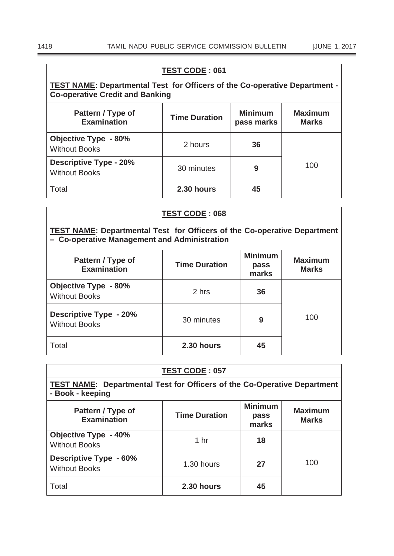┑

| <b>TEST CODE: 061</b>                                                                                                |                      |                              |                                |
|----------------------------------------------------------------------------------------------------------------------|----------------------|------------------------------|--------------------------------|
| TEST NAME: Departmental Test for Officers of the Co-operative Department -<br><b>Co-operative Credit and Banking</b> |                      |                              |                                |
| Pattern / Type of<br><b>Examination</b>                                                                              | <b>Time Duration</b> | <b>Minimum</b><br>pass marks | <b>Maximum</b><br><b>Marks</b> |
| <b>Objective Type - 80%</b><br><b>Without Books</b>                                                                  | 2 hours              | 36                           |                                |
| <b>Descriptive Type - 20%</b><br><b>Without Books</b>                                                                | 30 minutes           | 9                            | 100                            |
| Total                                                                                                                | 2.30 hours           | 45                           |                                |

# **TEST CODE : 068**

### **TEST NAME: Departmental Test for Officers of the Co-operative Department – Co-operative Management and Administration**

| Pattern / Type of<br><b>Examination</b>               | <b>Time Duration</b> | <b>Minimum</b><br>pass<br>marks | <b>Maximum</b><br><b>Marks</b> |
|-------------------------------------------------------|----------------------|---------------------------------|--------------------------------|
| <b>Objective Type - 80%</b><br><b>Without Books</b>   | 2 hrs                | 36                              |                                |
| <b>Descriptive Type - 20%</b><br><b>Without Books</b> | 30 minutes           | 9                               | 100                            |
| Total                                                 | 2.30 hours           | 45                              |                                |

|                                                                                                     | <b>TEST CODE: 057</b> |                                 |                                |
|-----------------------------------------------------------------------------------------------------|-----------------------|---------------------------------|--------------------------------|
| <b>TEST NAME:</b> Departmental Test for Officers of the Co-Operative Department<br>- Book - keeping |                       |                                 |                                |
| Pattern / Type of<br><b>Examination</b>                                                             | <b>Time Duration</b>  | <b>Minimum</b><br>pass<br>marks | <b>Maximum</b><br><b>Marks</b> |
| <b>Objective Type - 40%</b><br><b>Without Books</b>                                                 | 1 <sub>hr</sub>       | 18                              |                                |
| <b>Descriptive Type - 60%</b><br><b>Without Books</b>                                               | 1.30 hours            | 27                              | 100                            |
| Total                                                                                               | 2.30 hours            | 45                              |                                |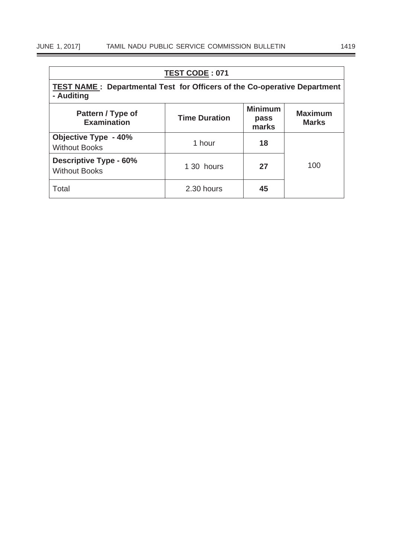# **TEST CODE : 071**

# **TEST NAME : Departmental Test for Officers of the Co-operative Department - Auditing**

| Pattern / Type of<br><b>Examination</b>               | <b>Time Duration</b> | <b>Minimum</b><br>pass<br>marks | <b>Maximum</b><br><b>Marks</b> |
|-------------------------------------------------------|----------------------|---------------------------------|--------------------------------|
| <b>Objective Type - 40%</b><br><b>Without Books</b>   | 1 hour               | 18                              |                                |
| <b>Descriptive Type - 60%</b><br><b>Without Books</b> | 1 30 hours           | 27                              | 100                            |
| Total                                                 | 2.30 hours           | 45                              |                                |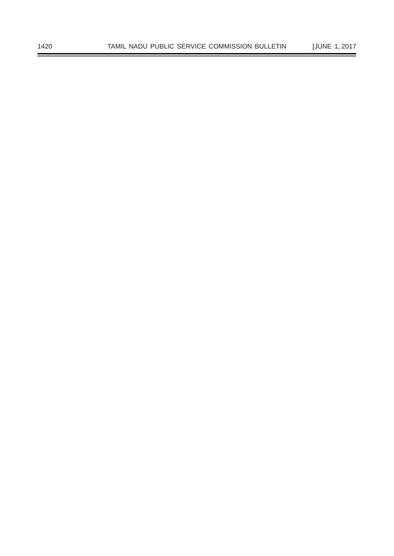L,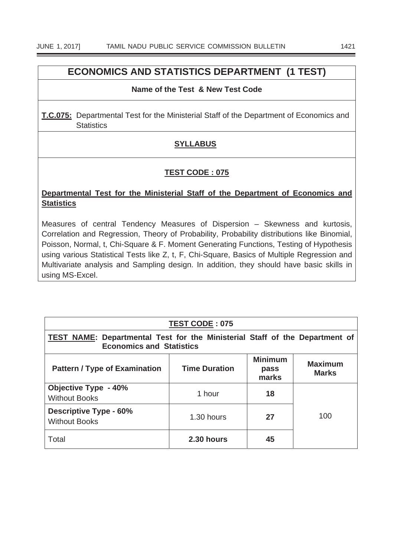# **ECONOMICS AND STATISTICS DEPARTMENT (1 TEST)**

### **Name of the Test & New Test Code**

**T.C.075:** Departmental Test for the Ministerial Staff of the Department of Economics and **Statistics** 

# **SYLLABUS**

# **TEST CODE : 075**

# **Departmental Test for the Ministerial Staff of the Department of Economics and Statistics**

Measures of central Tendency Measures of Dispersion – Skewness and kurtosis, Correlation and Regression, Theory of Probability, Probability distributions like Binomial, Poisson, Normal, t, Chi-Square & F. Moment Generating Functions, Testing of Hypothesis using various Statistical Tests like Z, t, F, Chi-Square, Basics of Multiple Regression and Multivariate analysis and Sampling design. In addition, they should have basic skills in using MS-Excel.

| <b>TEST CODE: 075</b>                                                                                          |                      |                                 |                                |
|----------------------------------------------------------------------------------------------------------------|----------------------|---------------------------------|--------------------------------|
| TEST NAME: Departmental Test for the Ministerial Staff of the Department of<br><b>Economics and Statistics</b> |                      |                                 |                                |
| <b>Pattern / Type of Examination</b>                                                                           | <b>Time Duration</b> | <b>Minimum</b><br>pass<br>marks | <b>Maximum</b><br><b>Marks</b> |
| <b>Objective Type - 40%</b><br><b>Without Books</b>                                                            | 1 hour               | 18                              |                                |
| <b>Descriptive Type - 60%</b><br><b>Without Books</b>                                                          | 1.30 hours           | 27                              | 100                            |
| Total                                                                                                          | 2.30 hours           | 45                              |                                |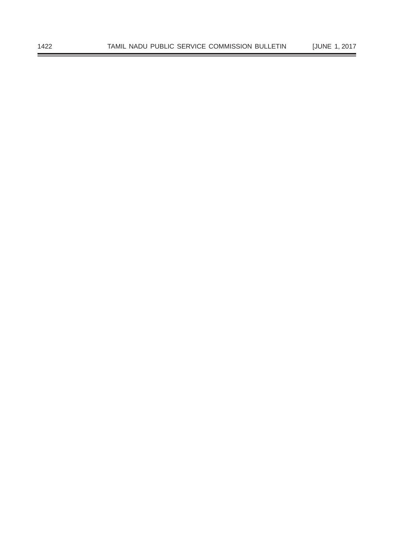L,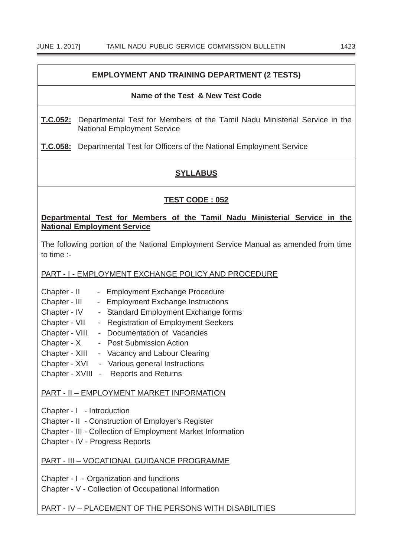#### **EMPLOYMENT AND TRAINING DEPARTMENT (2 TESTS)**

## **Name of the Test & New Test Code**

**T.C.052:** Departmental Test for Members of the Tamil Nadu Ministerial Service in the National Employment Service

**T.C.058:** Departmental Test for Officers of the National Employment Service

## **SYLLABUS**

## **TEST CODE : 052**

#### **Departmental Test for Members of the Tamil Nadu Ministerial Service in the National Employment Service**

The following portion of the National Employment Service Manual as amended from time to time :-

#### PART - I - EMPLOYMENT EXCHANGE POLICY AND PROCEDURE

| Chapter - II                    |                          | - Employment Exchange Procedure                             |
|---------------------------------|--------------------------|-------------------------------------------------------------|
| Chapter - III                   | $\blacksquare$           | <b>Employment Exchange Instructions</b>                     |
| Chapter - IV                    | $\overline{\phantom{0}}$ | Standard Employment Exchange forms                          |
| Chapter - VII                   | $\blacksquare$           | <b>Registration of Employment Seekers</b>                   |
| Chapter - VIII                  | $\sim$                   | Documentation of Vacancies                                  |
| Chapter - X                     |                          | - Post Submission Action                                    |
| Chapter - XIII                  |                          | - Vacancy and Labour Clearing                               |
| Chapter - XVI                   |                          | - Various general Instructions                              |
| Chapter - XVIII                 | $\sim$                   | <b>Reports and Returns</b>                                  |
| Chapter - I - Introduction      |                          | PART - II - EMPLOYMENT MARKET INFORMATION                   |
|                                 |                          | Chapter - II - Construction of Employer's Register          |
|                                 |                          | Chapter - III - Collection of Employment Market Information |
| Chapter - IV - Progress Reports |                          |                                                             |
|                                 |                          | <b>PART - III - VOCATIONAL GUIDANCE PROGRAMME</b>           |
|                                 |                          | Chapter - I - Organization and functions                    |

Chapter - V - Collection of Occupational Information

#### PART - IV – PLACEMENT OF THE PERSONS WITH DISABILITIES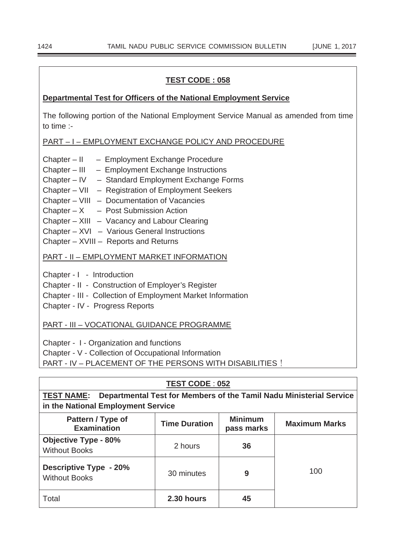## **Departmental Test for Officers of the National Employment Service**

The following portion of the National Employment Service Manual as amended from time to time :-

## PART – I – EMPLOYMENT EXCHANGE POLICY AND PROCEDURE

| Chapter $-$ II<br>Chapter - III<br>Chapter $-IV$<br>Chapter - VII<br>Chapter - VIII<br>$Chapter - X$ | - Employment Exchange Procedure<br>- Employment Exchange Instructions<br>- Standard Employment Exchange Forms<br>- Registration of Employment Seekers<br>- Documentation of Vacancies<br>- Post Submission Action<br>Chapter - XIII - Vacancy and Labour Clearing |
|------------------------------------------------------------------------------------------------------|-------------------------------------------------------------------------------------------------------------------------------------------------------------------------------------------------------------------------------------------------------------------|
|                                                                                                      | Chapter - XVI - Various General Instructions                                                                                                                                                                                                                      |
|                                                                                                      | Chapter – XVIII – Reports and Returns                                                                                                                                                                                                                             |
|                                                                                                      | <b>PART - II - EMPLOYMENT MARKET INFORMATION</b>                                                                                                                                                                                                                  |

Chapter - I - Introduction

Chapter - II - Construction of Employer's Register

Chapter - III - Collection of Employment Market Information

Chapter - IV - Progress Reports

PART - III – VOCATIONAL GUIDANCE PROGRAMME

Chapter - I - Organization and functions

Chapter - V - Collection of Occupational Information

PART - IV – PLACEMENT OF THE PERSONS WITH DISABILITIES !

## **TEST CODE** : **052**

**TEST NAME: Departmental Test for Members of the Tamil Nadu Ministerial Service in the National Employment Service** 

| Pattern / Type of<br><b>Examination</b>               | <b>Time Duration</b> | <b>Minimum</b><br>pass marks | <b>Maximum Marks</b> |
|-------------------------------------------------------|----------------------|------------------------------|----------------------|
| <b>Objective Type - 80%</b><br><b>Without Books</b>   | 2 hours              | 36                           |                      |
| <b>Descriptive Type - 20%</b><br><b>Without Books</b> | 30 minutes           | 9                            | 100                  |
| Total                                                 | 2.30 hours           | 45                           |                      |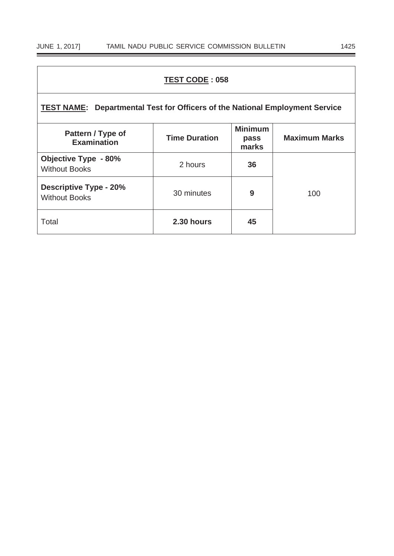# **TEST NAME: Departmental Test for Officers of the National Employment Service**

| Pattern / Type of<br><b>Examination</b>               | <b>Time Duration</b> | <b>Minimum</b><br>pass<br>marks | <b>Maximum Marks</b> |
|-------------------------------------------------------|----------------------|---------------------------------|----------------------|
| <b>Objective Type - 80%</b><br><b>Without Books</b>   | 2 hours              | 36                              |                      |
| <b>Descriptive Type - 20%</b><br><b>Without Books</b> | 30 minutes           | 9                               | 100                  |
| Total                                                 | 2.30 hours           | 45                              |                      |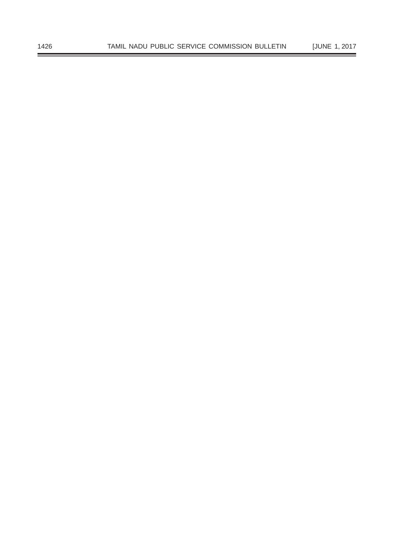L,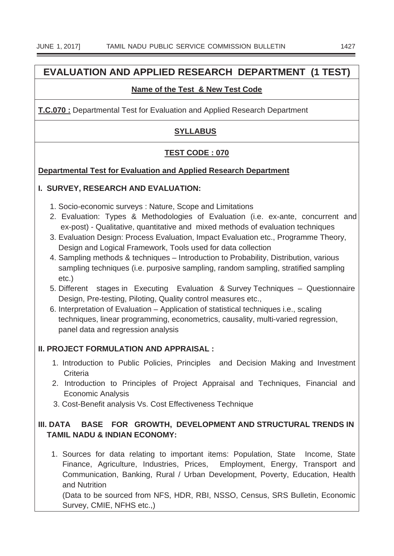# **EVALUATION AND APPLIED RESEARCH DEPARTMENT (1 TEST)**

## **Name of the Test & New Test Code**

**T.C.070 :** Departmental Test for Evaluation and Applied Research Department

# **SYLLABUS**

## **TEST CODE : 070**

## **Departmental Test for Evaluation and Applied Research Department**

## **I. SURVEY, RESEARCH AND EVALUATION:**

- 1. Socio-economic surveys : Nature, Scope and Limitations
- 2. Evaluation: Types & Methodologies of Evaluation (i.e. ex-ante, concurrent and ex-post) - Qualitative, quantitative and mixed methods of evaluation techniques
- 3. Evaluation Design: Process Evaluation, Impact Evaluation etc., Programme Theory, Design and Logical Framework, Tools used for data collection
- 4. Sampling methods & techniques Introduction to Probability, Distribution, various sampling techniques (i.e. purposive sampling, random sampling, stratified sampling etc.)
- 5. Different stages in Executing Evaluation & Survey Techniques Questionnaire Design, Pre-testing, Piloting, Quality control measures etc.,
- 6. Interpretation of Evaluation Application of statistical techniques i.e., scaling techniques, linear programming, econometrics, causality, multi-varied regression, panel data and regression analysis

## **II. PROJECT FORMULATION AND APPRAISAL :**

- 1. Introduction to Public Policies, Principles and Decision Making and Investment **Criteria**
- 2. Introduction to Principles of Project Appraisal and Techniques, Financial and Economic Analysis
- 3. Cost-Benefit analysis Vs. Cost Effectiveness Technique

## **III. DATA BASE FOR GROWTH, DEVELOPMENT AND STRUCTURAL TRENDS IN TAMIL NADU & INDIAN ECONOMY:**

1. Sources for data relating to important items: Population, State Income, State Finance, Agriculture, Industries, Prices, Employment, Energy, Transport and Communication, Banking, Rural / Urban Development, Poverty, Education, Health and Nutrition

(Data to be sourced from NFS, HDR, RBI, NSSO, Census, SRS Bulletin, Economic Survey, CMIE, NFHS etc.,)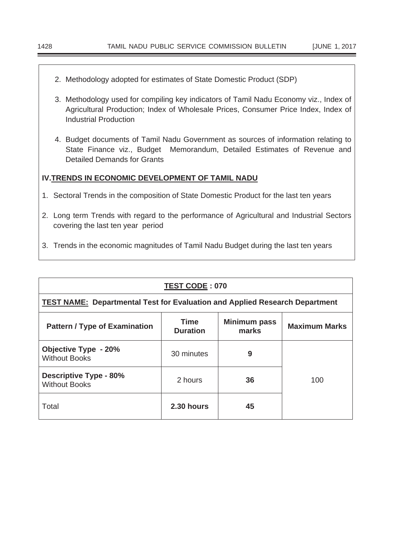- 2. Methodology adopted for estimates of State Domestic Product (SDP)
- 3. Methodology used for compiling key indicators of Tamil Nadu Economy viz., Index of Agricultural Production; Index of Wholesale Prices, Consumer Price Index, Index of Industrial Production
- 4. Budget documents of Tamil Nadu Government as sources of information relating to State Finance viz., Budget Memorandum, Detailed Estimates of Revenue and Detailed Demands for Grants

## **IV.TRENDS IN ECONOMIC DEVELOPMENT OF TAMIL NADU**

- 1. Sectoral Trends in the composition of State Domestic Product for the last ten years
- 2. Long term Trends with regard to the performance of Agricultural and Industrial Sectors covering the last ten year period
- 3. Trends in the economic magnitudes of Tamil Nadu Budget during the last ten years

| <b>TEST CODE: 070</b>                                                                           |            |    |                      |
|-------------------------------------------------------------------------------------------------|------------|----|----------------------|
| <b>TEST NAME: Departmental Test for Evaluation and Applied Research Department</b>              |            |    |                      |
| Time<br><b>Minimum pass</b><br><b>Pattern / Type of Examination</b><br><b>Duration</b><br>marks |            |    | <b>Maximum Marks</b> |
| <b>Objective Type - 20%</b><br><b>Without Books</b>                                             | 30 minutes | 9  |                      |
| <b>Descriptive Type - 80%</b><br><b>Without Books</b>                                           | 2 hours    | 36 | 100                  |
| Total                                                                                           | 2.30 hours | 45 |                      |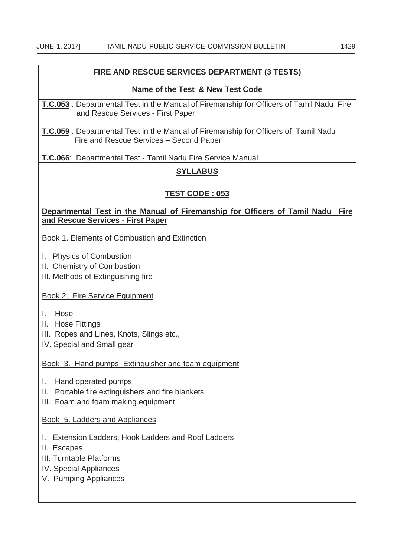#### **FIRE AND RESCUE SERVICES DEPARTMENT (3 TESTS)**

#### **Name of the Test & New Test Code**

**T.C.053** : Departmental Test in the Manual of Firemanship for Officers of Tamil Nadu Fire and Rescue Services - First Paper

**T.C.059** : Departmental Test in the Manual of Firemanship for Officers of Tamil Nadu Fire and Rescue Services – Second Paper

**T.C.066**: Departmental Test - Tamil Nadu Fire Service Manual

## **SYLLABUS**

### **TEST CODE : 053**

**Departmental Test in the Manual of Firemanship for Officers of Tamil Nadu Fire and Rescue Services - First Paper**

Book 1. Elements of Combustion and Extinction

- I. Physics of Combustion
- II. Chemistry of Combustion
- III. Methods of Extinguishing fire

#### Book 2. Fire Service Equipment

- I. Hose
- II. Hose Fittings
- III. Ropes and Lines, Knots, Slings etc.,
- IV. Special and Small gear

Book 3. Hand pumps, Extinguisher and foam equipment

- I. Hand operated pumps
- II. Portable fire extinguishers and fire blankets
- III. Foam and foam making equipment

#### Book 5. Ladders and Appliances

- I. Extension Ladders, Hook Ladders and Roof Ladders
- II. Escapes
- III. Turntable Platforms
- IV. Special Appliances
- V. Pumping Appliances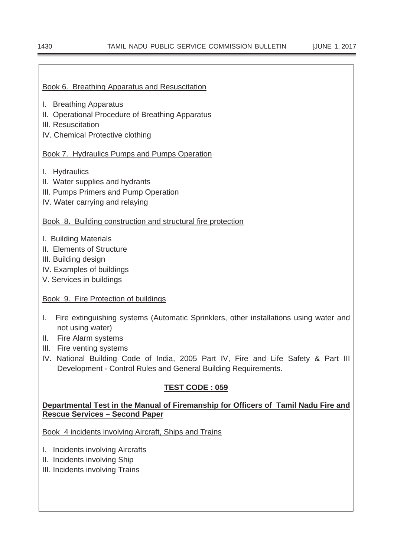### Book 6. Breathing Apparatus and Resuscitation

- I. Breathing Apparatus
- II. Operational Procedure of Breathing Apparatus
- III. Resuscitation
- IV. Chemical Protective clothing

### Book 7. Hydraulics Pumps and Pumps Operation

- I. Hydraulics
- II. Water supplies and hydrants
- III. Pumps Primers and Pump Operation
- IV. Water carrying and relaying

### Book 8. Building construction and structural fire protection

- I. Building Materials
- II. Elements of Structure
- III. Building design
- IV. Examples of buildings
- V. Services in buildings

#### Book 9. Fire Protection of buildings

- I. Fire extinguishing systems (Automatic Sprinklers, other installations using water and not using water)
- II. Fire Alarm systems
- III. Fire venting systems
- IV. National Building Code of India, 2005 Part IV, Fire and Life Safety & Part III Development - Control Rules and General Building Requirements.

## **TEST CODE : 059**

**Departmental Test in the Manual of Firemanship for Officers of Tamil Nadu Fire and Rescue Services – Second Paper** 

Book 4 incidents involving Aircraft, Ships and Trains

- I. Incidents involving Aircrafts
- II. Incidents involving Ship
- III. Incidents involving Trains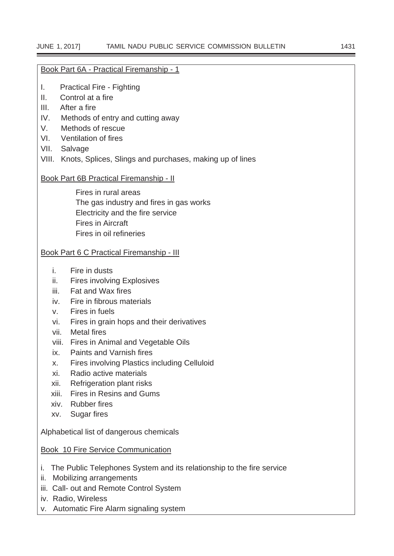## JUNE 1, 2017] TAMIL NADU PUBLIC SERVICE COMMISSION BULLETIN 1431

#### Book Part 6A - Practical Firemanship - 1

- I. Practical Fire Fighting
- II. Control at a fire
- III. After a fire
- IV. Methods of entry and cutting away
- V. Methods of rescue
- VI. Ventilation of fires
- VII. Salvage
- VIII. Knots, Splices, Slings and purchases, making up of lines

#### Book Part 6B Practical Firemanship - II

Fires in rural areas The gas industry and fires in gas works Electricity and the fire service Fires in Aircraft Fires in oil refineries

#### Book Part 6 C Practical Firemanship - III

- i. Fire in dusts
- ii. Fires involving Explosives
- iii. Fat and Wax fires
- iv. Fire in fibrous materials
- v. Fires in fuels
- vi. Fires in grain hops and their derivatives
- vii. Metal fires
- viii. Fires in Animal and Vegetable Oils
- ix. Paints and Varnish fires
- x. Fires involving Plastics including Celluloid
- xi. Radio active materials
- xii. Refrigeration plant risks
- xiii. Fires in Resins and Gums
- xiv. Rubber fires
- xv. Sugar fires

Alphabetical list of dangerous chemicals

#### Book 10 Fire Service Communication

- i. The Public Telephones System and its relationship to the fire service
- ii. Mobilizing arrangements
- iii. Call- out and Remote Control System
- iv. Radio, Wireless
- v. Automatic Fire Alarm signaling system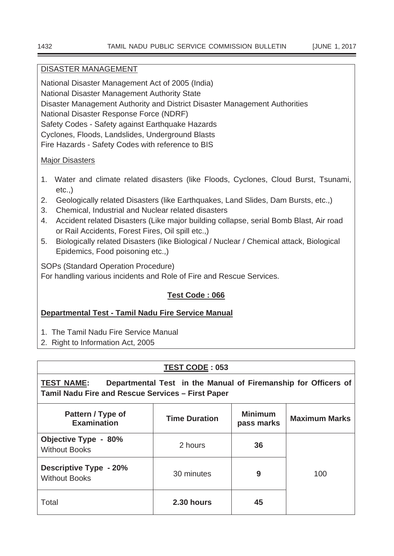## DISASTER MANAGEMENT

National Disaster Management Act of 2005 (India) National Disaster Management Authority State Disaster Management Authority and District Disaster Management Authorities National Disaster Response Force (NDRF) Safety Codes - Safety against Earthquake Hazards Cyclones, Floods, Landslides, Underground Blasts Fire Hazards - Safety Codes with reference to BIS

### Major Disasters

- 1. Water and climate related disasters (like Floods, Cyclones, Cloud Burst, Tsunami, etc.,)
- 2. Geologically related Disasters (like Earthquakes, Land Slides, Dam Bursts, etc.,)
- 3. Chemical, Industrial and Nuclear related disasters
- 4. Accident related Disasters (Like major building collapse, serial Bomb Blast, Air road or Rail Accidents, Forest Fires, Oil spill etc.,)
- 5. Biologically related Disasters (like Biological / Nuclear / Chemical attack, Biological Epidemics, Food poisoning etc.,)

SOPs (Standard Operation Procedure) For handling various incidents and Role of Fire and Rescue Services.

## **Test Code : 066**

## **Departmental Test - Tamil Nadu Fire Service Manual**

- 1. The Tamil Nadu Fire Service Manual
- 2. Right to Information Act, 2005

## **TEST CODE : 053**

**TEST NAME: Departmental Test in the Manual of Firemanship for Officers of Tamil Nadu Fire and Rescue Services – First Paper** 

| Pattern / Type of<br><b>Examination</b>               | <b>Time Duration</b> | <b>Minimum</b><br>pass marks | <b>Maximum Marks</b> |
|-------------------------------------------------------|----------------------|------------------------------|----------------------|
| <b>Objective Type - 80%</b><br><b>Without Books</b>   | 2 hours              | 36                           |                      |
| <b>Descriptive Type - 20%</b><br><b>Without Books</b> | 30 minutes           | 9                            | 100                  |
| Total                                                 | 2.30 hours           | 45                           |                      |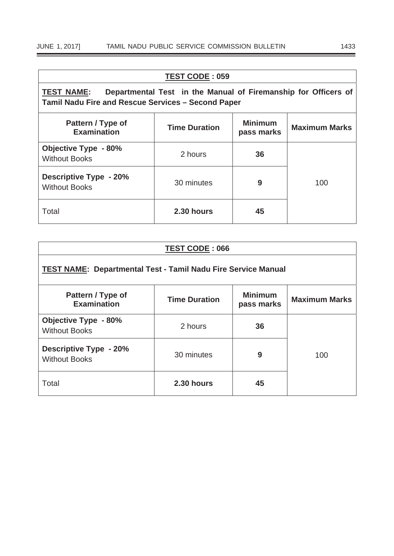|                                                                         | <b>TEST CODE: 059</b>                                          |                              |                      |
|-------------------------------------------------------------------------|----------------------------------------------------------------|------------------------------|----------------------|
| <b>TEST NAME:</b><br>Tamil Nadu Fire and Rescue Services - Second Paper | Departmental Test in the Manual of Firemanship for Officers of |                              |                      |
| Pattern / Type of<br><b>Examination</b>                                 | <b>Time Duration</b>                                           | <b>Minimum</b><br>pass marks | <b>Maximum Marks</b> |
| <b>Objective Type - 80%</b><br><b>Without Books</b>                     | 2 hours                                                        | 36                           |                      |
| <b>Descriptive Type - 20%</b><br><b>Without Books</b>                   | 30 minutes                                                     | 9                            | 100                  |
| Total                                                                   | 2.30 hours                                                     | 45                           |                      |

|                                                                      | <b>TEST CODE: 066</b> |                              |                      |
|----------------------------------------------------------------------|-----------------------|------------------------------|----------------------|
| <b>TEST NAME: Departmental Test - Tamil Nadu Fire Service Manual</b> |                       |                              |                      |
| Pattern / Type of<br><b>Examination</b>                              | <b>Time Duration</b>  | <b>Minimum</b><br>pass marks | <b>Maximum Marks</b> |
| <b>Objective Type - 80%</b><br><b>Without Books</b>                  | 2 hours               | 36                           |                      |
| <b>Descriptive Type - 20%</b><br><b>Without Books</b>                | 30 minutes            | 9                            | 100                  |
| Total                                                                | 2.30 hours            | 45                           |                      |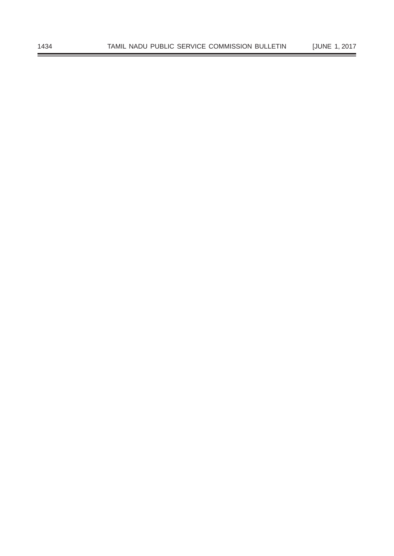L,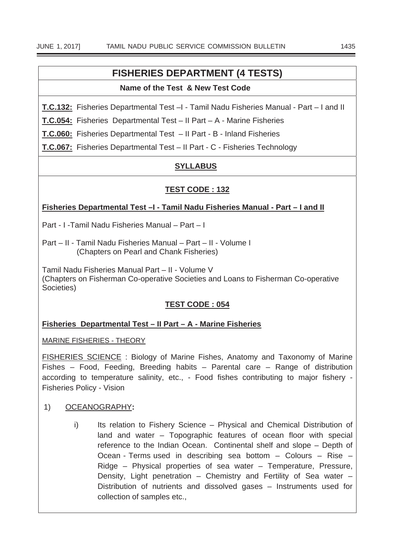# **FISHERIES DEPARTMENT (4 TESTS)**

## **Name of the Test & New Test Code**

**T.C.132:** Fisheries Departmental Test –I - Tamil Nadu Fisheries Manual - Part – I and II

**T.C.054:** Fisheries Departmental Test – II Part – A - Marine Fisheries

**T.C.060:** Fisheries Departmental Test – II Part - B - Inland Fisheries

**T.C.067:** Fisheries Departmental Test – II Part - C - Fisheries Technology

# **SYLLABUS**

## **TEST CODE : 132**

## **Fisheries Departmental Test –I - Tamil Nadu Fisheries Manual - Part – I and II**

Part - I -Tamil Nadu Fisheries Manual – Part – I

Part – II - Tamil Nadu Fisheries Manual – Part – II - Volume I (Chapters on Pearl and Chank Fisheries)

Tamil Nadu Fisheries Manual Part – II - Volume V (Chapters on Fisherman Co-operative Societies and Loans to Fisherman Co-operative Societies)

## **TEST CODE : 054**

## **Fisheries Departmental Test – II Part – A - Marine Fisheries**

MARINE FISHERIES - THEORY

FISHERIES SCIENCE : Biology of Marine Fishes, Anatomy and Taxonomy of Marine Fishes – Food, Feeding, Breeding habits – Parental care – Range of distribution according to temperature salinity, etc., - Food fishes contributing to major fishery - Fisheries Policy - Vision

## 1) OCEANOGRAPHY**:**

i) Its relation to Fishery Science – Physical and Chemical Distribution of land and water – Topographic features of ocean floor with special reference to the Indian Ocean. Continental shelf and slope – Depth of Ocean - Terms used in describing sea bottom – Colours – Rise – Ridge – Physical properties of sea water – Temperature, Pressure, Density, Light penetration – Chemistry and Fertility of Sea water – Distribution of nutrients and dissolved gases – Instruments used for collection of samples etc.,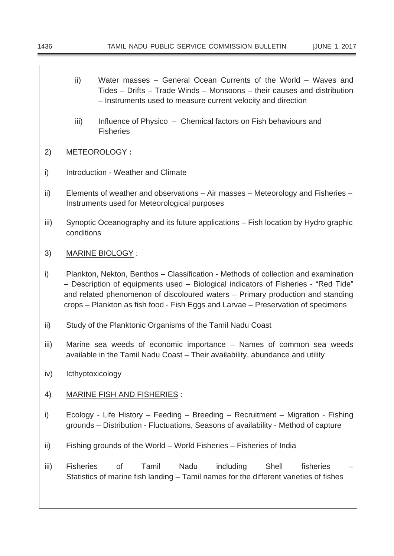## 1436 TAMIL NADU PUBLIC SERVICE COMMISSION BULLETIN [JUNE 1, 2017

- ii) Water masses General Ocean Currents of the World Waves and Tides – Drifts – Trade Winds – Monsoons – their causes and distribution – Instruments used to measure current velocity and direction
- iii) Influence of Physico Chemical factors on Fish behaviours and **Fisheries**
- 2) METEOROLOGY **:**
- i) Introduction Weather and Climate
- ii) Elements of weather and observations Air masses Meteorology and Fisheries Instruments used for Meteorological purposes
- iii) Synoptic Oceanography and its future applications Fish location by Hydro graphic conditions
- 3) MARINE BIOLOGY :
- i) Plankton, Nekton, Benthos Classification Methods of collection and examination – Description of equipments used – Biological indicators of Fisheries - "Red Tide" and related phenomenon of discoloured waters – Primary production and standing crops – Plankton as fish food - Fish Eggs and Larvae – Preservation of specimens
- ii) Study of the Planktonic Organisms of the Tamil Nadu Coast
- iii) Marine sea weeds of economic importance Names of common sea weeds available in the Tamil Nadu Coast – Their availability, abundance and utility
- iv) Icthyotoxicology
- 4) MARINE FISH AND FISHERIES :
- i) Ecology Life History Feeding Breeding Recruitment Migration Fishing grounds – Distribution - Fluctuations, Seasons of availability - Method of capture
- ii) Fishing grounds of the World World Fisheries Fisheries of India
- iii) Fisheries of Tamil Nadu including Shell fisheries Statistics of marine fish landing – Tamil names for the different varieties of fishes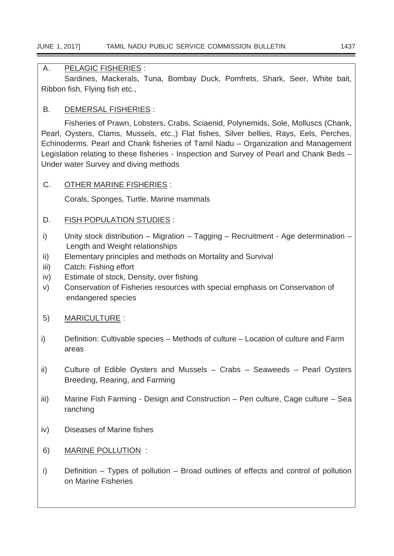## JUNE 1, 2017] TAMIL NADU PUBLIC SERVICE COMMISSION BULLETIN 1437

## A. PELAGIC FISHERIES :

 Sardines, Mackerals, Tuna, Bombay Duck, Pomfrets, Shark, Seer, White bait, Ribbon fish, Flying fish etc.,

## B. DEMERSAL FISHERIES :

 Fisheries of Prawn, Lobsters, Crabs, Sciaenid, Polynemids, Sole, Molluscs (Chank, Pearl, Oysters, Clams, Mussels, etc.,) Flat fishes, Silver bellies, Rays, Eels, Perches, Echinoderms. Pearl and Chank fisheries of Tamil Nadu – Organization and Management Legislation relating to these fisheries - Inspection and Survey of Pearl and Chank Beds – Under water Survey and diving methods

## C. OTHER MARINE FISHERIES :

Corals, Sponges, Turtle, Marine mammals

## D. FISH POPULATION STUDIES :

- i) Unity stock distribution Migration Tagging Recruitment Age determination Length and Weight relationships
- ii) Elementary principles and methods on Mortality and Survival
- iii) Catch: Fishing effort
- iv) Estimate of stock, Density, over fishing
- v) Conservation of Fisheries resources with special emphasis on Conservation of endangered species
- 5) MARICULTURE :
- i) Definition: Cultivable species Methods of culture Location of culture and Farm areas
- ii) Culture of Edible Oysters and Mussels Crabs Seaweeds Pearl Oysters Breeding, Rearing, and Farming
- iii) Marine Fish Farming Design and Construction Pen culture, Cage culture Sea ranching
- iv) Diseases of Marine fishes
- 6) MARINE POLLUTION :
- i) Definition Types of pollution Broad outlines of effects and control of pollution on Marine Fisheries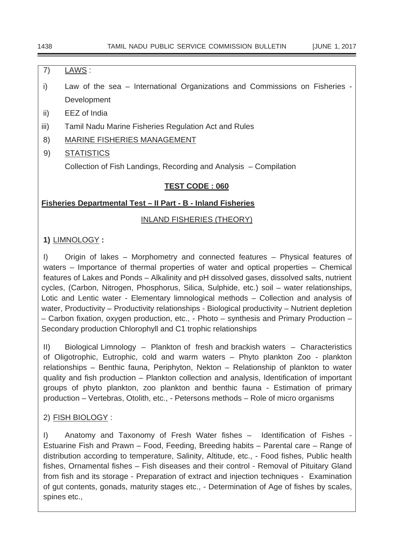## 7) LAWS :

- i) Law of the sea International Organizations and Commissions on Fisheries **Development**
- ii) EEZ of India
- iii) Tamil Nadu Marine Fisheries Regulation Act and Rules
- 8) MARINE FISHERIES MANAGEMENT

## 9) STATISTICS

Collection of Fish Landings, Recording and Analysis – Compilation

## **TEST CODE : 060**

## **Fisheries Departmental Test – II Part - B - Inland Fisheries**

## INLAND FISHERIES (THEORY)

## **1)** LIMNOLOGY **:**

I) Origin of lakes – Morphometry and connected features – Physical features of waters – Importance of thermal properties of water and optical properties – Chemical features of Lakes and Ponds – Alkalinity and pH dissolved gases, dissolved salts, nutrient cycles, (Carbon, Nitrogen, Phosphorus, Silica, Sulphide, etc.) soil – water relationships, Lotic and Lentic water - Elementary limnological methods – Collection and analysis of water, Productivity – Productivity relationships - Biological productivity – Nutrient depletion – Carbon fixation, oxygen production, etc., - Photo – synthesis and Primary Production – Secondary production Chlorophyll and C1 trophic relationships

II) Biological Limnology – Plankton of fresh and brackish waters – Characteristics of Oligotrophic, Eutrophic, cold and warm waters – Phyto plankton Zoo - plankton relationships – Benthic fauna, Periphyton, Nekton – Relationship of plankton to water quality and fish production – Plankton collection and analysis, Identification of important groups of phyto plankton, zoo plankton and benthic fauna - Estimation of primary production – Vertebras, Otolith, etc., - Petersons methods – Role of micro organisms

## 2) FISH BIOLOGY :

I) Anatomy and Taxonomy of Fresh Water fishes – Identification of Fishes - Estuarine Fish and Prawn – Food, Feeding, Breeding habits – Parental care – Range of distribution according to temperature, Salinity, Altitude, etc., - Food fishes, Public health fishes, Ornamental fishes – Fish diseases and their control - Removal of Pituitary Gland from fish and its storage - Preparation of extract and injection techniques - Examination of gut contents, gonads, maturity stages etc., - Determination of Age of fishes by scales, spines etc.,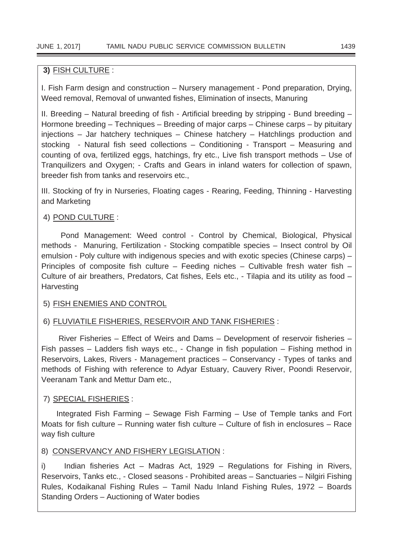### JUNE 1, 2017] TAMIL NADU PUBLIC SERVICE COMMISSION BULLETIN 1439

## **3)** FISH CULTURE :

I. Fish Farm design and construction – Nursery management - Pond preparation, Drying, Weed removal, Removal of unwanted fishes, Elimination of insects, Manuring

II. Breeding – Natural breeding of fish - Artificial breeding by stripping - Bund breeding – Hormone breeding – Techniques – Breeding of major carps – Chinese carps – by pituitary injections – Jar hatchery techniques – Chinese hatchery – Hatchlings production and stocking - Natural fish seed collections – Conditioning - Transport – Measuring and counting of ova, fertilized eggs, hatchings, fry etc., Live fish transport methods – Use of Tranquilizers and Oxygen; - Crafts and Gears in inland waters for collection of spawn, breeder fish from tanks and reservoirs etc.,

III. Stocking of fry in Nurseries, Floating cages - Rearing, Feeding, Thinning - Harvesting and Marketing

#### 4) POND CULTURE :

 Pond Management: Weed control - Control by Chemical, Biological, Physical methods - Manuring, Fertilization - Stocking compatible species – Insect control by Oil emulsion - Poly culture with indigenous species and with exotic species (Chinese carps) – Principles of composite fish culture – Feeding niches – Cultivable fresh water fish – Culture of air breathers, Predators, Cat fishes, Eels etc., - Tilapia and its utility as food – **Harvesting** 

#### 5) FISH ENEMIES AND CONTROL

#### 6) FLUVIATILE FISHERIES, RESERVOIR AND TANK FISHERIES :

 River Fisheries – Effect of Weirs and Dams – Development of reservoir fisheries – Fish passes – Ladders fish ways etc., - Change in fish population – Fishing method in Reservoirs, Lakes, Rivers - Management practices – Conservancy - Types of tanks and methods of Fishing with reference to Adyar Estuary, Cauvery River, Poondi Reservoir, Veeranam Tank and Mettur Dam etc.,

## 7) SPECIAL FISHERIES :

 Integrated Fish Farming – Sewage Fish Farming – Use of Temple tanks and Fort Moats for fish culture – Running water fish culture – Culture of fish in enclosures – Race way fish culture

#### 8) CONSERVANCY AND FISHERY LEGISLATION :

i) Indian fisheries Act – Madras Act, 1929 – Regulations for Fishing in Rivers, Reservoirs, Tanks etc., - Closed seasons - Prohibited areas – Sanctuaries – Nilgiri Fishing Rules, Kodaikanal Fishing Rules – Tamil Nadu Inland Fishing Rules, 1972 – Boards Standing Orders – Auctioning of Water bodies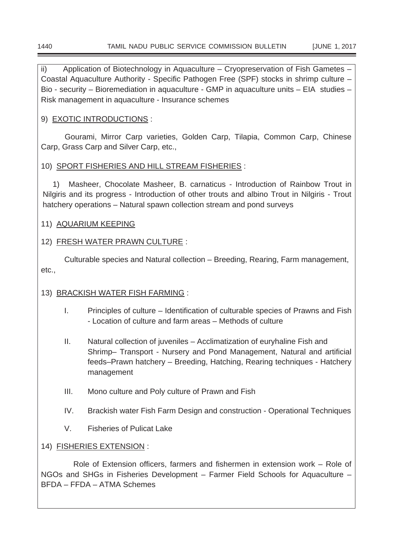ii) Application of Biotechnology in Aquaculture – Cryopreservation of Fish Gametes – Coastal Aquaculture Authority - Specific Pathogen Free (SPF) stocks in shrimp culture – Bio - security – Bioremediation in aquaculture - GMP in aquaculture units – EIA studies – Risk management in aquaculture - Insurance schemes

## 9) EXOTIC INTRODUCTIONS :

 Gourami, Mirror Carp varieties, Golden Carp, Tilapia, Common Carp, Chinese Carp, Grass Carp and Silver Carp, etc.,

## 10) SPORT FISHERIES AND HILL STREAM FISHERIES :

1) Masheer, Chocolate Masheer, B. carnaticus - Introduction of Rainbow Trout in Nilgiris and its progress - Introduction of other trouts and albino Trout in Nilgiris - Trout hatchery operations – Natural spawn collection stream and pond surveys

## 11) AQUARIUM KEEPING

## 12) FRESH WATER PRAWN CULTURE :

 Culturable species and Natural collection – Breeding, Rearing, Farm management, etc.,

## 13) BRACKISH WATER FISH FARMING :

- I. Principles of culture Identification of culturable species of Prawns and Fish - Location of culture and farm areas – Methods of culture
- II. Natural collection of juveniles Acclimatization of euryhaline Fish and Shrimp– Transport - Nursery and Pond Management, Natural and artificial feeds–Prawn hatchery – Breeding, Hatching, Rearing techniques - Hatchery management
- III. Mono culture and Poly culture of Prawn and Fish
- IV. Brackish water Fish Farm Design and construction Operational Techniques
- V. Fisheries of Pulicat Lake

## 14) FISHERIES EXTENSION :

 Role of Extension officers, farmers and fishermen in extension work – Role of NGOs and SHGs in Fisheries Development – Farmer Field Schools for Aquaculture – BFDA – FFDA – ATMA Schemes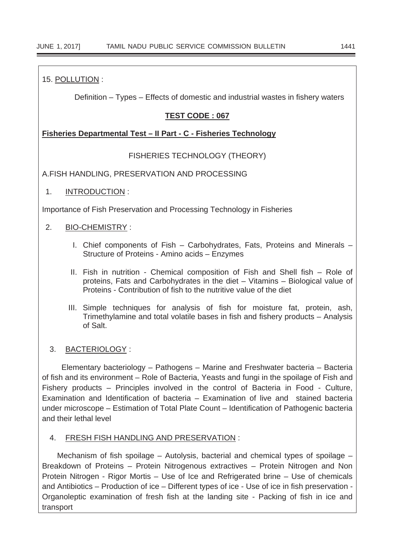## 15. POLLUTION :

Definition – Types – Effects of domestic and industrial wastes in fishery waters

## **TEST CODE : 067**

## **Fisheries Departmental Test – II Part - C - Fisheries Technology**

## FISHERIES TECHNOLOGY (THEORY)

## A.FISH HANDLING, PRESERVATION AND PROCESSING

1. INTRODUCTION :

Importance of Fish Preservation and Processing Technology in Fisheries

## 2. BIO-CHEMISTRY :

- I. Chief components of Fish Carbohydrates, Fats, Proteins and Minerals Structure of Proteins - Amino acids – Enzymes
- II. Fish in nutrition Chemical composition of Fish and Shell fish Role of proteins, Fats and Carbohydrates in the diet – Vitamins – Biological value of Proteins - Contribution of fish to the nutritive value of the diet
- III. Simple techniques for analysis of fish for moisture fat, protein, ash, Trimethylamine and total volatile bases in fish and fishery products – Analysis of Salt.

## 3. BACTERIOLOGY :

 Elementary bacteriology – Pathogens – Marine and Freshwater bacteria – Bacteria of fish and its environment – Role of Bacteria, Yeasts and fungi in the spoilage of Fish and Fishery products – Principles involved in the control of Bacteria in Food - Culture, Examination and Identification of bacteria – Examination of live and stained bacteria under microscope – Estimation of Total Plate Count – Identification of Pathogenic bacteria and their lethal level

## 4. FRESH FISH HANDLING AND PRESERVATION :

 Mechanism of fish spoilage – Autolysis, bacterial and chemical types of spoilage – Breakdown of Proteins – Protein Nitrogenous extractives – Protein Nitrogen and Non Protein Nitrogen - Rigor Mortis – Use of Ice and Refrigerated brine – Use of chemicals and Antibiotics – Production of ice – Different types of ice - Use of ice in fish preservation - Organoleptic examination of fresh fish at the landing site - Packing of fish in ice and transport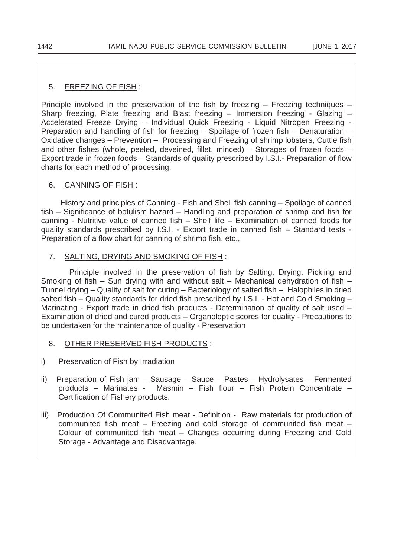## 5. FREEZING OF FISH :

Principle involved in the preservation of the fish by freezing – Freezing techniques – Sharp freezing, Plate freezing and Blast freezing – Immersion freezing - Glazing – Accelerated Freeze Drying – Individual Quick Freezing - Liquid Nitrogen Freezing - Preparation and handling of fish for freezing – Spoilage of frozen fish – Denaturation – Oxidative changes – Prevention – Processing and Freezing of shrimp lobsters, Cuttle fish and other fishes (whole, peeled, deveined, fillet, minced) – Storages of frozen foods – Export trade in frozen foods – Standards of quality prescribed by I.S.I.- Preparation of flow charts for each method of processing.

### 6. CANNING OF FISH :

 History and principles of Canning - Fish and Shell fish canning – Spoilage of canned fish – Significance of botulism hazard – Handling and preparation of shrimp and fish for canning - Nutritive value of canned fish – Shelf life – Examination of canned foods for quality standards prescribed by I.S.I. - Export trade in canned fish – Standard tests - Preparation of a flow chart for canning of shrimp fish, etc.,

### 7. SALTING, DRYING AND SMOKING OF FISH :

 Principle involved in the preservation of fish by Salting, Drying, Pickling and Smoking of fish – Sun drying with and without salt – Mechanical dehydration of fish – Tunnel drying – Quality of salt for curing – Bacteriology of salted fish – Halophiles in dried salted fish – Quality standards for dried fish prescribed by I.S.I. - Hot and Cold Smoking – Marinating - Export trade in dried fish products - Determination of quality of salt used – Examination of dried and cured products – Organoleptic scores for quality - Precautions to be undertaken for the maintenance of quality - Preservation

## 8. OTHER PRESERVED FISH PRODUCTS :

- i) Preservation of Fish by Irradiation
- ii) Preparation of Fish jam Sausage Sauce Pastes Hydrolysates Fermented products – Marinates - Masmin – Fish flour – Fish Protein Concentrate – Certification of Fishery products.
- iii) Production Of Communited Fish meat Definition Raw materials for production of communited fish meat – Freezing and cold storage of communited fish meat – Colour of communited fish meat – Changes occurring during Freezing and Cold Storage - Advantage and Disadvantage.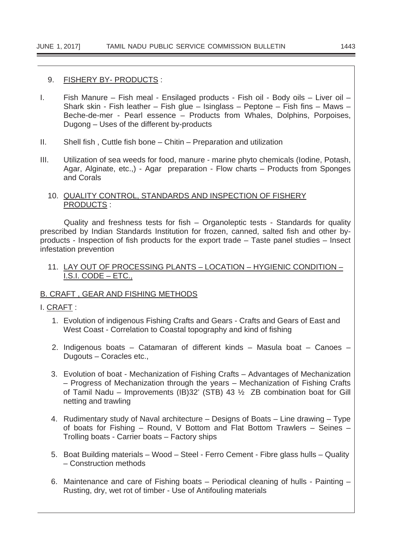#### JUNE 1, 2017] TAMIL NADU PUBLIC SERVICE COMMISSION BULLETIN 1443

#### 9. FISHERY BY- PRODUCTS:

- I. Fish Manure Fish meal Ensilaged products Fish oil Body oils Liver oil Shark skin - Fish leather – Fish glue – Isinglass – Peptone – Fish fins – Maws – Beche-de-mer - Pearl essence – Products from Whales, Dolphins, Porpoises, Dugong – Uses of the different by-products
- II. Shell fish , Cuttle fish bone Chitin Preparation and utilization
- III. Utilization of sea weeds for food, manure marine phyto chemicals (Iodine, Potash, Agar, Alginate, etc.,) - Agar preparation - Flow charts – Products from Sponges and Corals

#### 10. QUALITY CONTROL, STANDARDS AND INSPECTION OF FISHERY PRODUCTS :

 Quality and freshness tests for fish – Organoleptic tests - Standards for quality prescribed by Indian Standards Institution for frozen, canned, salted fish and other byproducts - Inspection of fish products for the export trade – Taste panel studies – Insect infestation prevention

#### 11. LAY OUT OF PROCESSING PLANTS – LOCATION – HYGIENIC CONDITION – I.S.I. CODE – ETC.,

#### B. CRAFT , GEAR AND FISHING METHODS

#### I. CRAFT :

- 1. Evolution of indigenous Fishing Crafts and Gears Crafts and Gears of East and West Coast - Correlation to Coastal topography and kind of fishing
- 2. Indigenous boats Catamaran of different kinds Masula boat Canoes Dugouts – Coracles etc.,
- 3. Evolution of boat Mechanization of Fishing Crafts Advantages of Mechanization – Progress of Mechanization through the years – Mechanization of Fishing Crafts of Tamil Nadu – Improvements (IB)32' (STB) 43  $\frac{1}{2}$  ZB combination boat for Gill netting and trawling
- 4. Rudimentary study of Naval architecture Designs of Boats Line drawing Type of boats for Fishing – Round, V Bottom and Flat Bottom Trawlers – Seines – Trolling boats - Carrier boats – Factory ships
- 5. Boat Building materials Wood Steel Ferro Cement Fibre glass hulls Quality – Construction methods
- 6. Maintenance and care of Fishing boats Periodical cleaning of hulls Painting Rusting, dry, wet rot of timber - Use of Antifouling materials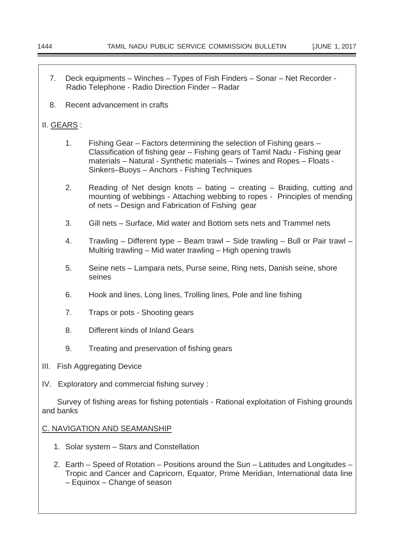- 7. Deck equipments Winches Types of Fish Finders Sonar Net Recorder Radio Telephone - Radio Direction Finder – Radar
- 8. Recent advancement in crafts

## II. GEARS :

- 1. Fishing Gear Factors determining the selection of Fishing gears Classification of fishing gear – Fishing gears of Tamil Nadu - Fishing gear materials – Natural - Synthetic materials – Twines and Ropes – Floats - Sinkers–Buoys – Anchors - Fishing Techniques
- 2. Reading of Net design knots bating creating Braiding, cutting and mounting of webbings - Attaching webbing to ropes - Principles of mending of nets – Design and Fabrication of Fishing gear
- 3. Gill nets Surface, Mid water and Bottom sets nets and Trammel nets
- 4. Trawling Different type Beam trawl Side trawling Bull or Pair trawl Multirig trawling – Mid water trawling – High opening trawls
- 5. Seine nets Lampara nets, Purse seine, Ring nets, Danish seine, shore seines
- 6. Hook and lines, Long lines, Trolling lines, Pole and line fishing
- 7. Traps or pots Shooting gears
- 8. Different kinds of Inland Gears
- 9. Treating and preservation of fishing gears
- III. Fish Aggregating Device
- IV. Exploratory and commercial fishing survey :

 Survey of fishing areas for fishing potentials - Rational exploitation of Fishing grounds and banks

## C. NAVIGATION AND SEAMANSHIP

- 1. Solar system Stars and Constellation
- 2. Earth Speed of Rotation Positions around the Sun Latitudes and Longitudes Tropic and Cancer and Capricorn, Equator, Prime Meridian, International data line – Equinox – Change of season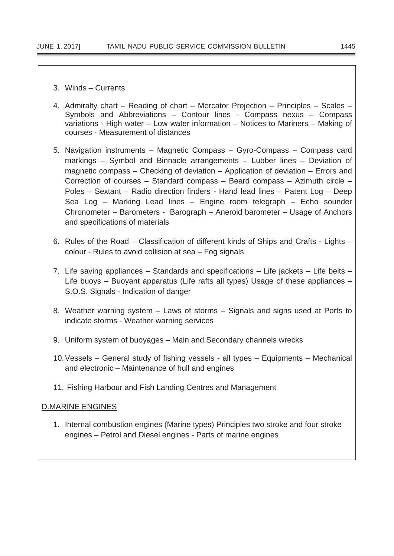- 3. Winds Currents
- 4. Admiralty chart Reading of chart Mercator Projection Principles Scales Symbols and Abbreviations – Contour lines - Compass nexus – Compass variations - High water – Low water information – Notices to Mariners – Making of courses - Measurement of distances
- 5. Navigation instruments Magnetic Compass Gyro-Compass Compass card markings – Symbol and Binnacle arrangements – Lubber lines – Deviation of magnetic compass – Checking of deviation – Application of deviation – Errors and Correction of courses – Standard compass – Beard compass – Azimuth circle – Poles – Sextant – Radio direction finders - Hand lead lines – Patent Log – Deep Sea Log – Marking Lead lines – Engine room telegraph – Echo sounder Chronometer – Barometers - Barograph – Aneroid barometer – Usage of Anchors and specifications of materials
- 6. Rules of the Road Classification of different kinds of Ships and Crafts Lights colour - Rules to avoid collision at sea – Fog signals
- 7. Life saving appliances Standards and specifications Life jackets Life belts Life buoys – Buoyant apparatus (Life rafts all types) Usage of these appliances – S.O.S. Signals - Indication of danger
- 8. Weather warning system Laws of storms Signals and signs used at Ports to indicate storms - Weather warning services
- 9. Uniform system of buoyages Main and Secondary channels wrecks
- 10. Vessels General study of fishing vessels all types Equipments Mechanical and electronic – Maintenance of hull and engines
- 11. Fishing Harbour and Fish Landing Centres and Management

#### D.MARINE ENGINES

1. Internal combustion engines (Marine types) Principles two stroke and four stroke engines – Petrol and Diesel engines - Parts of marine engines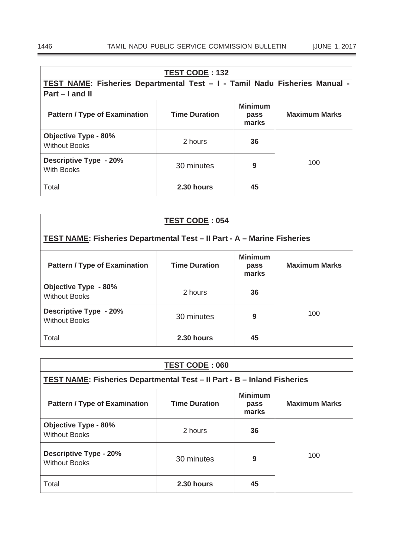L,

|                                                                            | <b>TEST CODE: 132</b> |                                 |                      |
|----------------------------------------------------------------------------|-----------------------|---------------------------------|----------------------|
| TEST NAME: Fisheries Departmental Test - I - Tamil Nadu Fisheries Manual - |                       |                                 |                      |
| Part - I and II                                                            |                       |                                 |                      |
| <b>Pattern / Type of Examination</b>                                       | <b>Time Duration</b>  | <b>Minimum</b><br>pass<br>marks | <b>Maximum Marks</b> |
| <b>Objective Type - 80%</b><br><b>Without Books</b>                        | 2 hours               | 36                              |                      |
| <b>Descriptive Type - 20%</b><br><b>With Books</b>                         | 30 minutes            | 9                               | 100                  |
| Total                                                                      | 2.30 hours            | 45                              |                      |

|                                                                         | <b>TEST CODE: 054</b> |                                 |                      |
|-------------------------------------------------------------------------|-----------------------|---------------------------------|----------------------|
| TEST NAME: Fisheries Departmental Test – II Part - A – Marine Fisheries |                       |                                 |                      |
| <b>Pattern / Type of Examination</b>                                    | <b>Time Duration</b>  | <b>Minimum</b><br>pass<br>marks | <b>Maximum Marks</b> |
| <b>Objective Type - 80%</b><br><b>Without Books</b>                     | 2 hours               | 36                              |                      |
| <b>Descriptive Type - 20%</b><br><b>Without Books</b>                   | 30 minutes            | 9                               | 100                  |
| Total                                                                   | 2.30 hours            | 45                              |                      |

|                                                                                                                         | <b>TEST CODE: 060</b> |    |     |
|-------------------------------------------------------------------------------------------------------------------------|-----------------------|----|-----|
| TEST NAME: Fisheries Departmental Test – II Part - B – Inland Fisheries                                                 |                       |    |     |
| <b>Minimum</b><br><b>Time Duration</b><br><b>Maximum Marks</b><br><b>Pattern / Type of Examination</b><br>pass<br>marks |                       |    |     |
| <b>Objective Type - 80%</b><br><b>Without Books</b>                                                                     | 2 hours               | 36 |     |
| <b>Descriptive Type - 20%</b><br><b>Without Books</b>                                                                   | 30 minutes            | 9  | 100 |
| Total                                                                                                                   | 2.30 hours            | 45 |     |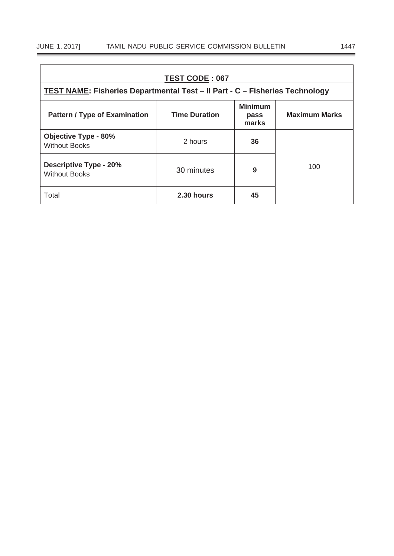| TEST NAME: Fisheries Departmental Test - II Part - C - Fisheries Technology | <b>TEST CODE: 067</b> |                                 |                      |
|-----------------------------------------------------------------------------|-----------------------|---------------------------------|----------------------|
| <b>Pattern / Type of Examination</b>                                        | <b>Time Duration</b>  | <b>Minimum</b><br>pass<br>marks | <b>Maximum Marks</b> |
| <b>Objective Type - 80%</b><br><b>Without Books</b>                         | 2 hours               | 36                              |                      |
| <b>Descriptive Type - 20%</b><br><b>Without Books</b>                       | 30 minutes            | 9                               | 100                  |
| Total                                                                       | 2.30 hours            | 45                              |                      |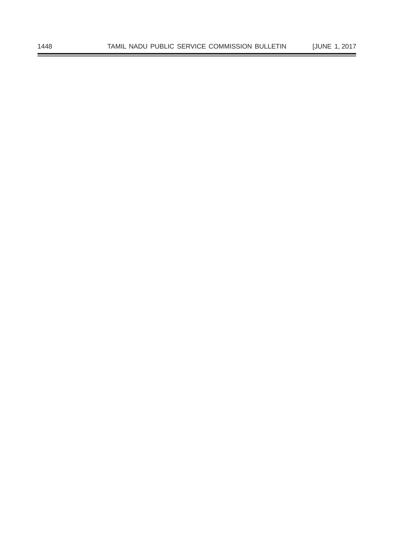L,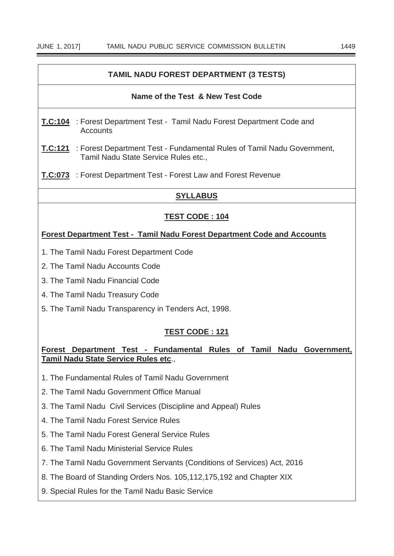### **TAMIL NADU FOREST DEPARTMENT (3 TESTS)**

#### **Name of the Test & New Test Code**

**T.C:104** : Forest Department Test - Tamil Nadu Forest Department Code and **Accounts** 

- **T.C:121** : Forest Department Test Fundamental Rules of Tamil Nadu Government, Tamil Nadu State Service Rules etc.,
- **T.C:073** : Forest Department Test Forest Law and Forest Revenue

### **SYLLABUS**

#### **TEST CODE : 104**

### **Forest Department Test - Tamil Nadu Forest Department Code and Accounts**

- 1. The Tamil Nadu Forest Department Code
- 2. The Tamil Nadu Accounts Code
- 3. The Tamil Nadu Financial Code
- 4. The Tamil Nadu Treasury Code
- 5. The Tamil Nadu Transparency in Tenders Act, 1998.

#### **TEST CODE : 121**

### **Forest Department Test - Fundamental Rules of Tamil Nadu Government, Tamil Nadu State Service Rules etc**.,

- 1. The Fundamental Rules of Tamil Nadu Government
- 2. The Tamil Nadu Government Office Manual
- 3. The Tamil Nadu Civil Services (Discipline and Appeal) Rules
- 4. The Tamil Nadu Forest Service Rules
- 5. The Tamil Nadu Forest General Service Rules
- 6. The Tamil Nadu Ministerial Service Rules
- 7. The Tamil Nadu Government Servants (Conditions of Services) Act, 2016
- 8. The Board of Standing Orders Nos. 105,112,175,192 and Chapter XIX
- 9. Special Rules for the Tamil Nadu Basic Service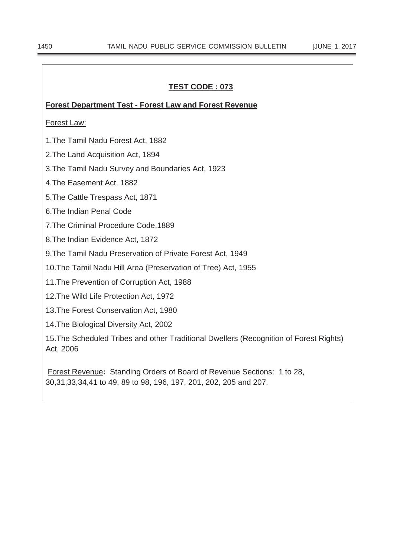## **Forest Department Test - Forest Law and Forest Revenue**

Forest Law:

1.The Tamil Nadu Forest Act, 1882

2.The Land Acquisition Act, 1894

3.The Tamil Nadu Survey and Boundaries Act, 1923

4.The Easement Act, 1882

5.The Cattle Trespass Act, 1871

6.The Indian Penal Code

7.The Criminal Procedure Code,1889

8.The Indian Evidence Act, 1872

9.The Tamil Nadu Preservation of Private Forest Act, 1949

10.The Tamil Nadu Hill Area (Preservation of Tree) Act, 1955

11.The Prevention of Corruption Act, 1988

12.The Wild Life Protection Act, 1972

13.The Forest Conservation Act, 1980

14.The Biological Diversity Act, 2002

15.The Scheduled Tribes and other Traditional Dwellers (Recognition of Forest Rights) Act, 2006

 Forest Revenue**:** Standing Orders of Board of Revenue Sections: 1 to 28, 30,31,33,34,41 to 49, 89 to 98, 196, 197, 201, 202, 205 and 207.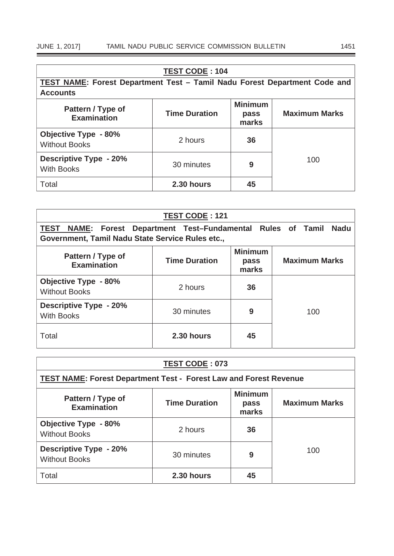| <b>TEST CODE: 104</b>                                                     |                      |                                 |                      |
|---------------------------------------------------------------------------|----------------------|---------------------------------|----------------------|
| TEST NAME: Forest Department Test - Tamil Nadu Forest Department Code and |                      |                                 |                      |
| <b>Accounts</b>                                                           |                      |                                 |                      |
| Pattern / Type of<br><b>Examination</b>                                   | <b>Time Duration</b> | <b>Minimum</b><br>pass<br>marks | <b>Maximum Marks</b> |
| <b>Objective Type - 80%</b><br><b>Without Books</b>                       | 2 hours              | 36                              |                      |
| <b>Descriptive Type - 20%</b><br><b>With Books</b>                        | 30 minutes           | 9                               | 100                  |
| Total                                                                     | 2.30 hours           | 45                              |                      |

| <b>TEST CODE: 121</b>                                                                                                              |                      |                                 |                      |
|------------------------------------------------------------------------------------------------------------------------------------|----------------------|---------------------------------|----------------------|
| TEST<br>NAME: Forest Department Test-Fundamental Rules of Tamil<br><b>Nadu</b><br>Government, Tamil Nadu State Service Rules etc., |                      |                                 |                      |
| Pattern / Type of<br><b>Examination</b>                                                                                            | <b>Time Duration</b> | <b>Minimum</b><br>pass<br>marks | <b>Maximum Marks</b> |
| <b>Objective Type - 80%</b><br><b>Without Books</b>                                                                                | 2 hours              | 36                              |                      |
| <b>Descriptive Type - 20%</b><br><b>With Books</b>                                                                                 | 30 minutes           | 9                               | 100                  |
| Total                                                                                                                              | 2.30 hours           | 45                              |                      |

| TEST CODE: 073                                                           |                      |                                 |                      |
|--------------------------------------------------------------------------|----------------------|---------------------------------|----------------------|
| <b>TEST NAME: Forest Department Test - Forest Law and Forest Revenue</b> |                      |                                 |                      |
| Pattern / Type of<br><b>Examination</b>                                  | <b>Time Duration</b> | <b>Minimum</b><br>pass<br>marks | <b>Maximum Marks</b> |
| <b>Objective Type - 80%</b><br><b>Without Books</b>                      | 2 hours              | 36                              |                      |
| <b>Descriptive Type - 20%</b><br><b>Without Books</b>                    | 30 minutes           | 9                               | 100                  |
| Total                                                                    | 2.30 hours           | 45                              |                      |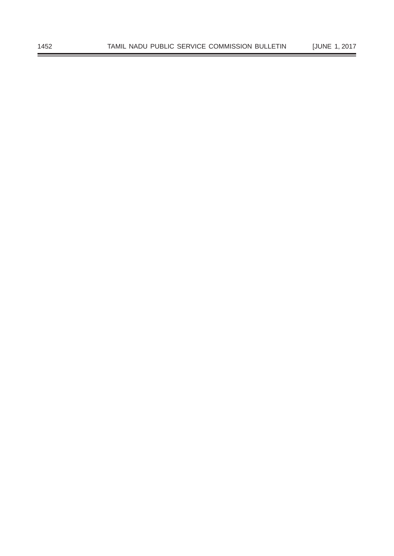L,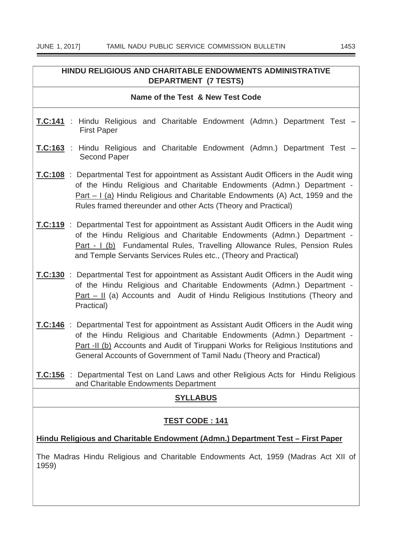#### **Name of the Test & New Test Code**

- **T.C:141** : Hindu Religious and Charitable Endowment (Admn.) Department Test First Paper
- **T.C:163** : Hindu Religious and Charitable Endowment (Admn.) Department Test Second Paper
- **T.C:108** : Departmental Test for appointment as Assistant Audit Officers in the Audit wing of the Hindu Religious and Charitable Endowments (Admn.) Department - Part – I (a) Hindu Religious and Charitable Endowments (A) Act, 1959 and the Rules framed thereunder and other Acts (Theory and Practical)
- **T.C:119** : Departmental Test for appointment as Assistant Audit Officers in the Audit wing of the Hindu Religious and Charitable Endowments (Admn.) Department - Part - I (b) Fundamental Rules, Travelling Allowance Rules, Pension Rules and Temple Servants Services Rules etc., (Theory and Practical)
- **T.C:130** : Departmental Test for appointment as Assistant Audit Officers in the Audit wing of the Hindu Religious and Charitable Endowments (Admn.) Department - Part – II (a) Accounts and Audit of Hindu Religious Institutions (Theory and Practical)
- **T.C:146** : Departmental Test for appointment as Assistant Audit Officers in the Audit wing of the Hindu Religious and Charitable Endowments (Admn.) Department - Part -II (b) Accounts and Audit of Tiruppani Works for Religious Institutions and General Accounts of Government of Tamil Nadu (Theory and Practical)
- **T.C:156** : Departmental Test on Land Laws and other Religious Acts for Hindu Religious and Charitable Endowments Department

## **SYLLABUS**

## **TEST CODE : 141**

**Hindu Religious and Charitable Endowment (Admn.) Department Test – First Paper**

The Madras Hindu Religious and Charitable Endowments Act, 1959 (Madras Act XII of 1959)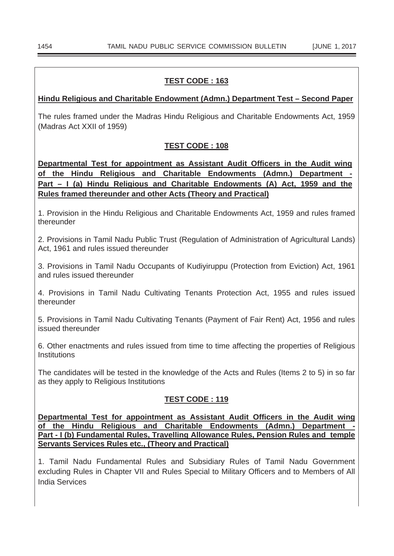## **Hindu Religious and Charitable Endowment (Admn.) Department Test – Second Paper**

The rules framed under the Madras Hindu Religious and Charitable Endowments Act, 1959 (Madras Act XXII of 1959)

## **TEST CODE : 108**

**Departmental Test for appointment as Assistant Audit Officers in the Audit wing of the Hindu Religious and Charitable Endowments (Admn.) Department - Part – I (a) Hindu Religious and Charitable Endowments (A) Act, 1959 and the Rules framed thereunder and other Acts (Theory and Practical)**

1. Provision in the Hindu Religious and Charitable Endowments Act, 1959 and rules framed thereunder

2. Provisions in Tamil Nadu Public Trust (Regulation of Administration of Agricultural Lands) Act, 1961 and rules issued thereunder

3. Provisions in Tamil Nadu Occupants of Kudiyiruppu (Protection from Eviction) Act, 1961 and rules issued thereunder

4. Provisions in Tamil Nadu Cultivating Tenants Protection Act, 1955 and rules issued thereunder

5. Provisions in Tamil Nadu Cultivating Tenants (Payment of Fair Rent) Act, 1956 and rules issued thereunder

6. Other enactments and rules issued from time to time affecting the properties of Religious **Institutions** 

The candidates will be tested in the knowledge of the Acts and Rules (Items 2 to 5) in so far as they apply to Religious Institutions

## **TEST CODE : 119**

**Departmental Test for appointment as Assistant Audit Officers in the Audit wing of the Hindu Religious and Charitable Endowments (Admn.) Department - Part - I (b) Fundamental Rules, Travelling Allowance Rules, Pension Rules and temple Servants Services Rules etc., (Theory and Practical)**

1. Tamil Nadu Fundamental Rules and Subsidiary Rules of Tamil Nadu Government excluding Rules in Chapter VII and Rules Special to Military Officers and to Members of All India Services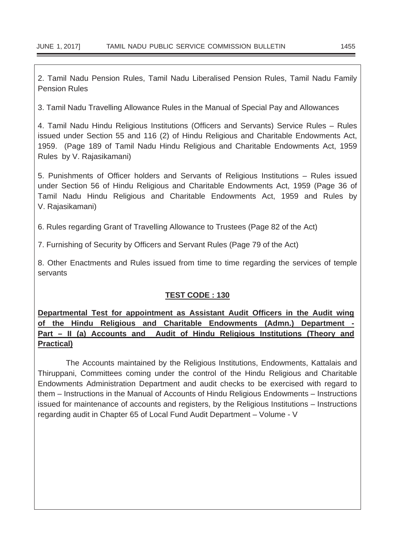2. Tamil Nadu Pension Rules, Tamil Nadu Liberalised Pension Rules, Tamil Nadu Family Pension Rules

3. Tamil Nadu Travelling Allowance Rules in the Manual of Special Pay and Allowances

4. Tamil Nadu Hindu Religious Institutions (Officers and Servants) Service Rules – Rules issued under Section 55 and 116 (2) of Hindu Religious and Charitable Endowments Act, 1959. (Page 189 of Tamil Nadu Hindu Religious and Charitable Endowments Act, 1959 Rules by V. Rajasikamani)

5. Punishments of Officer holders and Servants of Religious Institutions – Rules issued under Section 56 of Hindu Religious and Charitable Endowments Act, 1959 (Page 36 of Tamil Nadu Hindu Religious and Charitable Endowments Act, 1959 and Rules by V. Rajasikamani)

6. Rules regarding Grant of Travelling Allowance to Trustees (Page 82 of the Act)

7. Furnishing of Security by Officers and Servant Rules (Page 79 of the Act)

8. Other Enactments and Rules issued from time to time regarding the services of temple servants

## **TEST CODE : 130**

**Departmental Test for appointment as Assistant Audit Officers in the Audit wing of the Hindu Religious and Charitable Endowments (Admn.) Department - Part – II (a) Accounts and Audit of Hindu Religious Institutions (Theory and Practical)**

 The Accounts maintained by the Religious Institutions, Endowments, Kattalais and Thiruppani, Committees coming under the control of the Hindu Religious and Charitable Endowments Administration Department and audit checks to be exercised with regard to them – Instructions in the Manual of Accounts of Hindu Religious Endowments – Instructions issued for maintenance of accounts and registers, by the Religious Institutions – Instructions regarding audit in Chapter 65 of Local Fund Audit Department – Volume - V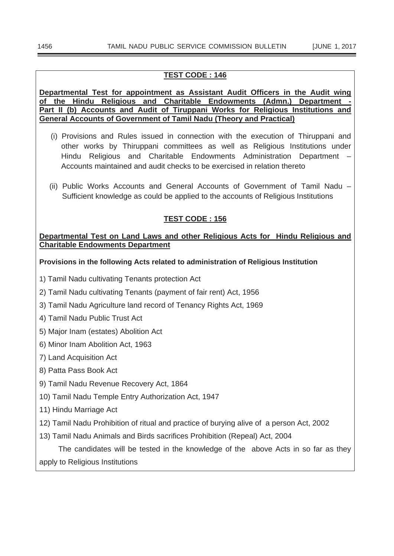**Departmental Test for appointment as Assistant Audit Officers in the Audit wing of the Hindu Religious and Charitable Endowments (Admn.) Department - Part II (b) Accounts and Audit of Tiruppani Works for Religious Institutions and General Accounts of Government of Tamil Nadu (Theory and Practical)**

- (i) Provisions and Rules issued in connection with the execution of Thiruppani and other works by Thiruppani committees as well as Religious Institutions under Hindu Religious and Charitable Endowments Administration Department – Accounts maintained and audit checks to be exercised in relation thereto
- (ii) Public Works Accounts and General Accounts of Government of Tamil Nadu Sufficient knowledge as could be applied to the accounts of Religious Institutions

### **TEST CODE : 156**

### **Departmental Test on Land Laws and other Religious Acts for Hindu Religious and Charitable Endowments Department**

#### **Provisions in the following Acts related to administration of Religious Institution**

- 1) Tamil Nadu cultivating Tenants protection Act
- 2) Tamil Nadu cultivating Tenants (payment of fair rent) Act, 1956
- 3) Tamil Nadu Agriculture land record of Tenancy Rights Act, 1969
- 4) Tamil Nadu Public Trust Act
- 5) Major Inam (estates) Abolition Act
- 6) Minor Inam Abolition Act, 1963
- 7) Land Acquisition Act
- 8) Patta Pass Book Act
- 9) Tamil Nadu Revenue Recovery Act, 1864
- 10) Tamil Nadu Temple Entry Authorization Act, 1947
- 11) Hindu Marriage Act
- 12) Tamil Nadu Prohibition of ritual and practice of burying alive of a person Act, 2002
- 13) Tamil Nadu Animals and Birds sacrifices Prohibition (Repeal) Act, 2004

 The candidates will be tested in the knowledge of the above Acts in so far as they apply to Religious Institutions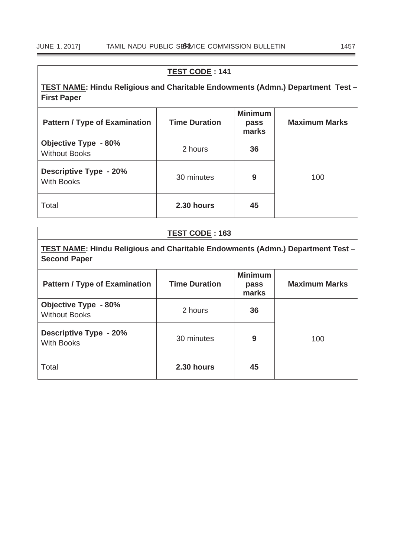**TEST NAME: Hindu Religious and Charitable Endowments (Admn.) Department Test – First Paper** 

| <b>Pattern / Type of Examination</b>                | <b>Time Duration</b> | <b>Minimum</b><br>pass<br>marks | <b>Maximum Marks</b> |
|-----------------------------------------------------|----------------------|---------------------------------|----------------------|
| <b>Objective Type - 80%</b><br><b>Without Books</b> | 2 hours              | 36                              |                      |
| <b>Descriptive Type - 20%</b><br><b>With Books</b>  | 30 minutes           | 9                               | 100                  |
| Total                                               | 2.30 hours           | 45                              |                      |

## **TEST CODE : 163**

**TEST NAME: Hindu Religious and Charitable Endowments (Admn.) Department Test – Second Paper** 

| <b>Pattern / Type of Examination</b>                | <b>Time Duration</b> | <b>Minimum</b><br>pass<br>marks | <b>Maximum Marks</b> |
|-----------------------------------------------------|----------------------|---------------------------------|----------------------|
| <b>Objective Type - 80%</b><br><b>Without Books</b> | 2 hours              | 36                              |                      |
| <b>Descriptive Type - 20%</b><br><b>With Books</b>  | 30 minutes           | 9                               | 100                  |
| Total                                               | 2.30 hours           | 45                              |                      |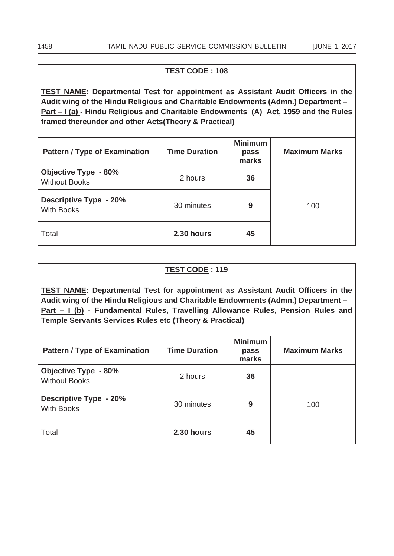**TEST NAME: Departmental Test for appointment as Assistant Audit Officers in the Audit wing of the Hindu Religious and Charitable Endowments (Admn.) Department – Part – I (a) - Hindu Religious and Charitable Endowments (A) Act, 1959 and the Rules framed thereunder and other Acts(Theory & Practical)** 

| <b>Pattern / Type of Examination</b>                | <b>Time Duration</b> | <b>Minimum</b><br>pass<br>marks | <b>Maximum Marks</b> |
|-----------------------------------------------------|----------------------|---------------------------------|----------------------|
| <b>Objective Type - 80%</b><br><b>Without Books</b> | 2 hours              | 36                              |                      |
| <b>Descriptive Type - 20%</b><br><b>With Books</b>  | 30 minutes           | 9                               | 100                  |
| Total                                               | 2.30 hours           | 45                              |                      |

#### **TEST CODE : 119**

**TEST NAME: Departmental Test for appointment as Assistant Audit Officers in the Audit wing of the Hindu Religious and Charitable Endowments (Admn.) Department – Part – I (b) - Fundamental Rules, Travelling Allowance Rules, Pension Rules and Temple Servants Services Rules etc (Theory & Practical)** 

| <b>Pattern / Type of Examination</b>                | <b>Time Duration</b> | <b>Minimum</b><br>pass<br>marks | <b>Maximum Marks</b> |
|-----------------------------------------------------|----------------------|---------------------------------|----------------------|
| <b>Objective Type - 80%</b><br><b>Without Books</b> | 2 hours              | 36                              |                      |
| <b>Descriptive Type - 20%</b><br><b>With Books</b>  | 30 minutes           | 9                               | 100                  |
| Total                                               | 2.30 hours           | 45                              |                      |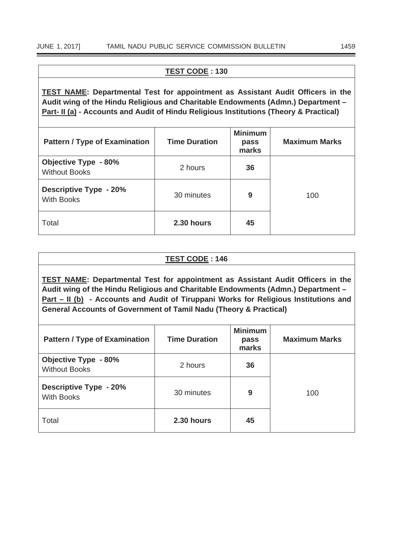**TEST NAME: Departmental Test for appointment as Assistant Audit Officers in the Audit wing of the Hindu Religious and Charitable Endowments (Admn.) Department – Part- II (a) - Accounts and Audit of Hindu Religious Institutions (Theory & Practical)** 

| <b>Pattern / Type of Examination</b>                | <b>Time Duration</b> | <b>Minimum</b><br>pass<br>marks | <b>Maximum Marks</b> |
|-----------------------------------------------------|----------------------|---------------------------------|----------------------|
| <b>Objective Type - 80%</b><br><b>Without Books</b> | 2 hours              | 36                              |                      |
| <b>Descriptive Type - 20%</b><br><b>With Books</b>  | 30 minutes           | 9                               | 100                  |
| Total                                               | 2.30 hours           | 45                              |                      |

#### **TEST CODE : 146**

**TEST NAME: Departmental Test for appointment as Assistant Audit Officers in the Audit wing of the Hindu Religious and Charitable Endowments (Admn.) Department – Part – II (b) - Accounts and Audit of Tiruppani Works for Religious Institutions and General Accounts of Government of Tamil Nadu (Theory & Practical)** 

| <b>Pattern / Type of Examination</b>                | <b>Time Duration</b> | <b>Minimum</b><br>pass<br>marks | <b>Maximum Marks</b> |
|-----------------------------------------------------|----------------------|---------------------------------|----------------------|
| <b>Objective Type - 80%</b><br><b>Without Books</b> | 2 hours              | 36                              |                      |
| <b>Descriptive Type - 20%</b><br><b>With Books</b>  | 30 minutes           | 9                               | 100                  |
| Total                                               | 2.30 hours           | 45                              |                      |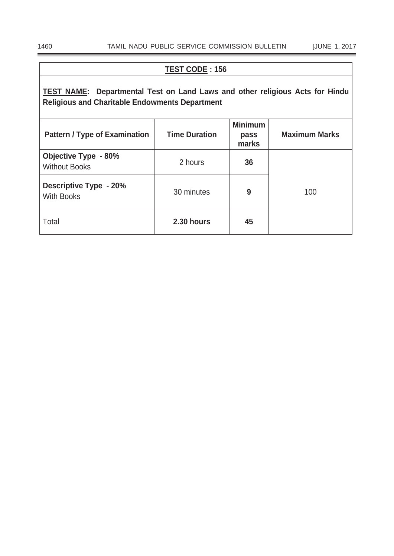**TEST NAME: Departmental Test on Land Laws and other religious Acts for Hindu Religious and Charitable Endowments Department** 

| <b>Pattern / Type of Examination</b>                | <b>Time Duration</b> | <b>Minimum</b><br>pass<br>marks | <b>Maximum Marks</b> |
|-----------------------------------------------------|----------------------|---------------------------------|----------------------|
| <b>Objective Type - 80%</b><br><b>Without Books</b> | 2 hours              | 36                              |                      |
| <b>Descriptive Type - 20%</b><br><b>With Books</b>  | 30 minutes           | 9                               | 100                  |
| Total                                               | 2.30 hours           | 45                              |                      |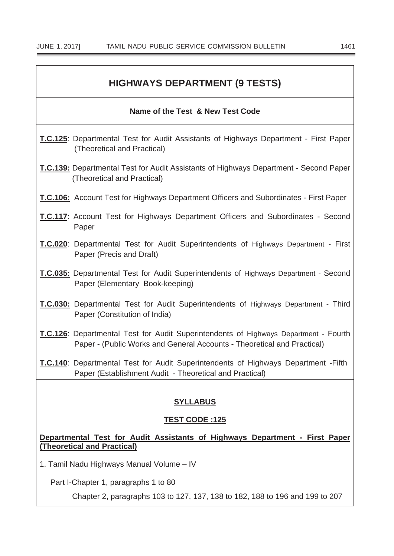# **HIGHWAYS DEPARTMENT (9 TESTS)**

#### **Name of the Test & New Test Code**

- **T.C.125**: Departmental Test for Audit Assistants of Highways Department First Paper (Theoretical and Practical)
- **T.C.139:** Departmental Test for Audit Assistants of Highways Department Second Paper (Theoretical and Practical)
- **T.C.106:** Account Test for Highways Department Officers and Subordinates First Paper
- **T.C.117**: Account Test for Highways Department Officers and Subordinates Second Paper
- **T.C.020**: Departmental Test for Audit Superintendents of Highways Department First Paper (Precis and Draft)
- **T.C.035:** Departmental Test for Audit Superintendents of Highways Department Second Paper (Elementary Book-keeping)
- **T.C.030:** Departmental Test for Audit Superintendents of Highways Department Third Paper (Constitution of India)
- **T.C.126**: Departmental Test for Audit Superintendents of Highways Department Fourth Paper - (Public Works and General Accounts - Theoretical and Practical)
- **T.C.140**: Departmental Test for Audit Superintendents of Highways Department -Fifth Paper (Establishment Audit - Theoretical and Practical)

#### **SYLLABUS**

#### **TEST CODE :125**

**Departmental Test for Audit Assistants of Highways Department - First Paper (Theoretical and Practical)**

1. Tamil Nadu Highways Manual Volume – IV

Part I-Chapter 1, paragraphs 1 to 80

Chapter 2, paragraphs 103 to 127, 137, 138 to 182, 188 to 196 and 199 to 207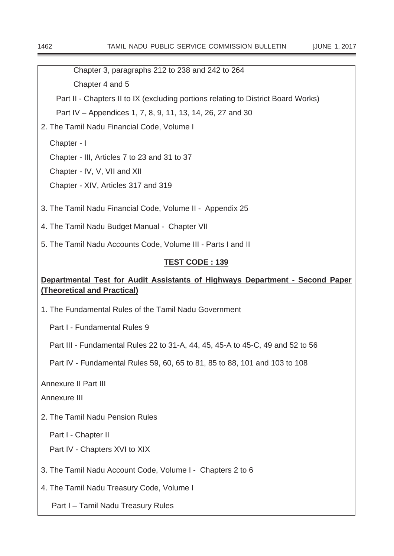Chapter 3, paragraphs 212 to 238 and 242 to 264

Chapter 4 and 5

Part II - Chapters II to IX (excluding portions relating to District Board Works)

Part IV – Appendices 1, 7, 8, 9, 11, 13, 14, 26, 27 and 30

2. The Tamil Nadu Financial Code, Volume I

Chapter - I

Chapter - III, Articles 7 to 23 and 31 to 37

Chapter - IV, V, VII and XII

Chapter - XIV, Articles 317 and 319

- 3. The Tamil Nadu Financial Code, Volume II Appendix 25
- 4. The Tamil Nadu Budget Manual Chapter VII

5. The Tamil Nadu Accounts Code, Volume III - Parts I and II

#### **TEST CODE : 139**

# **Departmental Test for Audit Assistants of Highways Department - Second Paper (Theoretical and Practical)**

1. The Fundamental Rules of the Tamil Nadu Government

Part I - Fundamental Rules 9

Part III - Fundamental Rules 22 to 31-A, 44, 45, 45-A to 45-C, 49 and 52 to 56

Part IV - Fundamental Rules 59, 60, 65 to 81, 85 to 88, 101 and 103 to 108

Annexure II Part III

Annexure III

2. The Tamil Nadu Pension Rules

Part I - Chapter II

Part IV - Chapters XVI to XIX

3. The Tamil Nadu Account Code, Volume I - Chapters 2 to 6

4. The Tamil Nadu Treasury Code, Volume I

Part I – Tamil Nadu Treasury Rules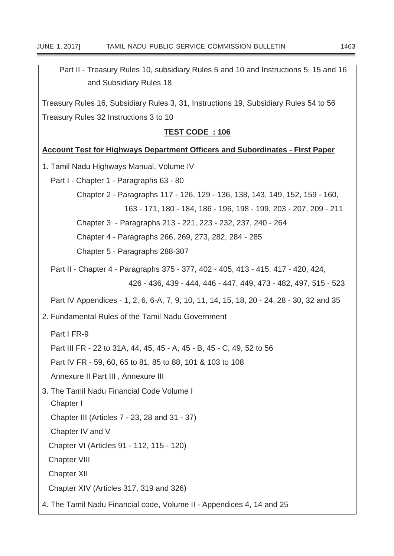Treasury Rules 16, Subsidiary Rules 3, 31, Instructions 19, Subsidiary Rules 54 to 56 Treasury Rules 32 Instructions 3 to 10

#### **TEST CODE : 106**

#### **Account Test for Highways Department Officers and Subordinates - First Paper**

1. Tamil Nadu Highways Manual, Volume IV

Part I - Chapter 1 - Paragraphs 63 - 80

 Chapter 2 - Paragraphs 117 - 126, 129 - 136, 138, 143, 149, 152, 159 - 160, 163 - 171, 180 - 184, 186 - 196, 198 - 199, 203 - 207, 209 - 211

Chapter 3 - Paragraphs 213 - 221, 223 - 232, 237, 240 - 264

Chapter 4 - Paragraphs 266, 269, 273, 282, 284 - 285

Chapter 5 - Paragraphs 288-307

 Part II - Chapter 4 - Paragraphs 375 - 377, 402 - 405, 413 - 415, 417 - 420, 424, 426 - 436, 439 - 444, 446 - 447, 449, 473 - 482, 497, 515 - 523

Part IV Appendices - 1, 2, 6, 6-A, 7, 9, 10, 11, 14, 15, 18, 20 - 24, 28 - 30, 32 and 35

#### 2. Fundamental Rules of the Tamil Nadu Government

Part I FR-9

Part III FR - 22 to 31A, 44, 45, 45 - A, 45 - B, 45 - C, 49, 52 to 56

Part IV FR - 59, 60, 65 to 81, 85 to 88, 101 & 103 to 108

Annexure II Part III , Annexure III

3. The Tamil Nadu Financial Code Volume I Chapter I

Chapter III (Articles 7 - 23, 28 and 31 - 37)

Chapter IV and V

Chapter VI (Articles 91 - 112, 115 - 120)

Chapter VIII

Chapter XII

Chapter XIV (Articles 317, 319 and 326)

4. The Tamil Nadu Financial code, Volume II - Appendices 4, 14 and 25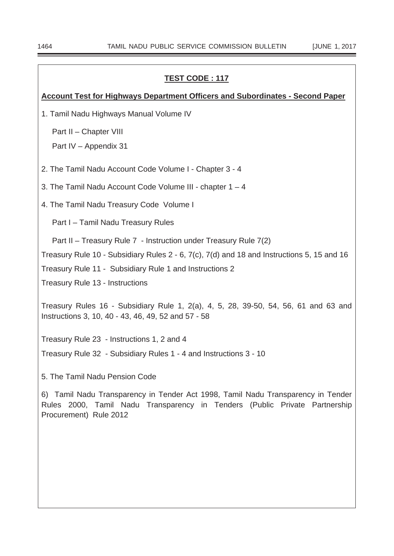# **Account Test for Highways Department Officers and Subordinates - Second Paper** 1. Tamil Nadu Highways Manual Volume IV Part II – Chapter VIII Part IV – Appendix 31 2. The Tamil Nadu Account Code Volume I - Chapter 3 - 4 3. The Tamil Nadu Account Code Volume III - chapter 1 – 4 4. The Tamil Nadu Treasury Code Volume I Part I – Tamil Nadu Treasury Rules Part II – Treasury Rule 7 - Instruction under Treasury Rule 7(2) Treasury Rule 10 - Subsidiary Rules 2 - 6, 7(c), 7(d) and 18 and Instructions 5, 15 and 16 Treasury Rule 11 - Subsidiary Rule 1 and Instructions 2 Treasury Rule 13 - Instructions Treasury Rules 16 - Subsidiary Rule 1, 2(a), 4, 5, 28, 39-50, 54, 56, 61 and 63 and Instructions 3, 10, 40 - 43, 46, 49, 52 and 57 - 58 Treasury Rule 23 - Instructions 1, 2 and 4 Treasury Rule 32 - Subsidiary Rules 1 - 4 and Instructions 3 - 10 5. The Tamil Nadu Pension Code 6) Tamil Nadu Transparency in Tender Act 1998, Tamil Nadu Transparency in Tender Rules 2000, Tamil Nadu Transparency in Tenders (Public Private Partnership Procurement) Rule 2012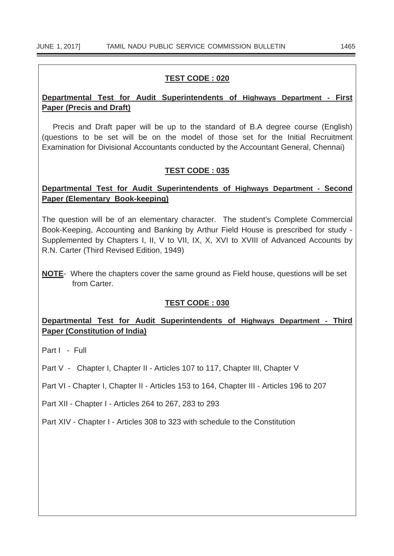# **Departmental Test for Audit Superintendents of Highways Department - First Paper (Precis and Draft)**

 Precis and Draft paper will be up to the standard of B.A degree course (English) (questions to be set will be on the model of those set for the Initial Recruitment Examination for Divisional Accountants conducted by the Accountant General, Chennai)

#### **TEST CODE : 035**

### **Departmental Test for Audit Superintendents of Highways Department - Second Paper (Elementary Book-keeping)**

The question will be of an elementary character. The student's Complete Commercial Book-Keeping, Accounting and Banking by Arthur Field House is prescribed for study - Supplemented by Chapters I, II, V to VII, IX, X, XVI to XVIII of Advanced Accounts by R.N. Carter (Third Revised Edition, 1949)

**NOTE**- Where the chapters cover the same ground as Field house, questions will be set from Carter.

#### **TEST CODE : 030**

**Departmental Test for Audit Superintendents of Highways Department - Third Paper (Constitution of India)**

Part I - Full

Part V - Chapter I, Chapter II - Articles 107 to 117, Chapter III, Chapter V

Part VI - Chapter I, Chapter II - Articles 153 to 164, Chapter III - Articles 196 to 207

Part XII - Chapter I - Articles 264 to 267, 283 to 293

Part XIV - Chapter I - Articles 308 to 323 with schedule to the Constitution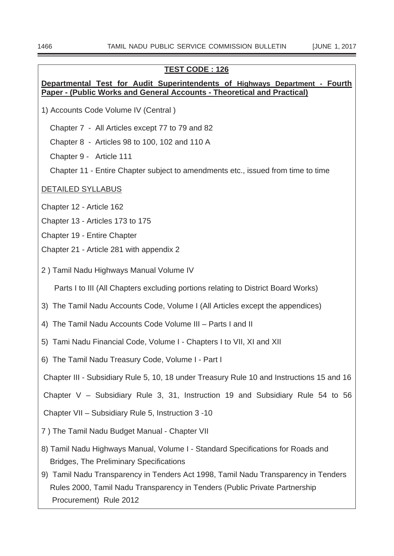# **Departmental Test for Audit Superintendents of Highways Department - Fourth Paper - (Public Works and General Accounts - Theoretical and Practical)** 1) Accounts Code Volume IV (Central ) Chapter 7 - All Articles except 77 to 79 and 82 Chapter 8 - Articles 98 to 100, 102 and 110 A Chapter 9 - Article 111 Chapter 11 - Entire Chapter subject to amendments etc., issued from time to time DETAILED SYLLABUS Chapter 12 - Article 162 Chapter 13 - Articles 173 to 175 Chapter 19 - Entire Chapter Chapter 21 - Article 281 with appendix 2 2 ) Tamil Nadu Highways Manual Volume IV Parts I to III (All Chapters excluding portions relating to District Board Works) 3) The Tamil Nadu Accounts Code, Volume I (All Articles except the appendices) 4) The Tamil Nadu Accounts Code Volume III – Parts I and II 5) Tami Nadu Financial Code, Volume I - Chapters I to VII, XI and XII 6) The Tamil Nadu Treasury Code, Volume I - Part I Chapter III - Subsidiary Rule 5, 10, 18 under Treasury Rule 10 and Instructions 15 and 16 Chapter V – Subsidiary Rule 3, 31, Instruction 19 and Subsidiary Rule 54 to 56 Chapter VII – Subsidiary Rule 5, Instruction 3 -10 7 ) The Tamil Nadu Budget Manual - Chapter VII 8) Tamil Nadu Highways Manual, Volume I - Standard Specifications for Roads and Bridges, The Preliminary Specifications 9) Tamil Nadu Transparency in Tenders Act 1998, Tamil Nadu Transparency in Tenders Rules 2000, Tamil Nadu Transparency in Tenders (Public Private Partnership Procurement) Rule 2012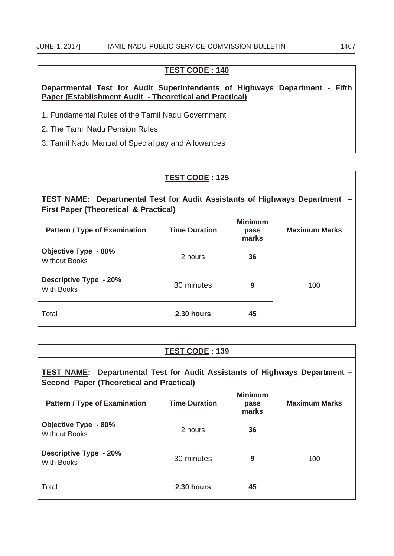**Departmental Test for Audit Superintendents of Highways Department - Fifth Paper (Establishment Audit - Theoretical and Practical)**

- 1. Fundamental Rules of the Tamil Nadu Government
- 2. The Tamil Nadu Pension Rules
- 3. Tamil Nadu Manual of Special pay and Allowances

#### **TEST CODE : 125**

**TEST NAME: Departmental Test for Audit Assistants of Highways Department – First Paper (Theoretical & Practical)** 

| <b>Pattern / Type of Examination</b>                | <b>Time Duration</b> | <b>Minimum</b><br>pass<br>marks | <b>Maximum Marks</b> |
|-----------------------------------------------------|----------------------|---------------------------------|----------------------|
| <b>Objective Type - 80%</b><br><b>Without Books</b> | 2 hours              | 36                              |                      |
| <b>Descriptive Type - 20%</b><br>With Books         | 30 minutes           | 9                               | 100                  |
| Total                                               | 2.30 hours           | 45                              |                      |

| <b>TEST CODE : 139</b> |  |
|------------------------|--|
|                        |  |

| TEST NAME: Departmental Test for Audit Assistants of Highways Department - |  |  |  |
|----------------------------------------------------------------------------|--|--|--|
| Second Paper (Theoretical and Practical)                                   |  |  |  |

| <b>Pattern / Type of Examination</b>                | <b>Time Duration</b> | <b>Minimum</b><br>pass<br>marks | <b>Maximum Marks</b> |
|-----------------------------------------------------|----------------------|---------------------------------|----------------------|
| <b>Objective Type - 80%</b><br><b>Without Books</b> | 2 hours              | 36                              |                      |
| <b>Descriptive Type - 20%</b><br><b>With Books</b>  | 30 minutes           | 9                               | 100                  |
| Total                                               | 2.30 hours           | 45                              |                      |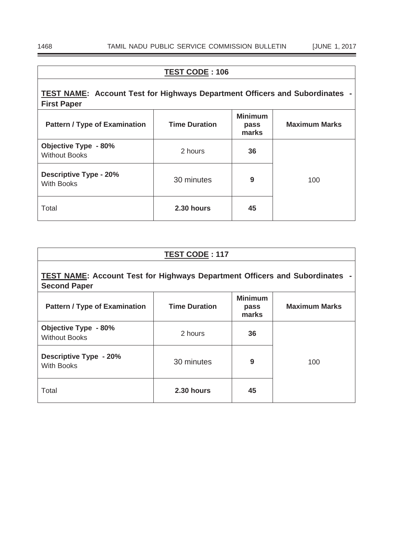# **TEST NAME: Account Test for Highways Department Officers and Subordinates - First Paper**

| <b>Pattern / Type of Examination</b>                | <b>Time Duration</b> | <b>Minimum</b><br>pass<br>marks | <b>Maximum Marks</b> |
|-----------------------------------------------------|----------------------|---------------------------------|----------------------|
| <b>Objective Type - 80%</b><br><b>Without Books</b> | 2 hours              | 36                              |                      |
| <b>Descriptive Type - 20%</b><br><b>With Books</b>  | 30 minutes           | 9                               | 100                  |
| Total                                               | 2.30 hours           | 45                              |                      |

| <b>TEST CODE: 117</b>                                                                                                   |            |    |     |  |  |  |
|-------------------------------------------------------------------------------------------------------------------------|------------|----|-----|--|--|--|
| <b>TEST NAME: Account Test for Highways Department Officers and Subordinates -</b><br><b>Second Paper</b>               |            |    |     |  |  |  |
| <b>Minimum</b><br><b>Time Duration</b><br><b>Maximum Marks</b><br><b>Pattern / Type of Examination</b><br>pass<br>marks |            |    |     |  |  |  |
| <b>Objective Type - 80%</b><br><b>Without Books</b>                                                                     | 2 hours    | 36 |     |  |  |  |
| <b>Descriptive Type - 20%</b><br><b>With Books</b>                                                                      | 30 minutes | 9  | 100 |  |  |  |
| Total                                                                                                                   | 2.30 hours | 45 |     |  |  |  |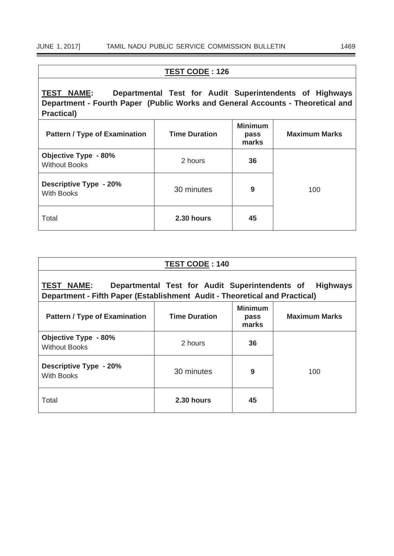**TEST NAME: Departmental Test for Audit Superintendents of Highways Department - Fourth Paper (Public Works and General Accounts - Theoretical and Practical)**

| <b>Pattern / Type of Examination</b>                | <b>Time Duration</b> | <b>Minimum</b><br>pass<br>marks | <b>Maximum Marks</b> |
|-----------------------------------------------------|----------------------|---------------------------------|----------------------|
| <b>Objective Type - 80%</b><br><b>Without Books</b> | 2 hours              | 36                              |                      |
| <b>Descriptive Type - 20%</b><br><b>With Books</b>  | 30 minutes           | 9                               | 100                  |
| Total                                               | 2.30 hours           | 45                              |                      |

| <b>TEST CODE: 140</b>                                                                                                                                                |            |    |     |  |  |  |
|----------------------------------------------------------------------------------------------------------------------------------------------------------------------|------------|----|-----|--|--|--|
| Departmental Test for Audit Superintendents of<br><b>TEST NAME:</b><br><b>Highways</b><br>Department - Fifth Paper (Establishment Audit - Theoretical and Practical) |            |    |     |  |  |  |
| <b>Minimum</b><br><b>Time Duration</b><br><b>Maximum Marks</b><br><b>Pattern / Type of Examination</b><br>pass<br>marks                                              |            |    |     |  |  |  |
| <b>Objective Type - 80%</b><br><b>Without Books</b>                                                                                                                  | 2 hours    | 36 |     |  |  |  |
| <b>Descriptive Type - 20%</b><br><b>With Books</b>                                                                                                                   | 30 minutes | 9  | 100 |  |  |  |
| Total                                                                                                                                                                | 2.30 hours | 45 |     |  |  |  |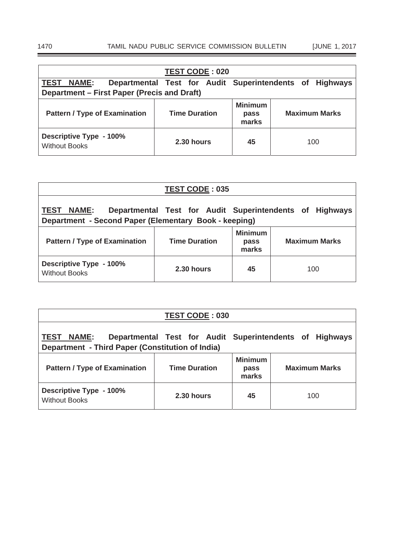j.

| <b>TEST CODE: 020</b>                                                           |  |                      |  |                                 |  |                      |
|---------------------------------------------------------------------------------|--|----------------------|--|---------------------------------|--|----------------------|
| <b>NAME:</b><br>Departmental Test for Audit Superintendents of Highways<br>TEST |  |                      |  |                                 |  |                      |
| Department - First Paper (Precis and Draft)                                     |  |                      |  |                                 |  |                      |
| <b>Pattern / Type of Examination</b>                                            |  | <b>Time Duration</b> |  | <b>Minimum</b><br>pass<br>marks |  | <b>Maximum Marks</b> |
| <b>Descriptive Type - 100%</b><br><b>Without Books</b>                          |  | 2.30 hours           |  | 45                              |  | 100                  |

| <b>TEST CODE: 035</b>                                                                                                                 |                      |                                 |                      |  |  |
|---------------------------------------------------------------------------------------------------------------------------------------|----------------------|---------------------------------|----------------------|--|--|
| <b>TEST NAME:</b><br>Departmental Test for Audit Superintendents of Highways<br>Department - Second Paper (Elementary Book - keeping) |                      |                                 |                      |  |  |
| <b>Pattern / Type of Examination</b>                                                                                                  | <b>Time Duration</b> | <b>Minimum</b><br>pass<br>marks | <b>Maximum Marks</b> |  |  |
| Descriptive Type - 100%<br><b>Without Books</b>                                                                                       | 2.30 hours           | 45                              | 100                  |  |  |

| <b>TEST CODE: 030</b>                                                                                                                             |                      |                                 |                      |  |  |
|---------------------------------------------------------------------------------------------------------------------------------------------------|----------------------|---------------------------------|----------------------|--|--|
| <b>TEST</b><br>Departmental Test for Audit Superintendents of Highways<br><b>NAME:</b><br><b>Department - Third Paper (Constitution of India)</b> |                      |                                 |                      |  |  |
| <b>Pattern / Type of Examination</b>                                                                                                              | <b>Time Duration</b> | <b>Minimum</b><br>pass<br>marks | <b>Maximum Marks</b> |  |  |
| Descriptive Type - 100%<br><b>Without Books</b>                                                                                                   | 2.30 hours           | 45                              | 100                  |  |  |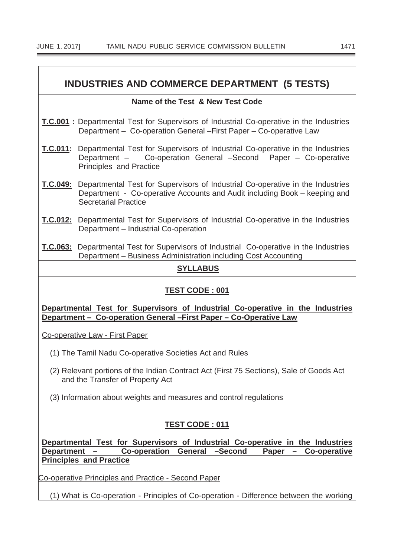# **INDUSTRIES AND COMMERCE DEPARTMENT (5 TESTS)**

#### **Name of the Test & New Test Code**

**T.C.001 :** Departmental Test for Supervisors of Industrial Co-operative in the Industries Department – Co-operation General –First Paper – Co-operative Law

- **T.C.011:** Departmental Test for Supervisors of Industrial Co-operative in the Industries Department – Co-operation General –Second Paper – Co-operative Principles and Practice
- **T.C.049:** Departmental Test for Supervisors of Industrial Co-operative in the Industries Department - Co-operative Accounts and Audit including Book – keeping and Secretarial Practice
- **T.C.012:** Departmental Test for Supervisors of Industrial Co-operative in the Industries Department – Industrial Co-operation
- **T.C.063:** Departmental Test for Supervisors of Industrial Co-operative in the Industries Department – Business Administration including Cost Accounting

#### **SYLLABUS**

#### **TEST CODE : 001**

**Departmental Test for Supervisors of Industrial Co-operative in the Industries Department – Co-operation General –First Paper – Co-Operative Law**

Co-operative Law - First Paper

- (1) The Tamil Nadu Co-operative Societies Act and Rules
- (2) Relevant portions of the Indian Contract Act (First 75 Sections), Sale of Goods Act and the Transfer of Property Act
- (3) Information about weights and measures and control regulations

#### **TEST CODE : 011**

**Departmental Test for Supervisors of Industrial Co-operative in the Industries Department – Co-operation General –Second Paper – Co-operative Principles and Practice**

Co-operative Principles and Practice - Second Paper

(1) What is Co-operation - Principles of Co-operation - Difference between the working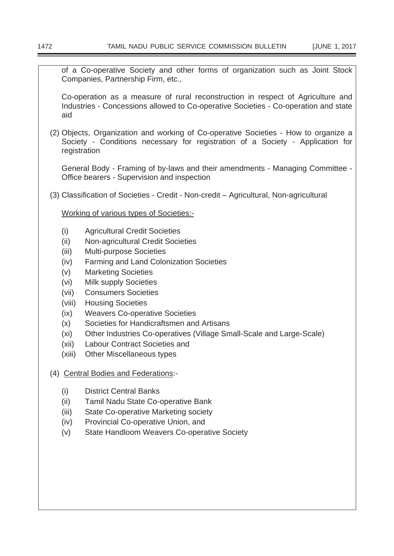of a Co-operative Society and other forms of organization such as Joint Stock Companies, Partnership Firm, etc.,

Co-operation as a measure of rural reconstruction in respect of Agriculture and Industries - Concessions allowed to Co-operative Societies - Co-operation and state aid

(2) Objects, Organization and working of Co-operative Societies - How to organize a Society - Conditions necessary for registration of a Society - Application for registration

General Body - Framing of by-laws and their amendments - Managing Committee - Office bearers - Supervision and inspection

(3) Classification of Societies - Credit - Non-credit – Agricultural, Non-agricultural

Working of various types of Societies:-

- (i) Agricultural Credit Societies
- (ii) Non-agricultural Credit Societies
- (iii) Multi-purpose Societies
- (iv) Farming and Land Colonization Societies
- (v) Marketing Societies
- (vi) Milk supply Societies
- (vii) Consumers Societies
- (viii) Housing Societies
- (ix) Weavers Co-operative Societies
- (x) Societies for Handicraftsmen and Artisans
- (xi) Other Industries Co-operatives (Village Small-Scale and Large-Scale)
- (xii) Labour Contract Societies and
- (xiii) Other Miscellaneous types

#### (4) Central Bodies and Federations:-

- (i) District Central Banks
- (ii) Tamil Nadu State Co-operative Bank
- (iii) State Co-operative Marketing society
- (iv) Provincial Co-operative Union, and
- (v) State Handloom Weavers Co-operative Society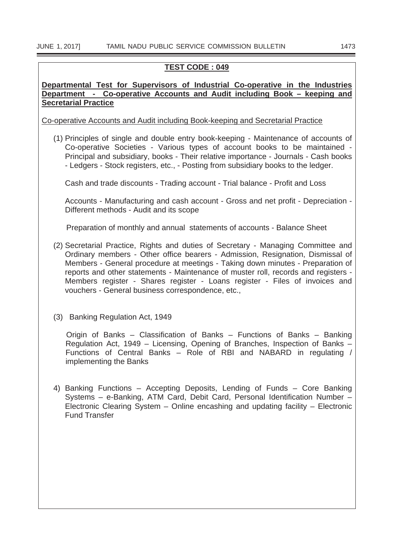#### **Departmental Test for Supervisors of Industrial Co-operative in the Industries Department - Co-operative Accounts and Audit including Book – keeping and Secretarial Practice**

Co-operative Accounts and Audit including Book-keeping and Secretarial Practice

(1) Principles of single and double entry book-keeping - Maintenance of accounts of Co-operative Societies - Various types of account books to be maintained Principal and subsidiary, books - Their relative importance - Journals - Cash books - Ledgers - Stock registers, etc., - Posting from subsidiary books to the ledger.

Cash and trade discounts - Trading account - Trial balance - Profit and Loss

Accounts - Manufacturing and cash account - Gross and net profit - Depreciation - Different methods - Audit and its scope

Preparation of monthly and annual statements of accounts - Balance Sheet

- (2) Secretarial Practice, Rights and duties of Secretary Managing Committee and Ordinary members - Other office bearers - Admission, Resignation, Dismissal of Members - General procedure at meetings - Taking down minutes - Preparation of reports and other statements - Maintenance of muster roll, records and registers - Members register - Shares register - Loans register - Files of invoices and vouchers - General business correspondence, etc.,
- (3) Banking Regulation Act, 1949

 Origin of Banks – Classification of Banks – Functions of Banks – Banking Regulation Act, 1949 – Licensing, Opening of Branches, Inspection of Banks – Functions of Central Banks – Role of RBI and NABARD in regulating / implementing the Banks

4) Banking Functions – Accepting Deposits, Lending of Funds – Core Banking Systems – e-Banking, ATM Card, Debit Card, Personal Identification Number – Electronic Clearing System – Online encashing and updating facility – Electronic Fund Transfer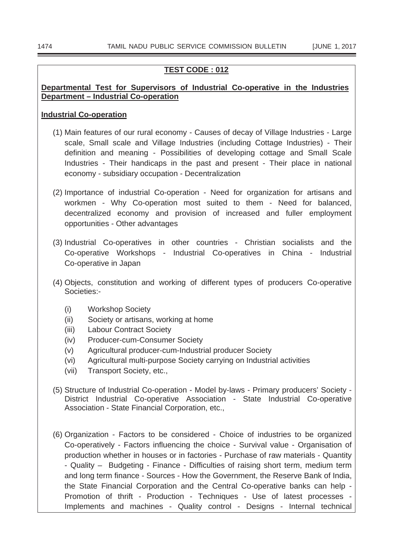#### **Departmental Test for Supervisors of Industrial Co-operative in the Industries Department – Industrial Co-operation**

#### **Industrial Co-operation**

- (1) Main features of our rural economy Causes of decay of Village Industries Large scale, Small scale and Village Industries (including Cottage Industries) - Their definition and meaning - Possibilities of developing cottage and Small Scale Industries - Their handicaps in the past and present - Their place in national economy - subsidiary occupation - Decentralization
- (2) Importance of industrial Co-operation Need for organization for artisans and workmen - Why Co-operation most suited to them - Need for balanced, decentralized economy and provision of increased and fuller employment opportunities - Other advantages
- (3) Industrial Co-operatives in other countries Christian socialists and the Co-operative Workshops - Industrial Co-operatives in China - Industrial Co-operative in Japan
- (4) Objects, constitution and working of different types of producers Co-operative Societies:-
	- (i) Workshop Society
	- (ii) Society or artisans, working at home
	- (iii) Labour Contract Society
	- (iv) Producer-cum-Consumer Society
	- (v) Agricultural producer-cum-Industrial producer Society
	- (vi) Agricultural multi-purpose Society carrying on Industrial activities
	- (vii) Transport Society, etc.,
- (5) Structure of Industrial Co-operation Model by-laws Primary producers' Society District Industrial Co-operative Association - State Industrial Co-operative Association - State Financial Corporation, etc.,
- (6) Organization Factors to be considered Choice of industries to be organized Co-operatively - Factors influencing the choice - Survival value - Organisation of production whether in houses or in factories - Purchase of raw materials - Quantity - Quality – Budgeting - Finance - Difficulties of raising short term, medium term and long term finance - Sources - How the Government, the Reserve Bank of India, the State Financial Corporation and the Central Co-operative banks can help - Promotion of thrift - Production - Techniques - Use of latest processes - Implements and machines - Quality control - Designs - Internal technical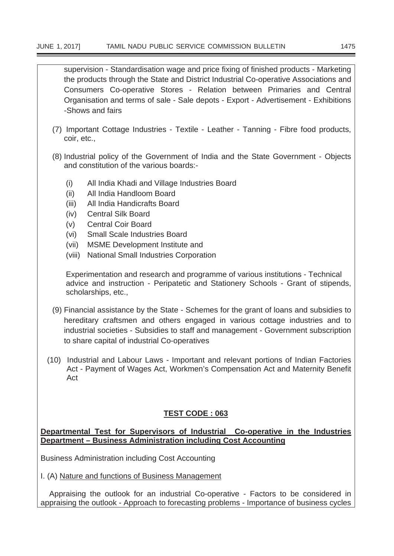#### JUNE 1, 2017] TAMIL NADU PUBLIC SERVICE COMMISSION BULLETIN 1475

supervision - Standardisation wage and price fixing of finished products - Marketing the products through the State and District Industrial Co-operative Associations and Consumers Co-operative Stores - Relation between Primaries and Central Organisation and terms of sale - Sale depots - Export - Advertisement - Exhibitions -Shows and fairs

- (7) Important Cottage Industries Textile Leather Tanning Fibre food products, coir, etc.,
- (8) Industrial policy of the Government of India and the State Government Objects and constitution of the various boards:-
	- (i) All India Khadi and Village Industries Board
	- (ii) All India Handloom Board
	- (iii) All India Handicrafts Board
	- (iv) Central Silk Board
	- (v) Central Coir Board
	- (vi) Small Scale Industries Board
	- (vii) MSME Development Institute and
	- (viii) National Small Industries Corporation

Experimentation and research and programme of various institutions - Technical advice and instruction - Peripatetic and Stationery Schools - Grant of stipends, scholarships, etc.,

- (9) Financial assistance by the State Schemes for the grant of loans and subsidies to hereditary craftsmen and others engaged in various cottage industries and to industrial societies - Subsidies to staff and management - Government subscription to share capital of industrial Co-operatives
- (10) Industrial and Labour Laws Important and relevant portions of Indian Factories Act - Payment of Wages Act, Workmen's Compensation Act and Maternity Benefit Act

# **TEST CODE : 063**

**Departmental Test for Supervisors of Industrial Co-operative in the Industries Department – Business Administration including Cost Accounting**

Business Administration including Cost Accounting

I. (A) Nature and functions of Business Management

 Appraising the outlook for an industrial Co-operative - Factors to be considered in appraising the outlook - Approach to forecasting problems - Importance of business cycles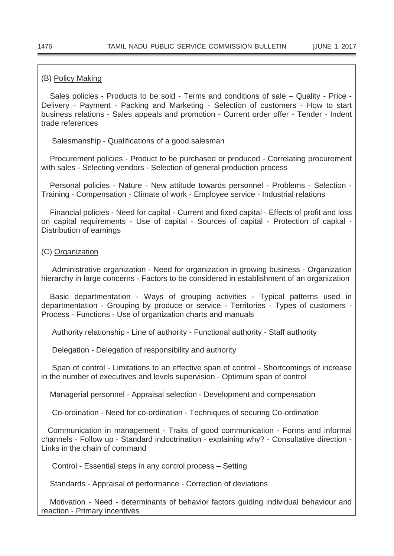#### (B) Policy Making

 Sales policies - Products to be sold - Terms and conditions of sale – Quality - Price - Delivery - Payment - Packing and Marketing - Selection of customers - How to start business relations - Sales appeals and promotion - Current order offer - Tender - Indent trade references

Salesmanship - Qualifications of a good salesman

 Procurement policies - Product to be purchased or produced - Correlating procurement with sales - Selecting vendors - Selection of general production process

 Personal policies - Nature - New attitude towards personnel - Problems - Selection - Training - Compensation - Climate of work - Employee service - Industrial relations

 Financial policies - Need for capital - Current and fixed capital - Effects of profit and loss on capital requirements - Use of capital - Sources of capital - Protection of capital - Distribution of earnings

#### (C) Organization

 Administrative organization - Need for organization in growing business - Organization hierarchy in large concerns - Factors to be considered in establishment of an organization

 Basic departmentation - Ways of grouping activities - Typical patterns used in departmentation - Grouping by produce or service - Territories - Types of customers - Process - Functions - Use of organization charts and manuals

Authority relationship - Line of authority - Functional authority - Staff authority

Delegation - Delegation of responsibility and authority

 Span of control - Limitations to an effective span of control - Shortcomings of increase in the number of executives and levels supervision - Optimum span of control

Managerial personnel - Appraisal selection - Development and compensation

Co-ordination - Need for co-ordination - Techniques of securing Co-ordination

 Communication in management - Traits of good communication - Forms and informal channels - Follow up - Standard indoctrination - explaining why? - Consultative direction - Links in the chain of command

Control - Essential steps in any control process – Setting

Standards - Appraisal of performance - Correction of deviations

 Motivation - Need - determinants of behavior factors guiding individual behaviour and reaction - Primary incentives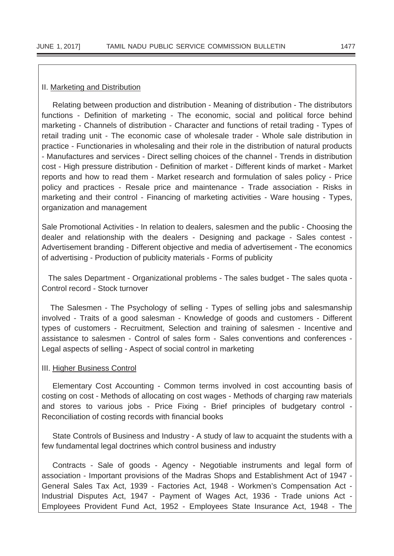#### II. Marketing and Distribution

 Relating between production and distribution - Meaning of distribution - The distributors functions - Definition of marketing - The economic, social and political force behind marketing - Channels of distribution - Character and functions of retail trading - Types of retail trading unit - The economic case of wholesale trader - Whole sale distribution in practice - Functionaries in wholesaling and their role in the distribution of natural products - Manufactures and services - Direct selling choices of the channel - Trends in distribution cost - High pressure distribution - Definition of market - Different kinds of market - Market reports and how to read them - Market research and formulation of sales policy - Price policy and practices - Resale price and maintenance - Trade association - Risks in marketing and their control - Financing of marketing activities - Ware housing - Types, organization and management

Sale Promotional Activities - In relation to dealers, salesmen and the public - Choosing the dealer and relationship with the dealers - Designing and package - Sales contest - Advertisement branding - Different objective and media of advertisement - The economics of advertising - Production of publicity materials - Forms of publicity

 The sales Department - Organizational problems - The sales budget - The sales quota - Control record - Stock turnover

 The Salesmen - The Psychology of selling - Types of selling jobs and salesmanship involved - Traits of a good salesman - Knowledge of goods and customers - Different types of customers - Recruitment, Selection and training of salesmen - Incentive and assistance to salesmen - Control of sales form - Sales conventions and conferences - Legal aspects of selling - Aspect of social control in marketing

#### III. Higher Business Control

 Elementary Cost Accounting - Common terms involved in cost accounting basis of costing on cost - Methods of allocating on cost wages - Methods of charging raw materials and stores to various jobs - Price Fixing - Brief principles of budgetary control - Reconciliation of costing records with financial books

 State Controls of Business and Industry - A study of law to acquaint the students with a few fundamental legal doctrines which control business and industry

 Contracts - Sale of goods - Agency - Negotiable instruments and legal form of association - Important provisions of the Madras Shops and Establishment Act of 1947 - General Sales Tax Act, 1939 - Factories Act, 1948 - Workmen's Compensation Act - Industrial Disputes Act, 1947 - Payment of Wages Act, 1936 - Trade unions Act - Employees Provident Fund Act, 1952 - Employees State Insurance Act, 1948 - The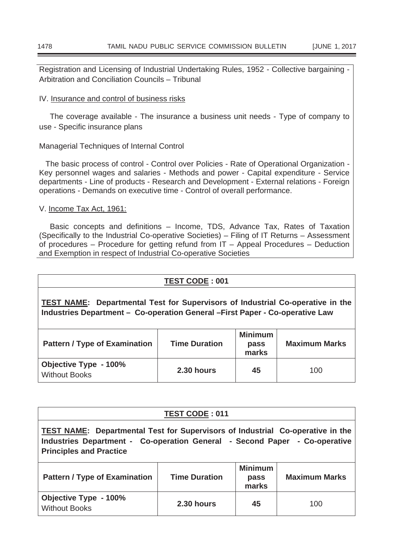Registration and Licensing of Industrial Undertaking Rules, 1952 - Collective bargaining - Arbitration and Conciliation Councils – Tribunal

#### IV. Insurance and control of business risks

 The coverage available - The insurance a business unit needs - Type of company to use - Specific insurance plans

Managerial Techniques of Internal Control

 The basic process of control - Control over Policies - Rate of Operational Organization - Key personnel wages and salaries - Methods and power - Capital expenditure - Service departments - Line of products - Research and Development - External relations - Foreign operations - Demands on executive time - Control of overall performance.

#### V. Income Tax Act, 1961:

 Basic concepts and definitions – Income, TDS, Advance Tax, Rates of Taxation (Specifically to the Industrial Co-operative Societies) – Filing of IT Returns – Assessment of procedures – Procedure for getting refund from IT – Appeal Procedures – Deduction and Exemption in respect of Industrial Co-operative Societies

#### **TEST CODE : 001**

**TEST NAME: Departmental Test for Supervisors of Industrial Co-operative in the Industries Department – Co-operation General –First Paper - Co-operative Law** 

| <b>Pattern / Type of Examination</b>          | <b>Time Duration</b> | <b>Minimum</b><br>pass<br>marks | <b>Maximum Marks</b> |
|-----------------------------------------------|----------------------|---------------------------------|----------------------|
| Objective Type - 100%<br><b>Without Books</b> | 2.30 hours           | 45                              | 100                  |

|                                                                                                                                                                                                       | <b>TEST CODE: 011</b> |                                 |                      |  |  |
|-------------------------------------------------------------------------------------------------------------------------------------------------------------------------------------------------------|-----------------------|---------------------------------|----------------------|--|--|
| <b>TEST NAME: Departmental Test for Supervisors of Industrial Co-operative in the</b><br>Industries Department - Co-operation General - Second Paper - Co-operative<br><b>Principles and Practice</b> |                       |                                 |                      |  |  |
| <b>Pattern / Type of Examination</b>                                                                                                                                                                  | <b>Time Duration</b>  | <b>Minimum</b><br>pass<br>marks | <b>Maximum Marks</b> |  |  |
| Objective Type - 100%<br><b>Without Books</b>                                                                                                                                                         | 2.30 hours            | 45                              | 100                  |  |  |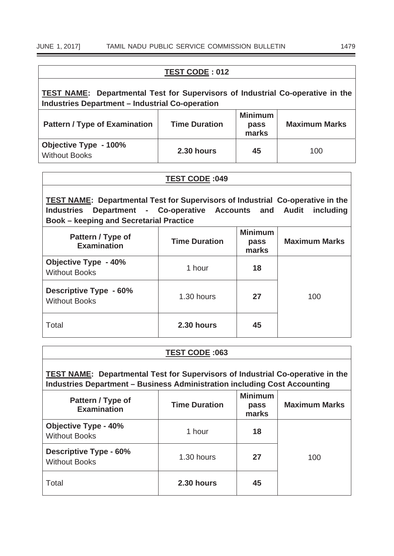**TEST NAME: Departmental Test for Supervisors of Industrial Co-operative in the Industries Department – Industrial Co-operation** 

| <b>Pattern / Type of Examination</b>          | <b>Time Duration</b> | <b>Minimum</b><br>pass<br>marks | <b>Maximum Marks</b> |
|-----------------------------------------------|----------------------|---------------------------------|----------------------|
| Objective Type - 100%<br><b>Without Books</b> | 2.30 hours           | 45                              | 100                  |

#### **TEST CODE :049**

**TEST NAME: Departmental Test for Supervisors of Industrial Co-operative in the Industries Department - Co-operative Accounts and Audit including Book – keeping and Secretarial Practice** 

| Pattern / Type of<br><b>Examination</b>               | <b>Time Duration</b> | <b>Minimum</b><br>pass<br>marks | <b>Maximum Marks</b> |
|-------------------------------------------------------|----------------------|---------------------------------|----------------------|
| <b>Objective Type - 40%</b><br><b>Without Books</b>   | 1 hour               | 18                              |                      |
| <b>Descriptive Type - 60%</b><br><b>Without Books</b> | 1.30 hours           | 27                              | 100                  |
| Total                                                 | 2.30 hours           | 45                              |                      |

#### **TEST CODE :063**

**TEST NAME: Departmental Test for Supervisors of Industrial Co-operative in the Industries Department – Business Administration including Cost Accounting** 

| Pattern / Type of<br><b>Examination</b>               | <b>Time Duration</b> | <b>Minimum</b><br>pass<br>marks | <b>Maximum Marks</b> |
|-------------------------------------------------------|----------------------|---------------------------------|----------------------|
| <b>Objective Type - 40%</b><br><b>Without Books</b>   | 1 hour               | 18                              |                      |
| <b>Descriptive Type - 60%</b><br><b>Without Books</b> | 1.30 hours           | 27                              | 100                  |
| Total                                                 | 2.30 hours           | 45                              |                      |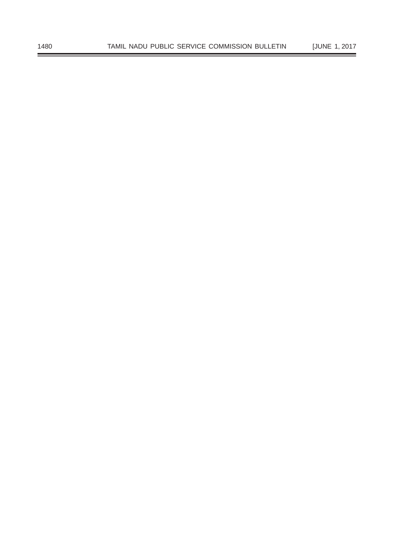j.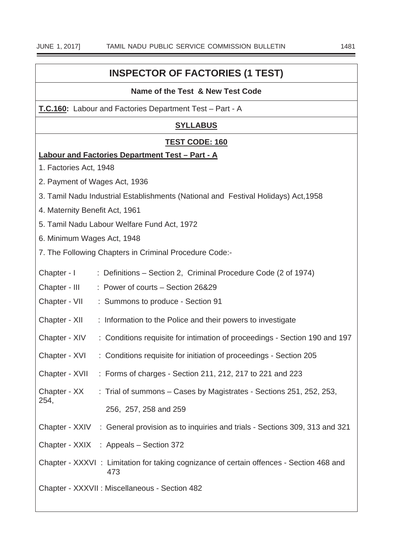# **INSPECTOR OF FACTORIES (1 TEST)**

#### **Name of the Test & New Test Code**

**T.C.160:** Labour and Factories Department Test – Part - A

#### **SYLLABUS**

#### **TEST CODE: 160**

#### **Labour and Factories Department Test – Part - A**

- 1. Factories Act, 1948
- 2. Payment of Wages Act, 1936
- 3. Tamil Nadu Industrial Establishments (National and Festival Holidays) Act,1958
- 4. Maternity Benefit Act, 1961
- 5. Tamil Nadu Labour Welfare Fund Act, 1972
- 6. Minimum Wages Act, 1948
- 7. The Following Chapters in Criminal Procedure Code:-

| Chapter - I |  | Definitions – Section 2, Criminal Procedure Code (2 of 1974) |  |  |  |
|-------------|--|--------------------------------------------------------------|--|--|--|
|-------------|--|--------------------------------------------------------------|--|--|--|

- Chapter III : Power of courts Section 26&29
- Chapter VII : Summons to produce Section 91
- Chapter XII : Information to the Police and their powers to investigate
- Chapter XIV : Conditions requisite for intimation of proceedings Section 190 and 197
- Chapter XVI : Conditions requisite for initiation of proceedings Section 205
- Chapter XVII : Forms of charges Section 211, 212, 217 to 221 and 223
- Chapter XX : Trial of summons Cases by Magistrates Sections 251, 252, 253, 254, 256, 257, 258 and 259
- Chapter XXIV : General provision as to inquiries and trials Sections 309, 313 and 321
- Chapter XXIX : Appeals Section 372
- Chapter XXXVI : Limitation for taking cognizance of certain offences Section 468 and 473
- Chapter XXXVII : Miscellaneous Section 482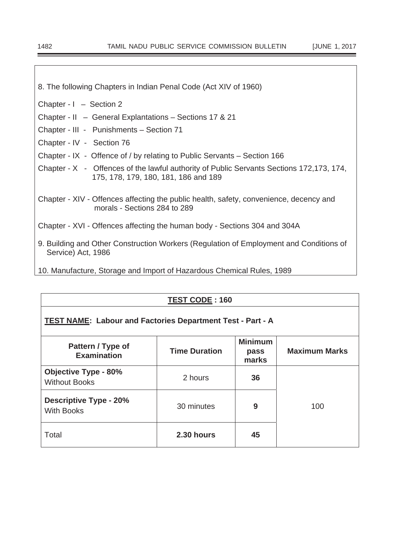8. The following Chapters in Indian Penal Code (Act XIV of 1960)

- Chapter  $I -$  Section 2
- Chapter II General Explantations Sections 17 & 21
- Chapter III Punishments Section 71
- Chapter IV Section 76
- Chapter IX Offence of / by relating to Public Servants Section 166
- Chapter X Offences of the lawful authority of Public Servants Sections 172,173, 174, 175, 178, 179, 180, 181, 186 and 189
- Chapter XIV Offences affecting the public health, safety, convenience, decency and morals - Sections 284 to 289
- Chapter XVI Offences affecting the human body Sections 304 and 304A
- 9. Building and Other Construction Workers (Regulation of Employment and Conditions of Service) Act, 1986

10. Manufacture, Storage and Import of Hazardous Chemical Rules, 1989

# **TEST CODE : 160**

#### **TEST NAME: Labour and Factories Department Test - Part - A**

| Pattern / Type of<br><b>Examination</b>             | <b>Time Duration</b> | <b>Minimum</b><br>pass<br>marks | <b>Maximum Marks</b> |
|-----------------------------------------------------|----------------------|---------------------------------|----------------------|
| <b>Objective Type - 80%</b><br><b>Without Books</b> | 2 hours              | 36                              |                      |
| <b>Descriptive Type - 20%</b><br><b>With Books</b>  | 30 minutes           | 9                               | 100                  |
| Total                                               | 2.30 hours           | 45                              |                      |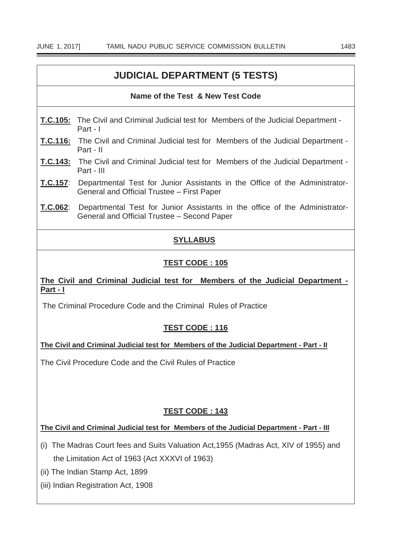# **JUDICIAL DEPARTMENT (5 TESTS)**

#### **Name of the Test & New Test Code**

- **T.C.105:** The Civil and Criminal Judicial test for Members of the Judicial Department Part - I
- **T.C.116:** The Civil and Criminal Judicial test for Members of the Judicial Department Part - II
- **T.C.143:** The Civil and Criminal Judicial test for Members of the Judicial Department Part - III
- **T.C.157**: Departmental Test for Junior Assistants in the Office of the Administrator- General and Official Trustee – First Paper
- **T.C.062**: Departmental Test for Junior Assistants in the office of the Administrator- General and Official Trustee – Second Paper

# **SYLLABUS**

#### **TEST CODE : 105**

#### **The Civil and Criminal Judicial test for Members of the Judicial Department - Part - I**

The Criminal Procedure Code and the Criminal Rules of Practice

#### **TEST CODE : 116**

#### **The Civil and Criminal Judicial test for Members of the Judicial Department - Part - II**

The Civil Procedure Code and the Civil Rules of Practice

#### **TEST CODE : 143**

#### **The Civil and Criminal Judicial test for Members of the Judicial Department - Part - III**

- (i) The Madras Court fees and Suits Valuation Act,1955 (Madras Act, XIV of 1955) and the Limitation Act of 1963 (Act XXXVI of 1963)
- (ii) The Indian Stamp Act, 1899
- (iii) Indian Registration Act, 1908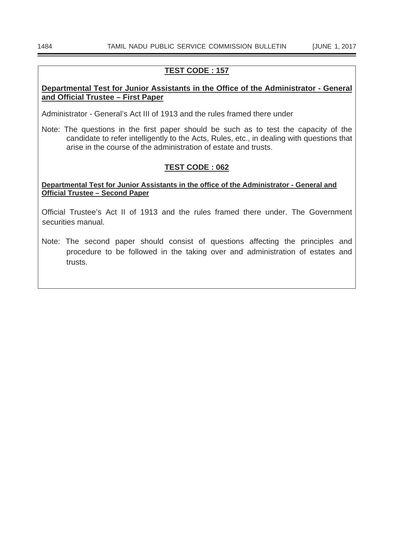#### **Departmental Test for Junior Assistants in the Office of the Administrator - General and Official Trustee – First Paper**

Administrator - General's Act III of 1913 and the rules framed there under

Note: The questions in the first paper should be such as to test the capacity of the candidate to refer intelligently to the Acts, Rules, etc., in dealing with questions that arise in the course of the administration of estate and trusts.

#### **TEST CODE : 062**

**Departmental Test for Junior Assistants in the office of the Administrator - General and Official Trustee – Second Paper**

Official Trustee's Act II of 1913 and the rules framed there under. The Government securities manual.

Note: The second paper should consist of questions affecting the principles and procedure to be followed in the taking over and administration of estates and trusts.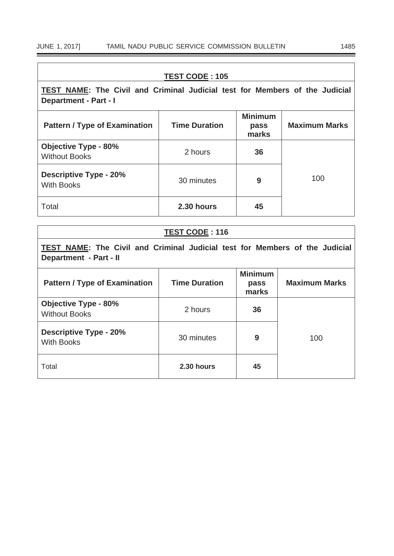**TEST NAME: The Civil and Criminal Judicial test for Members of the Judicial Department - Part - I** 

| <b>Pattern / Type of Examination</b>                | <b>Time Duration</b> | <b>Minimum</b><br>pass<br>marks | <b>Maximum Marks</b> |
|-----------------------------------------------------|----------------------|---------------------------------|----------------------|
| <b>Objective Type - 80%</b><br><b>Without Books</b> | 2 hours              | 36                              |                      |
| <b>Descriptive Type - 20%</b><br><b>With Books</b>  | 30 minutes           | 9                               | 100                  |
| Total                                               | 2.30 hours           | 45                              |                      |

# **TEST CODE : 116**

**TEST NAME: The Civil and Criminal Judicial test for Members of the Judicial Department - Part - II** 

| <b>Pattern / Type of Examination</b>                | <b>Time Duration</b> | <b>Minimum</b><br>pass<br>marks | <b>Maximum Marks</b> |
|-----------------------------------------------------|----------------------|---------------------------------|----------------------|
| <b>Objective Type - 80%</b><br><b>Without Books</b> | 2 hours              | 36                              |                      |
| <b>Descriptive Type - 20%</b><br><b>With Books</b>  | 30 minutes           | 9                               | 100                  |
| Total                                               | 2.30 hours           | 45                              |                      |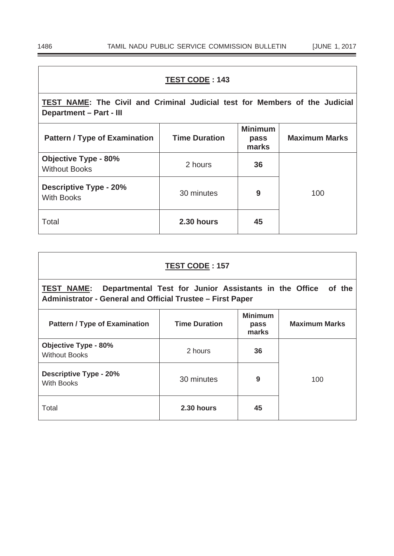**TEST NAME: The Civil and Criminal Judicial test for Members of the Judicial Department – Part - III** 

| <b>Pattern / Type of Examination</b>                | <b>Time Duration</b> | <b>Minimum</b><br>pass<br>marks | <b>Maximum Marks</b> |
|-----------------------------------------------------|----------------------|---------------------------------|----------------------|
| <b>Objective Type - 80%</b><br><b>Without Books</b> | 2 hours              | 36                              |                      |
| <b>Descriptive Type - 20%</b><br><b>With Books</b>  | 30 minutes           | 9                               | 100                  |
| Total                                               | 2.30 hours           | 45                              |                      |

| <b>TEST CODE: 157</b>                                                                                                                              |                      |                                 |                      |
|----------------------------------------------------------------------------------------------------------------------------------------------------|----------------------|---------------------------------|----------------------|
| Departmental Test for Junior Assistants in the Office<br><b>TEST NAME:</b><br>of the<br>Administrator - General and Official Trustee - First Paper |                      |                                 |                      |
| <b>Pattern / Type of Examination</b>                                                                                                               | <b>Time Duration</b> | <b>Minimum</b><br>pass<br>marks | <b>Maximum Marks</b> |
| <b>Objective Type - 80%</b><br><b>Without Books</b>                                                                                                | 2 hours              | 36                              |                      |
| <b>Descriptive Type - 20%</b><br><b>With Books</b>                                                                                                 | 30 minutes           | 9                               | 100                  |
| Total                                                                                                                                              | 2.30 hours           | 45                              |                      |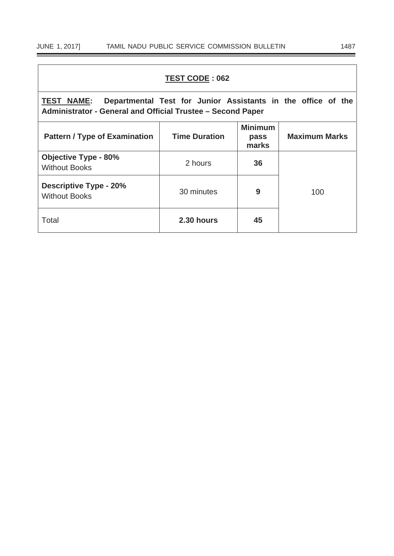**TEST NAME: Departmental Test for Junior Assistants in the office of the Administrator - General and Official Trustee – Second Paper** 

| <b>Pattern / Type of Examination</b>                  | <b>Time Duration</b> | <b>Minimum</b><br>pass<br>marks | <b>Maximum Marks</b> |
|-------------------------------------------------------|----------------------|---------------------------------|----------------------|
| <b>Objective Type - 80%</b><br><b>Without Books</b>   | 2 hours              | 36                              |                      |
| <b>Descriptive Type - 20%</b><br><b>Without Books</b> | 30 minutes           | 9                               | 100                  |
| Total                                                 | 2.30 hours           | 45                              |                      |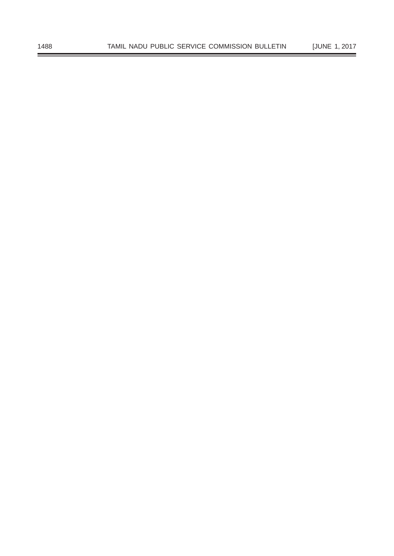j.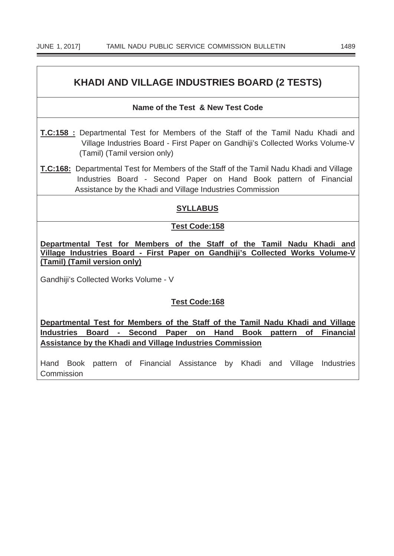# **KHADI AND VILLAGE INDUSTRIES BOARD (2 TESTS)**

#### **Name of the Test & New Test Code**

- **T.C:158 :** Departmental Test for Members of the Staff of the Tamil Nadu Khadi and Village Industries Board - First Paper on Gandhiji's Collected Works Volume-V (Tamil) (Tamil version only)
- **T.C:168:** Departmental Test for Members of the Staff of the Tamil Nadu Khadi and Village Industries Board - Second Paper on Hand Book pattern of Financial Assistance by the Khadi and Village Industries Commission

#### **SYLLABUS**

#### **Test Code:158**

**Departmental Test for Members of the Staff of the Tamil Nadu Khadi and Village Industries Board - First Paper on Gandhiji's Collected Works Volume-V (Tamil) (Tamil version only)**

Gandhiji's Collected Works Volume - V

#### **Test Code:168**

**Departmental Test for Members of the Staff of the Tamil Nadu Khadi and Village Industries Board - Second Paper on Hand Book pattern of Financial Assistance by the Khadi and Village Industries Commission**

Hand Book pattern of Financial Assistance by Khadi and Village Industries **Commission**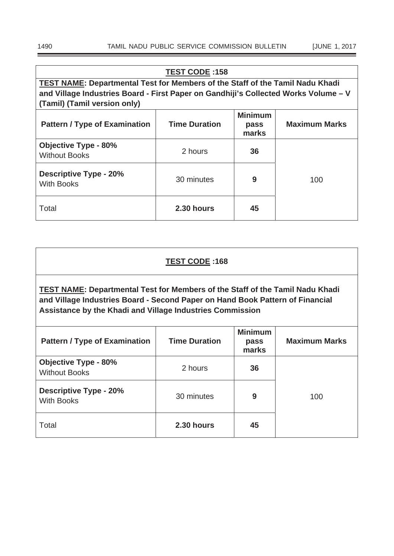| <b>TEST CODE:158</b>                                                                                                                                                 |                      |                                 |                      |
|----------------------------------------------------------------------------------------------------------------------------------------------------------------------|----------------------|---------------------------------|----------------------|
| TEST NAME: Departmental Test for Members of the Staff of the Tamil Nadu Khadi<br>and Village Industries Board - First Paper on Gandhiji's Collected Works Volume - V |                      |                                 |                      |
| (Tamil) (Tamil version only)                                                                                                                                         |                      |                                 |                      |
| <b>Pattern / Type of Examination</b>                                                                                                                                 | <b>Time Duration</b> | <b>Minimum</b><br>pass<br>marks | <b>Maximum Marks</b> |
| <b>Objective Type - 80%</b><br><b>Without Books</b>                                                                                                                  | 2 hours              | 36                              |                      |
| <b>Descriptive Type - 20%</b><br><b>With Books</b>                                                                                                                   | 30 minutes           | 9                               | 100                  |
| Total                                                                                                                                                                | 2.30 hours           | 45                              |                      |

**TEST NAME: Departmental Test for Members of the Staff of the Tamil Nadu Khadi and Village Industries Board - Second Paper on Hand Book Pattern of Financial Assistance by the Khadi and Village Industries Commission** 

| <b>Pattern / Type of Examination</b>                | <b>Time Duration</b> | <b>Minimum</b><br>pass<br>marks | <b>Maximum Marks</b> |
|-----------------------------------------------------|----------------------|---------------------------------|----------------------|
| <b>Objective Type - 80%</b><br><b>Without Books</b> | 2 hours              | 36                              |                      |
| <b>Descriptive Type - 20%</b><br><b>With Books</b>  | 30 minutes           | 9                               | 100                  |
| Total                                               | 2.30 hours           | 45                              |                      |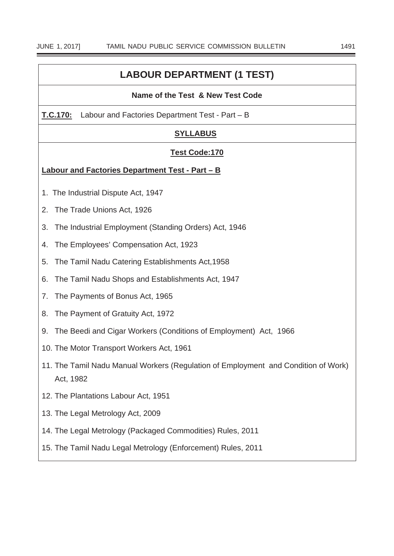# **LABOUR DEPARTMENT (1 TEST)**

#### **Name of the Test & New Test Code**

**T.C.170:** Labour and Factories Department Test - Part – B

#### **SYLLABUS**

#### **Test Code:170**

#### **Labour and Factories Department Test - Part – B**

- 1. The Industrial Dispute Act, 1947
- 2. The Trade Unions Act, 1926
- 3. The Industrial Employment (Standing Orders) Act, 1946
- 4. The Employees' Compensation Act, 1923
- 5. The Tamil Nadu Catering Establishments Act,1958
- 6. The Tamil Nadu Shops and Establishments Act, 1947
- 7. The Payments of Bonus Act, 1965
- 8. The Payment of Gratuity Act, 1972
- 9. The Beedi and Cigar Workers (Conditions of Employment) Act, 1966
- 10. The Motor Transport Workers Act, 1961
- 11. The Tamil Nadu Manual Workers (Regulation of Employment and Condition of Work) Act, 1982
- 12. The Plantations Labour Act, 1951
- 13. The Legal Metrology Act, 2009
- 14. The Legal Metrology (Packaged Commodities) Rules, 2011
- 15. The Tamil Nadu Legal Metrology (Enforcement) Rules, 2011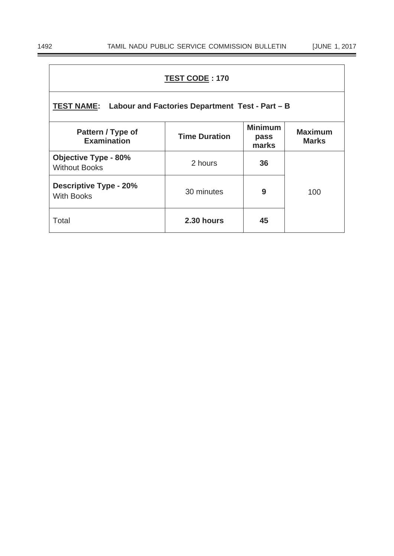| <b>TEST CODE: 170</b>                                      |                      |                                 |                                |
|------------------------------------------------------------|----------------------|---------------------------------|--------------------------------|
| TEST NAME: Labour and Factories Department Test - Part - B |                      |                                 |                                |
| Pattern / Type of<br><b>Examination</b>                    | <b>Time Duration</b> | <b>Minimum</b><br>pass<br>marks | <b>Maximum</b><br><b>Marks</b> |
| <b>Objective Type - 80%</b><br><b>Without Books</b>        | 2 hours              | 36                              |                                |
| <b>Descriptive Type - 20%</b><br><b>With Books</b>         | 30 minutes           | 9                               | 100                            |
| Total                                                      | 2.30 hours           | 45                              |                                |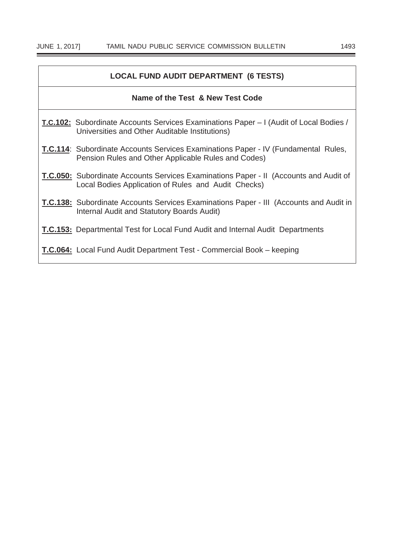#### **LOCAL FUND AUDIT DEPARTMENT (6 TESTS)**

#### **Name of the Test & New Test Code**

- **T.C.102:** Subordinate Accounts Services Examinations Paper I (Audit of Local Bodies / Universities and Other Auditable Institutions)
- **T.C.114**: Subordinate Accounts Services Examinations Paper IV (Fundamental Rules, Pension Rules and Other Applicable Rules and Codes)
- **T.C.050:** Subordinate Accounts Services Examinations Paper II (Accounts and Audit of Local Bodies Application of Rules and Audit Checks)
- **T.C.138:** Subordinate Accounts Services Examinations Paper III (Accounts and Audit in Internal Audit and Statutory Boards Audit)
- **T.C.153:** Departmental Test for Local Fund Audit and Internal Audit Departments
- **T.C.064:** Local Fund Audit Department Test Commercial Book keeping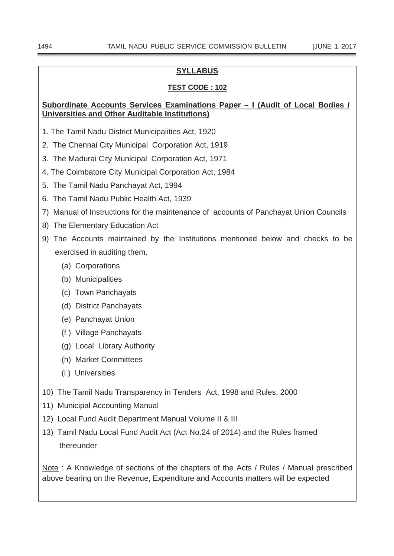### **SYLLABUS**

#### **TEST CODE : 102**

#### **Subordinate Accounts Services Examinations Paper – I (Audit of Local Bodies / Universities and Other Auditable Institutions)**

- 1. The Tamil Nadu District Municipalities Act, 1920
- 2. The Chennai City Municipal Corporation Act, 1919
- 3. The Madurai City Municipal Corporation Act, 1971
- 4. The Coimbatore City Municipal Corporation Act, 1984
- 5. The Tamil Nadu Panchayat Act, 1994
- 6. The Tamil Nadu Public Health Act, 1939
- 7) Manual of Instructions for the maintenance of accounts of Panchayat Union Councils
- 8) The Elementary Education Act
- 9) The Accounts maintained by the Institutions mentioned below and checks to be exercised in auditing them.
	- (a) Corporations
	- (b) Municipalities
	- (c) Town Panchayats
	- (d) District Panchayats
	- (e) Panchayat Union
	- (f ) Village Panchayats
	- (g) Local Library Authority
	- (h) Market Committees
	- (i ) Universities
- 10) The Tamil Nadu Transparency in Tenders Act, 1998 and Rules, 2000
- 11) Municipal Accounting Manual
- 12) Local Fund Audit Department Manual Volume II & III
- 13) Tamil Nadu Local Fund Audit Act (Act No.24 of 2014) and the Rules framed thereunder

Note : A Knowledge of sections of the chapters of the Acts / Rules / Manual prescribed above bearing on the Revenue, Expenditure and Accounts matters will be expected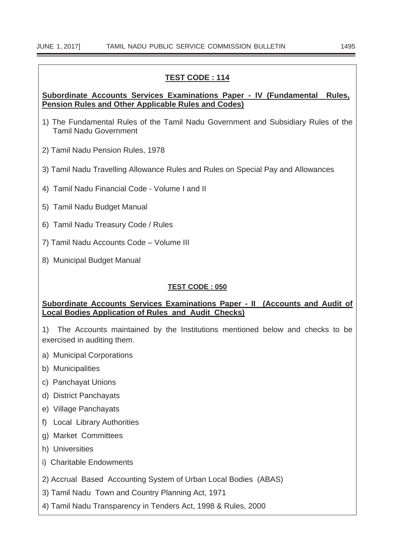#### **Subordinate Accounts Services Examinations Paper - IV (Fundamental Rules, Pension Rules and Other Applicable Rules and Codes)**

- 1) The Fundamental Rules of the Tamil Nadu Government and Subsidiary Rules of the Tamil Nadu Government
- 2) Tamil Nadu Pension Rules, 1978
- 3) Tamil Nadu Travelling Allowance Rules and Rules on Special Pay and Allowances
- 4) Tamil Nadu Financial Code Volume I and II
- 5) Tamil Nadu Budget Manual
- 6) Tamil Nadu Treasury Code / Rules
- 7) Tamil Nadu Accounts Code Volume III
- 8) Municipal Budget Manual

#### **TEST CODE : 050**

### **Subordinate Accounts Services Examinations Paper - II (Accounts and Audit of Local Bodies Application of Rules and Audit Checks)**

1) The Accounts maintained by the Institutions mentioned below and checks to be exercised in auditing them.

- a) Municipal Corporations
- b) Municipalities
- c) Panchayat Unions
- d) District Panchayats
- e) Village Panchayats
- f) Local Library Authorities
- g) Market Committees
- h) Universities
- i) Charitable Endowments
- 2) Accrual Based Accounting System of Urban Local Bodies (ABAS)
- 3) Tamil Nadu Town and Country Planning Act, 1971
- 4) Tamil Nadu Transparency in Tenders Act, 1998 & Rules, 2000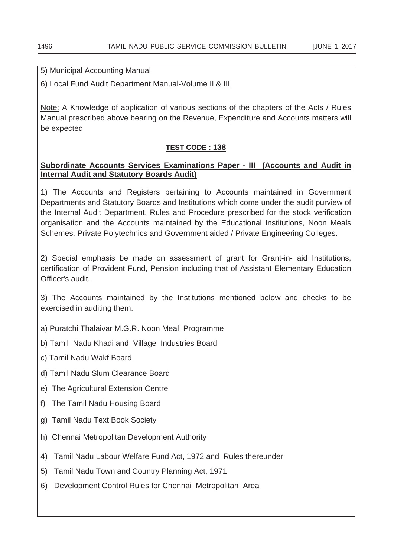5) Municipal Accounting Manual

6) Local Fund Audit Department Manual-Volume II & III

Note: A Knowledge of application of various sections of the chapters of the Acts / Rules Manual prescribed above bearing on the Revenue, Expenditure and Accounts matters will be expected

#### **TEST CODE : 138**

## **Subordinate Accounts Services Examinations Paper - III (Accounts and Audit in Internal Audit and Statutory Boards Audit)**

1) The Accounts and Registers pertaining to Accounts maintained in Government Departments and Statutory Boards and Institutions which come under the audit purview of the Internal Audit Department. Rules and Procedure prescribed for the stock verification organisation and the Accounts maintained by the Educational Institutions, Noon Meals Schemes, Private Polytechnics and Government aided / Private Engineering Colleges.

2) Special emphasis be made on assessment of grant for Grant-in- aid Institutions, certification of Provident Fund, Pension including that of Assistant Elementary Education Officer's audit.

3) The Accounts maintained by the Institutions mentioned below and checks to be exercised in auditing them.

- a) Puratchi Thalaivar M.G.R. Noon Meal Programme
- b) Tamil Nadu Khadi and Village Industries Board
- c) Tamil Nadu Wakf Board
- d) Tamil Nadu Slum Clearance Board
- e) The Agricultural Extension Centre
- f) The Tamil Nadu Housing Board
- g) Tamil Nadu Text Book Society
- h) Chennai Metropolitan Development Authority
- 4) Tamil Nadu Labour Welfare Fund Act, 1972 and Rules thereunder
- 5) Tamil Nadu Town and Country Planning Act, 1971
- 6) Development Control Rules for Chennai Metropolitan Area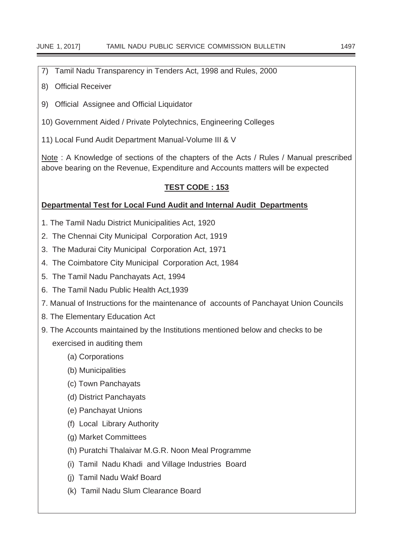- 7) Tamil Nadu Transparency in Tenders Act, 1998 and Rules, 2000
- 8) Official Receiver
- 9) Official Assignee and Official Liquidator
- 10) Government Aided / Private Polytechnics, Engineering Colleges
- 11) Local Fund Audit Department Manual-Volume III & V

Note : A Knowledge of sections of the chapters of the Acts / Rules / Manual prescribed above bearing on the Revenue, Expenditure and Accounts matters will be expected

## **TEST CODE : 153**

## **Departmental Test for Local Fund Audit and Internal Audit Departments**

- 1. The Tamil Nadu District Municipalities Act, 1920
- 2. The Chennai City Municipal Corporation Act, 1919
- 3. The Madurai City Municipal Corporation Act, 1971
- 4. The Coimbatore City Municipal Corporation Act, 1984
- 5. The Tamil Nadu Panchayats Act, 1994
- 6. The Tamil Nadu Public Health Act,1939
- 7. Manual of Instructions for the maintenance of accounts of Panchayat Union Councils
- 8. The Elementary Education Act
- 9. The Accounts maintained by the Institutions mentioned below and checks to be exercised in auditing them
	- (a) Corporations
	- (b) Municipalities
	- (c) Town Panchayats
	- (d) District Panchayats
	- (e) Panchayat Unions
	- (f) Local Library Authority
	- (g) Market Committees
	- (h) Puratchi Thalaivar M.G.R. Noon Meal Programme
	- (i) Tamil Nadu Khadi and Village Industries Board
	- (j) Tamil Nadu Wakf Board
	- (k) Tamil Nadu Slum Clearance Board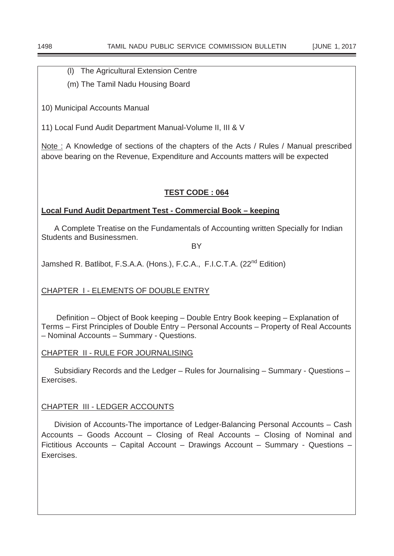## (l) The Agricultural Extension Centre

(m) The Tamil Nadu Housing Board

10) Municipal Accounts Manual

11) Local Fund Audit Department Manual-Volume II, III & V

Note : A Knowledge of sections of the chapters of the Acts / Rules / Manual prescribed above bearing on the Revenue, Expenditure and Accounts matters will be expected

## **TEST CODE : 064**

## **Local Fund Audit Department Test - Commercial Book – keeping**

 A Complete Treatise on the Fundamentals of Accounting written Specially for Indian Students and Businessmen.

**BY** 

Jamshed R. Batlibot, F.S.A.A. (Hons.), F.C.A., F.I.C.T.A. (22<sup>nd</sup> Edition)

## CHAPTER I - ELEMENTS OF DOUBLE ENTRY

 Definition – Object of Book keeping – Double Entry Book keeping – Explanation of Terms – First Principles of Double Entry – Personal Accounts – Property of Real Accounts – Nominal Accounts – Summary - Questions.

CHAPTER II - RULE FOR JOURNALISING

 Subsidiary Records and the Ledger – Rules for Journalising – Summary - Questions – Exercises.

## CHAPTER III - LEDGER ACCOUNTS

 Division of Accounts-The importance of Ledger-Balancing Personal Accounts – Cash Accounts – Goods Account – Closing of Real Accounts – Closing of Nominal and Fictitious Accounts – Capital Account – Drawings Account – Summary - Questions – Exercises.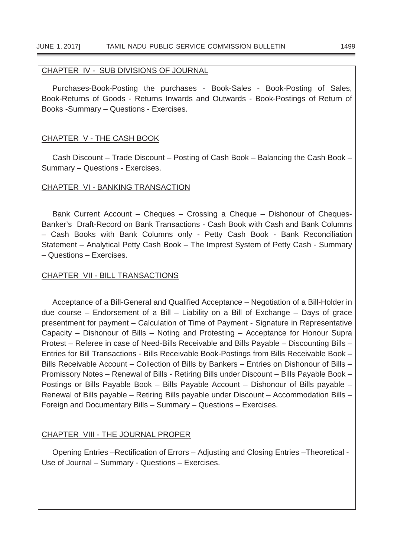## CHAPTER IV - SUB DIVISIONS OF JOURNAL

 Purchases-Book-Posting the purchases - Book-Sales - Book-Posting of Sales, Book-Returns of Goods - Returns Inwards and Outwards - Book-Postings of Return of Books -Summary – Questions - Exercises.

#### CHAPTER V - THE CASH BOOK

 Cash Discount – Trade Discount – Posting of Cash Book – Balancing the Cash Book – Summary – Questions - Exercises.

#### CHAPTER VI - BANKING TRANSACTION

 Bank Current Account – Cheques – Crossing a Cheque – Dishonour of Cheques-Banker's Draft-Record on Bank Transactions - Cash Book with Cash and Bank Columns – Cash Books with Bank Columns only - Petty Cash Book - Bank Reconciliation Statement – Analytical Petty Cash Book – The Imprest System of Petty Cash - Summary – Questions – Exercises.

#### CHAPTER VII - BILL TRANSACTIONS

 Acceptance of a Bill-General and Qualified Acceptance – Negotiation of a Bill-Holder in due course – Endorsement of a Bill – Liability on a Bill of Exchange – Days of grace presentment for payment – Calculation of Time of Payment - Signature in Representative Capacity – Dishonour of Bills – Noting and Protesting – Acceptance for Honour Supra Protest – Referee in case of Need-Bills Receivable and Bills Payable – Discounting Bills – Entries for Bill Transactions - Bills Receivable Book-Postings from Bills Receivable Book – Bills Receivable Account – Collection of Bills by Bankers – Entries on Dishonour of Bills – Promissory Notes – Renewal of Bills - Retiring Bills under Discount – Bills Payable Book – Postings or Bills Payable Book – Bills Payable Account – Dishonour of Bills payable – Renewal of Bills payable – Retiring Bills payable under Discount – Accommodation Bills – Foreign and Documentary Bills – Summary – Questions – Exercises.

## CHAPTER VIII - THE JOURNAL PROPER

 Opening Entries –Rectification of Errors – Adjusting and Closing Entries –Theoretical - Use of Journal – Summary - Questions – Exercises.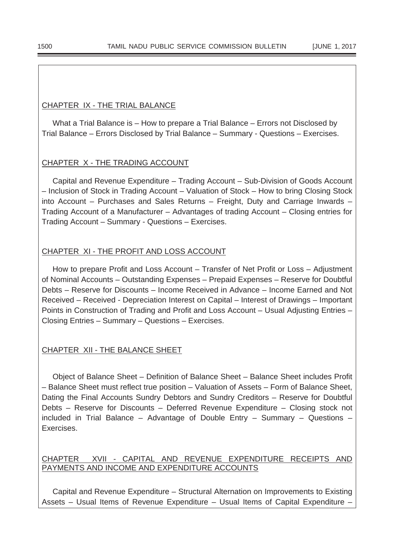## CHAPTER IX - THE TRIAL BALANCE

 What a Trial Balance is – How to prepare a Trial Balance – Errors not Disclosed by Trial Balance – Errors Disclosed by Trial Balance – Summary - Questions – Exercises.

#### CHAPTER X - THE TRADING ACCOUNT

 Capital and Revenue Expenditure – Trading Account – Sub-Division of Goods Account – Inclusion of Stock in Trading Account – Valuation of Stock – How to bring Closing Stock into Account – Purchases and Sales Returns – Freight, Duty and Carriage Inwards – Trading Account of a Manufacturer – Advantages of trading Account – Closing entries for Trading Account – Summary - Questions – Exercises.

## CHAPTER XI - THE PROFIT AND LOSS ACCOUNT

 How to prepare Profit and Loss Account – Transfer of Net Profit or Loss – Adjustment of Nominal Accounts – Outstanding Expenses – Prepaid Expenses – Reserve for Doubtful Debts – Reserve for Discounts – Income Received in Advance – Income Earned and Not Received – Received - Depreciation Interest on Capital – Interest of Drawings – Important Points in Construction of Trading and Profit and Loss Account – Usual Adjusting Entries – Closing Entries – Summary – Questions – Exercises.

## CHAPTER XII - THE BALANCE SHEET

 Object of Balance Sheet – Definition of Balance Sheet – Balance Sheet includes Profit – Balance Sheet must reflect true position – Valuation of Assets – Form of Balance Sheet, Dating the Final Accounts Sundry Debtors and Sundry Creditors – Reserve for Doubtful Debts – Reserve for Discounts – Deferred Revenue Expenditure – Closing stock not included in Trial Balance – Advantage of Double Entry – Summary – Questions – Exercises.

## CHAPTER XVII - CAPITAL AND REVENUE EXPENDITURE RECEIPTS AND PAYMENTS AND INCOME AND EXPENDITURE ACCOUNTS

 Capital and Revenue Expenditure – Structural Alternation on Improvements to Existing Assets – Usual Items of Revenue Expenditure – Usual Items of Capital Expenditure –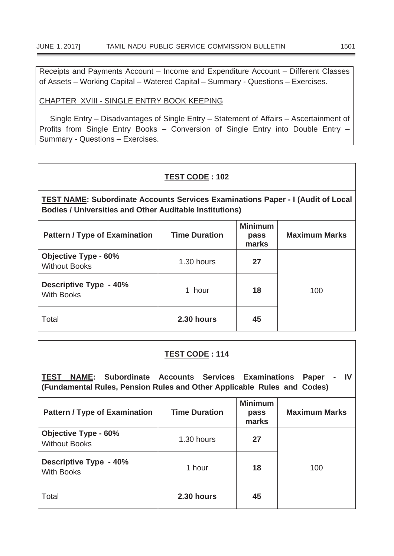#### JUNE 1, 2017] TAMIL NADU PUBLIC SERVICE COMMISSION BULLETIN 1501

Receipts and Payments Account – Income and Expenditure Account – Different Classes of Assets – Working Capital – Watered Capital – Summary - Questions – Exercises.

## CHAPTER XVIII - SINGLE ENTRY BOOK KEEPING

 Single Entry – Disadvantages of Single Entry – Statement of Affairs – Ascertainment of Profits from Single Entry Books – Conversion of Single Entry into Double Entry – Summary - Questions – Exercises.

## **TEST CODE : 102**

**TEST NAME: Subordinate Accounts Services Examinations Paper - I (Audit of Local Bodies / Universities and Other Auditable Institutions)** 

| <b>Pattern / Type of Examination</b>                | <b>Time Duration</b> | <b>Minimum</b><br>pass<br>marks | <b>Maximum Marks</b> |
|-----------------------------------------------------|----------------------|---------------------------------|----------------------|
| <b>Objective Type - 60%</b><br><b>Without Books</b> | 1.30 hours           | 27                              |                      |
| <b>Descriptive Type - 40%</b><br><b>With Books</b>  | hour<br>1.           | 18                              | 100                  |
| Total                                               | 2.30 hours           | 45                              |                      |

#### **TEST CODE : 114**

**TEST NAME: Subordinate Accounts Services Examinations Paper - IV (Fundamental Rules, Pension Rules and Other Applicable Rules and Codes)** 

| <b>Pattern / Type of Examination</b>                | <b>Time Duration</b> | <b>Minimum</b><br>pass<br>marks | <b>Maximum Marks</b> |
|-----------------------------------------------------|----------------------|---------------------------------|----------------------|
| <b>Objective Type - 60%</b><br><b>Without Books</b> | 1.30 hours           | 27                              |                      |
| <b>Descriptive Type - 40%</b><br><b>With Books</b>  | 1 hour               | 18                              | 100                  |
| Total                                               | 2.30 hours           | 45                              |                      |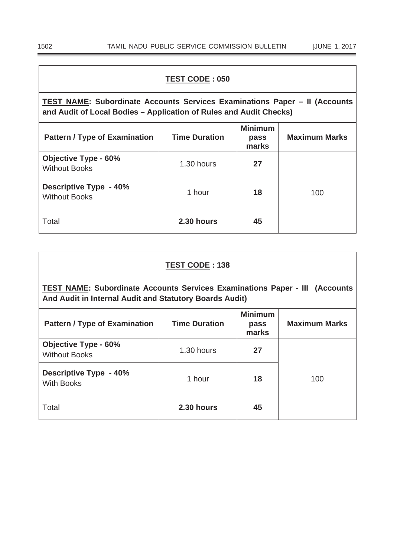**TEST NAME: Subordinate Accounts Services Examinations Paper – II (Accounts and Audit of Local Bodies – Application of Rules and Audit Checks)** 

| <b>Pattern / Type of Examination</b>                  | <b>Time Duration</b> | <b>Minimum</b><br>pass<br>marks | <b>Maximum Marks</b> |
|-------------------------------------------------------|----------------------|---------------------------------|----------------------|
| <b>Objective Type - 60%</b><br><b>Without Books</b>   | 1.30 hours           | 27                              |                      |
| <b>Descriptive Type - 40%</b><br><b>Without Books</b> | 1 hour               | 18                              | 100                  |
| Total                                                 | 2.30 hours           | 45                              |                      |

| <b>TEST CODE: 138</b>                                                                                                                         |                      |                                 |                      |
|-----------------------------------------------------------------------------------------------------------------------------------------------|----------------------|---------------------------------|----------------------|
| <b>TEST NAME: Subordinate Accounts Services Examinations Paper - III (Accounts</b><br>And Audit in Internal Audit and Statutory Boards Audit) |                      |                                 |                      |
| <b>Pattern / Type of Examination</b>                                                                                                          | <b>Time Duration</b> | <b>Minimum</b><br>pass<br>marks | <b>Maximum Marks</b> |
| <b>Objective Type - 60%</b><br><b>Without Books</b>                                                                                           | 1.30 hours           | 27                              |                      |
| <b>Descriptive Type - 40%</b><br><b>With Books</b>                                                                                            | 1 hour               | 18                              | 100                  |
| Total                                                                                                                                         | 2.30 hours           | 45                              |                      |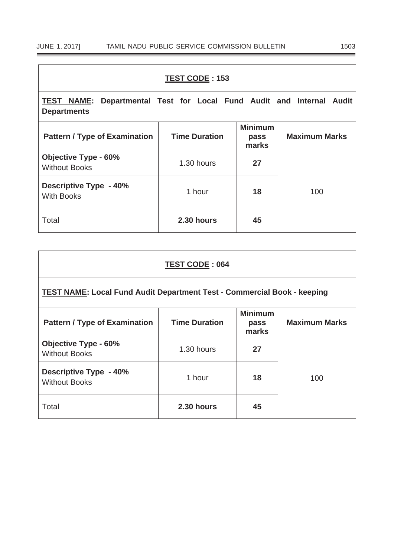**TEST NAME: Departmental Test for Local Fund Audit and Internal Audit Departments** 

| <b>Pattern / Type of Examination</b>                | <b>Time Duration</b> | <b>Minimum</b><br>pass<br>marks | <b>Maximum Marks</b> |
|-----------------------------------------------------|----------------------|---------------------------------|----------------------|
| <b>Objective Type - 60%</b><br><b>Without Books</b> | 1.30 hours           | 27                              |                      |
| <b>Descriptive Type - 40%</b><br><b>With Books</b>  | 1 hour               | 18                              | 100                  |
| Total                                               | 2.30 hours           | 45                              |                      |

| <b>TEST CODE: 064</b>                                                          |                      |                                 |                      |
|--------------------------------------------------------------------------------|----------------------|---------------------------------|----------------------|
| <b>TEST NAME: Local Fund Audit Department Test - Commercial Book - keeping</b> |                      |                                 |                      |
| <b>Pattern / Type of Examination</b>                                           | <b>Time Duration</b> | <b>Minimum</b><br>pass<br>marks | <b>Maximum Marks</b> |
| <b>Objective Type - 60%</b><br><b>Without Books</b>                            | 1.30 hours           | 27                              |                      |
| <b>Descriptive Type - 40%</b><br><b>Without Books</b>                          | 1 hour               | 18                              | 100                  |
| Total                                                                          | 2.30 hours           | 45                              |                      |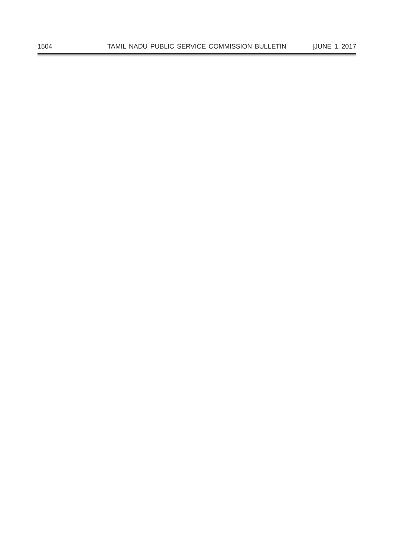j.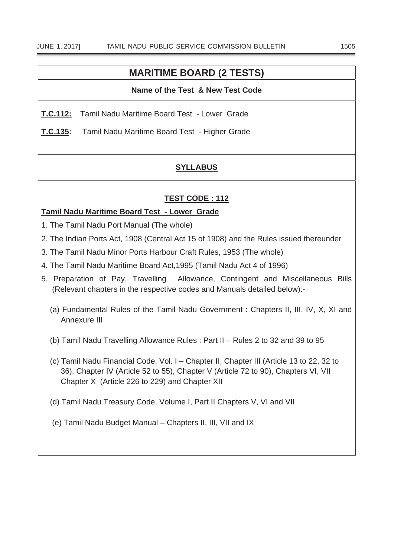# **MARITIME BOARD (2 TESTS)**

**Name of the Test & New Test Code**

**T.C.112:** Tamil Nadu Maritime Board Test - Lower Grade

**T.C.135:** Tamil Nadu Maritime Board Test - Higher Grade

## **SYLLABUS**

#### **TEST CODE : 112**

#### **Tamil Nadu Maritime Board Test - Lower Grade**

- 1. The Tamil Nadu Port Manual (The whole)
- 2. The Indian Ports Act, 1908 (Central Act 15 of 1908) and the Rules issued thereunder
- 3. The Tamil Nadu Minor Ports Harbour Craft Rules, 1953 (The whole)
- 4. The Tamil Nadu Maritime Board Act,1995 (Tamil Nadu Act 4 of 1996)
- 5. Preparation of Pay, Travelling Allowance, Contingent and Miscellaneous Bills (Relevant chapters in the respective codes and Manuals detailed below):-
	- (a) Fundamental Rules of the Tamil Nadu Government : Chapters II, III, IV, X, XI and Annexure III
	- (b) Tamil Nadu Travelling Allowance Rules : Part II Rules 2 to 32 and 39 to 95
	- (c) Tamil Nadu Financial Code, Vol. I Chapter II, Chapter III (Article 13 to 22, 32 to 36), Chapter IV (Article 52 to 55), Chapter V (Article 72 to 90), Chapters VI, VII Chapter X (Article 226 to 229) and Chapter XII
	- (d) Tamil Nadu Treasury Code, Volume I, Part II Chapters V, VI and VII
	- (e) Tamil Nadu Budget Manual Chapters II, III, VII and IX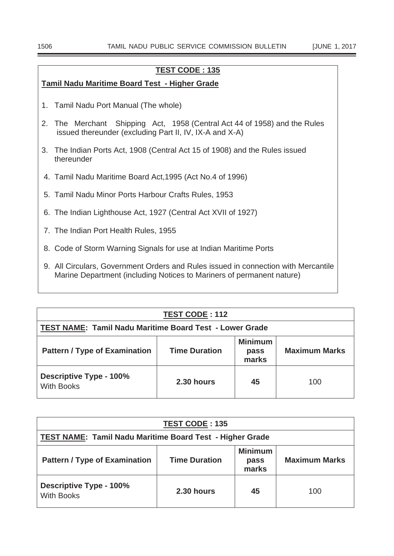## **Tamil Nadu Maritime Board Test - Higher Grade**

- 1. Tamil Nadu Port Manual (The whole)
- 2. The Merchant Shipping Act, 1958 (Central Act 44 of 1958) and the Rules issued thereunder (excluding Part II, IV, IX-A and X-A)
- 3. The Indian Ports Act, 1908 (Central Act 15 of 1908) and the Rules issued thereunder
- 4. Tamil Nadu Maritime Board Act,1995 (Act No.4 of 1996)
- 5. Tamil Nadu Minor Ports Harbour Crafts Rules, 1953
- 6. The Indian Lighthouse Act, 1927 (Central Act XVII of 1927)
- 7. The Indian Port Health Rules, 1955
- 8. Code of Storm Warning Signals for use at Indian Maritime Ports
- 9. All Circulars, Government Orders and Rules issued in connection with Mercantile Marine Department (including Notices to Mariners of permanent nature)

| <b>TEST CODE: 112</b>                                                                                                   |            |    |     |
|-------------------------------------------------------------------------------------------------------------------------|------------|----|-----|
| <b>TEST NAME: Tamil Nadu Maritime Board Test - Lower Grade</b>                                                          |            |    |     |
| <b>Minimum</b><br><b>Maximum Marks</b><br><b>Pattern / Type of Examination</b><br><b>Time Duration</b><br>pass<br>marks |            |    |     |
| <b>Descriptive Type - 100%</b><br><b>With Books</b>                                                                     | 2.30 hours | 45 | 100 |

| <b>TEST CODE: 135</b>                                           |                      |                                 |                      |
|-----------------------------------------------------------------|----------------------|---------------------------------|----------------------|
| <b>TEST NAME: Tamil Nadu Maritime Board Test - Higher Grade</b> |                      |                                 |                      |
| <b>Pattern / Type of Examination</b>                            | <b>Time Duration</b> | <b>Minimum</b><br>pass<br>marks | <b>Maximum Marks</b> |
| <b>Descriptive Type - 100%</b><br><b>With Books</b>             | 2.30 hours           | 45                              | 100                  |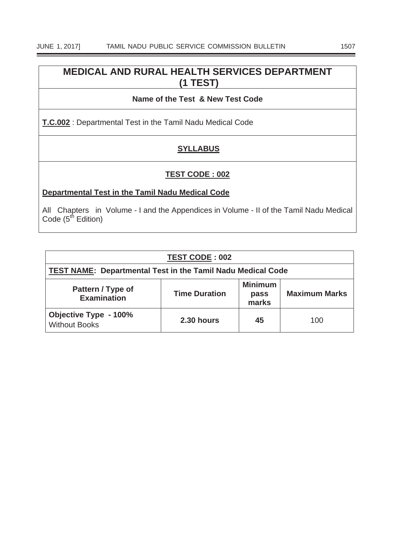# **MEDICAL AND RURAL HEALTH SERVICES DEPARTMENT (1 TEST)**

## **Name of the Test & New Test Code**

**T.C.002** : Departmental Test in the Tamil Nadu Medical Code

## **SYLLABUS**

#### **TEST CODE : 002**

## **Departmental Test in the Tamil Nadu Medical Code**

All Chapters in Volume - I and the Appendices in Volume - II of the Tamil Nadu Medical Code  $(5<sup>th</sup> Edition)$ 

| <b>TEST CODE: 002</b>                                              |                      |                                 |                      |
|--------------------------------------------------------------------|----------------------|---------------------------------|----------------------|
| <b>TEST NAME: Departmental Test in the Tamil Nadu Medical Code</b> |                      |                                 |                      |
| Pattern / Type of<br><b>Examination</b>                            | <b>Time Duration</b> | <b>Minimum</b><br>pass<br>marks | <b>Maximum Marks</b> |
| <b>Objective Type - 100%</b><br><b>Without Books</b>               | 2.30 hours           | 45                              | 100                  |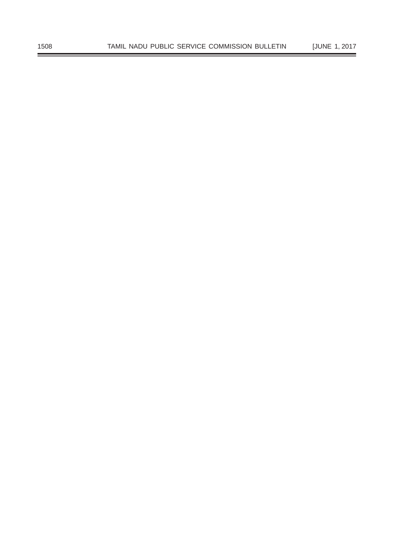j.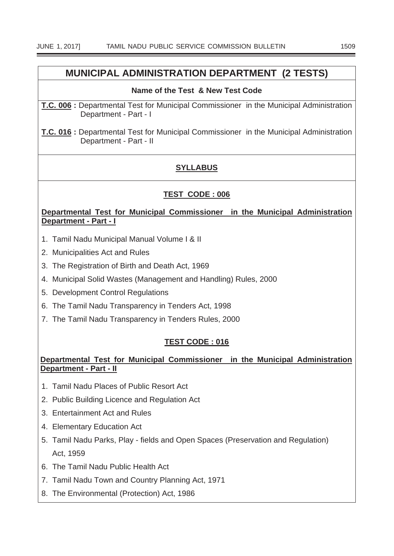# **MUNICIPAL ADMINISTRATION DEPARTMENT (2 TESTS)**

#### **Name of the Test & New Test Code**

**T.C. 006 :** Departmental Test for Municipal Commissioner in the Municipal Administration Department - Part - I

**T.C. 016 :** Departmental Test for Municipal Commissioner in the Municipal Administration Department - Part - II

## **SYLLABUS**

## **TEST CODE : 006**

## **Departmental Test for Municipal Commissioner in the Municipal Administration Department - Part - I**

- 1. Tamil Nadu Municipal Manual Volume I & II
- 2. Municipalities Act and Rules
- 3. The Registration of Birth and Death Act, 1969
- 4. Municipal Solid Wastes (Management and Handling) Rules, 2000
- 5. Development Control Regulations
- 6. The Tamil Nadu Transparency in Tenders Act, 1998
- 7. The Tamil Nadu Transparency in Tenders Rules, 2000

#### **TEST CODE : 016**

#### **Departmental Test for Municipal Commissioner in the Municipal Administration Department - Part - II**

- 1. Tamil Nadu Places of Public Resort Act
- 2. Public Building Licence and Regulation Act
- 3. Entertainment Act and Rules
- 4. Elementary Education Act
- 5. Tamil Nadu Parks, Play fields and Open Spaces (Preservation and Regulation) Act, 1959
- 6. The Tamil Nadu Public Health Act
- 7. Tamil Nadu Town and Country Planning Act, 1971
- 8. The Environmental (Protection) Act, 1986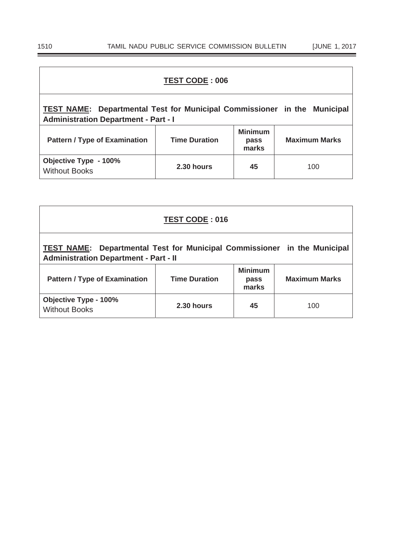|--|

**TEST NAME: Departmental Test for Municipal Commissioner in the Municipal Administration Department - Part - I** 

| <b>Pattern / Type of Examination</b>          | <b>Time Duration</b> | <b>Minimum</b><br>pass<br>marks | <b>Maximum Marks</b> |
|-----------------------------------------------|----------------------|---------------------------------|----------------------|
| Objective Type - 100%<br><b>Without Books</b> | 2.30 hours           | 45                              | 100                  |

| <b>TEST CODE: 016</b>                                                                                                           |                      |                                 |                      |
|---------------------------------------------------------------------------------------------------------------------------------|----------------------|---------------------------------|----------------------|
| <b>TEST NAME:</b> Departmental Test for Municipal Commissioner in the Municipal<br><b>Administration Department - Part - II</b> |                      |                                 |                      |
| <b>Pattern / Type of Examination</b>                                                                                            | <b>Time Duration</b> | <b>Minimum</b><br>pass<br>marks | <b>Maximum Marks</b> |
| <b>Objective Type - 100%</b><br><b>Without Books</b>                                                                            | 2.30 hours           | 45                              | 100                  |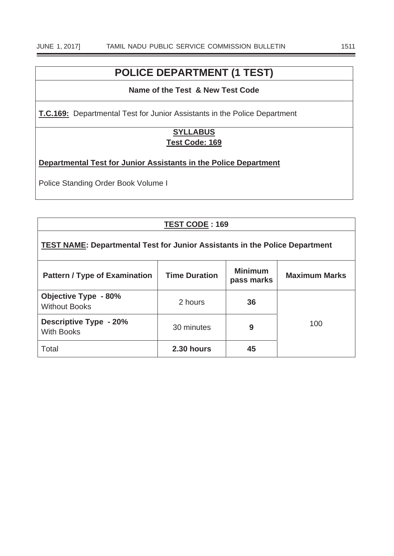# **POLICE DEPARTMENT (1 TEST)**

#### **Name of the Test & New Test Code**

**T.C.169:** Departmental Test for Junior Assistants in the Police Department

## **SYLLABUS Test Code: 169**

**Departmental Test for Junior Assistants in the Police Department**

Police Standing Order Book Volume I

## **TEST CODE : 169**

#### **TEST NAME: Departmental Test for Junior Assistants in the Police Department**

| <b>Pattern / Type of Examination</b>                | <b>Time Duration</b> | <b>Minimum</b><br>pass marks | <b>Maximum Marks</b> |
|-----------------------------------------------------|----------------------|------------------------------|----------------------|
| <b>Objective Type - 80%</b><br><b>Without Books</b> | 2 hours              | 36                           |                      |
| <b>Descriptive Type - 20%</b><br><b>With Books</b>  | 30 minutes           | 9                            | 100                  |
| Total                                               | 2.30 hours           | 45                           |                      |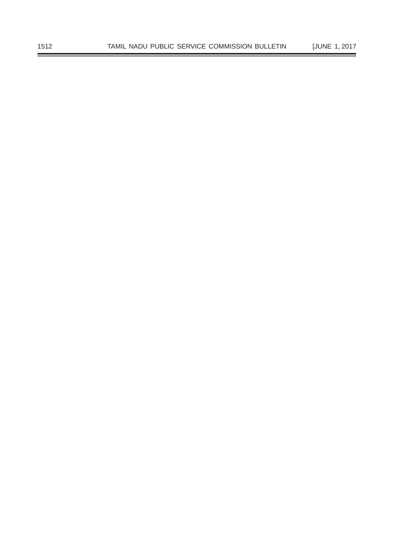L,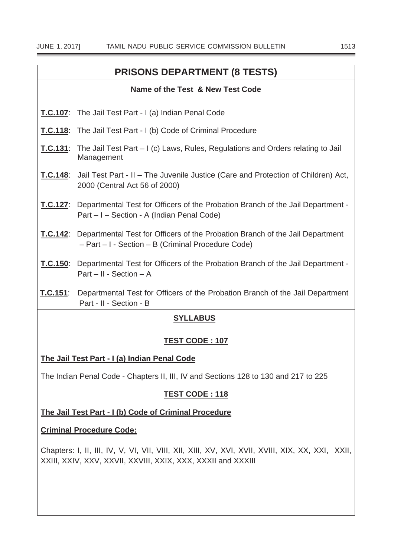# **PRISONS DEPARTMENT (8 TESTS)**

## **Name of the Test & New Test Code**

- **T.C.107**: The Jail Test Part I (a) Indian Penal Code
- **T.C.118**: The Jail Test Part I (b) Code of Criminal Procedure
- **T.C.131**: The Jail Test Part I (c) Laws, Rules, Regulations and Orders relating to Jail Management
- **T.C.148**: Jail Test Part II The Juvenile Justice (Care and Protection of Children) Act, 2000 (Central Act 56 of 2000)
- **T.C.127**: Departmental Test for Officers of the Probation Branch of the Jail Department Part – I – Section - A (Indian Penal Code)
- **T.C.142**: Departmental Test for Officers of the Probation Branch of the Jail Department – Part – I - Section – B (Criminal Procedure Code)
- **T.C.150**: Departmental Test for Officers of the Probation Branch of the Jail Department Part – II - Section – A
- **T.C.151**: Departmental Test for Officers of the Probation Branch of the Jail Department Part - II - Section - B

## **SYLLABUS**

## **TEST CODE : 107**

## **The Jail Test Part - I (a) Indian Penal Code**

The Indian Penal Code - Chapters II, III, IV and Sections 128 to 130 and 217 to 225

## **TEST CODE : 118**

**The Jail Test Part - I (b) Code of Criminal Procedure** 

## **Criminal Procedure Code:**

Chapters: I, II, III, IV, V, VI, VII, VIII, XII, XIII, XV, XVI, XVII, XVIII, XIX, XX, XXI, XXII, XXIII, XXIV, XXV, XXVII, XXVIII, XXIX, XXX, XXXII and XXXIII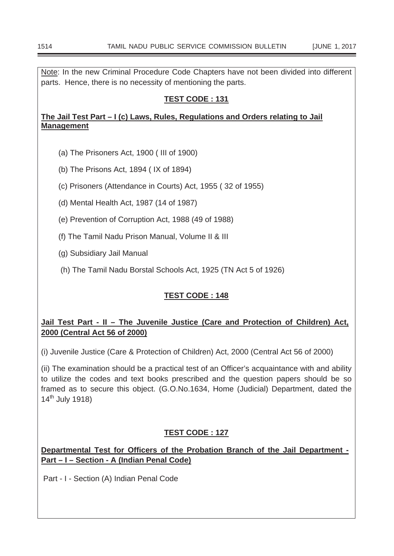Note: In the new Criminal Procedure Code Chapters have not been divided into different parts. Hence, there is no necessity of mentioning the parts.

## **TEST CODE : 131**

**The Jail Test Part – I (c) Laws, Rules, Regulations and Orders relating to Jail Management**

- (a) The Prisoners Act, 1900 ( III of 1900)
- (b) The Prisons Act, 1894 ( IX of 1894)
- (c) Prisoners (Attendance in Courts) Act, 1955 ( 32 of 1955)
- (d) Mental Health Act, 1987 (14 of 1987)
- (e) Prevention of Corruption Act, 1988 (49 of 1988)
- (f) The Tamil Nadu Prison Manual, Volume II & III
- (g) Subsidiary Jail Manual
- (h) The Tamil Nadu Borstal Schools Act, 1925 (TN Act 5 of 1926)

## **TEST CODE : 148**

## **Jail Test Part - II – The Juvenile Justice (Care and Protection of Children) Act, 2000 (Central Act 56 of 2000)**

(i) Juvenile Justice (Care & Protection of Children) Act, 2000 (Central Act 56 of 2000)

(ii) The examination should be a practical test of an Officer's acquaintance with and ability to utilize the codes and text books prescribed and the question papers should be so framed as to secure this object. (G.O.No.1634, Home (Judicial) Department, dated the  $14^{th}$  July 1918)

## **TEST CODE : 127**

**Departmental Test for Officers of the Probation Branch of the Jail Department - Part – I – Section - A (Indian Penal Code)** 

Part - I - Section (A) Indian Penal Code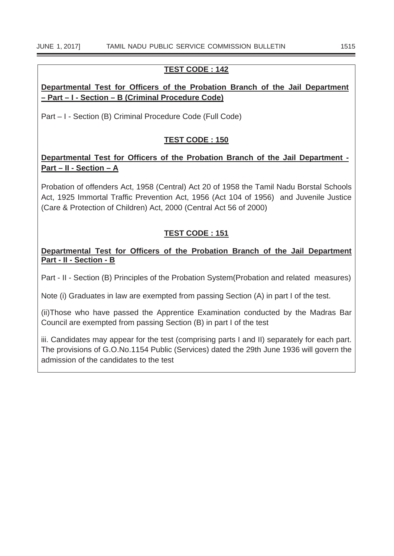**Departmental Test for Officers of the Probation Branch of the Jail Department – Part – I - Section – B (Criminal Procedure Code)** 

Part – I - Section (B) Criminal Procedure Code (Full Code)

#### **TEST CODE : 150**

**Departmental Test for Officers of the Probation Branch of the Jail Department - Part – II - Section – A** 

Probation of offenders Act, 1958 (Central) Act 20 of 1958 the Tamil Nadu Borstal Schools Act, 1925 Immortal Traffic Prevention Act, 1956 (Act 104 of 1956) and Juvenile Justice (Care & Protection of Children) Act, 2000 (Central Act 56 of 2000)

## **TEST CODE : 151**

**Departmental Test for Officers of the Probation Branch of the Jail Department Part - II - Section - B**

Part - II - Section (B) Principles of the Probation System(Probation and related measures)

Note (i) Graduates in law are exempted from passing Section (A) in part I of the test.

(ii)Those who have passed the Apprentice Examination conducted by the Madras Bar Council are exempted from passing Section (B) in part I of the test

iii. Candidates may appear for the test (comprising parts I and II) separately for each part. The provisions of G.O.No.1154 Public (Services) dated the 29th June 1936 will govern the admission of the candidates to the test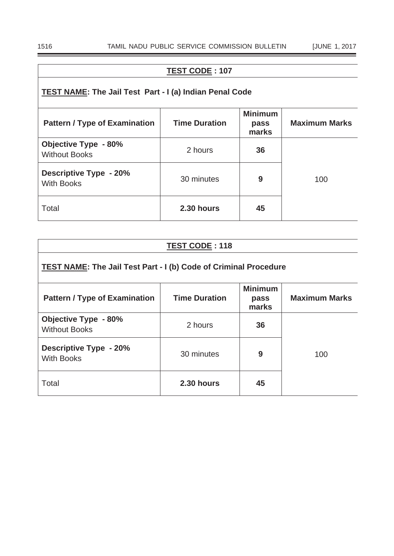# **TEST NAME: The Jail Test Part - I (a) Indian Penal Code**

| <b>Pattern / Type of Examination</b>                | <b>Time Duration</b> | <b>Minimum</b><br>pass<br>marks | <b>Maximum Marks</b> |
|-----------------------------------------------------|----------------------|---------------------------------|----------------------|
| <b>Objective Type - 80%</b><br><b>Without Books</b> | 2 hours              | 36                              |                      |
| <b>Descriptive Type - 20%</b><br><b>With Books</b>  | 30 minutes           | 9                               | 100                  |
| Total                                               | 2.30 hours           | 45                              |                      |

## **TEST CODE : 118**

# **TEST NAME: The Jail Test Part - I (b) Code of Criminal Procedure**

| <b>Pattern / Type of Examination</b>                | <b>Time Duration</b> | <b>Minimum</b><br>pass<br>marks | <b>Maximum Marks</b> |
|-----------------------------------------------------|----------------------|---------------------------------|----------------------|
| <b>Objective Type - 80%</b><br><b>Without Books</b> | 2 hours              | 36                              |                      |
| <b>Descriptive Type - 20%</b><br><b>With Books</b>  | 30 minutes           | 9                               | 100                  |
| Total                                               | 2.30 hours           | 45                              |                      |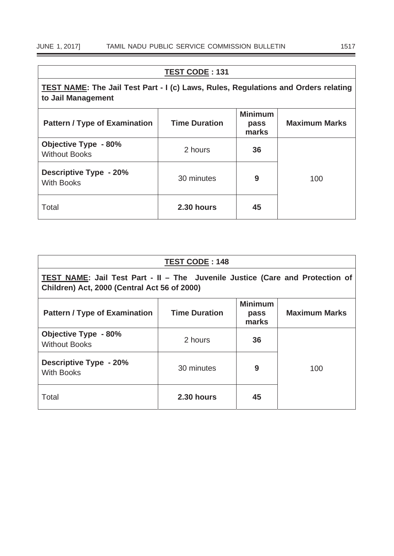**TEST NAME: The Jail Test Part - I (c) Laws, Rules, Regulations and Orders relating to Jail Management** 

| <b>Pattern / Type of Examination</b>                | <b>Time Duration</b> | <b>Minimum</b><br>pass<br>marks | <b>Maximum Marks</b> |
|-----------------------------------------------------|----------------------|---------------------------------|----------------------|
| <b>Objective Type - 80%</b><br><b>Without Books</b> | 2 hours              | 36                              |                      |
| <b>Descriptive Type - 20%</b><br><b>With Books</b>  | 30 minutes           | 9                               | 100                  |
| Total                                               | 2.30 hours           | 45                              |                      |

| <b>TEST CODE: 148</b>                                                                                                         |                      |                                 |                      |
|-------------------------------------------------------------------------------------------------------------------------------|----------------------|---------------------------------|----------------------|
| TEST NAME: Jail Test Part - II - The Juvenile Justice (Care and Protection of<br>Children) Act, 2000 (Central Act 56 of 2000) |                      |                                 |                      |
| <b>Pattern / Type of Examination</b>                                                                                          | <b>Time Duration</b> | <b>Minimum</b><br>pass<br>marks | <b>Maximum Marks</b> |
| <b>Objective Type - 80%</b><br><b>Without Books</b>                                                                           | 2 hours              | 36                              |                      |
| <b>Descriptive Type - 20%</b><br><b>With Books</b>                                                                            | 30 minutes           | 9                               | 100                  |
| Total                                                                                                                         | 2.30 hours           | 45                              |                      |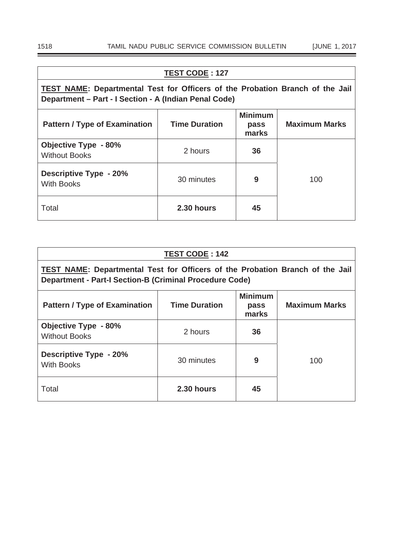$\overline{\phantom{a}}$ 

٠

| <b>TEST CODE: 127</b>                                                                                                                  |                      |                                 |                      |  |
|----------------------------------------------------------------------------------------------------------------------------------------|----------------------|---------------------------------|----------------------|--|
| TEST NAME: Departmental Test for Officers of the Probation Branch of the Jail<br>Department - Part - I Section - A (Indian Penal Code) |                      |                                 |                      |  |
| <b>Pattern / Type of Examination</b>                                                                                                   | <b>Time Duration</b> | <b>Minimum</b><br>pass<br>marks | <b>Maximum Marks</b> |  |
| <b>Objective Type - 80%</b><br><b>Without Books</b>                                                                                    | 2 hours              | 36                              |                      |  |
| <b>Descriptive Type - 20%</b><br><b>With Books</b>                                                                                     | 30 minutes           | 9                               | 100                  |  |
| Total                                                                                                                                  | 2.30 hours           | 45                              |                      |  |

| <b>TEST CODE: 142</b>                                                                                                                           |                      |                                 |                      |
|-------------------------------------------------------------------------------------------------------------------------------------------------|----------------------|---------------------------------|----------------------|
| TEST NAME: Departmental Test for Officers of the Probation Branch of the Jail<br><b>Department - Part-I Section-B (Criminal Procedure Code)</b> |                      |                                 |                      |
| <b>Pattern / Type of Examination</b>                                                                                                            | <b>Time Duration</b> | <b>Minimum</b><br>pass<br>marks | <b>Maximum Marks</b> |
| <b>Objective Type - 80%</b><br><b>Without Books</b>                                                                                             | 2 hours              | 36                              |                      |
| <b>Descriptive Type - 20%</b><br><b>With Books</b>                                                                                              | 30 minutes           | 9                               | 100                  |
| Total                                                                                                                                           | 2.30 hours           | 45                              |                      |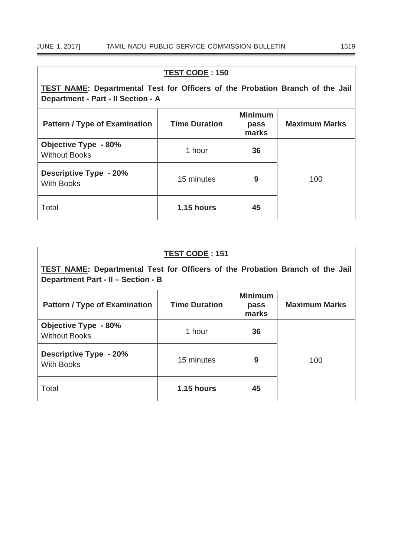**TEST NAME: Departmental Test for Officers of the Probation Branch of the Jail Department - Part - II Section - A** 

| <b>Pattern / Type of Examination</b>                | <b>Time Duration</b> | <b>Minimum</b><br>pass<br>marks | <b>Maximum Marks</b> |
|-----------------------------------------------------|----------------------|---------------------------------|----------------------|
| <b>Objective Type - 80%</b><br><b>Without Books</b> | 1 hour               | 36                              |                      |
| <b>Descriptive Type - 20%</b><br><b>With Books</b>  | 15 minutes           | 9                               | 100                  |
| Total                                               | 1.15 hours           | 45                              |                      |

| <b>TEST CODE: 151</b>                                                                                                      |                      |                                 |                      |
|----------------------------------------------------------------------------------------------------------------------------|----------------------|---------------------------------|----------------------|
| <b>TEST NAME: Departmental Test for Officers of the Probation Branch of the Jail</b><br>Department Part - II - Section - B |                      |                                 |                      |
| <b>Pattern / Type of Examination</b>                                                                                       | <b>Time Duration</b> | <b>Minimum</b><br>pass<br>marks | <b>Maximum Marks</b> |
| <b>Objective Type - 80%</b><br><b>Without Books</b>                                                                        | 1 hour               | 36                              |                      |
| <b>Descriptive Type - 20%</b><br><b>With Books</b>                                                                         | 15 minutes           | 9                               | 100                  |
| Total                                                                                                                      | 1.15 hours           | 45                              |                      |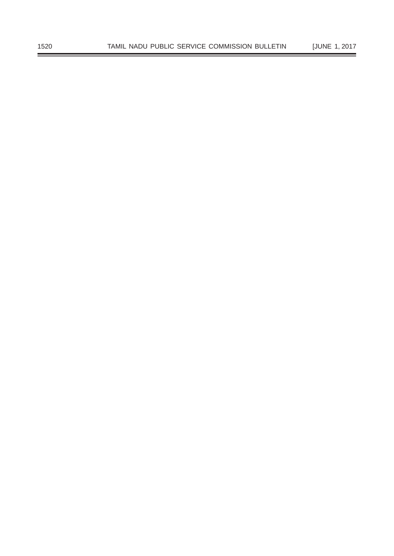L,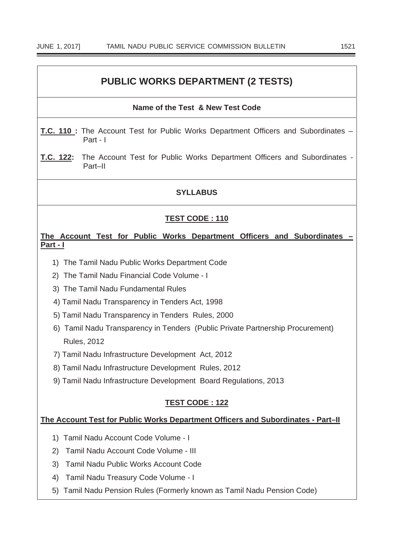## **PUBLIC WORKS DEPARTMENT (2 TESTS)**

#### **Name of the Test & New Test Code**

**T.C. 110 :** The Account Test for Public Works Department Officers and Subordinates – Part - I

**T.C. 122:** The Account Test for Public Works Department Officers and Subordinates - Part–II

#### **SYLLABUS**

#### **TEST CODE : 110**

## **The Account Test for Public Works Department Officers and Subordinates – Part - I**

- 1) The Tamil Nadu Public Works Department Code
- 2) The Tamil Nadu Financial Code Volume I
- 3) The Tamil Nadu Fundamental Rules
- 4) Tamil Nadu Transparency in Tenders Act, 1998
- 5) Tamil Nadu Transparency in Tenders Rules, 2000
- 6) Tamil Nadu Transparency in Tenders (Public Private Partnership Procurement) Rules, 2012
- 7) Tamil Nadu Infrastructure Development Act, 2012
- 8) Tamil Nadu Infrastructure Development Rules, 2012
- 9) Tamil Nadu Infrastructure Development Board Regulations, 2013

#### **TEST CODE : 122**

#### **The Account Test for Public Works Department Officers and Subordinates - Part–II**

- 1) Tamil Nadu Account Code Volume I
- 2) Tamil Nadu Account Code Volume III
- 3) Tamil Nadu Public Works Account Code
- 4) Tamil Nadu Treasury Code Volume I
- 5) Tamil Nadu Pension Rules (Formerly known as Tamil Nadu Pension Code)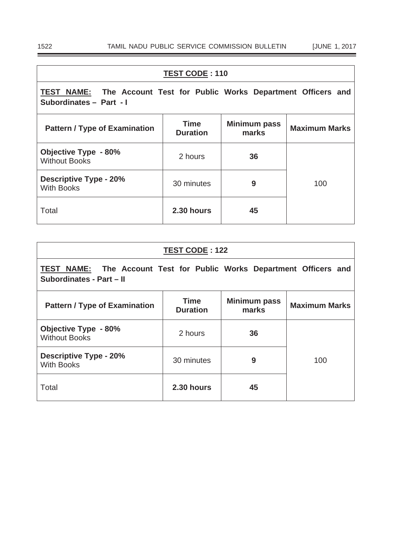**TEST NAME: The Account Test for Public Works Department Officers and Subordinates – Part - I** 

| <b>Pattern / Type of Examination</b>                | <b>Time</b><br><b>Duration</b> | <b>Minimum pass</b><br>marks | <b>Maximum Marks</b> |
|-----------------------------------------------------|--------------------------------|------------------------------|----------------------|
| <b>Objective Type - 80%</b><br><b>Without Books</b> | 2 hours                        | 36                           |                      |
| <b>Descriptive Type - 20%</b><br><b>With Books</b>  | 30 minutes                     | 9                            | 100                  |
| Total                                               | 2.30 hours                     | 45                           |                      |

| <b>TEST CODE: 122</b>                                                                            |                                |                              |                      |
|--------------------------------------------------------------------------------------------------|--------------------------------|------------------------------|----------------------|
| TEST NAME: The Account Test for Public Works Department Officers and<br>Subordinates - Part - II |                                |                              |                      |
| <b>Pattern / Type of Examination</b>                                                             | <b>Time</b><br><b>Duration</b> | <b>Minimum pass</b><br>marks | <b>Maximum Marks</b> |
| <b>Objective Type - 80%</b><br><b>Without Books</b>                                              | 2 hours                        | 36                           |                      |
| <b>Descriptive Type - 20%</b><br><b>With Books</b>                                               | 30 minutes                     | 9                            | 100                  |
| Total                                                                                            | 2.30 hours                     | 45                           |                      |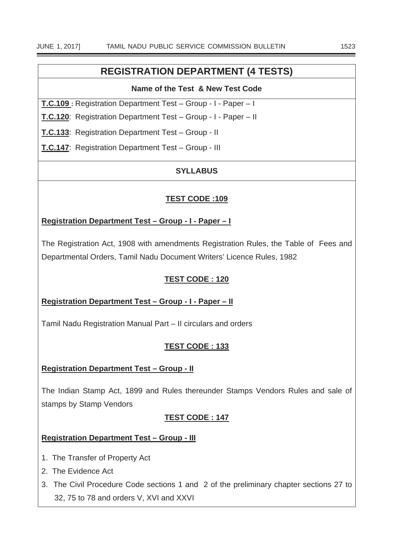# **REGISTRATION DEPARTMENT (4 TESTS)**

## **Name of the Test & New Test Code**

**T.C.109 :** Registration Department Test – Group - I - Paper – I

**T.C.120**: Registration Department Test – Group - I - Paper – II

**T.C.133**: Registration Department Test – Group - II

**T.C.147**: Registration Department Test – Group - III

## **SYLLABUS**

## **TEST CODE :109**

## **Registration Department Test – Group - I - Paper – I**

The Registration Act, 1908 with amendments Registration Rules, the Table of Fees and Departmental Orders, Tamil Nadu Document Writers' Licence Rules, 1982

## **TEST CODE : 120**

## **Registration Department Test – Group - I - Paper – II**

Tamil Nadu Registration Manual Part – II circulars and orders

## **TEST CODE : 133**

## **Registration Department Test – Group - II**

The Indian Stamp Act, 1899 and Rules thereunder Stamps Vendors Rules and sale of stamps by Stamp Vendors

## **TEST CODE : 147**

## **Registration Department Test – Group - III**

- 1. The Transfer of Property Act
- 2. The Evidence Act
- 3. The Civil Procedure Code sections 1 and 2 of the preliminary chapter sections 27 to 32, 75 to 78 and orders V, XVI and XXVI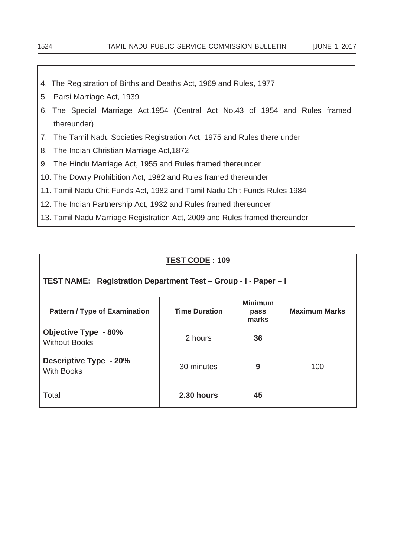- 5. Parsi Marriage Act, 1939
- 6. The Special Marriage Act,1954 (Central Act No.43 of 1954 and Rules framed thereunder)
- 7. The Tamil Nadu Societies Registration Act, 1975 and Rules there under
- 8. The Indian Christian Marriage Act,1872
- 9. The Hindu Marriage Act, 1955 and Rules framed thereunder
- 10. The Dowry Prohibition Act, 1982 and Rules framed thereunder
- 11. Tamil Nadu Chit Funds Act, 1982 and Tamil Nadu Chit Funds Rules 1984
- 12. The Indian Partnership Act, 1932 and Rules framed thereunder
- 13. Tamil Nadu Marriage Registration Act, 2009 and Rules framed thereunder

| <b>TEST CODE: 109</b>                                                  |                      |                                 |                      |
|------------------------------------------------------------------------|----------------------|---------------------------------|----------------------|
| <b>TEST NAME: Registration Department Test - Group - I - Paper - I</b> |                      |                                 |                      |
| <b>Pattern / Type of Examination</b>                                   | <b>Time Duration</b> | <b>Minimum</b><br>pass<br>marks | <b>Maximum Marks</b> |
| <b>Objective Type - 80%</b><br><b>Without Books</b>                    | 2 hours              | 36                              |                      |
| <b>Descriptive Type - 20%</b><br><b>With Books</b>                     | 30 minutes           | 9                               | 100                  |
| Total                                                                  | 2.30 hours           | 45                              |                      |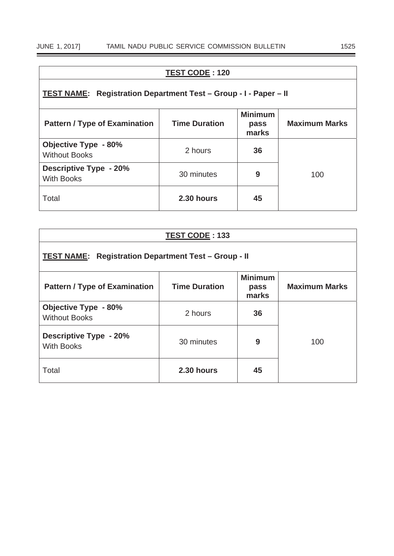# **TEST NAME: Registration Department Test – Group - I - Paper – II**

| <b>Pattern / Type of Examination</b>                | <b>Time Duration</b> | <b>Minimum</b><br>pass<br>marks | <b>Maximum Marks</b> |
|-----------------------------------------------------|----------------------|---------------------------------|----------------------|
| <b>Objective Type - 80%</b><br><b>Without Books</b> | 2 hours              | 36                              |                      |
| <b>Descriptive Type - 20%</b><br><b>With Books</b>  | 30 minutes           | 9                               | 100                  |
| Total                                               | 2.30 hours           | 45                              |                      |

| <b>TEST CODE: 133</b>                                                 |                      |                                 |                      |  |  |  |
|-----------------------------------------------------------------------|----------------------|---------------------------------|----------------------|--|--|--|
| <b>Registration Department Test - Group - II</b><br><b>TEST NAME:</b> |                      |                                 |                      |  |  |  |
| <b>Pattern / Type of Examination</b>                                  | <b>Time Duration</b> | <b>Minimum</b><br>pass<br>marks | <b>Maximum Marks</b> |  |  |  |
| <b>Objective Type - 80%</b><br><b>Without Books</b>                   | 2 hours              | 36                              |                      |  |  |  |
| <b>Descriptive Type - 20%</b><br><b>With Books</b>                    | 30 minutes           | 9                               | 100                  |  |  |  |
| Total                                                                 | 2.30 hours           | 45                              |                      |  |  |  |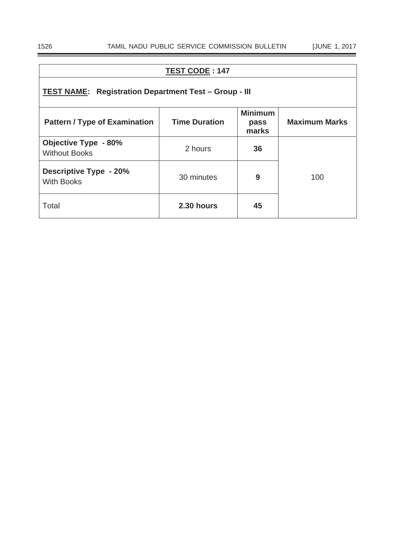and the

۰

| <b>TEST CODE: 147</b>                                        |                      |                                 |                      |  |  |  |
|--------------------------------------------------------------|----------------------|---------------------------------|----------------------|--|--|--|
| <b>TEST NAME:</b> Registration Department Test – Group - III |                      |                                 |                      |  |  |  |
| <b>Pattern / Type of Examination</b>                         | <b>Time Duration</b> | <b>Minimum</b><br>pass<br>marks | <b>Maximum Marks</b> |  |  |  |
| <b>Objective Type - 80%</b><br><b>Without Books</b>          | 2 hours              | 36                              |                      |  |  |  |
| <b>Descriptive Type - 20%</b><br><b>With Books</b>           | 30 minutes           | 9                               | 100                  |  |  |  |
| Total                                                        | 2.30 hours           | 45                              |                      |  |  |  |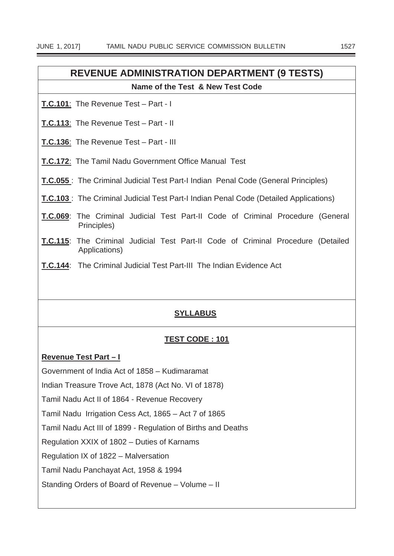# **REVENUE ADMINISTRATION DEPARTMENT (9 TESTS)**

#### **Name of the Test & New Test Code**

- **T.C.101**: The Revenue Test Part I
- **T.C.113**: The Revenue Test Part II
- **T.C.136**: The Revenue Test Part III
- **T.C.172**: The Tamil Nadu Government Office Manual Test
- **T.C.055** : The Criminal Judicial Test Part-I Indian Penal Code (General Principles)
- **T.C.103** : The Criminal Judicial Test Part-I Indian Penal Code (Detailed Applications)
- **T.C.069**: The Criminal Judicial Test Part-II Code of Criminal Procedure (General Principles)
- **T.C.115**: The Criminal Judicial Test Part-II Code of Criminal Procedure (Detailed Applications)
- **T.C.144**: The Criminal Judicial Test Part-III The Indian Evidence Act

#### **SYLLABUS**

#### **TEST CODE : 101**

**Revenue Test Part – I** 

Government of India Act of 1858 – Kudimaramat

Indian Treasure Trove Act, 1878 (Act No. VI of 1878)

Tamil Nadu Act II of 1864 - Revenue Recovery

Tamil Nadu Irrigation Cess Act, 1865 – Act 7 of 1865

Tamil Nadu Act III of 1899 - Regulation of Births and Deaths

Regulation XXIX of 1802 – Duties of Karnams

Regulation IX of 1822 – Malversation

Tamil Nadu Panchayat Act, 1958 & 1994

#### Standing Orders of Board of Revenue – Volume – II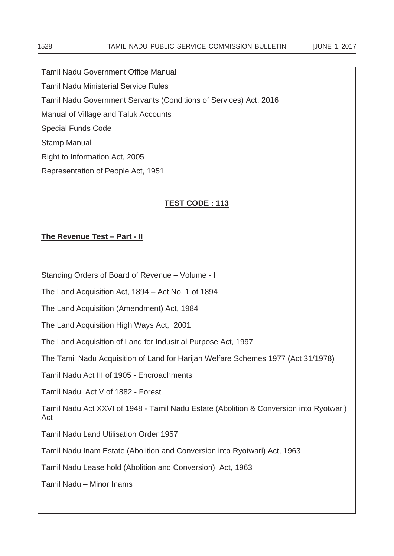Tamil Nadu Government Office Manual

Tamil Nadu Ministerial Service Rules

Tamil Nadu Government Servants (Conditions of Services) Act, 2016

Manual of Village and Taluk Accounts

Special Funds Code

Stamp Manual

Right to Information Act, 2005

Representation of People Act, 1951

## **TEST CODE : 113**

## **The Revenue Test – Part - II**

Standing Orders of Board of Revenue – Volume - I

The Land Acquisition Act, 1894 – Act No. 1 of 1894

The Land Acquisition (Amendment) Act, 1984

The Land Acquisition High Ways Act, 2001

The Land Acquisition of Land for Industrial Purpose Act, 1997

The Tamil Nadu Acquisition of Land for Harijan Welfare Schemes 1977 (Act 31/1978)

Tamil Nadu Act III of 1905 - Encroachments

Tamil Nadu Act V of 1882 - Forest

Tamil Nadu Act XXVI of 1948 - Tamil Nadu Estate (Abolition & Conversion into Ryotwari) Act

Tamil Nadu Land Utilisation Order 1957

Tamil Nadu Inam Estate (Abolition and Conversion into Ryotwari) Act, 1963

Tamil Nadu Lease hold (Abolition and Conversion) Act, 1963

Tamil Nadu – Minor Inams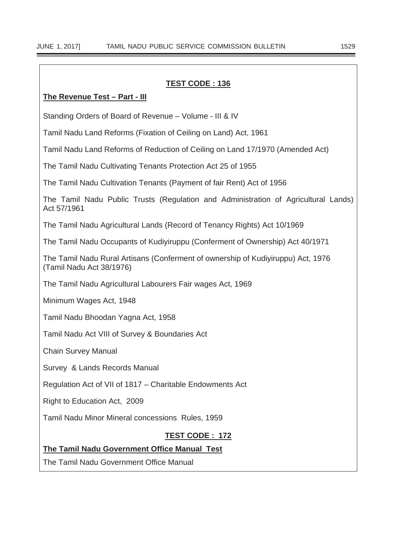#### **The Revenue Test – Part - III**

Standing Orders of Board of Revenue – Volume - III & IV

Tamil Nadu Land Reforms (Fixation of Ceiling on Land) Act, 1961

Tamil Nadu Land Reforms of Reduction of Ceiling on Land 17/1970 (Amended Act)

The Tamil Nadu Cultivating Tenants Protection Act 25 of 1955

The Tamil Nadu Cultivation Tenants (Payment of fair Rent) Act of 1956

The Tamil Nadu Public Trusts (Regulation and Administration of Agricultural Lands) Act 57/1961

The Tamil Nadu Agricultural Lands (Record of Tenancy Rights) Act 10/1969

The Tamil Nadu Occupants of Kudiyiruppu (Conferment of Ownership) Act 40/1971

The Tamil Nadu Rural Artisans (Conferment of ownership of Kudiyiruppu) Act, 1976 (Tamil Nadu Act 38/1976)

The Tamil Nadu Agricultural Labourers Fair wages Act, 1969

Minimum Wages Act, 1948

Tamil Nadu Bhoodan Yagna Act, 1958

Tamil Nadu Act VIII of Survey & Boundaries Act

Chain Survey Manual

Survey & Lands Records Manual

Regulation Act of VII of 1817 – Charitable Endowments Act

Right to Education Act, 2009

Tamil Nadu Minor Mineral concessions Rules, 1959

## **TEST CODE : 172**

**The Tamil Nadu Government Office Manual Test**

The Tamil Nadu Government Office Manual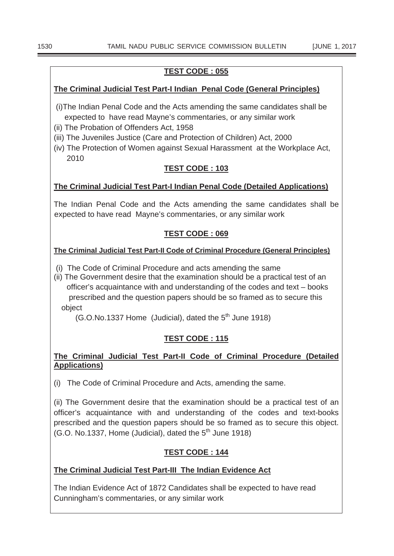## **The Criminal Judicial Test Part-I Indian Penal Code (General Principles)**

 (i)The Indian Penal Code and the Acts amending the same candidates shall be expected to have read Mayne's commentaries, or any similar work

- (ii) The Probation of Offenders Act, 1958
- (iii) The Juveniles Justice (Care and Protection of Children) Act, 2000
- (iv) The Protection of Women against Sexual Harassment at the Workplace Act, 2010

#### **TEST CODE : 103**

#### **The Criminal Judicial Test Part-I Indian Penal Code (Detailed Applications)**

The Indian Penal Code and the Acts amending the same candidates shall be expected to have read Mayne's commentaries, or any similar work

## **TEST CODE : 069**

#### **The Criminal Judicial Test Part-II Code of Criminal Procedure (General Principles)**

- (i) The Code of Criminal Procedure and acts amending the same
- (ii) The Government desire that the examination should be a practical test of an officer's acquaintance with and understanding of the codes and text – books prescribed and the question papers should be so framed as to secure this object

 $(G.O.No.1337$  Home (Judicial), dated the  $5<sup>th</sup>$  June 1918)

## **TEST CODE : 115**

## **The Criminal Judicial Test Part-II Code of Criminal Procedure (Detailed Applications)**

(i) The Code of Criminal Procedure and Acts, amending the same.

(ii) The Government desire that the examination should be a practical test of an officer's acquaintance with and understanding of the codes and text-books prescribed and the question papers should be so framed as to secure this object.  $(G.O. No.1337, Home (Judicial), dated the 5<sup>th</sup> June 1918)$ 

## **TEST CODE : 144**

## **The Criminal Judicial Test Part-III The Indian Evidence Act**

The Indian Evidence Act of 1872 Candidates shall be expected to have read Cunningham's commentaries, or any similar work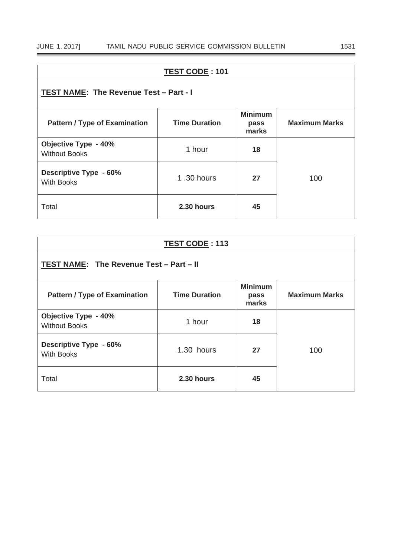# **TEST NAME: The Revenue Test – Part - I**

| <b>Pattern / Type of Examination</b>                | <b>Time Duration</b> | <b>Minimum</b><br>pass<br>marks | <b>Maximum Marks</b> |  |
|-----------------------------------------------------|----------------------|---------------------------------|----------------------|--|
| <b>Objective Type - 40%</b><br><b>Without Books</b> | 1 hour               | 18                              |                      |  |
| <b>Descriptive Type - 60%</b><br><b>With Books</b>  | 1.30 hours           | 27                              | 100                  |  |
| Total                                               | 2.30 hours           | 45                              |                      |  |

|  | <b>TEST CODE : 113</b> |  |
|--|------------------------|--|
|  |                        |  |

## **TEST NAME: The Revenue Test – Part – II**

| <b>Pattern / Type of Examination</b>                | <b>Time Duration</b> | <b>Minimum</b><br>pass<br>marks | <b>Maximum Marks</b> |  |
|-----------------------------------------------------|----------------------|---------------------------------|----------------------|--|
| <b>Objective Type - 40%</b><br><b>Without Books</b> | 1 hour               | 18                              |                      |  |
| <b>Descriptive Type - 60%</b><br><b>With Books</b>  | 1.30 hours           | 27                              | 100                  |  |
| Total                                               | 2.30 hours           | 45                              |                      |  |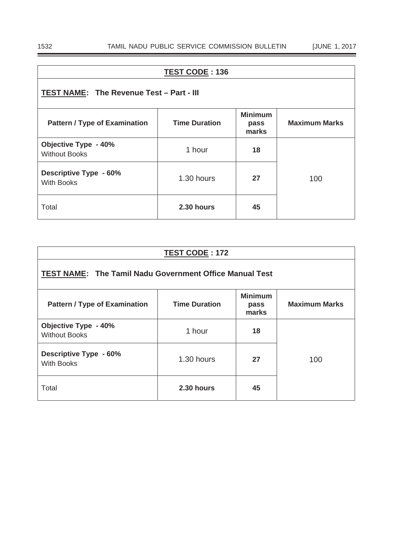# **TEST NAME: The Revenue Test – Part - III**

| <b>Pattern / Type of Examination</b>                | <b>Time Duration</b> | <b>Minimum</b><br>pass<br>marks | <b>Maximum Marks</b> |
|-----------------------------------------------------|----------------------|---------------------------------|----------------------|
| <b>Objective Type - 40%</b><br><b>Without Books</b> | 1 hour               | 18                              |                      |
| <b>Descriptive Type - 60%</b><br><b>With Books</b>  | 1.30 hours           | 27                              | 100                  |
| Total                                               | 2.30 hours           | 45                              |                      |

| <b>TEST CODE: 172</b>                                          |                      |                                 |                      |
|----------------------------------------------------------------|----------------------|---------------------------------|----------------------|
| <b>TEST NAME: The Tamil Nadu Government Office Manual Test</b> |                      |                                 |                      |
| <b>Pattern / Type of Examination</b>                           | <b>Time Duration</b> | <b>Minimum</b><br>pass<br>marks | <b>Maximum Marks</b> |
| <b>Objective Type - 40%</b><br><b>Without Books</b>            | 1 hour               | 18                              |                      |
| <b>Descriptive Type - 60%</b><br><b>With Books</b>             | 1.30 hours           | 27                              | 100                  |
| Total                                                          | 2.30 hours           | 45                              |                      |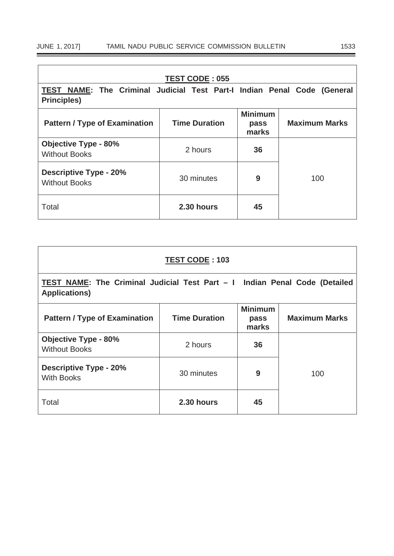# 

| <b>TEST CODE: 055</b>                                                                                |                      |                                 |                      |
|------------------------------------------------------------------------------------------------------|----------------------|---------------------------------|----------------------|
| <b>TEST NAME:</b> The Criminal Judicial Test Part-I Indian Penal Code (General<br><b>Principles)</b> |                      |                                 |                      |
| <b>Pattern / Type of Examination</b>                                                                 | <b>Time Duration</b> | <b>Minimum</b><br>pass<br>marks | <b>Maximum Marks</b> |
| <b>Objective Type - 80%</b><br><b>Without Books</b>                                                  | 2 hours              | 36                              |                      |
| <b>Descriptive Type - 20%</b><br><b>Without Books</b>                                                | 30 minutes           | 9                               | 100                  |
| Total                                                                                                | 2.30 hours           | 45                              |                      |

| <b>TEST CODE: 103</b>                                                                              |                      |                                 |                      |
|----------------------------------------------------------------------------------------------------|----------------------|---------------------------------|----------------------|
| TEST NAME: The Criminal Judicial Test Part - I Indian Penal Code (Detailed<br><b>Applications)</b> |                      |                                 |                      |
| <b>Pattern / Type of Examination</b>                                                               | <b>Time Duration</b> | <b>Minimum</b><br>pass<br>marks | <b>Maximum Marks</b> |
| <b>Objective Type - 80%</b><br><b>Without Books</b>                                                | 2 hours              | 36                              |                      |
| <b>Descriptive Type - 20%</b><br><b>With Books</b>                                                 | 30 minutes           | 9                               | 100                  |
| Total                                                                                              | 2.30 hours           | 45                              |                      |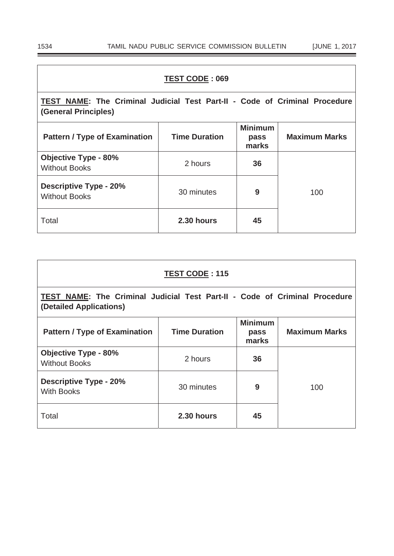**TEST NAME: The Criminal Judicial Test Part-II - Code of Criminal Procedure (General Principles)** 

| <b>Pattern / Type of Examination</b>                  | <b>Time Duration</b> | <b>Minimum</b><br>pass<br>marks | <b>Maximum Marks</b> |
|-------------------------------------------------------|----------------------|---------------------------------|----------------------|
| <b>Objective Type - 80%</b><br><b>Without Books</b>   | 2 hours              | 36                              |                      |
| <b>Descriptive Type - 20%</b><br><b>Without Books</b> | 30 minutes           | 9                               | 100                  |
| Total                                                 | 2.30 hours           | 45                              |                      |

| <b>TEST CODE: 115</b>                                                                                                   |            |    |     |  |  |
|-------------------------------------------------------------------------------------------------------------------------|------------|----|-----|--|--|
| TEST NAME: The Criminal Judicial Test Part-II - Code of Criminal Procedure<br>(Detailed Applications)                   |            |    |     |  |  |
| <b>Minimum</b><br><b>Time Duration</b><br><b>Maximum Marks</b><br><b>Pattern / Type of Examination</b><br>pass<br>marks |            |    |     |  |  |
| <b>Objective Type - 80%</b><br><b>Without Books</b>                                                                     | 2 hours    | 36 |     |  |  |
| <b>Descriptive Type - 20%</b><br><b>With Books</b>                                                                      | 30 minutes | 9  | 100 |  |  |
| Total                                                                                                                   | 2.30 hours | 45 |     |  |  |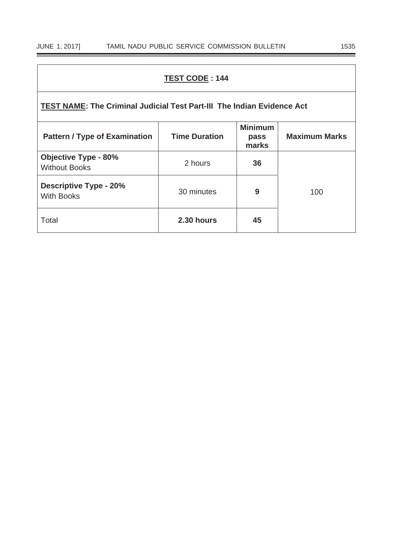# **TEST NAME: The Criminal Judicial Test Part-III The Indian Evidence Act**

| <b>Pattern / Type of Examination</b>                | <b>Time Duration</b> | <b>Minimum</b><br>pass<br>marks | <b>Maximum Marks</b> |  |
|-----------------------------------------------------|----------------------|---------------------------------|----------------------|--|
| <b>Objective Type - 80%</b><br><b>Without Books</b> | 2 hours              | 36                              |                      |  |
| <b>Descriptive Type - 20%</b><br><b>With Books</b>  | 30 minutes           | 9                               | 100                  |  |
| Total                                               | 2.30 hours           | 45                              |                      |  |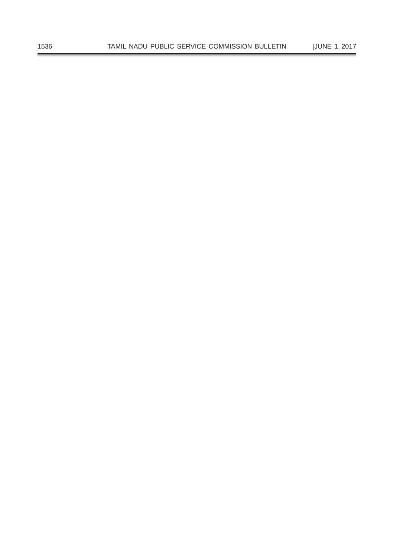j.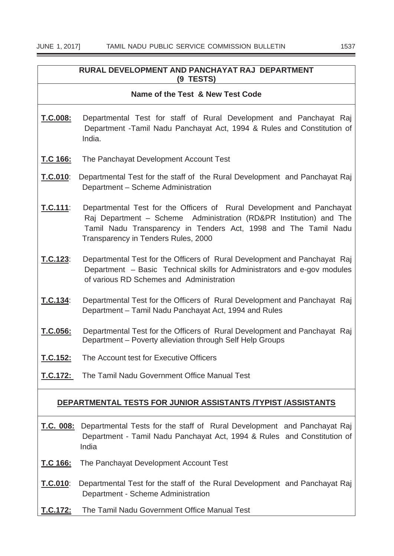#### **RURAL DEVELOPMENT AND PANCHAYAT RAJ DEPARTMENT (9 TESTS)**

#### **Name of the Test & New Test Code**

- **T.C.008:** Departmental Test for staff of Rural Development and Panchayat Raj Department -Tamil Nadu Panchayat Act, 1994 & Rules and Constitution of India.
- **T.C 166:** The Panchayat Development Account Test
- **T.C.010**: Departmental Test for the staff of the Rural Development and Panchayat Raj Department – Scheme Administration
- **T.C.111**: Departmental Test for the Officers of Rural Development and Panchayat Raj Department – Scheme Administration (RD&PR Institution) and The Tamil Nadu Transparency in Tenders Act, 1998 and The Tamil Nadu Transparency in Tenders Rules, 2000
- **T.C.123**: Departmental Test for the Officers of Rural Development and Panchayat Raj Department – Basic Technical skills for Administrators and e-gov modules of various RD Schemes and Administration
- **T.C.134**: Departmental Test for the Officers of Rural Development and Panchayat Raj Department – Tamil Nadu Panchayat Act, 1994 and Rules
- **T.C.056:** Departmental Test for the Officers of Rural Development and Panchayat Raj Department – Poverty alleviation through Self Help Groups
- **T.C.152:** The Account test for Executive Officers
- **T.C.172:** The Tamil Nadu Government Office Manual Test

#### **DEPARTMENTAL TESTS FOR JUNIOR ASSISTANTS /TYPIST /ASSISTANTS**

- **T.C. 008:** Departmental Tests for the staff of Rural Development and Panchayat Raj Department - Tamil Nadu Panchayat Act, 1994 & Rules and Constitution of India
- **T.C 166:** The Panchayat Development Account Test
- **T.C.010**: Departmental Test for the staff of the Rural Development and Panchayat Raj Department - Scheme Administration
- **T.C.172:** The Tamil Nadu Government Office Manual Test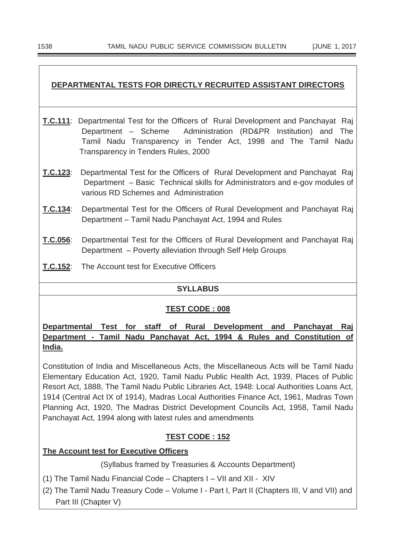#### **DEPARTMENTAL TESTS FOR DIRECTLY RECRUITED ASSISTANT DIRECTORS**

- **T.C.111**: Departmental Test for the Officers of Rural Development and Panchayat Raj Department – Scheme Administration (RD&PR Institution) and The Tamil Nadu Transparency in Tender Act, 1998 and The Tamil Nadu Transparency in Tenders Rules, 2000
- **T.C.123**: Departmental Test for the Officers of Rural Development and Panchayat Raj Department – Basic Technical skills for Administrators and e-gov modules of various RD Schemes and Administration
- **T.C.134**: Departmental Test for the Officers of Rural Development and Panchayat Raj Department – Tamil Nadu Panchayat Act, 1994 and Rules
- **T.C.056**: Departmental Test for the Officers of Rural Development and Panchayat Raj Department – Poverty alleviation through Self Help Groups
- **T.C.152**: The Account test for Executive Officers

#### **SYLLABUS**

## **TEST CODE : 008**

**Departmental Test for staff of Rural Development and Panchayat Raj Department - Tamil Nadu Panchayat Act, 1994 & Rules and Constitution of India.**

Constitution of India and Miscellaneous Acts, the Miscellaneous Acts will be Tamil Nadu Elementary Education Act, 1920, Tamil Nadu Public Health Act, 1939, Places of Public Resort Act, 1888, The Tamil Nadu Public Libraries Act, 1948: Local Authorities Loans Act, 1914 (Central Act IX of 1914), Madras Local Authorities Finance Act, 1961, Madras Town Planning Act, 1920, The Madras District Development Councils Act, 1958, Tamil Nadu Panchayat Act, 1994 along with latest rules and amendments

## **TEST CODE : 152**

## **The Account test for Executive Officers**

(Syllabus framed by Treasuries & Accounts Department)

(1) The Tamil Nadu Financial Code – Chapters I – VII and XII - XIV

(2) The Tamil Nadu Treasury Code – Volume I - Part I, Part II (Chapters III, V and VII) and Part III (Chapter V)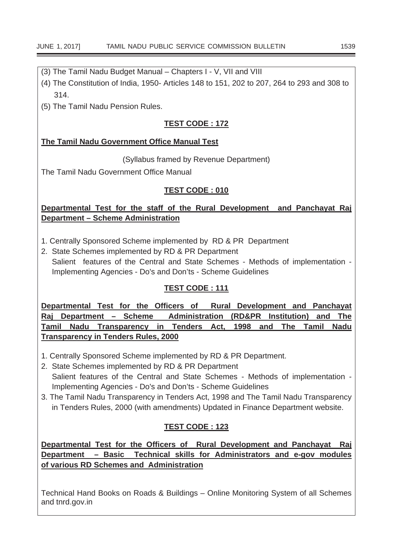(3) The Tamil Nadu Budget Manual – Chapters I - V, VII and VIII

- (4) The Constitution of India, 1950- Articles 148 to 151, 202 to 207, 264 to 293 and 308 to 314.
- (5) The Tamil Nadu Pension Rules.

# **TEST CODE : 172**

## **The Tamil Nadu Government Office Manual Test**

(Syllabus framed by Revenue Department)

The Tamil Nadu Government Office Manual

## **TEST CODE : 010**

**Departmental Test for the staff of the Rural Development and Panchayat Raj Department – Scheme Administration** 

- 1. Centrally Sponsored Scheme implemented by RD & PR Department
- 2. State Schemes implemented by RD & PR Department Salient features of the Central and State Schemes - Methods of implementation - Implementing Agencies - Do's and Don'ts - Scheme Guidelines

## **TEST CODE : 111**

**Departmental Test for the Officers of Rural Development and Panchayat Raj Department – Scheme Administration (RD&PR Institution) and The Tamil Nadu Transparency in Tenders Act, 1998 and The Tamil Nadu Transparency in Tenders Rules, 2000** 

- 1. Centrally Sponsored Scheme implemented by RD & PR Department.
- 2. State Schemes implemented by RD & PR Department Salient features of the Central and State Schemes - Methods of implementation - Implementing Agencies - Do's and Don'ts - Scheme Guidelines
- 3. The Tamil Nadu Transparency in Tenders Act, 1998 and The Tamil Nadu Transparency in Tenders Rules, 2000 (with amendments) Updated in Finance Department website.

## **TEST CODE : 123**

**Departmental Test for the Officers of Rural Development and Panchayat Raj Department – Basic Technical skills for Administrators and e-gov modules of various RD Schemes and Administration**

Technical Hand Books on Roads & Buildings – Online Monitoring System of all Schemes and tnrd.gov.in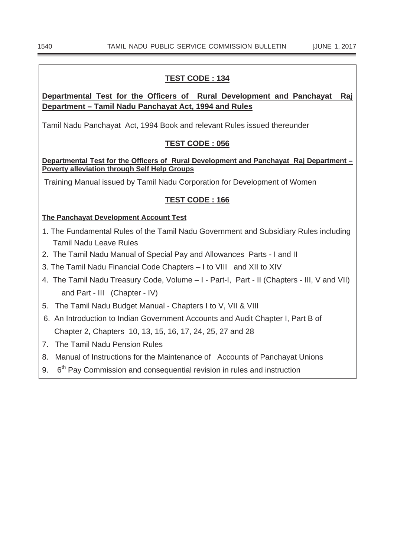## **Departmental Test for the Officers of Rural Development and Panchayat Raj Department – Tamil Nadu Panchayat Act, 1994 and Rules**

Tamil Nadu Panchayat Act, 1994 Book and relevant Rules issued thereunder

## **TEST CODE : 056**

#### **Departmental Test for the Officers of Rural Development and Panchayat Raj Department – Poverty alleviation through Self Help Groups**

Training Manual issued by Tamil Nadu Corporation for Development of Women

## **TEST CODE : 166**

#### **The Panchayat Development Account Test**

- 1. The Fundamental Rules of the Tamil Nadu Government and Subsidiary Rules including Tamil Nadu Leave Rules
- 2. The Tamil Nadu Manual of Special Pay and Allowances Parts I and II
- 3. The Tamil Nadu Financial Code Chapters I to VIII and XII to XIV
- 4. The Tamil Nadu Treasury Code, Volume I Part-I, Part II (Chapters III, V and VII) and Part - III (Chapter - IV)
- 5. The Tamil Nadu Budget Manual Chapters I to V, VII & VIII
- 6. An Introduction to Indian Government Accounts and Audit Chapter I, Part B of Chapter 2, Chapters 10, 13, 15, 16, 17, 24, 25, 27 and 28
- 7. The Tamil Nadu Pension Rules
- 8. Manual of Instructions for the Maintenance of Accounts of Panchayat Unions
- 9. 6<sup>th</sup> Pay Commission and consequential revision in rules and instruction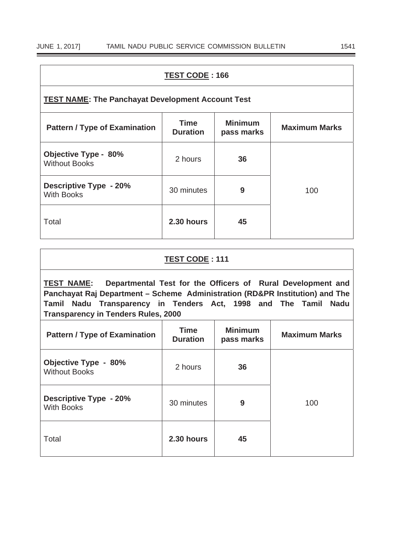#### **TEST NAME: The Panchayat Development Account Test**

| <b>Pattern / Type of Examination</b>                | Time<br><b>Duration</b> | <b>Minimum</b><br>pass marks | <b>Maximum Marks</b> |
|-----------------------------------------------------|-------------------------|------------------------------|----------------------|
| <b>Objective Type - 80%</b><br><b>Without Books</b> | 2 hours                 | 36                           |                      |
| <b>Descriptive Type - 20%</b><br><b>With Books</b>  | 30 minutes              | 9                            | 100                  |
| Total                                               | 2.30 hours              | 45                           |                      |

#### **TEST CODE : 111**

**TEST NAME: Departmental Test for the Officers of Rural Development and Panchayat Raj Department – Scheme Administration (RD&PR Institution) and The Tamil Nadu Transparency in Tenders Act, 1998 and The Tamil Nadu Transparency in Tenders Rules, 2000** 

| <b>Pattern / Type of Examination</b>                | <b>Time</b><br><b>Duration</b> | <b>Minimum</b><br>pass marks | <b>Maximum Marks</b> |
|-----------------------------------------------------|--------------------------------|------------------------------|----------------------|
| <b>Objective Type - 80%</b><br><b>Without Books</b> | 2 hours                        | 36                           |                      |
| <b>Descriptive Type - 20%</b><br><b>With Books</b>  | 30 minutes                     | 9                            | 100                  |
| Total                                               | 2.30 hours                     | 45                           |                      |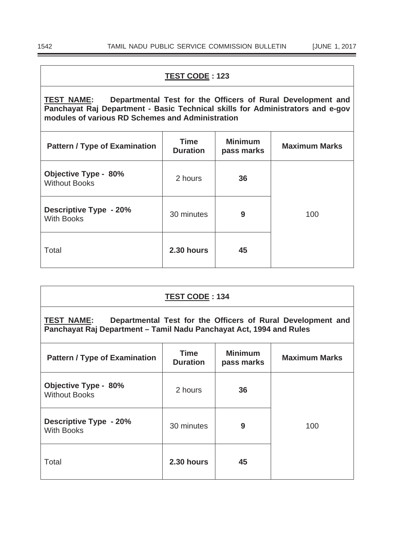**TEST NAME: Departmental Test for the Officers of Rural Development and Panchayat Raj Department - Basic Technical skills for Administrators and e-gov modules of various RD Schemes and Administration** 

| <b>Pattern / Type of Examination</b>                | <b>Time</b><br><b>Duration</b> | <b>Minimum</b><br>pass marks | <b>Maximum Marks</b> |
|-----------------------------------------------------|--------------------------------|------------------------------|----------------------|
| <b>Objective Type - 80%</b><br><b>Without Books</b> | 2 hours                        | 36                           |                      |
| <b>Descriptive Type - 20%</b><br><b>With Books</b>  | 30 minutes                     | 9                            | 100                  |
| Total                                               | 2.30 hours                     | 45                           |                      |

#### **TEST CODE : 134**

**TEST NAME: Departmental Test for the Officers of Rural Development and Panchayat Raj Department – Tamil Nadu Panchayat Act, 1994 and Rules** 

| <b>Pattern / Type of Examination</b>                | <b>Time</b><br><b>Duration</b> | <b>Minimum</b><br>pass marks | <b>Maximum Marks</b> |
|-----------------------------------------------------|--------------------------------|------------------------------|----------------------|
| <b>Objective Type - 80%</b><br><b>Without Books</b> | 2 hours                        | 36                           |                      |
| <b>Descriptive Type - 20%</b><br><b>With Books</b>  | 30 minutes                     | 9                            | 100                  |
| Total                                               | 2.30 hours                     | 45                           |                      |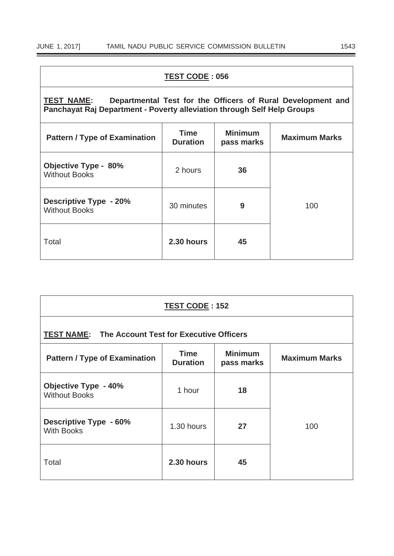#### **TEST NAME: Departmental Test for the Officers of Rural Development and Panchayat Raj Department - Poverty alleviation through Self Help Groups**

| <b>Pattern / Type of Examination</b>                  | <b>Time</b><br><b>Duration</b> | <b>Minimum</b><br>pass marks | <b>Maximum Marks</b> |
|-------------------------------------------------------|--------------------------------|------------------------------|----------------------|
| <b>Objective Type - 80%</b><br><b>Without Books</b>   | 2 hours                        | 36                           |                      |
| <b>Descriptive Type - 20%</b><br><b>Without Books</b> | 30 minutes                     | 9                            | 100                  |
| Total                                                 | 2.30 hours                     | 45                           |                      |

| <b>TEST CODE: 152</b>                                                                                                          |            |    |     |  |
|--------------------------------------------------------------------------------------------------------------------------------|------------|----|-----|--|
| <b>TEST NAME: The Account Test for Executive Officers</b>                                                                      |            |    |     |  |
| <b>Minimum</b><br><b>Time</b><br><b>Maximum Marks</b><br><b>Pattern / Type of Examination</b><br><b>Duration</b><br>pass marks |            |    |     |  |
| <b>Objective Type - 40%</b><br><b>Without Books</b>                                                                            | 1 hour     | 18 |     |  |
| <b>Descriptive Type - 60%</b><br><b>With Books</b>                                                                             | 1.30 hours | 27 | 100 |  |
| Total                                                                                                                          | 2.30 hours | 45 |     |  |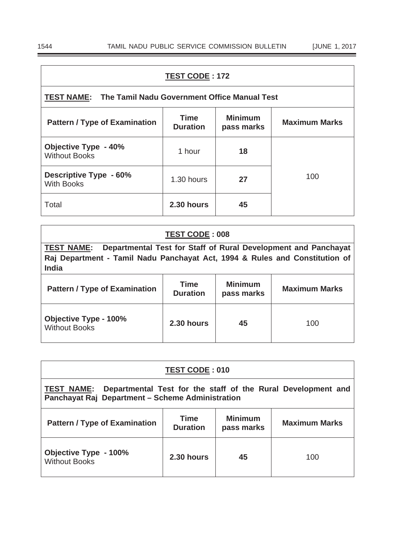| <b>TEST CODE: 172</b>                                                                                                   |            |    |     |  |
|-------------------------------------------------------------------------------------------------------------------------|------------|----|-----|--|
| <b>TEST NAME:</b> The Tamil Nadu Government Office Manual Test                                                          |            |    |     |  |
| <b>Minimum</b><br>Time<br><b>Maximum Marks</b><br><b>Pattern / Type of Examination</b><br><b>Duration</b><br>pass marks |            |    |     |  |
| <b>Objective Type - 40%</b><br><b>Without Books</b>                                                                     | 1 hour     | 18 |     |  |
| <b>Descriptive Type - 60%</b><br><b>With Books</b>                                                                      | 1.30 hours | 27 | 100 |  |
| Total                                                                                                                   | 2.30 hours | 45 |     |  |

**TEST NAME: Departmental Test for Staff of Rural Development and Panchayat Raj Department - Tamil Nadu Panchayat Act, 1994 & Rules and Constitution of India**

| <b>Pattern / Type of Examination</b>          | <b>Time</b><br><b>Duration</b> | <b>Minimum</b><br>pass marks | <b>Maximum Marks</b> |
|-----------------------------------------------|--------------------------------|------------------------------|----------------------|
| Objective Type - 100%<br><b>Without Books</b> | 2.30 hours                     | 45                           | 100                  |

| <b>TEST CODE: 010</b>                                                                                                                 |            |    |     |
|---------------------------------------------------------------------------------------------------------------------------------------|------------|----|-----|
| Departmental Test for the staff of the Rural Development and<br><b>TEST NAME:</b><br>Panchayat Raj Department - Scheme Administration |            |    |     |
| <b>Minimum</b><br><b>Time</b><br><b>Pattern / Type of Examination</b><br><b>Maximum Marks</b><br><b>Duration</b><br>pass marks        |            |    |     |
| <b>Objective Type - 100%</b><br><b>Without Books</b>                                                                                  | 2.30 hours | 45 | 100 |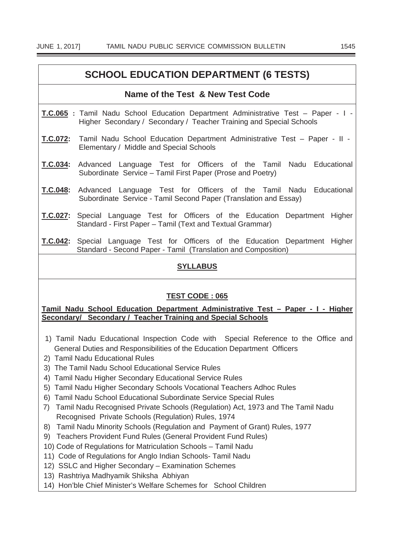## **SCHOOL EDUCATION DEPARTMENT (6 TESTS)**

#### **Name of the Test & New Test Code**

- **T.C.065 :** Tamil Nadu School Education Department Administrative Test Paper I Higher Secondary / Secondary / Teacher Training and Special Schools
- **T.C.072:** Tamil Nadu School Education Department Administrative Test Paper II Elementary / Middle and Special Schools
- **T.C.034:** Advanced Language Test for Officers of the Tamil Nadu Educational Subordinate Service – Tamil First Paper (Prose and Poetry)
- **T.C.048:** Advanced Language Test for Officers of the Tamil Nadu Educational Subordinate Service - Tamil Second Paper (Translation and Essay)
- **T.C.027:** Special Language Test for Officers of the Education Department Higher Standard - First Paper – Tamil (Text and Textual Grammar)
- **T.C.042:** Special Language Test for Officers of the Education Department Higher Standard - Second Paper - Tamil (Translation and Composition)

#### **SYLLABUS**

#### **TEST CODE : 065**

**Tamil Nadu School Education Department Administrative Test – Paper - I - Higher Secondary/ Secondary / Teacher Training and Special Schools** 

- 1) Tamil Nadu Educational Inspection Code with Special Reference to the Office and General Duties and Responsibilities of the Education Department Officers
- 2) Tamil Nadu Educational Rules
- 3) The Tamil Nadu School Educational Service Rules
- 4) Tamil Nadu Higher Secondary Educational Service Rules
- 5) Tamil Nadu Higher Secondary Schools Vocational Teachers Adhoc Rules
- 6) Tamil Nadu School Educational Subordinate Service Special Rules
- 7) Tamil Nadu Recognised Private Schools (Regulation) Act, 1973 and The Tamil Nadu Recognised Private Schools (Regulation) Rules, 1974
- 8) Tamil Nadu Minority Schools (Regulation and Payment of Grant) Rules, 1977
- 9) Teachers Provident Fund Rules (General Provident Fund Rules)
- 10) Code of Regulations for Matriculation Schools Tamil Nadu
- 11) Code of Regulations for Anglo Indian Schools- Tamil Nadu
- 12) SSLC and Higher Secondary Examination Schemes
- 13) Rashtriya Madhyamik Shiksha Abhiyan
- 14) Hon'ble Chief Minister's Welfare Schemes for School Children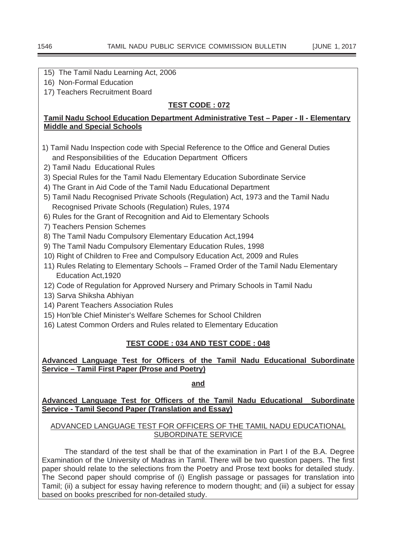#### 15) The Tamil Nadu Learning Act, 2006

16) Non-Formal Education

17) Teachers Recruitment Board

#### **TEST CODE : 072**

#### **Tamil Nadu School Education Department Administrative Test – Paper - II - Elementary Middle and Special Schools**

- 1) Tamil Nadu Inspection code with Special Reference to the Office and General Duties and Responsibilities of the Education Department Officers
- 2) Tamil Nadu Educational Rules
- 3) Special Rules for the Tamil Nadu Elementary Education Subordinate Service
- 4) The Grant in Aid Code of the Tamil Nadu Educational Department
- 5) Tamil Nadu Recognised Private Schools (Regulation) Act, 1973 and the Tamil Nadu Recognised Private Schools (Regulation) Rules, 1974
- 6) Rules for the Grant of Recognition and Aid to Elementary Schools
- 7) Teachers Pension Schemes
- 8) The Tamil Nadu Compulsory Elementary Education Act,1994
- 9) The Tamil Nadu Compulsory Elementary Education Rules, 1998
- 10) Right of Children to Free and Compulsory Education Act, 2009 and Rules
- 11) Rules Relating to Elementary Schools Framed Order of the Tamil Nadu Elementary Education Act,1920
- 12) Code of Regulation for Approved Nursery and Primary Schools in Tamil Nadu
- 13) Sarva Shiksha Abhiyan
- 14) Parent Teachers Association Rules
- 15) Hon'ble Chief Minister's Welfare Schemes for School Children
- 16) Latest Common Orders and Rules related to Elementary Education

#### **TEST CODE : 034 AND TEST CODE : 048**

**Advanced Language Test for Officers of the Tamil Nadu Educational Subordinate Service – Tamil First Paper (Prose and Poetry)** 

#### **and**

#### **Advanced Language Test for Officers of the Tamil Nadu Educational Subordinate Service - Tamil Second Paper (Translation and Essay)**

#### ADVANCED LANGUAGE TEST FOR OFFICERS OF THE TAMIL NADU EDUCATIONAL SUBORDINATE SERVICE

 The standard of the test shall be that of the examination in Part I of the B.A. Degree Examination of the University of Madras in Tamil. There will be two question papers. The first paper should relate to the selections from the Poetry and Prose text books for detailed study. The Second paper should comprise of (i) English passage or passages for translation into Tamil; (ii) a subject for essay having reference to modern thought; and (iii) a subject for essay based on books prescribed for non-detailed study.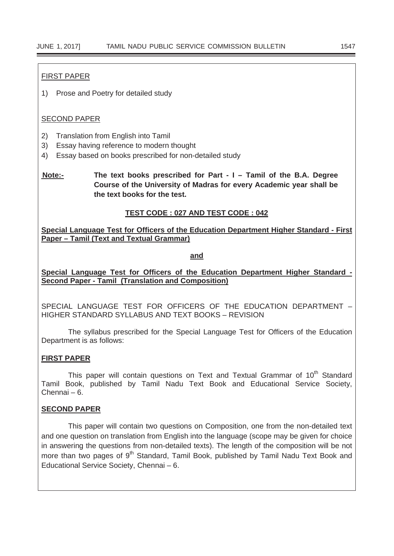#### FIRST PAPER

1) Prose and Poetry for detailed study

#### SECOND PAPER

- 2) Translation from English into Tamil
- 3) Essay having reference to modern thought
- 4) Essay based on books prescribed for non-detailed study

**Note:-** The text books prescribed for Part - I – Tamil of the B.A. Degree **Course of the University of Madras for every Academic year shall be the text books for the test.** 

#### **TEST CODE : 027 AND TEST CODE : 042**

**Special Language Test for Officers of the Education Department Higher Standard - First Paper – Tamil (Text and Textual Grammar)**

#### **and**

**Special Language Test for Officers of the Education Department Higher Standard - Second Paper - Tamil (Translation and Composition)**

SPECIAL LANGUAGE TEST FOR OFFICERS OF THE EDUCATION DEPARTMENT – HIGHER STANDARD SYLLABUS AND TEXT BOOKS – REVISION

 The syllabus prescribed for the Special Language Test for Officers of the Education Department is as follows:

#### **FIRST PAPER**

This paper will contain questions on Text and Textual Grammar of  $10<sup>th</sup>$  Standard Tamil Book, published by Tamil Nadu Text Book and Educational Service Society, Chennai – 6.

#### **SECOND PAPER**

 This paper will contain two questions on Composition, one from the non-detailed text and one question on translation from English into the language (scope may be given for choice in answering the questions from non-detailed texts). The length of the composition will be not more than two pages of 9<sup>th</sup> Standard, Tamil Book, published by Tamil Nadu Text Book and Educational Service Society, Chennai – 6.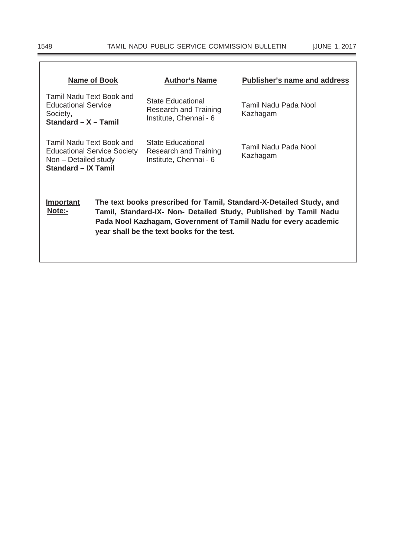| <b>Name of Book</b>                                                                                                                                                                                                                                                                    | <b>Author's Name</b>                                                        | <b>Publisher's name and address</b> |
|----------------------------------------------------------------------------------------------------------------------------------------------------------------------------------------------------------------------------------------------------------------------------------------|-----------------------------------------------------------------------------|-------------------------------------|
| Tamil Nadu Text Book and<br><b>Educational Service</b><br>Society,<br>Standard $- X - T$ amil                                                                                                                                                                                          | <b>State Educational</b><br>Research and Training<br>Institute, Chennai - 6 | Tamil Nadu Pada Nool<br>Kazhagam    |
| Tamil Nadu Text Book and<br><b>Educational Service Society</b><br>Non - Detailed study<br><b>Standard - IX Tamil</b>                                                                                                                                                                   | State Educational<br><b>Research and Training</b><br>Institute, Chennai - 6 | Tamil Nadu Pada Nool<br>Kazhagam    |
| The text books prescribed for Tamil, Standard-X-Detailed Study, and<br><b>Important</b><br>Note:-<br>Tamil, Standard-IX- Non- Detailed Study, Published by Tamil Nadu<br>Pada Nool Kazhagam, Government of Tamil Nadu for every academic<br>year shall be the text books for the test. |                                                                             |                                     |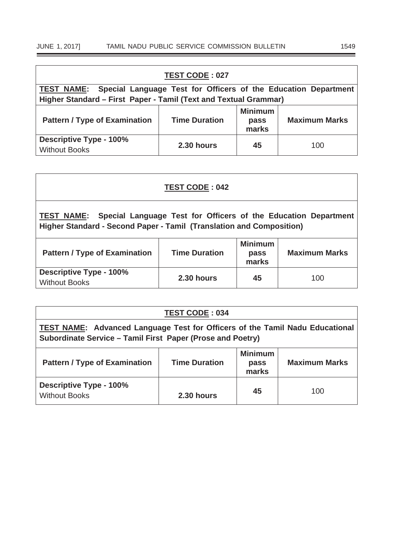| <b>TEST CODE: 027</b>                                            |                                                                |                                 |                      |  |
|------------------------------------------------------------------|----------------------------------------------------------------|---------------------------------|----------------------|--|
| <b>TEST NAME:</b>                                                | Special Language Test for Officers of the Education Department |                                 |                      |  |
| Higher Standard - First Paper - Tamil (Text and Textual Grammar) |                                                                |                                 |                      |  |
| <b>Pattern / Type of Examination</b>                             | <b>Time Duration</b>                                           | <b>Minimum</b><br>pass<br>marks | <b>Maximum Marks</b> |  |
| <b>Descriptive Type - 100%</b><br><b>Without Books</b>           | 2.30 hours                                                     | 45                              | 100                  |  |

**TEST NAME: Special Language Test for Officers of the Education Department Higher Standard - Second Paper - Tamil (Translation and Composition)** 

| <b>Pattern / Type of Examination</b>            | <b>Time Duration</b> | <b>Minimum</b><br>pass<br>marks | <b>Maximum Marks</b> |
|-------------------------------------------------|----------------------|---------------------------------|----------------------|
| Descriptive Type - 100%<br><b>Without Books</b> | 2.30 hours           | 45                              | 100                  |

|                                                                                                                                            | <b>TEST CODE: 034</b> |                                 |                      |
|--------------------------------------------------------------------------------------------------------------------------------------------|-----------------------|---------------------------------|----------------------|
| TEST NAME: Advanced Language Test for Officers of the Tamil Nadu Educational<br>Subordinate Service – Tamil First Paper (Prose and Poetry) |                       |                                 |                      |
| <b>Pattern / Type of Examination</b>                                                                                                       | <b>Time Duration</b>  | <b>Minimum</b><br>pass<br>marks | <b>Maximum Marks</b> |
| <b>Descriptive Type - 100%</b><br><b>Without Books</b>                                                                                     | 2.30 hours            | 45                              | 100                  |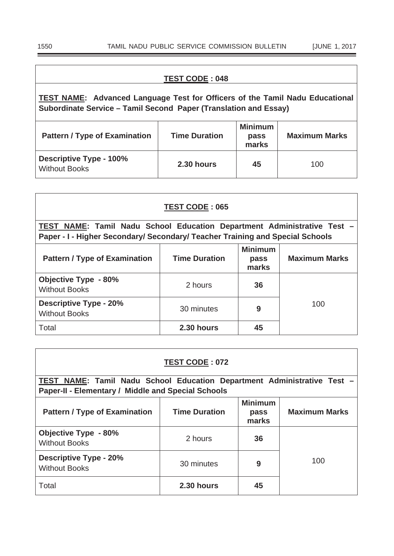# 1550 TAMIL NADU PUBLIC SERVICE COMMISSION BULLETIN [JUNE 1, 2017]<br>————————————————————

| <b>TEST CODE: 048</b>                                                                                                                                   |                      |                                 |                      |
|---------------------------------------------------------------------------------------------------------------------------------------------------------|----------------------|---------------------------------|----------------------|
| <b>TEST NAME:</b> Advanced Language Test for Officers of the Tamil Nadu Educational<br>Subordinate Service - Tamil Second Paper (Translation and Essay) |                      |                                 |                      |
| <b>Pattern / Type of Examination</b>                                                                                                                    | <b>Time Duration</b> | <b>Minimum</b><br>pass<br>marks | <b>Maximum Marks</b> |
| <b>Descriptive Type - 100%</b><br><b>Without Books</b>                                                                                                  | 2.30 hours           | 45                              | 100                  |

| <b>TEST CODE: 065</b>                                                                                                                                    |                      |                                 |                      |
|----------------------------------------------------------------------------------------------------------------------------------------------------------|----------------------|---------------------------------|----------------------|
| TEST NAME: Tamil Nadu School Education Department Administrative Test -<br>Paper - I - Higher Secondary/ Secondary/ Teacher Training and Special Schools |                      |                                 |                      |
| <b>Pattern / Type of Examination</b>                                                                                                                     | <b>Time Duration</b> | <b>Minimum</b><br>pass<br>marks | <b>Maximum Marks</b> |
| <b>Objective Type - 80%</b><br><b>Without Books</b>                                                                                                      | 2 hours              | 36                              |                      |
| <b>Descriptive Type - 20%</b><br><b>Without Books</b>                                                                                                    | 30 minutes           | 9                               | 100                  |
| Total                                                                                                                                                    | 2.30 hours           | 45                              |                      |

| <b>TEST CODE: 072</b>                                                   |                      |                                 |                      |  |
|-------------------------------------------------------------------------|----------------------|---------------------------------|----------------------|--|
| TEST NAME: Tamil Nadu School Education Department Administrative Test - |                      |                                 |                      |  |
| Paper-II - Elementary / Middle and Special Schools                      |                      |                                 |                      |  |
| <b>Pattern / Type of Examination</b>                                    | <b>Time Duration</b> | <b>Minimum</b><br>pass<br>marks | <b>Maximum Marks</b> |  |
| <b>Objective Type - 80%</b><br><b>Without Books</b>                     | 2 hours              | 36                              |                      |  |
| <b>Descriptive Type - 20%</b><br><b>Without Books</b>                   | 30 minutes           | 9                               | 100                  |  |
| Total                                                                   | 2.30 hours           | 45                              |                      |  |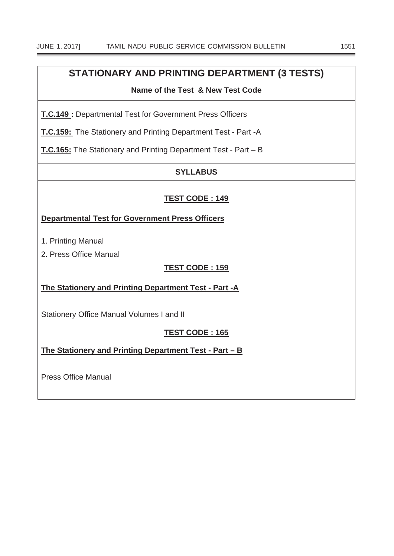# **STATIONARY AND PRINTING DEPARTMENT (3 TESTS)**

#### **Name of the Test & New Test Code**

**T.C.149 :** Departmental Test for Government Press Officers

**T.C.159:** The Stationery and Printing Department Test - Part -A

**T.C.165:** The Stationery and Printing Department Test - Part – B

#### **SYLLABUS**

#### **TEST CODE : 149**

#### **Departmental Test for Government Press Officers**

- 1. Printing Manual
- 2. Press Office Manual

#### **TEST CODE : 159**

#### **The Stationery and Printing Department Test - Part -A**

Stationery Office Manual Volumes I and II

#### **TEST CODE : 165**

**The Stationery and Printing Department Test - Part – B**

Press Office Manual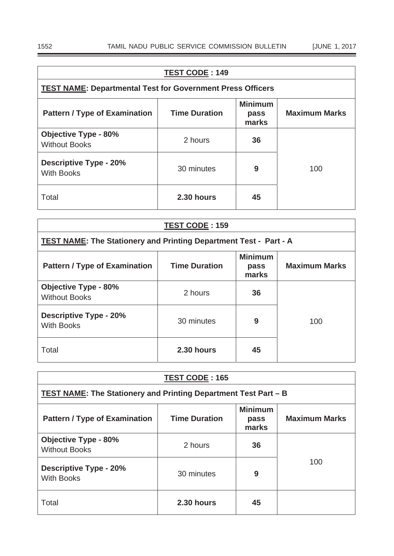.

| <b>TEST CODE: 149</b>                                             |                      |                                 |                      |
|-------------------------------------------------------------------|----------------------|---------------------------------|----------------------|
| <b>TEST NAME: Departmental Test for Government Press Officers</b> |                      |                                 |                      |
| <b>Pattern / Type of Examination</b>                              | <b>Time Duration</b> | <b>Minimum</b><br>pass<br>marks | <b>Maximum Marks</b> |
| <b>Objective Type - 80%</b><br><b>Without Books</b>               | 2 hours              | 36                              |                      |
| <b>Descriptive Type - 20%</b><br><b>With Books</b>                | 30 minutes           | 9                               | 100                  |
| Total                                                             | 2.30 hours           | 45                              |                      |

| <b>TEST CODE: 159</b>                                                    |                      |                                 |                      |
|--------------------------------------------------------------------------|----------------------|---------------------------------|----------------------|
| <b>TEST NAME: The Stationery and Printing Department Test - Part - A</b> |                      |                                 |                      |
| <b>Pattern / Type of Examination</b>                                     | <b>Time Duration</b> | <b>Minimum</b><br>pass<br>marks | <b>Maximum Marks</b> |
| <b>Objective Type - 80%</b><br><b>Without Books</b>                      | 2 hours              | 36                              |                      |
| <b>Descriptive Type - 20%</b><br><b>With Books</b>                       | 30 minutes           | 9                               | 100                  |
| Total                                                                    | 2.30 hours           | 45                              |                      |

| <b>TEST CODE: 165</b>                                           |                      |                                 |                      |
|-----------------------------------------------------------------|----------------------|---------------------------------|----------------------|
| TEST NAME: The Stationery and Printing Department Test Part – B |                      |                                 |                      |
| <b>Pattern / Type of Examination</b>                            | <b>Time Duration</b> | <b>Minimum</b><br>pass<br>marks | <b>Maximum Marks</b> |
| <b>Objective Type - 80%</b><br><b>Without Books</b>             | 2 hours              | 36                              |                      |
| <b>Descriptive Type - 20%</b><br><b>With Books</b>              | 30 minutes           | 9                               | 100                  |
| Total                                                           | 2.30 hours           | 45                              |                      |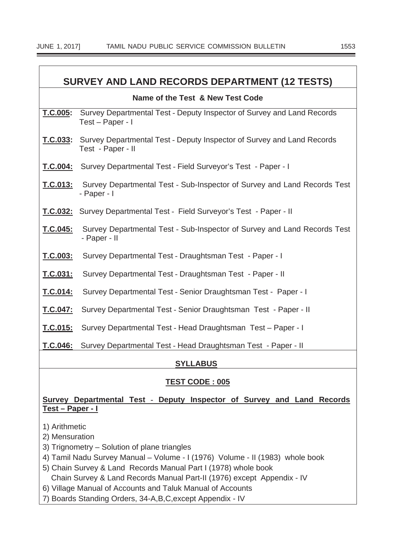# **SURVEY AND LAND RECORDS DEPARTMENT (12 TESTS) Name of the Test & New Test Code T.C.005:** Survey Departmental Test - Deputy Inspector of Survey and Land Records Test – Paper - I **T.C.033:** Survey Departmental Test - Deputy Inspector of Survey and Land Records Test - Paper - II **T.C.004:** Survey Departmental Test - Field Surveyor's Test - Paper - I **T.C.013:** Survey Departmental Test - Sub-Inspector of Survey and Land Records Test - Paper - I **T.C.032:** Survey Departmental Test - Field Surveyor's Test - Paper - II **T.C.045:** Survey Departmental Test - Sub-Inspector of Survey and Land Records Test - Paper - II **T.C.003:** Survey Departmental Test - Draughtsman Test - Paper - I **T.C.031:** Survey Departmental Test - Draughtsman Test - Paper - II **T.C.014:** Survey Departmental Test - Senior Draughtsman Test - Paper - I **T.C.047:** Survey Departmental Test - Senior Draughtsman Test - Paper - II **T.C.015:** Survey Departmental Test - Head Draughtsman Test – Paper - I **T.C.046:** Survey Departmental Test - Head Draughtsman Test - Paper - II **SYLLABUS TEST CODE : 005**

#### **Survey Departmental Test - Deputy Inspector of Survey and Land Records Test – Paper - I**

1) Arithmetic

2) Mensuration

3) Trignometry – Solution of plane triangles

4) Tamil Nadu Survey Manual – Volume - I (1976) Volume - II (1983) whole book

5) Chain Survey & Land Records Manual Part I (1978) whole book Chain Survey & Land Records Manual Part-II (1976) except Appendix - IV

6) Village Manual of Accounts and Taluk Manual of Accounts

7) Boards Standing Orders, 34-A,B,C,except Appendix - IV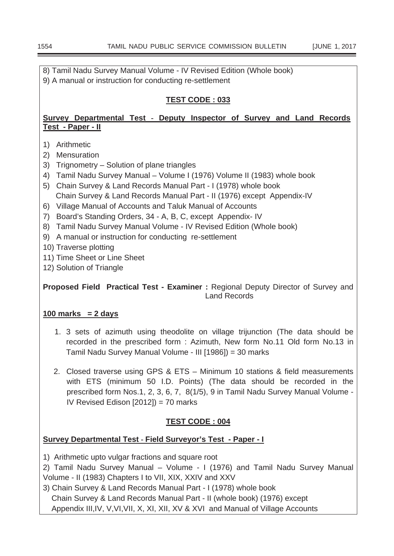8) Tamil Nadu Survey Manual Volume - IV Revised Edition (Whole book) 9) A manual or instruction for conducting re-settlement

## **TEST CODE : 033**

#### **Survey Departmental Test - Deputy Inspector of Survey and Land Records Test - Paper - II**

- 1) Arithmetic
- 2) Mensuration
- 3) Trignometry Solution of plane triangles
- 4) Tamil Nadu Survey Manual Volume I (1976) Volume II (1983) whole book
- 5) Chain Survey & Land Records Manual Part I (1978) whole book Chain Survey & Land Records Manual Part - II (1976) except Appendix-IV
- 6) Village Manual of Accounts and Taluk Manual of Accounts
- 7) Board's Standing Orders, 34 A, B, C, except Appendix- IV
- 8) Tamil Nadu Survey Manual Volume IV Revised Edition (Whole book)
- 9) A manual or instruction for conducting re-settlement
- 10) Traverse plotting
- 11) Time Sheet or Line Sheet
- 12) Solution of Triangle

#### **Proposed Field Practical Test - Examiner :** Regional Deputy Director of Survey and Land Records

#### **100 marks = 2 days**

- 1. 3 sets of azimuth using theodolite on village trijunction (The data should be recorded in the prescribed form : Azimuth, New form No.11 Old form No.13 in Tamil Nadu Survey Manual Volume - III [1986]) = 30 marks
- 2. Closed traverse using GPS & ETS Minimum 10 stations & field measurements with ETS (minimum 50 I.D. Points) (The data should be recorded in the prescribed form Nos.1, 2, 3, 6, 7, 8(1/5), 9 in Tamil Nadu Survey Manual Volume - IV Revised Edison  $[2012]$  = 70 marks

## **TEST CODE : 004**

## **Survey Departmental Test - Field Surveyor's Test - Paper - I**

1) Arithmetic upto vulgar fractions and square root

2) Tamil Nadu Survey Manual – Volume - I (1976) and Tamil Nadu Survey Manual Volume - II (1983) Chapters I to VII, XIX, XXIV and XXV

3) Chain Survey & Land Records Manual Part - I (1978) whole book Chain Survey & Land Records Manual Part - II (whole book) (1976) except Appendix III,IV, V,VI,VII, X, XI, XII, XV & XVI and Manual of Village Accounts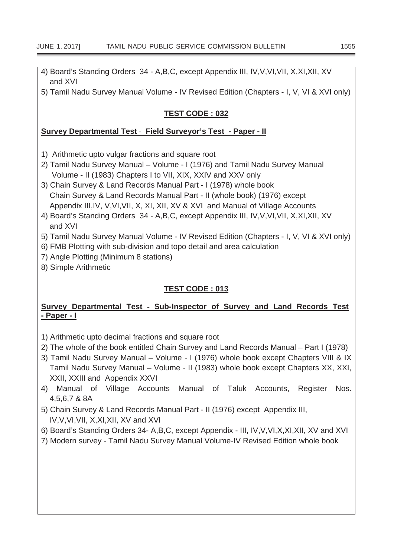- 4) Board's Standing Orders 34 A,B,C, except Appendix III, IV,V,VI,VII, X,XI,XII, XV and XVI
- 5) Tamil Nadu Survey Manual Volume IV Revised Edition (Chapters I, V, VI & XVI only)

#### **Survey Departmental Test - Field Surveyor's Test - Paper - II**

- 1) Arithmetic upto vulgar fractions and square root
- 2) Tamil Nadu Survey Manual Volume I (1976) and Tamil Nadu Survey Manual Volume - II (1983) Chapters I to VII, XIX, XXIV and XXV only
- 3) Chain Survey & Land Records Manual Part I (1978) whole book Chain Survey & Land Records Manual Part - II (whole book) (1976) except Appendix III,IV, V,VI,VII, X, XI, XII, XV & XVI and Manual of Village Accounts
- 4) Board's Standing Orders 34 A,B,C, except Appendix III, IV,V,VI,VII, X,XI,XII, XV and XVI
- 5) Tamil Nadu Survey Manual Volume IV Revised Edition (Chapters I, V, VI & XVI only)
- 6) FMB Plotting with sub-division and topo detail and area calculation
- 7) Angle Plotting (Minimum 8 stations)
- 8) Simple Arithmetic

#### **TEST CODE : 013**

#### **Survey Departmental Test - Sub-Inspector of Survey and Land Records Test - Paper - I**

- 1) Arithmetic upto decimal fractions and square root
- 2) The whole of the book entitled Chain Survey and Land Records Manual Part I (1978)
- 3) Tamil Nadu Survey Manual Volume I (1976) whole book except Chapters VIII & IX Tamil Nadu Survey Manual – Volume - II (1983) whole book except Chapters XX, XXI, XXII, XXIII and Appendix XXVI
- 4) Manual of Village Accounts Manual of Taluk Accounts, Register Nos. 4,5,6,7 & 8A
- 5) Chain Survey & Land Records Manual Part II (1976) except Appendix III, IV,V,VI,VII, X,XI,XII, XV and XVI
- 6) Board's Standing Orders 34- A,B,C, except Appendix III, IV,V,VI,X,XI,XII, XV and XVI
- 7) Modern survey Tamil Nadu Survey Manual Volume-IV Revised Edition whole book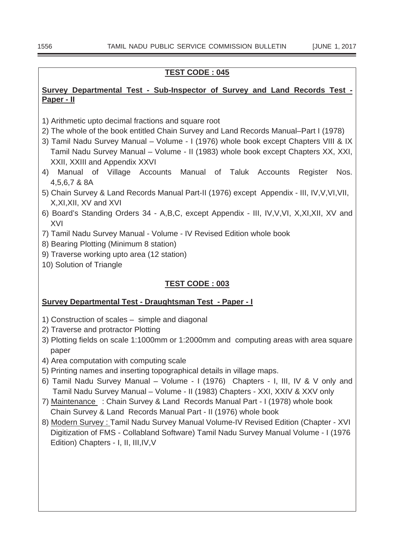#### **Survey Departmental Test - Sub-Inspector of Survey and Land Records Test - Paper - II**

- 1) Arithmetic upto decimal fractions and square root
- 2) The whole of the book entitled Chain Survey and Land Records Manual–Part I (1978)
- 3) Tamil Nadu Survey Manual Volume I (1976) whole book except Chapters VIII & IX Tamil Nadu Survey Manual – Volume - II (1983) whole book except Chapters XX, XXI, XXII, XXIII and Appendix XXVI
- 4) Manual of Village Accounts Manual of Taluk Accounts Register Nos. 4,5,6,7 & 8A
- 5) Chain Survey & Land Records Manual Part-II (1976) except Appendix III, IV,V,VI,VII, X,XI,XII, XV and XVI
- 6) Board's Standing Orders 34 A,B,C, except Appendix III, IV,V,VI, X,XI,XII, XV and XVI
- 7) Tamil Nadu Survey Manual Volume IV Revised Edition whole book
- 8) Bearing Plotting (Minimum 8 station)
- 9) Traverse working upto area (12 station)
- 10) Solution of Triangle

## **TEST CODE : 003**

#### **Survey Departmental Test - Draughtsman Test - Paper - I**

- 1) Construction of scales simple and diagonal
- 2) Traverse and protractor Plotting
- 3) Plotting fields on scale 1:1000mm or 1:2000mm and computing areas with area square paper
- 4) Area computation with computing scale
- 5) Printing names and inserting topographical details in village maps.
- 6) Tamil Nadu Survey Manual Volume I (1976) Chapters I, III, IV & V only and Tamil Nadu Survey Manual – Volume - II (1983) Chapters - XXI, XXIV & XXV only
- 7) Maintenance : Chain Survey & Land Records Manual Part I (1978) whole book Chain Survey & Land Records Manual Part - II (1976) whole book
- 8) Modern Survey : Tamil Nadu Survey Manual Volume-IV Revised Edition (Chapter XVI Digitization of FMS - Collabland Software) Tamil Nadu Survey Manual Volume - I (1976 Edition) Chapters - I, II, III,IV,V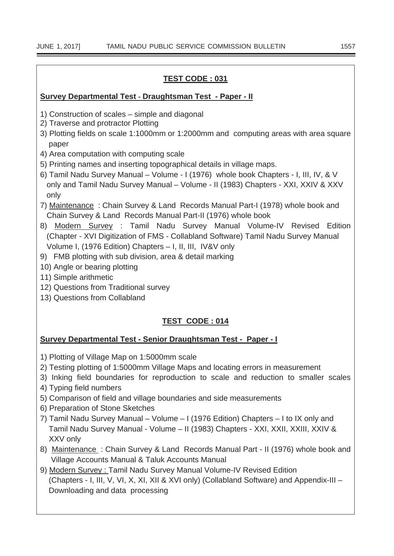#### **Survey Departmental Test - Draughtsman Test - Paper - II**

- 1) Construction of scales simple and diagonal
- 2) Traverse and protractor Plotting
- 3) Plotting fields on scale 1:1000mm or 1:2000mm and computing areas with area square paper
- 4) Area computation with computing scale
- 5) Printing names and inserting topographical details in village maps.
- 6) Tamil Nadu Survey Manual Volume I (1976) whole book Chapters I, III, IV, & V only and Tamil Nadu Survey Manual – Volume - II (1983) Chapters - XXI, XXIV & XXV only
- 7) Maintenance : Chain Survey & Land Records Manual Part-I (1978) whole book and Chain Survey & Land Records Manual Part-II (1976) whole book
- 8) Modern Survey : Tamil Nadu Survey Manual Volume-IV Revised Edition (Chapter - XVI Digitization of FMS - Collabland Software) Tamil Nadu Survey Manual Volume I, (1976 Edition) Chapters – I, II, III, IV&V only
- 9) FMB plotting with sub division, area & detail marking
- 10) Angle or bearing plotting
- 11) Simple arithmetic
- 12) Questions from Traditional survey
- 13) Questions from Collabland

## **TEST CODE : 014**

#### **Survey Departmental Test - Senior Draughtsman Test - Paper - I**

- 1) Plotting of Village Map on 1:5000mm scale
- 2) Testing plotting of 1:5000mm Village Maps and locating errors in measurement
- 3) Inking field boundaries for reproduction to scale and reduction to smaller scales
- 4) Typing field numbers
- 5) Comparison of field and village boundaries and side measurements
- 6) Preparation of Stone Sketches
- 7) Tamil Nadu Survey Manual Volume I (1976 Edition) Chapters I to IX only and Tamil Nadu Survey Manual - Volume – II (1983) Chapters - XXI, XXII, XXIII, XXIV & XXV only
- 8) Maintenance : Chain Survey & Land Records Manual Part II (1976) whole book and Village Accounts Manual & Taluk Accounts Manual
- 9) Modern Survey : Tamil Nadu Survey Manual Volume-IV Revised Edition (Chapters - I, III, V, VI, X, XI, XII & XVI only) (Collabland Software) and Appendix-III – Downloading and data processing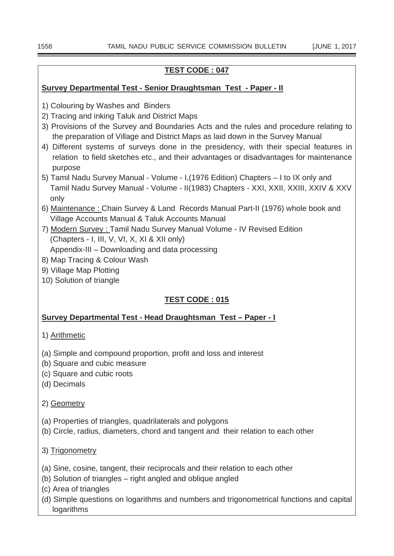#### **Survey Departmental Test - Senior Draughtsman Test - Paper - II**

- 1) Colouring by Washes and Binders
- 2) Tracing and inking Taluk and District Maps
- 3) Provisions of the Survey and Boundaries Acts and the rules and procedure relating to the preparation of Village and District Maps as laid down in the Survey Manual
- 4) Different systems of surveys done in the presidency, with their special features in relation to field sketches etc., and their advantages or disadvantages for maintenance purpose
- 5) Tamil Nadu Survey Manual Volume I,(1976 Edition) Chapters I to IX only and Tamil Nadu Survey Manual - Volume - II(1983) Chapters - XXI, XXII, XXIII, XXIV & XXV only
- 6) Maintenance : Chain Survey & Land Records Manual Part-II (1976) whole book and Village Accounts Manual & Taluk Accounts Manual
- 7) Modern Survey : Tamil Nadu Survey Manual Volume IV Revised Edition (Chapters - I, III, V, VI, X, XI & XII only) Appendix-III – Downloading and data processing
- 8) Map Tracing & Colour Wash
- 9) Village Map Plotting
- 10) Solution of triangle

## **TEST CODE : 015**

## **Survey Departmental Test - Head Draughtsman Test – Paper - I**

## 1) Arithmetic

- (a) Simple and compound proportion, profit and loss and interest
- (b) Square and cubic measure
- (c) Square and cubic roots
- (d) Decimals

## 2) Geometry

- (a) Properties of triangles, quadrilaterals and polygons
- (b) Circle, radius, diameters, chord and tangent and their relation to each other

## 3) Trigonometry

- (a) Sine, cosine, tangent, their reciprocals and their relation to each other
- (b) Solution of triangles right angled and oblique angled
- (c) Area of triangles
- (d) Simple questions on logarithms and numbers and trigonometrical functions and capital logarithms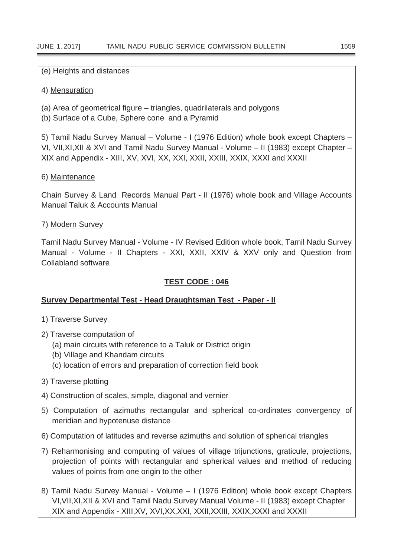#### (e) Heights and distances

#### 4) Mensuration

(a) Area of geometrical figure – triangles, quadrilaterals and polygons

(b) Surface of a Cube, Sphere cone and a Pyramid

5) Tamil Nadu Survey Manual – Volume - I (1976 Edition) whole book except Chapters – VI, VII,XI,XII & XVI and Tamil Nadu Survey Manual - Volume – II (1983) except Chapter – XIX and Appendix - XIII, XV, XVI, XX, XXI, XXII, XXIII, XXIX, XXXI and XXXII

#### 6) Maintenance

Chain Survey & Land Records Manual Part - II (1976) whole book and Village Accounts Manual Taluk & Accounts Manual

#### 7) Modern Survey

Tamil Nadu Survey Manual - Volume - IV Revised Edition whole book, Tamil Nadu Survey Manual - Volume - II Chapters - XXI, XXII, XXIV & XXV only and Question from Collabland software

## **TEST CODE : 046**

## **Survey Departmental Test - Head Draughtsman Test - Paper - II**

- 1) Traverse Survey
- 2) Traverse computation of
	- (a) main circuits with reference to a Taluk or District origin
	- (b) Village and Khandam circuits
	- (c) location of errors and preparation of correction field book
- 3) Traverse plotting
- 4) Construction of scales, simple, diagonal and vernier
- 5) Computation of azimuths rectangular and spherical co-ordinates convergency of meridian and hypotenuse distance
- 6) Computation of latitudes and reverse azimuths and solution of spherical triangles
- 7) Reharmonising and computing of values of village trijunctions, graticule, projections, projection of points with rectangular and spherical values and method of reducing values of points from one origin to the other
- 8) Tamil Nadu Survey Manual Volume I (1976 Edition) whole book except Chapters VI,VII,XI,XII & XVI and Tamil Nadu Survey Manual Volume - II (1983) except Chapter XIX and Appendix - XIII,XV, XVI,XX,XXI, XXII,XXIII, XXIX,XXXI and XXXII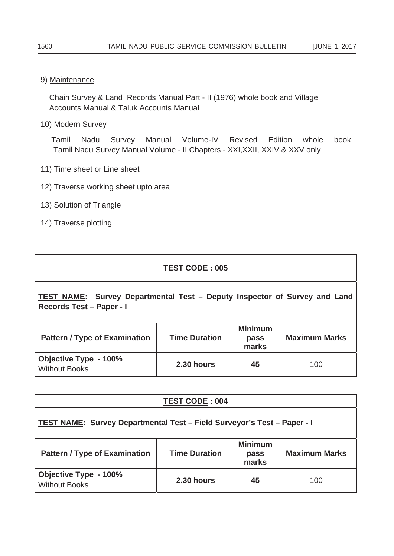#### 9) Maintenance

 Chain Survey & Land Records Manual Part - II (1976) whole book and Village Accounts Manual & Taluk Accounts Manual

10) Modern Survey

 Tamil Nadu Survey Manual Volume-IV Revised Edition whole book Tamil Nadu Survey Manual Volume - II Chapters - XXI,XXII, XXIV & XXV only

- 11) Time sheet or Line sheet
- 12) Traverse working sheet upto area
- 13) Solution of Triangle
- 14) Traverse plotting

#### **TEST CODE : 005**

**TEST NAME: Survey Departmental Test – Deputy Inspector of Survey and Land Records Test – Paper - I** 

| <b>Pattern / Type of Examination</b>          | <b>Time Duration</b> | <b>Minimum</b><br>pass<br>marks | <b>Maximum Marks</b> |
|-----------------------------------------------|----------------------|---------------------------------|----------------------|
| Objective Type - 100%<br><b>Without Books</b> | 2.30 hours           | 45                              | 100                  |

| <b>TEST CODE: 004</b>                                                   |                      |                                 |                      |
|-------------------------------------------------------------------------|----------------------|---------------------------------|----------------------|
| TEST NAME: Survey Departmental Test - Field Surveyor's Test - Paper - I |                      |                                 |                      |
| <b>Pattern / Type of Examination</b>                                    | <b>Time Duration</b> | <b>Minimum</b><br>pass<br>marks | <b>Maximum Marks</b> |
| <b>Objective Type - 100%</b><br><b>Without Books</b>                    | 2.30 hours           | 45                              | 100                  |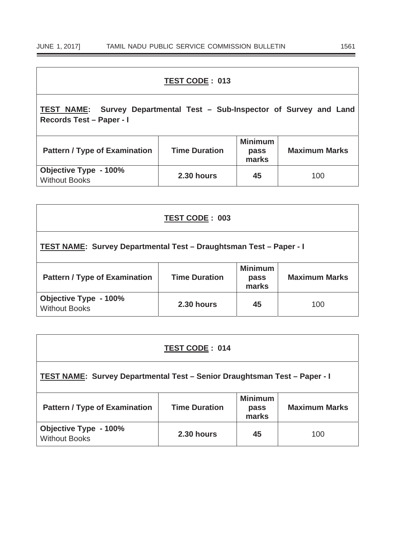**TEST NAME: Survey Departmental Test – Sub-Inspector of Survey and Land Records Test – Paper - I** 

| <b>Pattern / Type of Examination</b>                 | <b>Time Duration</b> | <b>Minimum</b><br>pass<br>marks | <b>Maximum Marks</b> |
|------------------------------------------------------|----------------------|---------------------------------|----------------------|
| <b>Objective Type - 100%</b><br><b>Without Books</b> | 2.30 hours           | 45                              | 100                  |

| TEST CODE: 003                                                                                                          |            |    |     |  |
|-------------------------------------------------------------------------------------------------------------------------|------------|----|-----|--|
| TEST NAME: Survey Departmental Test – Draughtsman Test – Paper - I                                                      |            |    |     |  |
| <b>Minimum</b><br><b>Maximum Marks</b><br><b>Pattern / Type of Examination</b><br><b>Time Duration</b><br>pass<br>marks |            |    |     |  |
| <b>Objective Type - 100%</b><br><b>Without Books</b>                                                                    | 2.30 hours | 45 | 100 |  |

| <b>TEST CODE: 014</b>                                                     |                      |                                 |                      |
|---------------------------------------------------------------------------|----------------------|---------------------------------|----------------------|
| TEST NAME: Survey Departmental Test - Senior Draughtsman Test - Paper - I |                      |                                 |                      |
| <b>Pattern / Type of Examination</b>                                      | <b>Time Duration</b> | <b>Minimum</b><br>pass<br>marks | <b>Maximum Marks</b> |
| <b>Objective Type - 100%</b><br><b>Without Books</b>                      | 2.30 hours           | 45                              | 100                  |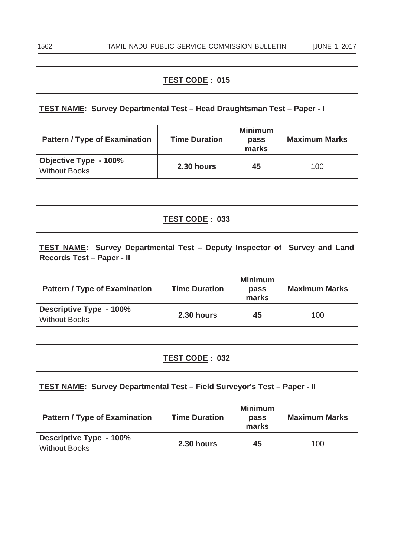ä,

| <b>TEST CODE: 015</b>                                                   |                      |                                 |                      |
|-------------------------------------------------------------------------|----------------------|---------------------------------|----------------------|
| TEST NAME: Survey Departmental Test - Head Draughtsman Test - Paper - I |                      |                                 |                      |
| <b>Pattern / Type of Examination</b>                                    | <b>Time Duration</b> | <b>Minimum</b><br>pass<br>marks | <b>Maximum Marks</b> |
| <b>Objective Type - 100%</b><br><b>Without Books</b>                    | 2.30 hours           | 45                              | 100                  |

| TEST CODE: 033                                                                                                |                      |                                 |                      |
|---------------------------------------------------------------------------------------------------------------|----------------------|---------------------------------|----------------------|
| <b>TEST NAME:</b> Survey Departmental Test – Deputy Inspector of Survey and Land<br>Records Test - Paper - II |                      |                                 |                      |
| <b>Pattern / Type of Examination</b>                                                                          | <b>Time Duration</b> | <b>Minimum</b><br>pass<br>marks | <b>Maximum Marks</b> |
| <b>Descriptive Type - 100%</b><br><b>Without Books</b>                                                        | 2.30 hours           | 45                              | 100                  |

| TEST CODE: 032                                                                  |                      |                                 |                      |
|---------------------------------------------------------------------------------|----------------------|---------------------------------|----------------------|
| <b>TEST NAME: Survey Departmental Test - Field Surveyor's Test - Paper - II</b> |                      |                                 |                      |
| <b>Pattern / Type of Examination</b>                                            | <b>Time Duration</b> | <b>Minimum</b><br>pass<br>marks | <b>Maximum Marks</b> |
| <b>Descriptive Type - 100%</b><br><b>Without Books</b>                          | 2.30 hours           | 45                              | 100                  |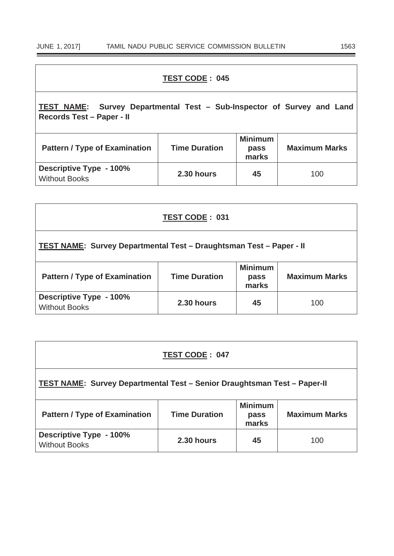**TEST NAME: Survey Departmental Test – Sub-Inspector of Survey and Land Records Test – Paper - II** 

| <b>Pattern / Type of Examination</b>                   | <b>Time Duration</b> | <b>Minimum</b><br>pass<br>marks | <b>Maximum Marks</b> |
|--------------------------------------------------------|----------------------|---------------------------------|----------------------|
| <b>Descriptive Type - 100%</b><br><b>Without Books</b> | 2.30 hours           | 45                              | 100                  |

| <b>TEST CODE: 031</b>                                               |                      |                                 |                      |
|---------------------------------------------------------------------|----------------------|---------------------------------|----------------------|
| TEST NAME: Survey Departmental Test - Draughtsman Test - Paper - II |                      |                                 |                      |
| <b>Pattern / Type of Examination</b>                                | <b>Time Duration</b> | <b>Minimum</b><br>pass<br>marks | <b>Maximum Marks</b> |
| <b>Descriptive Type - 100%</b><br><b>Without Books</b>              | 2.30 hours           | 45                              | 100                  |

| <b>TEST CODE: 047</b>                                                    |                      |                                 |                      |
|--------------------------------------------------------------------------|----------------------|---------------------------------|----------------------|
| TEST NAME: Survey Departmental Test – Senior Draughtsman Test – Paper-II |                      |                                 |                      |
| <b>Pattern / Type of Examination</b>                                     | <b>Time Duration</b> | <b>Minimum</b><br>pass<br>marks | <b>Maximum Marks</b> |
| <b>Descriptive Type - 100%</b><br><b>Without Books</b>                   | 2.30 hours           | 45                              | 100                  |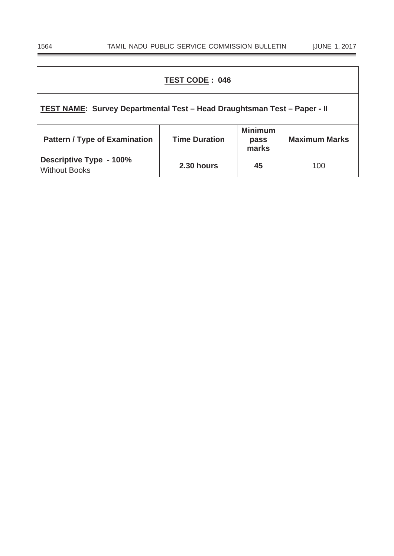.

| <b>TEST CODE: 046</b>                                                    |                      |                                 |                      |
|--------------------------------------------------------------------------|----------------------|---------------------------------|----------------------|
| TEST NAME: Survey Departmental Test - Head Draughtsman Test - Paper - II |                      |                                 |                      |
| <b>Pattern / Type of Examination</b>                                     | <b>Time Duration</b> | <b>Minimum</b><br>pass<br>marks | <b>Maximum Marks</b> |
| <b>Descriptive Type - 100%</b><br><b>Without Books</b>                   | 2.30 hours           | 45                              | 100                  |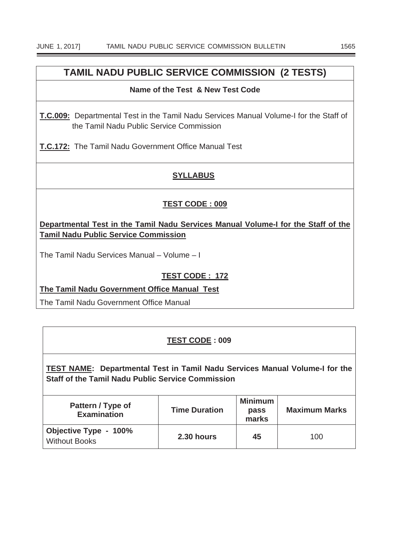# **TAMIL NADU PUBLIC SERVICE COMMISSION (2 TESTS)**

#### **Name of the Test & New Test Code**

**T.C.009:** Departmental Test in the Tamil Nadu Services Manual Volume-I for the Staff of the Tamil Nadu Public Service Commission

**T.C.172:** The Tamil Nadu Government Office Manual Test

#### **SYLLABUS**

#### **TEST CODE : 009**

**Departmental Test in the Tamil Nadu Services Manual Volume-I for the Staff of the Tamil Nadu Public Service Commission**

The Tamil Nadu Services Manual – Volume – I

#### **TEST CODE : 172**

#### **The Tamil Nadu Government Office Manual Test**

The Tamil Nadu Government Office Manual

## **TEST CODE : 009**

**TEST NAME: Departmental Test in Tamil Nadu Services Manual Volume-I for the Staff of the Tamil Nadu Public Service Commission** 

| Pattern / Type of<br><b>Examination</b>       | <b>Time Duration</b> | <b>Minimum</b><br>pass<br>marks | <b>Maximum Marks</b> |
|-----------------------------------------------|----------------------|---------------------------------|----------------------|
| Objective Type - 100%<br><b>Without Books</b> | 2.30 hours           | 45                              | 100                  |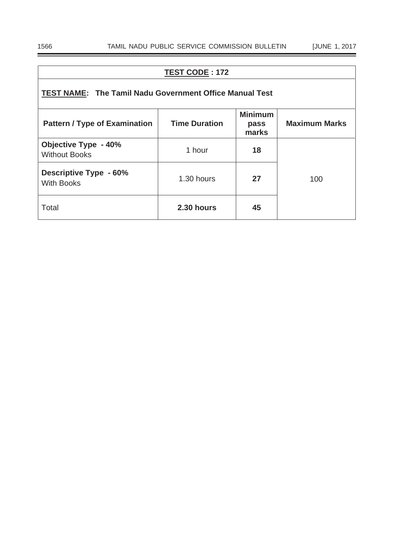| <b>TEST CODE: 172</b>                                          |                      |                                 |                      |
|----------------------------------------------------------------|----------------------|---------------------------------|----------------------|
| <b>TEST NAME: The Tamil Nadu Government Office Manual Test</b> |                      |                                 |                      |
| <b>Pattern / Type of Examination</b>                           | <b>Time Duration</b> | <b>Minimum</b><br>pass<br>marks | <b>Maximum Marks</b> |
| <b>Objective Type - 40%</b><br><b>Without Books</b>            | 1 hour               | 18                              |                      |
| <b>Descriptive Type - 60%</b><br><b>With Books</b>             | 1.30 hours           | 27                              | 100                  |
| Total                                                          | 2.30 hours           | 45                              |                      |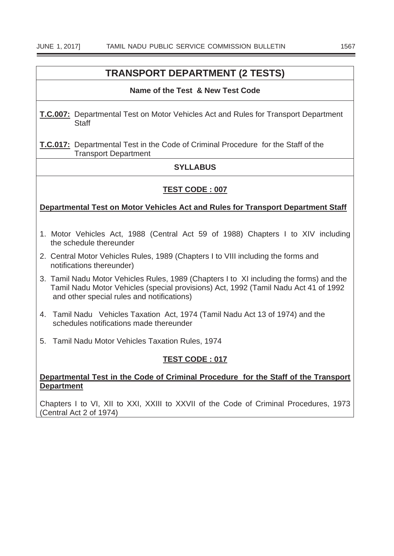# **TRANSPORT DEPARTMENT (2 TESTS)**

### **Name of the Test & New Test Code**

**T.C.007:** Departmental Test on Motor Vehicles Act and Rules for Transport Department **Staff** 

**T.C.017:** Departmental Test in the Code of Criminal Procedure for the Staff of the Transport Department

#### **SYLLABUS**

#### **TEST CODE : 007**

#### **Departmental Test on Motor Vehicles Act and Rules for Transport Department Staff**

- 1. Motor Vehicles Act, 1988 (Central Act 59 of 1988) Chapters I to XIV including the schedule thereunder
- 2. Central Motor Vehicles Rules, 1989 (Chapters I to VIII including the forms and notifications thereunder)
- 3. Tamil Nadu Motor Vehicles Rules, 1989 (Chapters I to XI including the forms) and the Tamil Nadu Motor Vehicles (special provisions) Act, 1992 (Tamil Nadu Act 41 of 1992 and other special rules and notifications)
- 4. Tamil Nadu Vehicles Taxation Act, 1974 (Tamil Nadu Act 13 of 1974) and the schedules notifications made thereunder
- 5. Tamil Nadu Motor Vehicles Taxation Rules, 1974

#### **TEST CODE : 017**

#### **Departmental Test in the Code of Criminal Procedure for the Staff of the Transport Department**

Chapters I to VI, XII to XXI, XXIII to XXVII of the Code of Criminal Procedures, 1973 (Central Act 2 of 1974)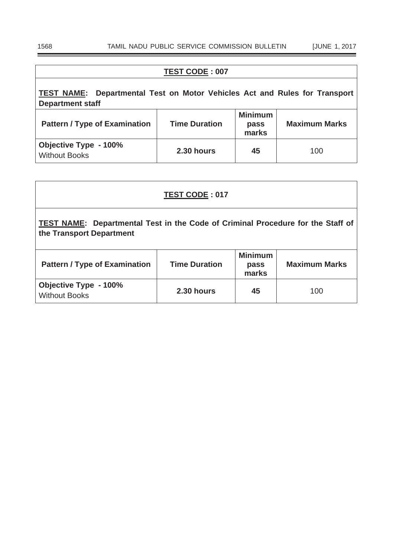#### 1568 TAMIL NADU PUBLIC SERVICE COMMISSION BULLETIN [JUNE 1, 2017

| <b>TEST CODE: 007</b>                                                                                           |                      |                                 |                      |
|-----------------------------------------------------------------------------------------------------------------|----------------------|---------------------------------|----------------------|
| Departmental Test on Motor Vehicles Act and Rules for Transport<br><b>TEST NAME:</b><br><b>Department staff</b> |                      |                                 |                      |
| <b>Pattern / Type of Examination</b>                                                                            | <b>Time Duration</b> | <b>Minimum</b><br>pass<br>marks | <b>Maximum Marks</b> |
| <b>Objective Type - 100%</b><br><b>Without Books</b>                                                            | 2.30 hours           | 45                              | 100                  |

| <b>TEST CODE: 017</b>                                                                                       |                      |                                 |                      |
|-------------------------------------------------------------------------------------------------------------|----------------------|---------------------------------|----------------------|
| TEST NAME: Departmental Test in the Code of Criminal Procedure for the Staff of<br>the Transport Department |                      |                                 |                      |
| <b>Pattern / Type of Examination</b>                                                                        | <b>Time Duration</b> | <b>Minimum</b><br>pass<br>marks | <b>Maximum Marks</b> |
| <b>Objective Type - 100%</b><br><b>Without Books</b>                                                        | 2.30 hours           | 45                              | 100                  |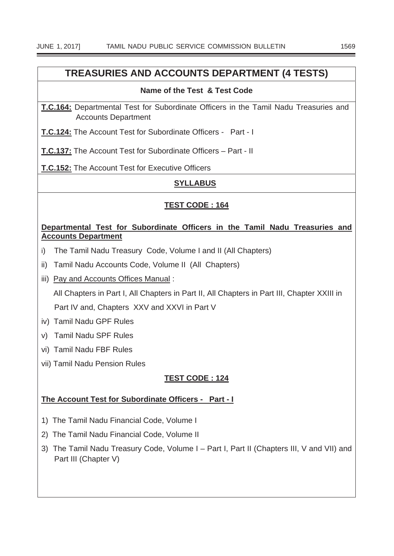# **TREASURIES AND ACCOUNTS DEPARTMENT (4 TESTS)**

### **Name of the Test & Test Code**

**T.C.164:** Departmental Test for Subordinate Officers in the Tamil Nadu Treasuries and Accounts Department

**T.C.124:** The Account Test for Subordinate Officers - Part - I

**T.C.137:** The Account Test for Subordinate Officers – Part - II

**T.C.152:** The Account Test for Executive Officers

## **SYLLABUS**

#### **TEST CODE : 164**

### **Departmental Test for Subordinate Officers in the Tamil Nadu Treasuries and Accounts Department**

- i) The Tamil Nadu Treasury Code, Volume I and II (All Chapters)
- ii) Tamil Nadu Accounts Code, Volume II (All Chapters)
- iii) Pay and Accounts Offices Manual :

All Chapters in Part I, All Chapters in Part II, All Chapters in Part III, Chapter XXIII in

Part IV and, Chapters XXV and XXVI in Part V

- iv) Tamil Nadu GPF Rules
- v) Tamil Nadu SPF Rules
- vi) Tamil Nadu FBF Rules
- vii) Tamil Nadu Pension Rules

#### **TEST CODE : 124**

**The Account Test for Subordinate Officers - Part - I** 

- 1) The Tamil Nadu Financial Code, Volume I
- 2) The Tamil Nadu Financial Code, Volume II
- 3) The Tamil Nadu Treasury Code, Volume I Part I, Part II (Chapters III, V and VII) and Part III (Chapter V)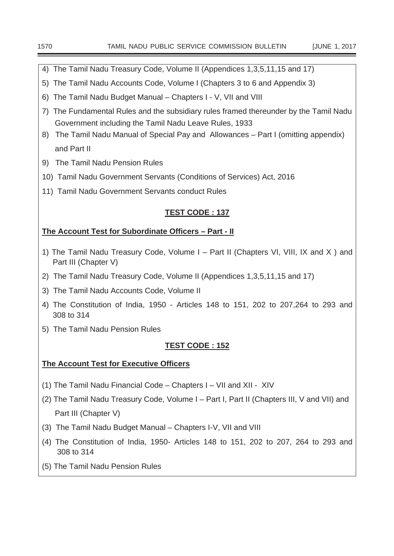- 4) The Tamil Nadu Treasury Code, Volume II (Appendices 1,3,5,11,15 and 17)
- 5) The Tamil Nadu Accounts Code, Volume I (Chapters 3 to 6 and Appendix 3)
- 6) The Tamil Nadu Budget Manual Chapters I V, VII and VIII
- 7) The Fundamental Rules and the subsidiary rules framed thereunder by the Tamil Nadu Government including the Tamil Nadu Leave Rules, 1933
- 8) The Tamil Nadu Manual of Special Pay and Allowances Part I (omitting appendix) and Part II
- 9) The Tamil Nadu Pension Rules
- 10) Tamil Nadu Government Servants (Conditions of Services) Act, 2016
- 11) Tamil Nadu Government Servants conduct Rules

### **TEST CODE : 137**

#### **The Account Test for Subordinate Officers – Part - II**

- 1) The Tamil Nadu Treasury Code, Volume I Part II (Chapters VI, VIII, IX and X ) and Part III (Chapter V)
- 2) The Tamil Nadu Treasury Code, Volume II (Appendices 1,3,5,11,15 and 17)
- 3) The Tamil Nadu Accounts Code, Volume II
- 4) The Constitution of India, 1950 Articles 148 to 151, 202 to 207,264 to 293 and 308 to 314
- 5) The Tamil Nadu Pension Rules

#### **TEST CODE : 152**

#### **The Account Test for Executive Officers**

- (1) The Tamil Nadu Financial Code Chapters I VII and XII XIV
- (2) The Tamil Nadu Treasury Code, Volume I Part I, Part II (Chapters III, V and VII) and Part III (Chapter V)
- (3) The Tamil Nadu Budget Manual Chapters I-V, VII and VIII
- (4) The Constitution of India, 1950- Articles 148 to 151, 202 to 207, 264 to 293 and 308 to 314
- (5) The Tamil Nadu Pension Rules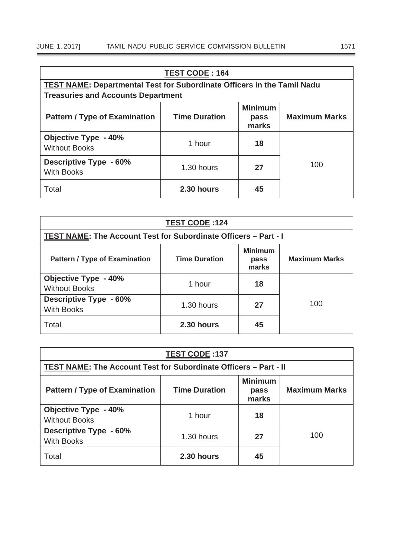| <b>TEST CODE: 164</b>                                                          |                      |                                 |                      |
|--------------------------------------------------------------------------------|----------------------|---------------------------------|----------------------|
| <b>TEST NAME: Departmental Test for Subordinate Officers in the Tamil Nadu</b> |                      |                                 |                      |
| <b>Treasuries and Accounts Department</b>                                      |                      |                                 |                      |
| <b>Pattern / Type of Examination</b>                                           | <b>Time Duration</b> | <b>Minimum</b><br>pass<br>marks | <b>Maximum Marks</b> |
| <b>Objective Type - 40%</b><br><b>Without Books</b>                            | 1 hour               | 18                              |                      |
| <b>Descriptive Type - 60%</b><br><b>With Books</b>                             | 1.30 hours           | 27                              | 100                  |
| Total                                                                          | 2.30 hours           | 45                              |                      |

| TEST CODE: 124                                                  |                      |                                 |                      |
|-----------------------------------------------------------------|----------------------|---------------------------------|----------------------|
| TEST NAME: The Account Test for Subordinate Officers - Part - I |                      |                                 |                      |
| <b>Pattern / Type of Examination</b>                            | <b>Time Duration</b> | <b>Minimum</b><br>pass<br>marks | <b>Maximum Marks</b> |
| <b>Objective Type - 40%</b><br><b>Without Books</b>             | 1 hour               | 18                              |                      |
| <b>Descriptive Type - 60%</b><br><b>With Books</b>              | 1.30 hours           | 27                              | 100                  |
| Total                                                           | 2.30 hours           | 45                              |                      |

| TEST CODE:137                                                    |                      |                                 |                      |
|------------------------------------------------------------------|----------------------|---------------------------------|----------------------|
| TEST NAME: The Account Test for Subordinate Officers - Part - II |                      |                                 |                      |
| <b>Pattern / Type of Examination</b>                             | <b>Time Duration</b> | <b>Minimum</b><br>pass<br>marks | <b>Maximum Marks</b> |
| <b>Objective Type - 40%</b><br><b>Without Books</b>              | 1 hour               | 18                              |                      |
| <b>Descriptive Type - 60%</b><br><b>With Books</b>               | 1.30 hours           | 27                              | 100                  |
| Total                                                            | 2.30 hours           | 45                              |                      |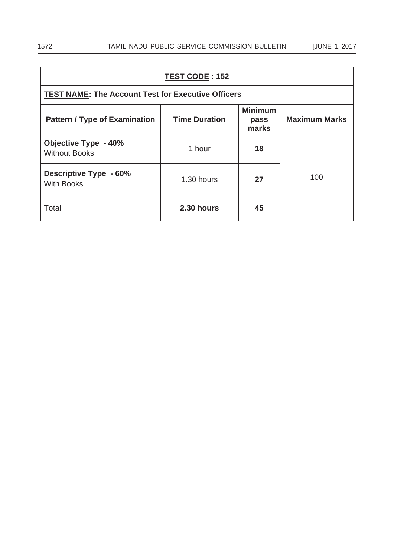| <b>TEST CODE: 152</b>                                     |                      |                                 |                      |
|-----------------------------------------------------------|----------------------|---------------------------------|----------------------|
| <b>TEST NAME: The Account Test for Executive Officers</b> |                      |                                 |                      |
| <b>Pattern / Type of Examination</b>                      | <b>Time Duration</b> | <b>Minimum</b><br>pass<br>marks | <b>Maximum Marks</b> |
| <b>Objective Type - 40%</b><br><b>Without Books</b>       | 1 hour               | 18                              |                      |
| <b>Descriptive Type - 60%</b><br><b>With Books</b>        | 1.30 hours           | 27                              | 100                  |
| Total                                                     | 2.30 hours           | 45                              |                      |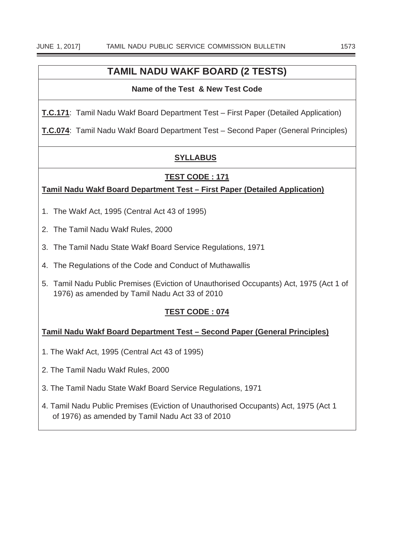# **TAMIL NADU WAKF BOARD (2 TESTS)**

#### **Name of the Test & New Test Code**

**T.C.171**: Tamil Nadu Wakf Board Department Test – First Paper (Detailed Application)

**T.C.074**: Tamil Nadu Wakf Board Department Test – Second Paper (General Principles)

## **SYLLABUS**

### **TEST CODE : 171**

### **Tamil Nadu Wakf Board Department Test – First Paper (Detailed Application)**

- 1. The Wakf Act, 1995 (Central Act 43 of 1995)
- 2. The Tamil Nadu Wakf Rules, 2000
- 3. The Tamil Nadu State Wakf Board Service Regulations, 1971
- 4. The Regulations of the Code and Conduct of Muthawallis
- 5. Tamil Nadu Public Premises (Eviction of Unauthorised Occupants) Act, 1975 (Act 1 of 1976) as amended by Tamil Nadu Act 33 of 2010

### **TEST CODE : 074**

#### **Tamil Nadu Wakf Board Department Test – Second Paper (General Principles)**

- 1. The Wakf Act, 1995 (Central Act 43 of 1995)
- 2. The Tamil Nadu Wakf Rules, 2000
- 3. The Tamil Nadu State Wakf Board Service Regulations, 1971
- 4. Tamil Nadu Public Premises (Eviction of Unauthorised Occupants) Act, 1975 (Act 1 of 1976) as amended by Tamil Nadu Act 33 of 2010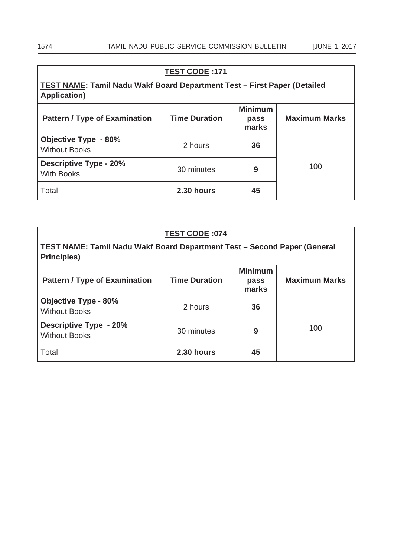# **TEST CODE :171**

# **TEST NAME: Tamil Nadu Wakf Board Department Test – First Paper (Detailed Application)**

| <b>Pattern / Type of Examination</b>                | <b>Time Duration</b> | <b>Minimum</b><br>pass<br>marks | <b>Maximum Marks</b> |
|-----------------------------------------------------|----------------------|---------------------------------|----------------------|
| <b>Objective Type - 80%</b><br><b>Without Books</b> | 2 hours              | 36                              |                      |
| <b>Descriptive Type - 20%</b><br><b>With Books</b>  | 30 minutes           | 9                               | 100                  |
| Total                                               | 2.30 hours           | 45                              |                      |

| TEST CODE: 074                                                                                        |                      |                                 |                      |
|-------------------------------------------------------------------------------------------------------|----------------------|---------------------------------|----------------------|
| <b>TEST NAME: Tamil Nadu Wakf Board Department Test - Second Paper (General</b><br><b>Principles)</b> |                      |                                 |                      |
| <b>Pattern / Type of Examination</b>                                                                  | <b>Time Duration</b> | <b>Minimum</b><br>pass<br>marks | <b>Maximum Marks</b> |
| <b>Objective Type - 80%</b><br><b>Without Books</b>                                                   | 2 hours              | 36                              |                      |
| <b>Descriptive Type - 20%</b><br><b>Without Books</b>                                                 | 30 minutes           | 9                               | 100                  |
| Total                                                                                                 | 2.30 hours           | 45                              |                      |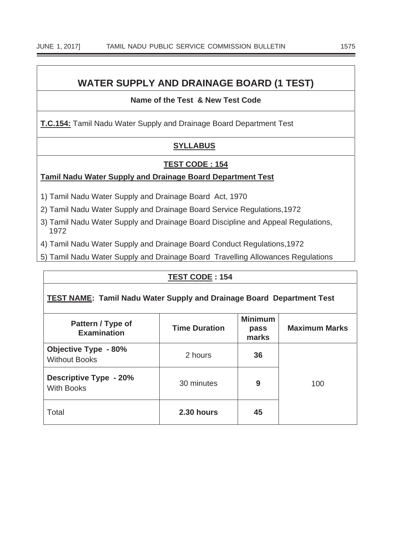# **WATER SUPPLY AND DRAINAGE BOARD (1 TEST)**

### **Name of the Test & New Test Code**

**T.C.154:** Tamil Nadu Water Supply and Drainage Board Department Test

## **SYLLABUS**

### **TEST CODE : 154**

### **Tamil Nadu Water Supply and Drainage Board Department Test**

- 1) Tamil Nadu Water Supply and Drainage Board Act, 1970
- 2) Tamil Nadu Water Supply and Drainage Board Service Regulations,1972
- 3) Tamil Nadu Water Supply and Drainage Board Discipline and Appeal Regulations, 1972
- 4) Tamil Nadu Water Supply and Drainage Board Conduct Regulations,1972
- 5) Tamil Nadu Water Supply and Drainage Board Travelling Allowances Regulations

## **TEST CODE : 154**

| <b>TEST NAME: Tamil Nadu Water Supply and Drainage Board Department Test</b> |                      |                                 |                      |  |
|------------------------------------------------------------------------------|----------------------|---------------------------------|----------------------|--|
| Pattern / Type of<br><b>Examination</b>                                      | <b>Time Duration</b> | <b>Minimum</b><br>pass<br>marks | <b>Maximum Marks</b> |  |
| <b>Objective Type - 80%</b><br><b>Without Books</b>                          | 2 hours              | 36                              |                      |  |
| <b>Descriptive Type - 20%</b><br><b>With Books</b>                           | 30 minutes           | 9                               | 100                  |  |
| Total                                                                        | 2.30 hours           | 45                              |                      |  |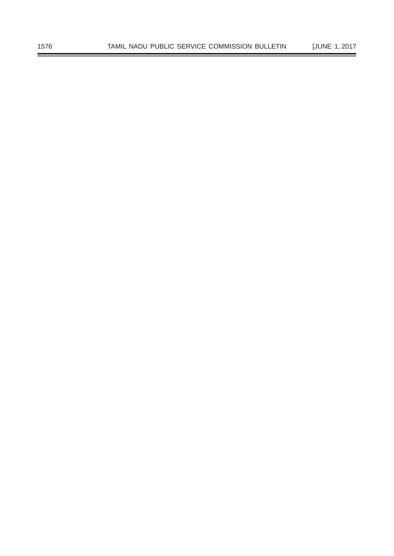L,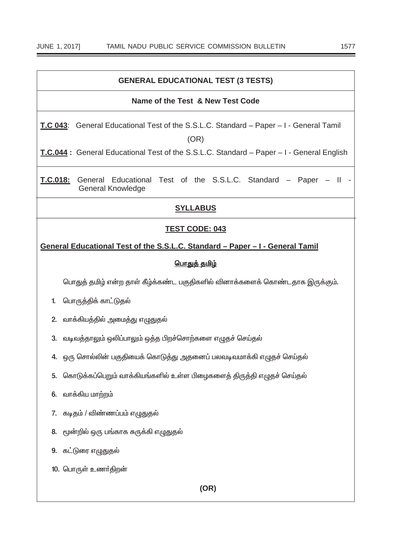#### **GENERAL EDUCATIONAL TEST (3 TESTS)**

#### **Name of the Test & New Test Code**

**T.C 043**: General Educational Test of the S.S.L.C. Standard – Paper – I - General Tamil

(OR)

**T.C.044 :** General Educational Test of the S.S.L.C. Standard – Paper – I - General English

**T.C.018:** General Educational Test of the S.S.L.C. Standard – Paper – II - General Knowledge

#### **SYLLABUS**

#### **TEST CODE: 043**

#### **General Educational Test of the S.S.L.C. Standard – Paper – I - General Tamil**

#### <u>பொதுத் தமிழ்</u>

பொதுத் தமிழ் என்ற தாள் கீழ்க்கண்ட பகுதிகளில் வினாக்களைக் கொண்டதாக இருக்கும்.

- 1. பொருத்திக் காட்டுதல்
- 2. வாக்கியத்தில் அமைத்து எழுதுதல்
- 3. வடிவத்தாலும் ஒலிப்பாலும் ஒத்த பிறச்சொற்களை எழுதச் செய்தல்
- 4. ஒரு சொல்லின் பகுதியைக் கொடுத்து அதனைப் பலவடிவமாக்கி எழுதச் செய்தல்
- 5. கொடுக்கப்பெறும் வாக்கியங்களில் உள்ள பிழைகளைத் திருத்தி எழுதச் செய்தல்
- 6. வாக்கிய மாற்றம்
- 7. கடிதம் / விண்ணப்பம் எழுதுதல்
- 8. பூன்றில் ஒரு பங்காக சுருக்கி எழுதுதல்
- 9. கட்டுரை எழுதுதல்
- 10. பொருள் உணர்திறன்

 **(OR)**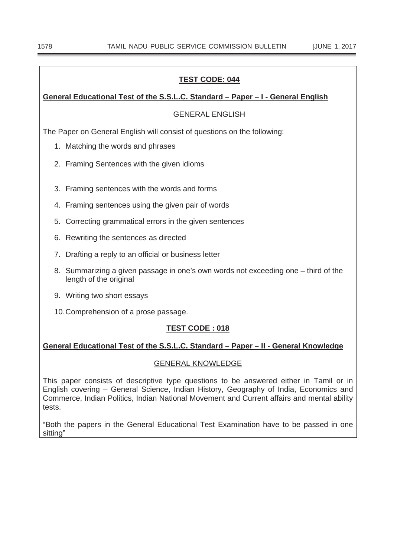### **TEST CODE: 044**

**General Educational Test of the S.S.L.C. Standard – Paper – I - General English**

### GENERAL ENGLISH

The Paper on General English will consist of questions on the following:

- 1. Matching the words and phrases
- 2. Framing Sentences with the given idioms
- 3. Framing sentences with the words and forms
- 4. Framing sentences using the given pair of words
- 5. Correcting grammatical errors in the given sentences
- 6. Rewriting the sentences as directed
- 7. Drafting a reply to an official or business letter
- 8. Summarizing a given passage in one's own words not exceeding one third of the length of the original
- 9. Writing two short essays
- 10. Comprehension of a prose passage.

# **TEST CODE : 018**

### **General Educational Test of the S.S.L.C. Standard – Paper – II - General Knowledge**

### GENERAL KNOWLEDGE

This paper consists of descriptive type questions to be answered either in Tamil or in English covering – General Science, Indian History, Geography of India, Economics and Commerce, Indian Politics, Indian National Movement and Current affairs and mental ability tests.

"Both the papers in the General Educational Test Examination have to be passed in one sitting"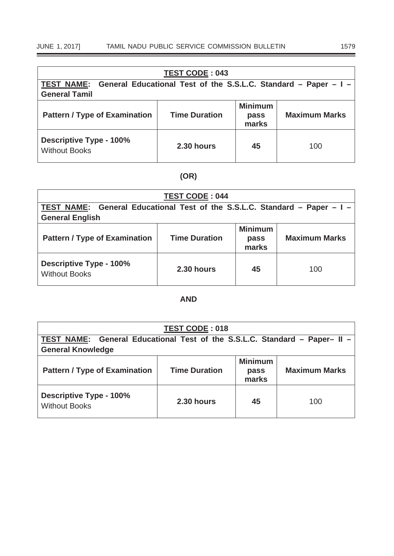| <b>TEST CODE: 043</b>                                  |                                                                   |                                 |                      |
|--------------------------------------------------------|-------------------------------------------------------------------|---------------------------------|----------------------|
| <b>TEST NAME:</b>                                      | General Educational Test of the S.S.L.C. Standard – Paper – $I -$ |                                 |                      |
| <b>General Tamil</b>                                   |                                                                   |                                 |                      |
| <b>Pattern / Type of Examination</b>                   | <b>Time Duration</b>                                              | <b>Minimum</b><br>pass<br>marks | <b>Maximum Marks</b> |
| <b>Descriptive Type - 100%</b><br><b>Without Books</b> | 2.30 hours                                                        | 45                              | 100                  |

# **(OR)**

| <b>TEST CODE: 044</b>                                                                 |                      |                                 |                      |
|---------------------------------------------------------------------------------------|----------------------|---------------------------------|----------------------|
| General Educational Test of the S.S.L.C. Standard - Paper $-1$ -<br><b>TEST NAME:</b> |                      |                                 |                      |
| <b>General English</b>                                                                |                      |                                 |                      |
| <b>Pattern / Type of Examination</b>                                                  | <b>Time Duration</b> | <b>Minimum</b><br>pass<br>marks | <b>Maximum Marks</b> |
| <b>Descriptive Type - 100%</b><br><b>Without Books</b>                                | 2.30 hours           | 45                              | 100                  |

# **AND**

| <b>TEST CODE: 018</b>                                                                     |                      |                                 |                      |
|-------------------------------------------------------------------------------------------|----------------------|---------------------------------|----------------------|
| General Educational Test of the S.S.L.C. Standard - Paper- $\  - \ $<br><b>TEST NAME:</b> |                      |                                 |                      |
| <b>General Knowledge</b>                                                                  |                      |                                 |                      |
| <b>Pattern / Type of Examination</b>                                                      | <b>Time Duration</b> | <b>Minimum</b><br>pass<br>marks | <b>Maximum Marks</b> |
| <b>Descriptive Type - 100%</b><br><b>Without Books</b>                                    | 2.30 hours           | 45                              | 100                  |

j.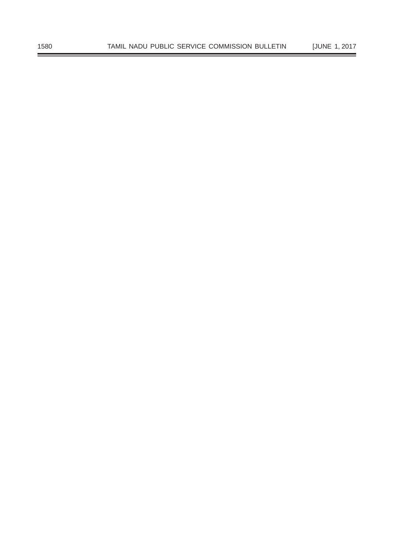j.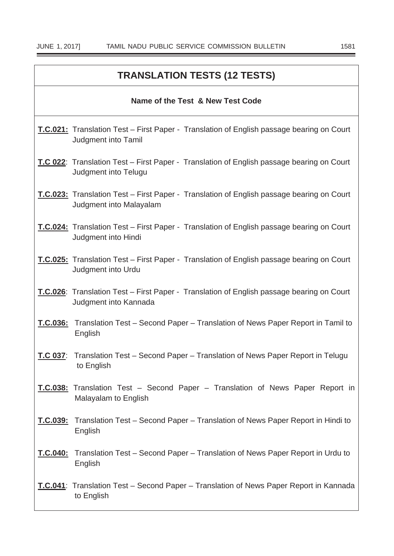# **TRANSLATION TESTS (12 TESTS)**

#### **Name of the Test & New Test Code**

- **T.C.021:** Translation Test First Paper Translation of English passage bearing on Court Judgment into Tamil
- **T.C 022**: Translation Test First Paper Translation of English passage bearing on Court Judgment into Telugu
- **T.C.023:** Translation Test First Paper Translation of English passage bearing on Court Judgment into Malayalam
- **T.C.024:** Translation Test First Paper Translation of English passage bearing on Court Judgment into Hindi
- **T.C.025:** Translation Test First Paper Translation of English passage bearing on Court Judgment into Urdu
- **T.C.026**: Translation Test First Paper Translation of English passage bearing on Court Judgment into Kannada
- **T.C.036:** Translation Test Second Paper Translation of News Paper Report in Tamil to **English**
- **T.C 037**: Translation Test Second Paper Translation of News Paper Report in Telugu to English
- **T.C.038:** Translation Test Second Paper Translation of News Paper Report in Malayalam to English
- **T.C.039:** Translation Test Second Paper Translation of News Paper Report in Hindi to English
- **T.C.040:** Translation Test Second Paper Translation of News Paper Report in Urdu to English
- **T.C.041**: Translation Test Second Paper Translation of News Paper Report in Kannada to English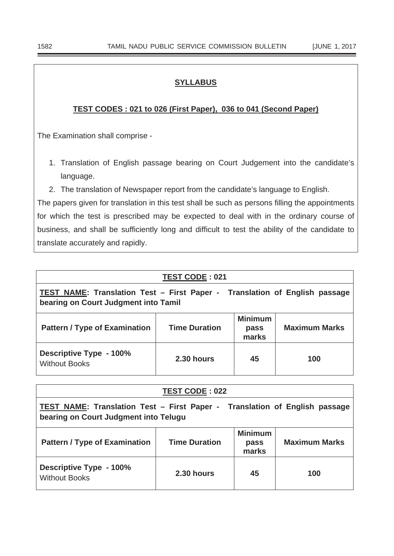# **SYLLABUS**

# **TEST CODES : 021 to 026 (First Paper), 036 to 041 (Second Paper)**

The Examination shall comprise -

- 1. Translation of English passage bearing on Court Judgement into the candidate's language.
- 2. The translation of Newspaper report from the candidate's language to English.

The papers given for translation in this test shall be such as persons filling the appointments for which the test is prescribed may be expected to deal with in the ordinary course of business, and shall be sufficiently long and difficult to test the ability of the candidate to translate accurately and rapidly.

| <b>TEST CODE: 021</b>                                                                                              |                      |                                 |                      |
|--------------------------------------------------------------------------------------------------------------------|----------------------|---------------------------------|----------------------|
| TEST NAME: Translation Test – First Paper - Translation of English passage<br>bearing on Court Judgment into Tamil |                      |                                 |                      |
| <b>Pattern / Type of Examination</b>                                                                               | <b>Time Duration</b> | <b>Minimum</b><br>pass<br>marks | <b>Maximum Marks</b> |
| <b>Descriptive Type - 100%</b><br><b>Without Books</b>                                                             | 2.30 hours           | 45                              | 100                  |

| <b>TEST CODE: 022</b>                                                                                               |                      |                                 |                      |
|---------------------------------------------------------------------------------------------------------------------|----------------------|---------------------------------|----------------------|
| TEST NAME: Translation Test – First Paper - Translation of English passage<br>bearing on Court Judgment into Telugu |                      |                                 |                      |
| <b>Pattern / Type of Examination</b>                                                                                | <b>Time Duration</b> | <b>Minimum</b><br>pass<br>marks | <b>Maximum Marks</b> |
| <b>Descriptive Type - 100%</b><br><b>Without Books</b>                                                              | 2.30 hours           | 45                              | 100                  |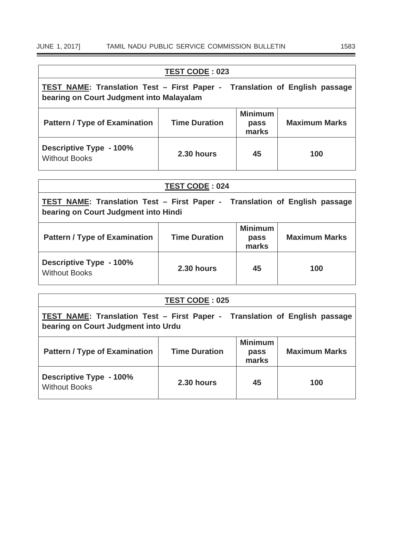| TEST CODE: 023                                                                                                         |                      |                                 |                      |
|------------------------------------------------------------------------------------------------------------------------|----------------------|---------------------------------|----------------------|
| TEST NAME: Translation Test – First Paper - Translation of English passage<br>bearing on Court Judgment into Malayalam |                      |                                 |                      |
| <b>Pattern / Type of Examination</b>                                                                                   | <b>Time Duration</b> | <b>Minimum</b><br>pass<br>marks | <b>Maximum Marks</b> |
| <b>Descriptive Type - 100%</b><br><b>Without Books</b>                                                                 | 2.30 hours           | 45                              | 100                  |

| <b>TEST CODE: 024</b>                                                                                                   |            |    |     |  |
|-------------------------------------------------------------------------------------------------------------------------|------------|----|-----|--|
| TEST NAME: Translation Test – First Paper - Translation of English passage<br>bearing on Court Judgment into Hindi      |            |    |     |  |
| <b>Minimum</b><br><b>Maximum Marks</b><br><b>Time Duration</b><br><b>Pattern / Type of Examination</b><br>pass<br>marks |            |    |     |  |
| <b>Descriptive Type - 100%</b><br><b>Without Books</b>                                                                  | 2.30 hours | 45 | 100 |  |

| <b>TEST CODE: 025</b>                                                                                                   |            |    |     |  |
|-------------------------------------------------------------------------------------------------------------------------|------------|----|-----|--|
| TEST NAME: Translation Test - First Paper - Translation of English passage<br>bearing on Court Judgment into Urdu       |            |    |     |  |
| <b>Minimum</b><br><b>Time Duration</b><br><b>Maximum Marks</b><br><b>Pattern / Type of Examination</b><br>pass<br>marks |            |    |     |  |
| <b>Descriptive Type - 100%</b><br><b>Without Books</b>                                                                  | 2.30 hours | 45 | 100 |  |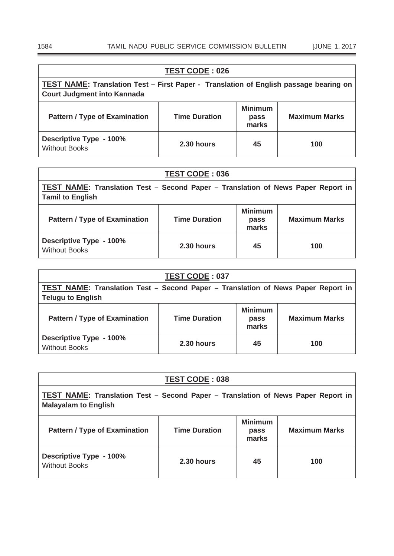| <b>TEST CODE: 026</b>                                                                                                       |                      |                                 |                      |
|-----------------------------------------------------------------------------------------------------------------------------|----------------------|---------------------------------|----------------------|
| TEST NAME: Translation Test – First Paper - Translation of English passage bearing on<br><b>Court Judgment into Kannada</b> |                      |                                 |                      |
| <b>Pattern / Type of Examination</b>                                                                                        | <b>Time Duration</b> | <b>Minimum</b><br>pass<br>marks | <b>Maximum Marks</b> |
| <b>Descriptive Type - 100%</b><br><b>Without Books</b>                                                                      | 2.30 hours           | 45                              | 100                  |

| <b>TEST CODE: 036</b>                                                                                       |                      |                                 |                      |
|-------------------------------------------------------------------------------------------------------------|----------------------|---------------------------------|----------------------|
| TEST NAME: Translation Test – Second Paper – Translation of News Paper Report in<br><b>Tamil to English</b> |                      |                                 |                      |
| <b>Pattern / Type of Examination</b>                                                                        | <b>Time Duration</b> | <b>Minimum</b><br>pass<br>marks | <b>Maximum Marks</b> |
| <b>Descriptive Type - 100%</b><br><b>Without Books</b>                                                      | 2.30 hours           | 45                              | 100                  |

| <b>TEST CODE: 037</b>                                                                                                   |            |    |     |  |
|-------------------------------------------------------------------------------------------------------------------------|------------|----|-----|--|
| TEST NAME: Translation Test – Second Paper – Translation of News Paper Report in<br><b>Telugu to English</b>            |            |    |     |  |
| <b>Minimum</b><br><b>Time Duration</b><br><b>Pattern / Type of Examination</b><br><b>Maximum Marks</b><br>pass<br>marks |            |    |     |  |
| <b>Descriptive Type - 100%</b><br><b>Without Books</b>                                                                  | 2.30 hours | 45 | 100 |  |

| <b>TEST CODE: 038</b>                                                                                           |                      |                                 |                      |
|-----------------------------------------------------------------------------------------------------------------|----------------------|---------------------------------|----------------------|
| TEST NAME: Translation Test – Second Paper – Translation of News Paper Report in<br><b>Malayalam to English</b> |                      |                                 |                      |
| <b>Pattern / Type of Examination</b>                                                                            | <b>Time Duration</b> | <b>Minimum</b><br>pass<br>marks | <b>Maximum Marks</b> |
| Descriptive Type - 100%<br><b>Without Books</b>                                                                 | 2.30 hours           | 45                              | 100                  |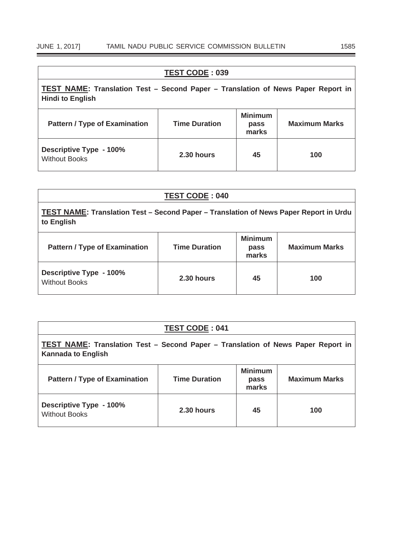# **TEST CODE : 039**

**TEST NAME: Translation Test – Second Paper – Translation of News Paper Report in Hindi to English**

| <b>Pattern / Type of Examination</b>            | <b>Time Duration</b> | <b>Minimum</b><br>pass<br>marks | <b>Maximum Marks</b> |
|-------------------------------------------------|----------------------|---------------------------------|----------------------|
| Descriptive Type - 100%<br><b>Without Books</b> | 2.30 hours           | 45                              | 100                  |

| <b>TEST CODE: 040</b>                                                                                                   |            |    |     |  |
|-------------------------------------------------------------------------------------------------------------------------|------------|----|-----|--|
| <u>TEST NAME:</u> Translation Test – Second Paper – Translation of News Paper Report in Urdu<br>to English              |            |    |     |  |
| <b>Minimum</b><br><b>Time Duration</b><br><b>Maximum Marks</b><br><b>Pattern / Type of Examination</b><br>pass<br>marks |            |    |     |  |
| Descriptive Type - 100%<br><b>Without Books</b>                                                                         | 2.30 hours | 45 | 100 |  |

| <b>TEST CODE: 041</b>                                                                                                |                      |                                 |                      |
|----------------------------------------------------------------------------------------------------------------------|----------------------|---------------------------------|----------------------|
| <b>TEST NAME:</b> Translation Test – Second Paper – Translation of News Paper Report in<br><b>Kannada to English</b> |                      |                                 |                      |
| <b>Pattern / Type of Examination</b>                                                                                 | <b>Time Duration</b> | <b>Minimum</b><br>pass<br>marks | <b>Maximum Marks</b> |
| Descriptive Type - 100%<br><b>Without Books</b>                                                                      | 2.30 hours           | 45                              | 100                  |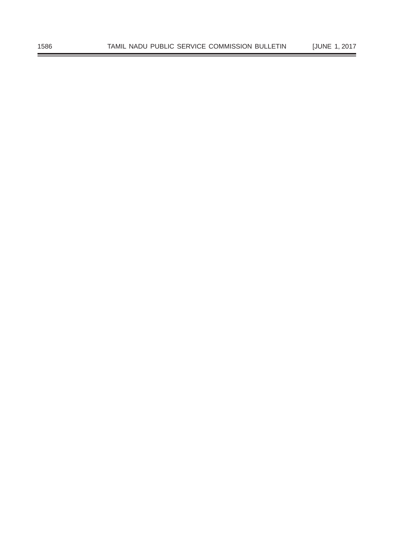j.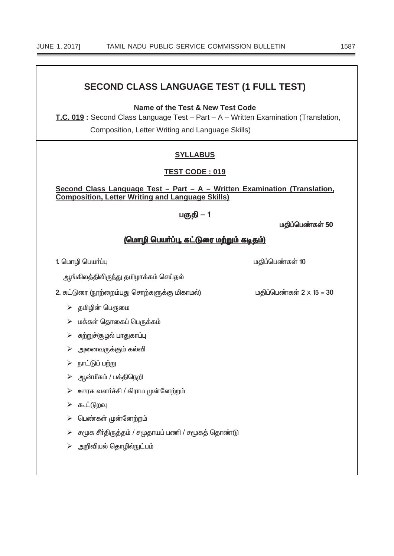# **SECOND CLASS LANGUAGE TEST (1 FULL TEST)**

**Name of the Test & New Test Code** 

**T.C. 019 :** Second Class Language Test – Part – A – Written Examination (Translation,

Composition, Letter Writing and Language Skills)

### **SYLLABUS**

#### **TEST CODE : 019**

**Second Class Language Test – Part – A – Written Examination (Translation, Composition, Letter Writing and Language Skills)**

### பகுதி – 1

மதிப்பெண்கள் 50

# <u>(மொழி பெயர்ப்பு, கட்டுரை மற்றும் கடிதம்)</u>

1. bkhê bga®¥ò kÂ¥bg©fŸ 10

ஆங்கிலத்திலிருந்து தமிழாக்கம் செய்தல்

 $2.$  கட்டுரை (நூற்றைம்பது சொற்களுக்கு மிகாமல்) மதிப்பெண்கள் 2 x 15 = 30

- $\triangleright$  தமிழின் பெருமை
- $\blacktriangleright$  மக்கள் தொகைப் பெருக்கம்
- $\triangleright$  சுற்றுச்சூழல் பாதுகாப்பு
- $\blacktriangleright$  அனைவருக்கும் கல்வி
- $\triangleright$  நாட்டுப் பற்று
- $\triangleright$  ஆன்மீகம் / பக்திநெறி
- $\triangleright$  ஊரக வளர்ச்சி / கிராம முன்னேற்றம்
- $\triangleright$   $\sigma_{n}\dot{\mathsf{L}}$  (hma)
- $\triangleright$  பெண்கள் முன்னேற்றம்
- $\triangleright$  சமூக சீர்திருத்தம் / சமுதாயப் பணி / சமூகத் தொண்டு
- $\triangleright$  அறிவியல் தொழில்நுட்பம்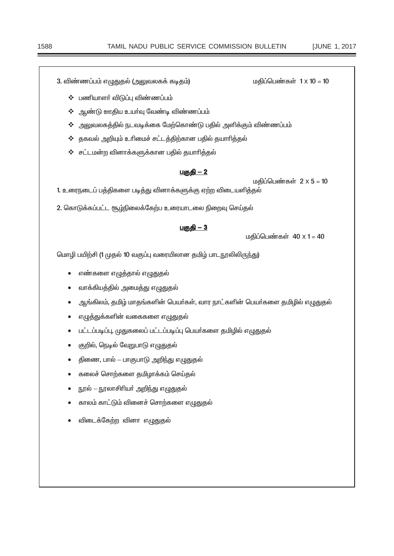- 3. é©z¥g« vGJjš (mYtyf¡ foj«) kÂ¥bg©fŸ 1 x 10 = 10
	- $\div$  பணியாளா் விடுப்பு விண்ணப்பம்
	- $\div$  ஆண்டு ஊதிய உயா்வு வேண்டி விண்ணப்பம்
	- $\boldsymbol{\cdot}$ ை அலுவலகத்தில் நடவடிக்கை மேற்கொண்டு பதில் அளிக்கும் விண்ணப்பம்
	- $\div$  தகவல் அறியும் உரிமைச் சட்டத்திற்கான பதில் தயாரித்தல்
	- $\div$  சட்டமன்ற வினாக்களுக்கான பதில் தயாரித்தல்

#### பகுதி **– 2**

மதிப்பெண்கள்  $2 \times 5 = 10$ 1. உரைநடைப் பத்திகளை படித்து வினாக்களுக்கு ஏற்ற விடையளித்தல்

2. கொடுக்கப்பட்ட சூழ்நிலைக்கேற்ப உரையாடலை நிறைவு செய்தல்

#### <u> பகுதி – 3</u>

மகிப்பெண்கள்  $40 \times 1 = 40$ 

மொழி பயிற்சி (1 முதல் 10 வகுப்பு வரையிலான தமிழ் பாடநூலிலிருந்து)

- எண்களை எழுத்தால் எழுதுதல்
- வாக்கியத்தில் அமைத்து எழுதுதல்
- ஆங்கிலம், தமிழ் மாதங்களின் பெயர்கள், வார நாட்களின் பெயர்களை தமிழில் எழுதுதல்
- எழுத்துக்களின் வகைகளை எழுதுதல்
- பட்டப்படிப்பு, முதுகலைப் பட்டப்படிப்பு பெயர்களை தமிழில் எழுதுதல்
- குறில், நெடில் வேறுபாடு எழுதுதல்
- திணை, பால் பாகுபாடு அறிந்து எழுதுதல்
- கலைச் சொற்களை தமிழாக்கம் செய்தல்
- நூல் நூலாசிரியர் அறிந்து எழுதுதல்
- காலம் காட்டும் வினைச் சொற்களை எழுதுதல்
- விடைக்கேற்ற வினா எழுதுதல்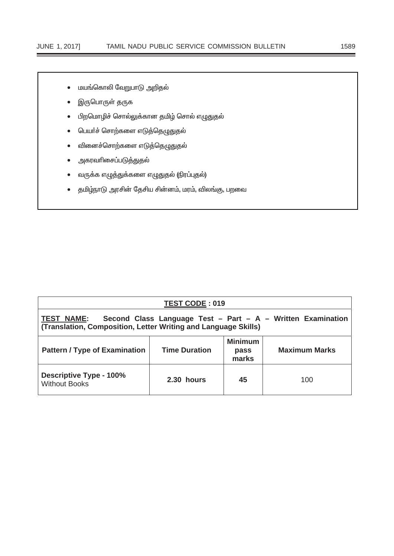- மயங்கொலி வேறுபாடு அறிதல்
- இருபொருள் தருக
- பிறமொழிச் சொல்லுக்கான தமிழ் சொல் எழுதுதல்
- பெயர்ச் சொற்களை எடுத்தெழுதுதல்
- வினைச்சொற்களை எடுத்தெழுதுதல்
- அகரவாிசைப்படுத்துதல்
- வருக்க எழுத்துக்களை எழுதுதல் (நிரப்புதல்)
- தமிழ்நாடு அரசின் தேசிய சின்னம், மரம், விலங்கு, பறவை

| TEST CODE: 019                                                                                                                                     |                      |                                 |                      |  |  |  |
|----------------------------------------------------------------------------------------------------------------------------------------------------|----------------------|---------------------------------|----------------------|--|--|--|
| Second Class Language Test - Part - A - Written Examination<br><b>TEST NAME:</b><br>(Translation, Composition, Letter Writing and Language Skills) |                      |                                 |                      |  |  |  |
| <b>Pattern / Type of Examination</b>                                                                                                               | <b>Time Duration</b> | <b>Minimum</b><br>pass<br>marks | <b>Maximum Marks</b> |  |  |  |
| <b>Descriptive Type - 100%</b><br><b>Without Books</b>                                                                                             | 2.30 hours           | 45                              | 100                  |  |  |  |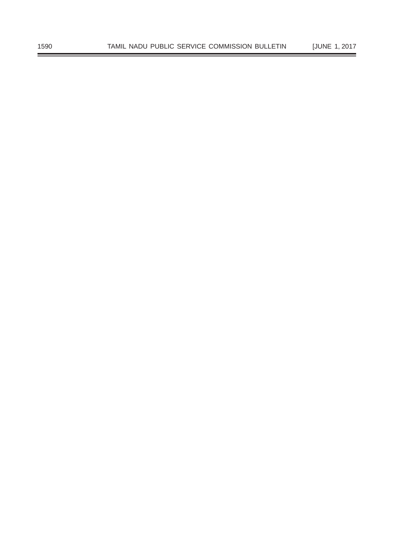j.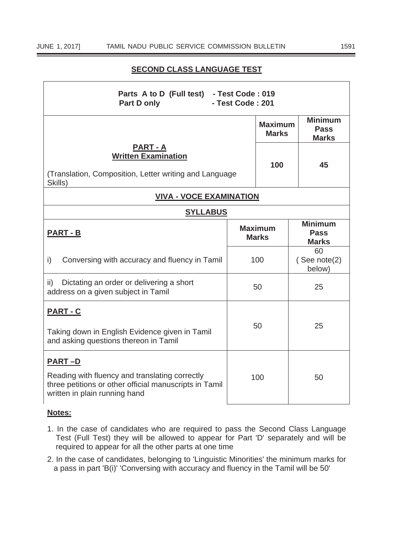$\mathbf{r}$ 

#### **SECOND CLASS LANGUAGE TEST**

| Parts A to D (Full test) - Test Code : 019<br>Part D only<br>- Test Code: 201                                                                              |                                |                                |                                               |  |  |
|------------------------------------------------------------------------------------------------------------------------------------------------------------|--------------------------------|--------------------------------|-----------------------------------------------|--|--|
|                                                                                                                                                            |                                | <b>Maximum</b><br><b>Marks</b> | <b>Minimum</b><br><b>Pass</b><br><b>Marks</b> |  |  |
| <b>PART - A</b><br><b>Written Examination</b><br>(Translation, Composition, Letter writing and Language<br>Skills)                                         |                                |                                | 45                                            |  |  |
| <b>VIVA - VOCE EXAMINATION</b>                                                                                                                             |                                |                                |                                               |  |  |
| <b>SYLLABUS</b>                                                                                                                                            |                                |                                |                                               |  |  |
| <b>PART - B</b>                                                                                                                                            | <b>Maximum</b><br><b>Marks</b> |                                | <b>Minimum</b><br><b>Pass</b><br><b>Marks</b> |  |  |
| $\mathsf{i}$<br>Conversing with accuracy and fluency in Tamil                                                                                              |                                | 100                            | 60<br>$($ See note $(2)$<br>below)            |  |  |
| $\mathsf{ii}$<br>Dictating an order or delivering a short<br>address on a given subject in Tamil                                                           |                                | 50                             | 25                                            |  |  |
| PART - C<br>Taking down in English Evidence given in Tamil<br>and asking questions thereon in Tamil                                                        |                                | 50                             | 25                                            |  |  |
| <b>PART-D</b><br>Reading with fluency and translating correctly<br>three petitions or other official manuscripts in Tamil<br>written in plain running hand |                                | 100                            | 50                                            |  |  |

#### **Notes:**

- 1. In the case of candidates who are required to pass the Second Class Language Test (Full Test) they will be allowed to appear for Part 'D' separately and will be required to appear for all the other parts at one time
- 2. In the case of candidates, belonging to 'Linguistic Minorities' the minimum marks for a pass in part 'B(i)' 'Conversing with accuracy and fluency in the Tamil will be 50'